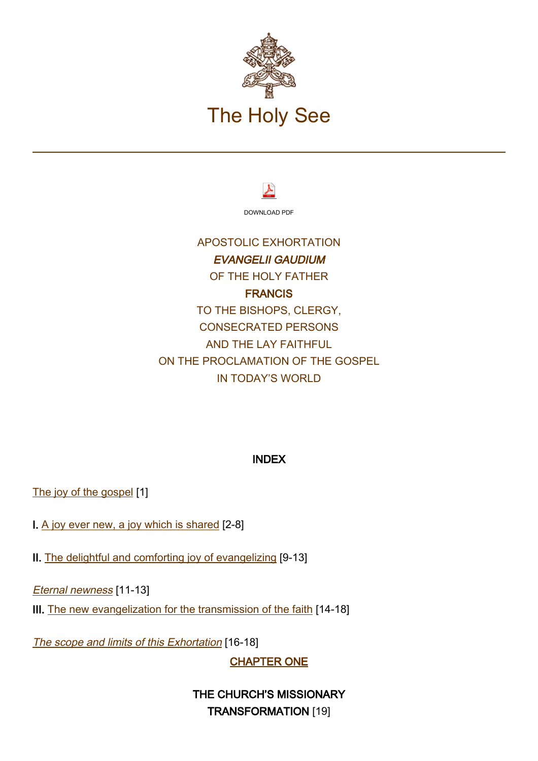



DOWNLOAD PDF

# APOSTOLIC EXHORTATION EVANGELII GAUDIUM OF THE HOLY FATHER FRANCIS TO THE BISHOPS, CLERGY, CONSECRATED PERSONS AND THE LAY FAITHFUL ON THE PROCLAMATION OF THE GOSPEL IN TODAY'S WORLD

# INDEX

[The joy of the gospel](http://w2.vatican.va/content/francesco/en/apost_exhortations/documents/papa-francesco_esortazione-ap_20131124_evangelii-gaudium.html#The_joy_of_the_gospel) [1]

- I. [A joy ever new, a joy which is shared](http://w2.vatican.va/content/francesco/en/apost_exhortations/documents/papa-francesco_esortazione-ap_20131124_evangelii-gaudium.html#I.%E2%80%82A_joy_ever_new,_a_joy_which_is_shared) [2-8]
- II. [The delightful and comforting joy of evangelizing](http://w2.vatican.va/content/francesco/en/apost_exhortations/documents/papa-francesco_esortazione-ap_20131124_evangelii-gaudium.html#II.%E2%80%82The_delightful_and_comforting_joy_of_evangelizing) [9-13]

[Eternal newness](http://w2.vatican.va/content/francesco/en/apost_exhortations/documents/papa-francesco_esortazione-ap_20131124_evangelii-gaudium.html#Eternal_newness) [11-13]

III. [The new evangelization for the transmission of the faith](http://w2.vatican.va/content/francesco/en/apost_exhortations/documents/papa-francesco_esortazione-ap_20131124_evangelii-gaudium.html#III.%E2%80%82The_new_evangelization_for_the_transmission_of_the_faith) [14-18]

[The scope and limits of this Exhortation](http://w2.vatican.va/content/francesco/en/apost_exhortations/documents/papa-francesco_esortazione-ap_20131124_evangelii-gaudium.html#The_scope_and_limits_of_this_Exhortation) [16-18]

[CHAPTER ONE](http://w2.vatican.va/content/francesco/en/apost_exhortations/documents/papa-francesco_esortazione-ap_20131124_evangelii-gaudium.html#CHAPTER_ONE)

THE CHURCH'S MISSIONARY TRANSFORMATION [19]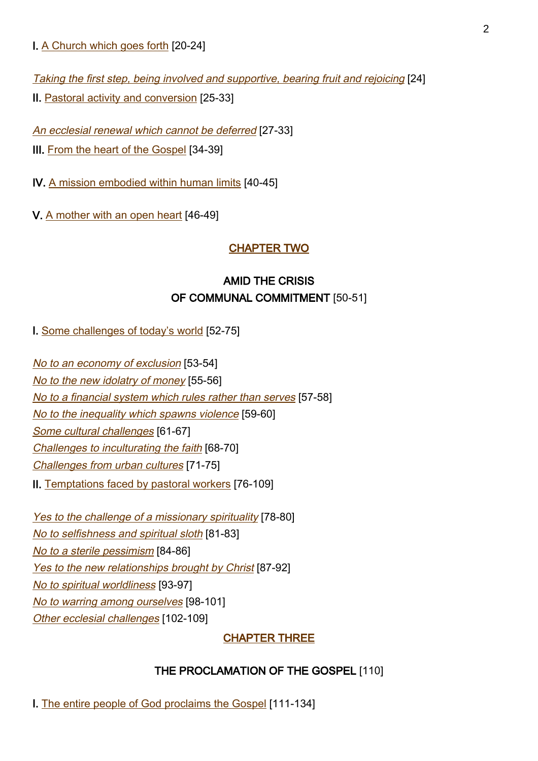I. [A Church which goes forth](http://w2.vatican.va/content/francesco/en/apost_exhortations/documents/papa-francesco_esortazione-ap_20131124_evangelii-gaudium.html#I.%E2%80%82A_Church_which_goes_forth) [20-24]

[Taking the first step, being involved and supportive, bearing fruit and rejoicing](http://w2.vatican.va/content/francesco/en/apost_exhortations/documents/papa-francesco_esortazione-ap_20131124_evangelii-gaudium.html#Taking_the_first_step,_being_involved_and_supportive,_bearing_fruit_and_rejoicing) [24]

II. [Pastoral activity and conversion](http://w2.vatican.va/content/francesco/en/apost_exhortations/documents/papa-francesco_esortazione-ap_20131124_evangelii-gaudium.html#II.%E2%80%82Pastoral_activity_and_conversion) [25-33]

[An ecclesial renewal which cannot be deferred](http://w2.vatican.va/content/francesco/en/apost_exhortations/documents/papa-francesco_esortazione-ap_20131124_evangelii-gaudium.html#An_ecclesial_renewal_which_cannot_be_deferred) [27-33]

III. [From the heart of the Gospel](http://w2.vatican.va/content/francesco/en/apost_exhortations/documents/papa-francesco_esortazione-ap_20131124_evangelii-gaudium.html#III.%E2%80%82From_the_heart_of_the_Gospel) [34-39]

IV. [A mission embodied within human limits](http://w2.vatican.va/content/francesco/en/apost_exhortations/documents/papa-francesco_esortazione-ap_20131124_evangelii-gaudium.html#IV.%E2%80%82A_mission_embodied_within_human_limits) [40-45]

V. [A mother with an open heart](http://w2.vatican.va/content/francesco/en/apost_exhortations/documents/papa-francesco_esortazione-ap_20131124_evangelii-gaudium.html#V.%E2%80%82A_mother_with_an_open_heart) [46-49]

### [CHAPTER TWO](http://w2.vatican.va/content/francesco/en/apost_exhortations/documents/papa-francesco_esortazione-ap_20131124_evangelii-gaudium.html#CHAPTER_TWO)

# AMID THE CRISIS OF COMMUNAL COMMITMENT [50-51]

I. [Some challenges of today's world](http://w2.vatican.va/content/francesco/en/apost_exhortations/documents/papa-francesco_esortazione-ap_20131124_evangelii-gaudium.html#I.%E2%80%82Some_challenges_of_today%E2%80%99s_world) [52-75]

[No to an economy of exclusion](http://w2.vatican.va/content/francesco/en/apost_exhortations/documents/papa-francesco_esortazione-ap_20131124_evangelii-gaudium.html#No_to_an_economy_of_exclusion) [53-54] [No to the new idolatry of money](http://w2.vatican.va/content/francesco/en/apost_exhortations/documents/papa-francesco_esortazione-ap_20131124_evangelii-gaudium.html#No_to_the_new_idolatry_of_money) [55-56] [No to a financial system which rules rather than serves](http://w2.vatican.va/content/francesco/en/apost_exhortations/documents/papa-francesco_esortazione-ap_20131124_evangelii-gaudium.html#No_to_a_financial_system_which_rules_rather_than_serves) [57-58] [No to the inequality which spawns violence](http://w2.vatican.va/content/francesco/en/apost_exhortations/documents/papa-francesco_esortazione-ap_20131124_evangelii-gaudium.html#No_to_the_inequality_which_spawns_violence) [59-60] [Some cultural challenges](http://w2.vatican.va/content/francesco/en/apost_exhortations/documents/papa-francesco_esortazione-ap_20131124_evangelii-gaudium.html#Some_cultural_challenges) [61-67] [Challenges to inculturating the faith](http://w2.vatican.va/content/francesco/en/apost_exhortations/documents/papa-francesco_esortazione-ap_20131124_evangelii-gaudium.html#Challenges_to_inculturating_the_faith) [68-70] [Challenges from urban cultures](http://w2.vatican.va/content/francesco/en/apost_exhortations/documents/papa-francesco_esortazione-ap_20131124_evangelii-gaudium.html#Challenges_from_urban_cultures) [71-75] II. [Temptations faced by pastoral workers](http://w2.vatican.va/content/francesco/en/apost_exhortations/documents/papa-francesco_esortazione-ap_20131124_evangelii-gaudium.html#II.%E2%80%82Temptations_faced_by_pastoral_workers) [76-109]

[Yes to the challenge of a missionary spirituality](http://w2.vatican.va/content/francesco/en/apost_exhortations/documents/papa-francesco_esortazione-ap_20131124_evangelii-gaudium.html#Yes_to_the_challenge_of_a_missionary_spirituality) [78-80] [No to selfishness and spiritual sloth](http://w2.vatican.va/content/francesco/en/apost_exhortations/documents/papa-francesco_esortazione-ap_20131124_evangelii-gaudium.html#No_to_selfishness_and_spiritual_sloth) [81-83] [No to a sterile pessimism](http://w2.vatican.va/content/francesco/en/apost_exhortations/documents/papa-francesco_esortazione-ap_20131124_evangelii-gaudium.html#No_to_a_sterile_pessimism) [84-86] [Yes to the new relationships brought by Christ](http://w2.vatican.va/content/francesco/en/apost_exhortations/documents/papa-francesco_esortazione-ap_20131124_evangelii-gaudium.html#Yes_to_the_new_relationships_brought_by_Christ) [87-92] [No to spiritual worldliness](http://w2.vatican.va/content/francesco/en/apost_exhortations/documents/papa-francesco_esortazione-ap_20131124_evangelii-gaudium.html#No_to_spiritual_worldliness) [93-97] [No to warring among ourselves](http://w2.vatican.va/content/francesco/en/apost_exhortations/documents/papa-francesco_esortazione-ap_20131124_evangelii-gaudium.html#No_to_warring_among_ourselves) [98-101] [Other ecclesial challenges](http://w2.vatican.va/content/francesco/en/apost_exhortations/documents/papa-francesco_esortazione-ap_20131124_evangelii-gaudium.html#Other_ecclesial_challenges) [102-109]

# [CHAPTER THREE](http://w2.vatican.va/content/francesco/en/apost_exhortations/documents/papa-francesco_esortazione-ap_20131124_evangelii-gaudium.html#CHAPTER_THREE)

# THE PROCLAMATION OF THE GOSPEL [110]

I. [The entire people of God proclaims the Gospel](http://w2.vatican.va/content/francesco/en/apost_exhortations/documents/papa-francesco_esortazione-ap_20131124_evangelii-gaudium.html#I.%E2%80%82The_entire_people_of_God_proclaims_the_Gospel) [111-134]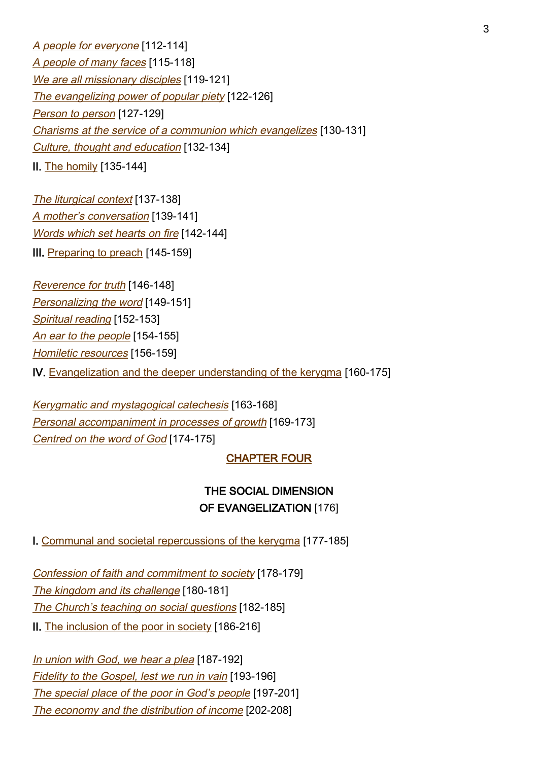[A people for everyone](http://w2.vatican.va/content/francesco/en/apost_exhortations/documents/papa-francesco_esortazione-ap_20131124_evangelii-gaudium.html#A_people_for_everyone) [112-114] [A people of many faces](http://w2.vatican.va/content/francesco/en/apost_exhortations/documents/papa-francesco_esortazione-ap_20131124_evangelii-gaudium.html#A_people_of_many_faces) [115-118] [We are all missionary disciples](http://w2.vatican.va/content/francesco/en/apost_exhortations/documents/papa-francesco_esortazione-ap_20131124_evangelii-gaudium.html#We_are_all_missionary_disciples) [119-121] [The evangelizing power of popular piety](http://w2.vatican.va/content/francesco/en/apost_exhortations/documents/papa-francesco_esortazione-ap_20131124_evangelii-gaudium.html#The_evangelizing_power_of_popular_piety) [122-126] [Person to person](http://w2.vatican.va/content/francesco/en/apost_exhortations/documents/papa-francesco_esortazione-ap_20131124_evangelii-gaudium.html#Person_to_person) [127-129] [Charisms at the service of a communion which evangelizes](http://w2.vatican.va/content/francesco/en/apost_exhortations/documents/papa-francesco_esortazione-ap_20131124_evangelii-gaudium.html#Charisms_at_the_service_of_a_communion_which_evangelizes) [130-131] [Culture, thought and education](http://w2.vatican.va/content/francesco/en/apost_exhortations/documents/papa-francesco_esortazione-ap_20131124_evangelii-gaudium.html#Culture,_thought_and_education) [132-134] II. [The homily](http://w2.vatican.va/content/francesco/en/apost_exhortations/documents/papa-francesco_esortazione-ap_20131124_evangelii-gaudium.html#II.%E2%80%82The_homily) [135-144]

[The liturgical context](http://w2.vatican.va/content/francesco/en/apost_exhortations/documents/papa-francesco_esortazione-ap_20131124_evangelii-gaudium.html#The_liturgical_context) [137-138] [A mother's conversation](http://w2.vatican.va/content/francesco/en/apost_exhortations/documents/papa-francesco_esortazione-ap_20131124_evangelii-gaudium.html#A_mother%E2%80%99s_conversation) [139-141] **[Words which set hearts on fire](http://w2.vatican.va/content/francesco/en/apost_exhortations/documents/papa-francesco_esortazione-ap_20131124_evangelii-gaudium.html#Words_which_set_hearts_on_fire) [142-144]** III. [Preparing to preach](http://w2.vatican.va/content/francesco/en/apost_exhortations/documents/papa-francesco_esortazione-ap_20131124_evangelii-gaudium.html#III.%E2%80%82Preparing_to_preach) [145-159]

[Reverence for truth](http://w2.vatican.va/content/francesco/en/apost_exhortations/documents/papa-francesco_esortazione-ap_20131124_evangelii-gaudium.html#Reverence_for_truth) [146-148] [Personalizing the word](http://w2.vatican.va/content/francesco/en/apost_exhortations/documents/papa-francesco_esortazione-ap_20131124_evangelii-gaudium.html#Personalizing_the_word) [149-151] [Spiritual reading](http://w2.vatican.va/content/francesco/en/apost_exhortations/documents/papa-francesco_esortazione-ap_20131124_evangelii-gaudium.html#Spiritual_reading) [152-153] [An ear to the people](http://w2.vatican.va/content/francesco/en/apost_exhortations/documents/papa-francesco_esortazione-ap_20131124_evangelii-gaudium.html#An_ear_to_the_people) [154-155] [Homiletic resources](http://w2.vatican.va/content/francesco/en/apost_exhortations/documents/papa-francesco_esortazione-ap_20131124_evangelii-gaudium.html#Homiletic_resources) [156-159]

IV. [Evangelization and the deeper understanding of the kerygma](http://w2.vatican.va/content/francesco/en/apost_exhortations/documents/papa-francesco_esortazione-ap_20131124_evangelii-gaudium.html#IV.%E2%80%82Evangelization_and_the_deeper_understanding_of_the_kerygma) [160-175]

[Kerygmatic and mystagogical catechesis](http://w2.vatican.va/content/francesco/en/apost_exhortations/documents/papa-francesco_esortazione-ap_20131124_evangelii-gaudium.html#Kerygmatic_and_mystagogical_catechesis) [163-168] [Personal accompaniment in processes of growth](http://w2.vatican.va/content/francesco/en/apost_exhortations/documents/papa-francesco_esortazione-ap_20131124_evangelii-gaudium.html#Personal_accompaniment_in_processes_of_growth) [169-173] [Centred on the word of God](http://w2.vatican.va/content/francesco/en/apost_exhortations/documents/papa-francesco_esortazione-ap_20131124_evangelii-gaudium.html#Centred_on_the_word_of_God) [174-175]

# [CHAPTER FOUR](http://w2.vatican.va/content/francesco/en/apost_exhortations/documents/papa-francesco_esortazione-ap_20131124_evangelii-gaudium.html#CHAPTER_FOUR)

# THE SOCIAL DIMENSION OF EVANGELIZATION [176]

I. [Communal and societal repercussions of the kerygma](http://w2.vatican.va/content/francesco/en/apost_exhortations/documents/papa-francesco_esortazione-ap_20131124_evangelii-gaudium.html#I.%E2%80%82Communal_and_societal_repercussions_of_the_kerygma) [177-185]

[Confession of faith and commitment to society](http://w2.vatican.va/content/francesco/en/apost_exhortations/documents/papa-francesco_esortazione-ap_20131124_evangelii-gaudium.html#Confession_of_faith_and_commitment_to_society) [178-179] [The kingdom and its challenge](http://w2.vatican.va/content/francesco/en/apost_exhortations/documents/papa-francesco_esortazione-ap_20131124_evangelii-gaudium.html#The_kingdom_and_its_challenge) [180-181] [The Church's teaching on social questions](http://w2.vatican.va/content/francesco/en/apost_exhortations/documents/papa-francesco_esortazione-ap_20131124_evangelii-gaudium.html#The_Church%E2%80%99s_teaching_on_social_questions) [182-185] II. [The inclusion of the poor in society](http://w2.vatican.va/content/francesco/en/apost_exhortations/documents/papa-francesco_esortazione-ap_20131124_evangelii-gaudium.html#II.%E2%80%82The_inclusion_of_the_poor_in_society) [186-216]

[In union with God, we hear a plea](http://w2.vatican.va/content/francesco/en/apost_exhortations/documents/papa-francesco_esortazione-ap_20131124_evangelii-gaudium.html#In_union_with_God,_we_hear_a_plea) [187-192] [Fidelity to the Gospel, lest we run in vain](http://w2.vatican.va/content/francesco/en/apost_exhortations/documents/papa-francesco_esortazione-ap_20131124_evangelii-gaudium.html#Fidelity_to_the_Gospel,_lest_we_run_in_vain) [193-196] [The special place of the poor in God's people](http://w2.vatican.va/content/francesco/en/apost_exhortations/documents/papa-francesco_esortazione-ap_20131124_evangelii-gaudium.html#The_special_place_of_the_poor_in_God%E2%80%99s_people) [197-201] [The economy and the distribution of income](http://w2.vatican.va/content/francesco/en/apost_exhortations/documents/papa-francesco_esortazione-ap_20131124_evangelii-gaudium.html#The_economy_and_the_distribution_of_income) [202-208]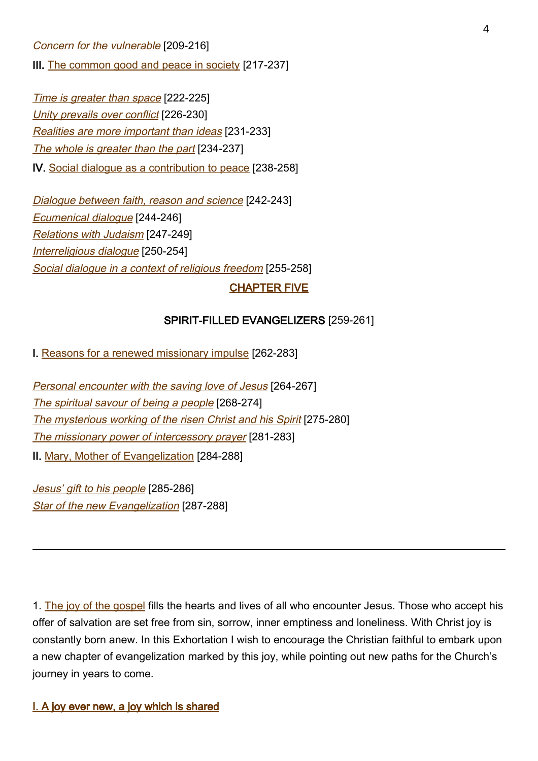[Concern for the vulnerable](http://w2.vatican.va/content/francesco/en/apost_exhortations/documents/papa-francesco_esortazione-ap_20131124_evangelii-gaudium.html#Concern_for_the_vulnerable) [209-216] III. [The common good and peace in society](http://w2.vatican.va/content/francesco/en/apost_exhortations/documents/papa-francesco_esortazione-ap_20131124_evangelii-gaudium.html#III.%E2%80%82The_common_good_and_peace_in_society) [217-237]

[Time is greater than space](http://w2.vatican.va/content/francesco/en/apost_exhortations/documents/papa-francesco_esortazione-ap_20131124_evangelii-gaudium.html#Time_is_greater_than_space) [222-225] [Unity prevails over conflict](http://w2.vatican.va/content/francesco/en/apost_exhortations/documents/papa-francesco_esortazione-ap_20131124_evangelii-gaudium.html#Unity_prevails_over_conflict) [226-230] [Realities are more important than ideas](http://w2.vatican.va/content/francesco/en/apost_exhortations/documents/papa-francesco_esortazione-ap_20131124_evangelii-gaudium.html#Realities_are_more_important_than_ideas) [231-233] [The whole is greater than the part](http://w2.vatican.va/content/francesco/en/apost_exhortations/documents/papa-francesco_esortazione-ap_20131124_evangelii-gaudium.html#The_whole_is_greater_than_the_part) [234-237] IV. [Social dialogue as a contribution to peace](http://w2.vatican.va/content/francesco/en/apost_exhortations/documents/papa-francesco_esortazione-ap_20131124_evangelii-gaudium.html#IV.%E2%80%82Social_dialogue_as_a_contribution_to_peace) [238-258]

[Dialogue between faith, reason and science](http://w2.vatican.va/content/francesco/en/apost_exhortations/documents/papa-francesco_esortazione-ap_20131124_evangelii-gaudium.html#Dialogue_between_faith,_reason_and_science) [242-243] [Ecumenical dialogue](http://w2.vatican.va/content/francesco/en/apost_exhortations/documents/papa-francesco_esortazione-ap_20131124_evangelii-gaudium.html#Ecumenical_dialogue) [244-246] [Relations with Judaism](http://w2.vatican.va/content/francesco/en/apost_exhortations/documents/papa-francesco_esortazione-ap_20131124_evangelii-gaudium.html#Relations_with_Judaism) [247-249] [Interreligious dialogue](http://w2.vatican.va/content/francesco/en/apost_exhortations/documents/papa-francesco_esortazione-ap_20131124_evangelii-gaudium.html#Interreligious_dialogue) [250-254] [Social dialogue in a context of religious freedom](http://w2.vatican.va/content/francesco/en/apost_exhortations/documents/papa-francesco_esortazione-ap_20131124_evangelii-gaudium.html#Social_dialogue_in_a_context_of_religious_freedom) [255-258]

# [CHAPTER FIVE](http://w2.vatican.va/content/francesco/en/apost_exhortations/documents/papa-francesco_esortazione-ap_20131124_evangelii-gaudium.html#CHAPTER_FIVE)

# SPIRIT-FILLED EVANGELIZERS [259-261]

I. [Reasons for a renewed missionary impulse](http://w2.vatican.va/content/francesco/en/apost_exhortations/documents/papa-francesco_esortazione-ap_20131124_evangelii-gaudium.html#I.%E2%80%82Reasons_for_a_renewed_missionary_impulse) [262-283]

[Personal encounter with the saving love of Jesus](http://w2.vatican.va/content/francesco/en/apost_exhortations/documents/papa-francesco_esortazione-ap_20131124_evangelii-gaudium.html#Personal_encounter_with_the_saving_love_of_Jesus) [264-267] [The spiritual savour of being a people](http://w2.vatican.va/content/francesco/en/apost_exhortations/documents/papa-francesco_esortazione-ap_20131124_evangelii-gaudium.html#The_spiritual_savour_of_being_a_people) [268-274] [The mysterious working of the risen Christ and his Spirit](http://w2.vatican.va/content/francesco/en/apost_exhortations/documents/papa-francesco_esortazione-ap_20131124_evangelii-gaudium.html#The_mysterious_working_of_the_risen_Christ_and_his_Spirit) [275-280] [The missionary power of intercessory prayer](http://w2.vatican.va/content/francesco/en/apost_exhortations/documents/papa-francesco_esortazione-ap_20131124_evangelii-gaudium.html#The_missionary_power_of_intercessory_prayer) [281-283] II. [Mary, Mother of Evangelization](http://w2.vatican.va/content/francesco/en/apost_exhortations/documents/papa-francesco_esortazione-ap_20131124_evangelii-gaudium.html#II.%E2%80%82Mary,_mother_of_evangelization) [284-288]

[Jesus' gift to his people](http://w2.vatican.va/content/francesco/en/apost_exhortations/documents/papa-francesco_esortazione-ap_20131124_evangelii-gaudium.html#Jesus%E2%80%99_gift_to_his_people) [285-286] [Star of the new Evangelization](http://w2.vatican.va/content/francesco/en/apost_exhortations/documents/papa-francesco_esortazione-ap_20131124_evangelii-gaudium.html#Star_of_the_new_evangelization) [287-288]

1. The joy of the gospel fills the hearts and lives of all who encounter Jesus. Those who accept his offer of salvation are set free from sin, sorrow, inner emptiness and loneliness. With Christ joy is constantly born anew. In this Exhortation I wish to encourage the Christian faithful to embark upon a new chapter of evangelization marked by this joy, while pointing out new paths for the Church's journey in years to come.

I. A joy ever new, a joy which is shared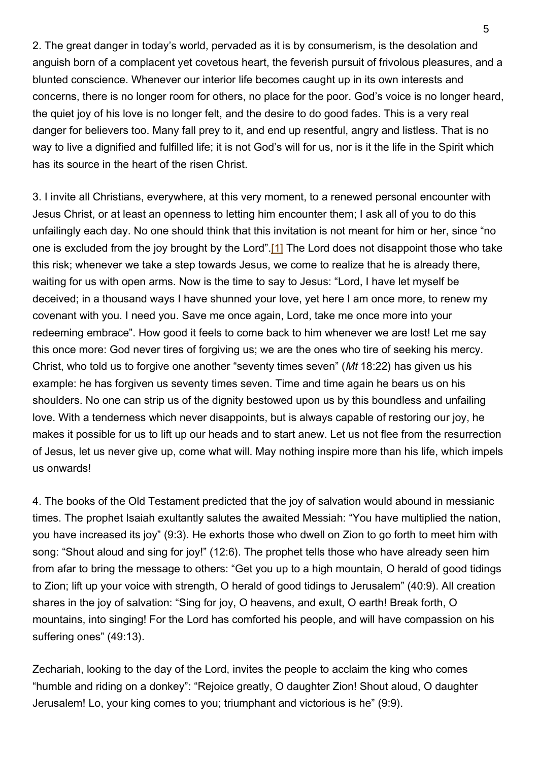2. The great danger in today's world, pervaded as it is by consumerism, is the desolation and anguish born of a complacent yet covetous heart, the feverish pursuit of frivolous pleasures, and a blunted conscience. Whenever our interior life becomes caught up in its own interests and concerns, there is no longer room for others, no place for the poor. God's voice is no longer heard, the quiet joy of his love is no longer felt, and the desire to do good fades. This is a very real danger for believers too. Many fall prey to it, and end up resentful, angry and listless. That is no way to live a dignified and fulfilled life; it is not God's will for us, nor is it the life in the Spirit which has its source in the heart of the risen Christ.

3. I invite all Christians, everywhere, at this very moment, to a renewed personal encounter with Jesus Christ, or at least an openness to letting him encounter them; I ask all of you to do this unfailingly each day. No one should think that this invitation is not meant for him or her, since "no one is excluded from the joy brought by the Lord".[\[1\]](http://w2.vatican.va/content/francesco/en/apost_exhortations/documents/papa-francesco_esortazione-ap_20131124_evangelii-gaudium.html#_ftn1) The Lord does not disappoint those who take this risk; whenever we take a step towards Jesus, we come to realize that he is already there, waiting for us with open arms. Now is the time to say to Jesus: "Lord, I have let myself be deceived; in a thousand ways I have shunned your love, yet here I am once more, to renew my covenant with you. I need you. Save me once again, Lord, take me once more into your redeeming embrace". How good it feels to come back to him whenever we are lost! Let me say this once more: God never tires of forgiving us; we are the ones who tire of seeking his mercy. Christ, who told us to forgive one another "seventy times seven" (Mt 18:22) has given us his example: he has forgiven us seventy times seven. Time and time again he bears us on his shoulders. No one can strip us of the dignity bestowed upon us by this boundless and unfailing love. With a tenderness which never disappoints, but is always capable of restoring our joy, he makes it possible for us to lift up our heads and to start anew. Let us not flee from the resurrection of Jesus, let us never give up, come what will. May nothing inspire more than his life, which impels us onwards!

4. The books of the Old Testament predicted that the joy of salvation would abound in messianic times. The prophet Isaiah exultantly salutes the awaited Messiah: "You have multiplied the nation, you have increased its joy" (9:3). He exhorts those who dwell on Zion to go forth to meet him with song: "Shout aloud and sing for joy!" (12:6). The prophet tells those who have already seen him from afar to bring the message to others: "Get you up to a high mountain, O herald of good tidings to Zion; lift up your voice with strength, O herald of good tidings to Jerusalem" (40:9). All creation shares in the joy of salvation: "Sing for joy, O heavens, and exult, O earth! Break forth, O mountains, into singing! For the Lord has comforted his people, and will have compassion on his suffering ones" (49:13).

Zechariah, looking to the day of the Lord, invites the people to acclaim the king who comes "humble and riding on a donkey": "Rejoice greatly, O daughter Zion! Shout aloud, O daughter Jerusalem! Lo, your king comes to you; triumphant and victorious is he" (9:9).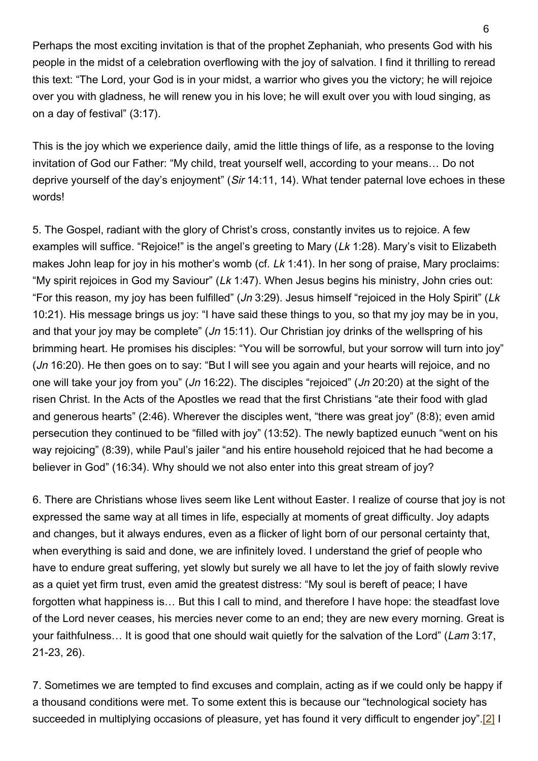Perhaps the most exciting invitation is that of the prophet Zephaniah, who presents God with his people in the midst of a celebration overflowing with the joy of salvation. I find it thrilling to reread this text: "The Lord, your God is in your midst, a warrior who gives you the victory; he will rejoice over you with gladness, he will renew you in his love; he will exult over you with loud singing, as on a day of festival" (3:17).

This is the joy which we experience daily, amid the little things of life, as a response to the loving invitation of God our Father: "My child, treat yourself well, according to your means… Do not deprive yourself of the day's enjoyment" (Sir 14:11, 14). What tender paternal love echoes in these words!

5. The Gospel, radiant with the glory of Christ's cross, constantly invites us to rejoice. A few examples will suffice. "Rejoice!" is the angel's greeting to Mary (Lk 1:28). Mary's visit to Elizabeth makes John leap for joy in his mother's womb (cf. Lk 1:41). In her song of praise, Mary proclaims: "My spirit rejoices in God my Saviour" (Lk 1:47). When Jesus begins his ministry, John cries out: "For this reason, my joy has been fulfilled" (*Jn* 3:29). Jesus himself "rejoiced in the Holy Spirit" (Lk 10:21). His message brings us joy: "I have said these things to you, so that my joy may be in you, and that your joy may be complete" (*Jn* 15:11). Our Christian joy drinks of the wellspring of his brimming heart. He promises his disciples: "You will be sorrowful, but your sorrow will turn into joy" (*Jn* 16:20). He then goes on to say: "But I will see you again and your hearts will rejoice, and no one will take your joy from you" (Jn 16:22). The disciples "rejoiced" (Jn 20:20) at the sight of the risen Christ. In the Acts of the Apostles we read that the first Christians "ate their food with glad and generous hearts" (2:46). Wherever the disciples went, "there was great joy" (8:8); even amid persecution they continued to be "filled with joy" (13:52). The newly baptized eunuch "went on his way rejoicing" (8:39), while Paul's jailer "and his entire household rejoiced that he had become a believer in God" (16:34). Why should we not also enter into this great stream of joy?

6. There are Christians whose lives seem like Lent without Easter. I realize of course that joy is not expressed the same way at all times in life, especially at moments of great difficulty. Joy adapts and changes, but it always endures, even as a flicker of light born of our personal certainty that, when everything is said and done, we are infinitely loved. I understand the grief of people who have to endure great suffering, yet slowly but surely we all have to let the joy of faith slowly revive as a quiet yet firm trust, even amid the greatest distress: "My soul is bereft of peace; I have forgotten what happiness is… But this I call to mind, and therefore I have hope: the steadfast love of the Lord never ceases, his mercies never come to an end; they are new every morning. Great is your faithfulness… It is good that one should wait quietly for the salvation of the Lord" (Lam 3:17, 21-23, 26).

7. Sometimes we are tempted to find excuses and complain, acting as if we could only be happy if a thousand conditions were met. To some extent this is because our "technological society has succeeded in multiplying occasions of pleasure, yet has found it very difficult to engender joy".[\[2\]](http://w2.vatican.va/content/francesco/en/apost_exhortations/documents/papa-francesco_esortazione-ap_20131124_evangelii-gaudium.html#_ftn2) I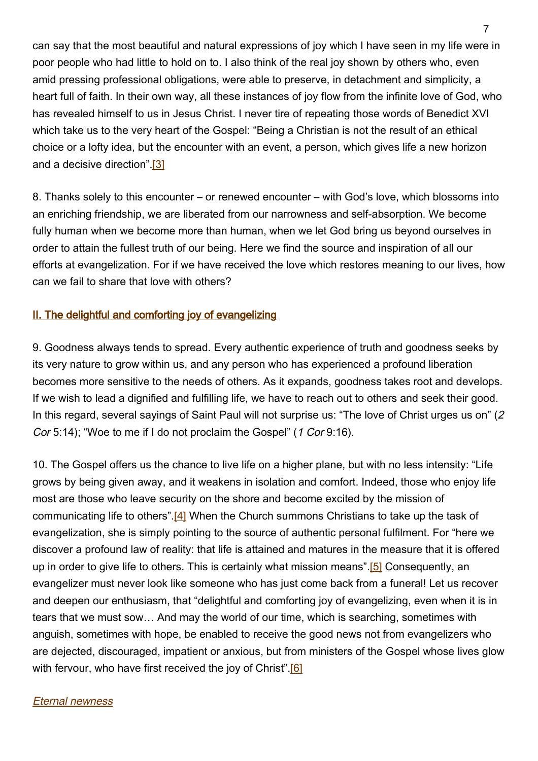can say that the most beautiful and natural expressions of joy which I have seen in my life were in poor people who had little to hold on to. I also think of the real joy shown by others who, even amid pressing professional obligations, were able to preserve, in detachment and simplicity, a heart full of faith. In their own way, all these instances of joy flow from the infinite love of God, who has revealed himself to us in Jesus Christ. I never tire of repeating those words of Benedict XVI which take us to the very heart of the Gospel: "Being a Christian is not the result of an ethical choice or a lofty idea, but the encounter with an event, a person, which gives life a new horizon and a decisive direction".[\[3\]](http://w2.vatican.va/content/francesco/en/apost_exhortations/documents/papa-francesco_esortazione-ap_20131124_evangelii-gaudium.html#_ftn3)

8. Thanks solely to this encounter – or renewed encounter – with God's love, which blossoms into an enriching friendship, we are liberated from our narrowness and self-absorption. We become fully human when we become more than human, when we let God bring us beyond ourselves in order to attain the fullest truth of our being. Here we find the source and inspiration of all our efforts at evangelization. For if we have received the love which restores meaning to our lives, how can we fail to share that love with others?

# II. The delightful and comforting joy of evangelizing

9. Goodness always tends to spread. Every authentic experience of truth and goodness seeks by its very nature to grow within us, and any person who has experienced a profound liberation becomes more sensitive to the needs of others. As it expands, goodness takes root and develops. If we wish to lead a dignified and fulfilling life, we have to reach out to others and seek their good. In this regard, several sayings of Saint Paul will not surprise us: "The love of Christ urges us on" (2) Cor 5:14): "Woe to me if I do not proclaim the Gospel" (1 Cor 9:16).

10. The Gospel offers us the chance to live life on a higher plane, but with no less intensity: "Life grows by being given away, and it weakens in isolation and comfort. Indeed, those who enjoy life most are those who leave security on the shore and become excited by the mission of communicating life to others".[\[4\]](http://w2.vatican.va/content/francesco/en/apost_exhortations/documents/papa-francesco_esortazione-ap_20131124_evangelii-gaudium.html#_ftn4) When the Church summons Christians to take up the task of evangelization, she is simply pointing to the source of authentic personal fulfilment. For "here we discover a profound law of reality: that life is attained and matures in the measure that it is offered up in order to give life to others. This is certainly what mission means".<sup>[5]</sup> Consequently, an evangelizer must never look like someone who has just come back from a funeral! Let us recover and deepen our enthusiasm, that "delightful and comforting joy of evangelizing, even when it is in tears that we must sow… And may the world of our time, which is searching, sometimes with anguish, sometimes with hope, be enabled to receive the good news not from evangelizers who are dejected, discouraged, impatient or anxious, but from ministers of the Gospel whose lives glow with fervour, who have first received the joy of Christ".<sup>[6]</sup>

#### Eternal newness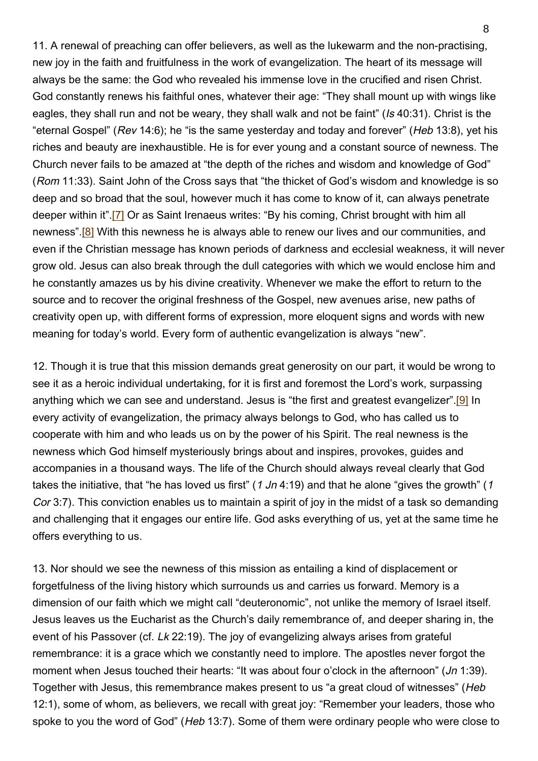11. A renewal of preaching can offer believers, as well as the lukewarm and the non-practising, new joy in the faith and fruitfulness in the work of evangelization. The heart of its message will always be the same: the God who revealed his immense love in the crucified and risen Christ. God constantly renews his faithful ones, whatever their age: "They shall mount up with wings like eagles, they shall run and not be weary, they shall walk and not be faint" (Is 40:31). Christ is the "eternal Gospel" (Rev 14:6); he "is the same yesterday and today and forever" (Heb 13:8), yet his riches and beauty are inexhaustible. He is for ever young and a constant source of newness. The Church never fails to be amazed at "the depth of the riches and wisdom and knowledge of God" (Rom 11:33). Saint John of the Cross says that "the thicket of God's wisdom and knowledge is so deep and so broad that the soul, however much it has come to know of it, can always penetrate deeper within it".[\[7\]](http://w2.vatican.va/content/francesco/en/apost_exhortations/documents/papa-francesco_esortazione-ap_20131124_evangelii-gaudium.html#_ftn7) Or as Saint Irenaeus writes: "By his coming, Christ brought with him all newness".<sup>[\[8\]](http://w2.vatican.va/content/francesco/en/apost_exhortations/documents/papa-francesco_esortazione-ap_20131124_evangelii-gaudium.html#_ftn8)</sup> With this newness he is always able to renew our lives and our communities, and even if the Christian message has known periods of darkness and ecclesial weakness, it will never grow old. Jesus can also break through the dull categories with which we would enclose him and he constantly amazes us by his divine creativity. Whenever we make the effort to return to the source and to recover the original freshness of the Gospel, new avenues arise, new paths of creativity open up, with different forms of expression, more eloquent signs and words with new meaning for today's world. Every form of authentic evangelization is always "new".

12. Though it is true that this mission demands great generosity on our part, it would be wrong to see it as a heroic individual undertaking, for it is first and foremost the Lord's work, surpassing anything which we can see and understand. Jesus is "the first and greatest evangelizer".<sup>[\[9\]](http://w2.vatican.va/content/francesco/en/apost_exhortations/documents/papa-francesco_esortazione-ap_20131124_evangelii-gaudium.html#_ftn9)</sup> In every activity of evangelization, the primacy always belongs to God, who has called us to cooperate with him and who leads us on by the power of his Spirit. The real newness is the newness which God himself mysteriously brings about and inspires, provokes, guides and accompanies in a thousand ways. The life of the Church should always reveal clearly that God takes the initiative, that "he has loved us first" (1 Jn 4:19) and that he alone "gives the growth" (1 Cor 3:7). This conviction enables us to maintain a spirit of joy in the midst of a task so demanding and challenging that it engages our entire life. God asks everything of us, yet at the same time he offers everything to us.

13. Nor should we see the newness of this mission as entailing a kind of displacement or forgetfulness of the living history which surrounds us and carries us forward. Memory is a dimension of our faith which we might call "deuteronomic", not unlike the memory of Israel itself. Jesus leaves us the Eucharist as the Church's daily remembrance of, and deeper sharing in, the event of his Passover (cf. Lk 22:19). The joy of evangelizing always arises from grateful remembrance: it is a grace which we constantly need to implore. The apostles never forgot the moment when Jesus touched their hearts: "It was about four o'clock in the afternoon" (Jn 1:39). Together with Jesus, this remembrance makes present to us "a great cloud of witnesses" (Heb 12:1), some of whom, as believers, we recall with great joy: "Remember your leaders, those who spoke to you the word of God" (Heb 13:7). Some of them were ordinary people who were close to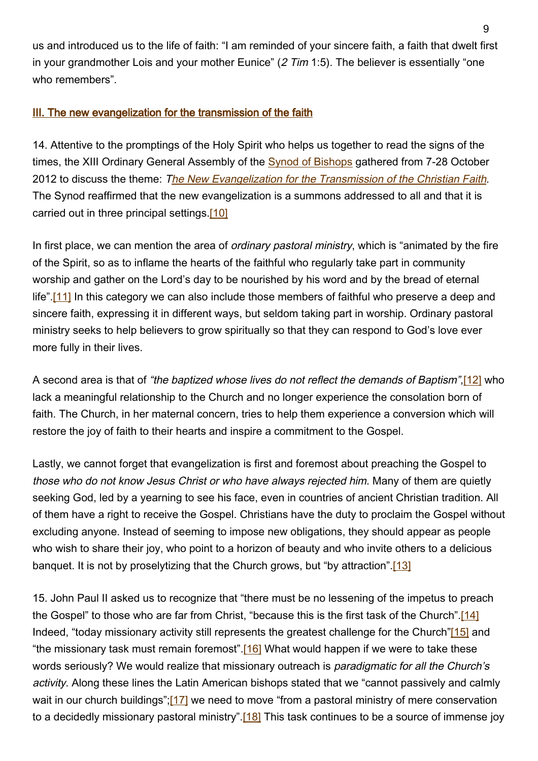us and introduced us to the life of faith: "I am reminded of your sincere faith, a faith that dwelt first in your grandmother Lois and your mother Eunice" (2 Tim 1:5). The believer is essentially "one who remembers".

### III. The new evangelization for the transmission of the faith

14. Attentive to the promptings of the Holy Spirit who helps us together to read the signs of the times, the XIII Ordinary General Assembly of the **[Synod of Bishops](http://www.vatican.va/roman_curia/synod/index.htm)** gathered from 7-28 October 2012 to discuss the theme: [The New Evangelization for the Transmission of the Christian Faith](http://www.vatican.va/roman_curia/synod/documents/rc_synod_doc_20120619_instrumentum-xiii_en.html). The Synod reaffirmed that the new evangelization is a summons addressed to all and that it is carried out in three principal settings.[\[10\]](http://w2.vatican.va/content/francesco/en/apost_exhortations/documents/papa-francesco_esortazione-ap_20131124_evangelii-gaudium.html#_ftn10)

In first place, we can mention the area of *ordinary pastoral ministry*, which is "animated by the fire of the Spirit, so as to inflame the hearts of the faithful who regularly take part in community worship and gather on the Lord's day to be nourished by his word and by the bread of eternal life". [\[11\]](http://w2.vatican.va/content/francesco/en/apost_exhortations/documents/papa-francesco_esortazione-ap_20131124_evangelii-gaudium.html#_ftn11) In this category we can also include those members of faithful who preserve a deep and sincere faith, expressing it in different ways, but seldom taking part in worship. Ordinary pastoral ministry seeks to help believers to grow spiritually so that they can respond to God's love ever more fully in their lives.

A second area is that of "the baptized whose lives do not reflect the demands of Baptism",[\[12\]](http://w2.vatican.va/content/francesco/en/apost_exhortations/documents/papa-francesco_esortazione-ap_20131124_evangelii-gaudium.html#_ftn12) who lack a meaningful relationship to the Church and no longer experience the consolation born of faith. The Church, in her maternal concern, tries to help them experience a conversion which will restore the joy of faith to their hearts and inspire a commitment to the Gospel.

Lastly, we cannot forget that evangelization is first and foremost about preaching the Gospel to those who do not know Jesus Christ or who have always rejected him. Many of them are quietly seeking God, led by a yearning to see his face, even in countries of ancient Christian tradition. All of them have a right to receive the Gospel. Christians have the duty to proclaim the Gospel without excluding anyone. Instead of seeming to impose new obligations, they should appear as people who wish to share their joy, who point to a horizon of beauty and who invite others to a delicious banquet. It is not by proselytizing that the Church grows, but "by attraction".[\[13\]](http://w2.vatican.va/content/francesco/en/apost_exhortations/documents/papa-francesco_esortazione-ap_20131124_evangelii-gaudium.html#_ftn13)

15. John Paul II asked us to recognize that "there must be no lessening of the impetus to preach the Gospel" to those who are far from Christ, "because this is the first task of the Church".[\[14\]](http://w2.vatican.va/content/francesco/en/apost_exhortations/documents/papa-francesco_esortazione-ap_20131124_evangelii-gaudium.html#_ftn14) Indeed, "today missionary activity still represents the greatest challenge for the Church"[\[15\]](http://w2.vatican.va/content/francesco/en/apost_exhortations/documents/papa-francesco_esortazione-ap_20131124_evangelii-gaudium.html#_ftn15) and "the missionary task must remain foremost"[.\[16\]](http://w2.vatican.va/content/francesco/en/apost_exhortations/documents/papa-francesco_esortazione-ap_20131124_evangelii-gaudium.html#_ftn16) What would happen if we were to take these words seriously? We would realize that missionary outreach is *paradigmatic for all the Church's* activity. Along these lines the Latin American bishops stated that we "cannot passively and calmly wait in our church buildings";[\[17\]](http://w2.vatican.va/content/francesco/en/apost_exhortations/documents/papa-francesco_esortazione-ap_20131124_evangelii-gaudium.html#_ftn17) we need to move "from a pastoral ministry of mere conservation to a decidedly missionary pastoral ministry".<sup>[\[18\]](http://w2.vatican.va/content/francesco/en/apost_exhortations/documents/papa-francesco_esortazione-ap_20131124_evangelii-gaudium.html#_ftn18)</sup> This task continues to be a source of immense joy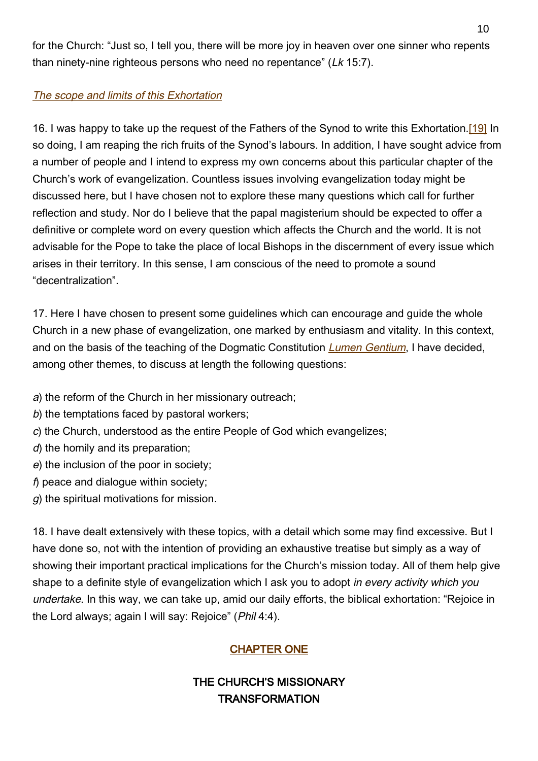for the Church: "Just so, I tell you, there will be more joy in heaven over one sinner who repents than ninety-nine righteous persons who need no repentance" (Lk 15:7).

# The scope and limits of this Exhortation

16. I was happy to take up the request of the Fathers of the Synod to write this Exhortation.<sup>[19]</sup> In so doing, I am reaping the rich fruits of the Synod's labours. In addition, I have sought advice from a number of people and I intend to express my own concerns about this particular chapter of the Church's work of evangelization. Countless issues involving evangelization today might be discussed here, but I have chosen not to explore these many questions which call for further reflection and study. Nor do I believe that the papal magisterium should be expected to offer a definitive or complete word on every question which affects the Church and the world. It is not advisable for the Pope to take the place of local Bishops in the discernment of every issue which arises in their territory. In this sense, I am conscious of the need to promote a sound "decentralization".

17. Here I have chosen to present some guidelines which can encourage and guide the whole Church in a new phase of evangelization, one marked by enthusiasm and vitality. In this context, and on the basis of the teaching of the Dogmatic Constitution *[Lumen Gentium](http://www.vatican.va/archive/hist_councils/ii_vatican_council/documents/vat-ii_const_19641121_lumen-gentium_en.html)*, I have decided, among other themes, to discuss at length the following questions:

<sup>a</sup>) the reform of the Church in her missionary outreach;

- b) the temptations faced by pastoral workers;
- <sup>c</sup>) the Church, understood as the entire People of God which evangelizes;
- d) the homily and its preparation;
- <sup>e</sup>) the inclusion of the poor in society;
- f) peace and dialogue within society;
- g) the spiritual motivations for mission.

18. I have dealt extensively with these topics, with a detail which some may find excessive. But I have done so, not with the intention of providing an exhaustive treatise but simply as a way of showing their important practical implications for the Church's mission today. All of them help give shape to a definite style of evangelization which I ask you to adopt in every activity which you undertake. In this way, we can take up, amid our daily efforts, the biblical exhortation: "Rejoice in the Lord always; again I will say: Rejoice" (Phil 4:4).

# CHAPTER ONE

# THE CHURCH'S MISSIONARY TRANSFORMATION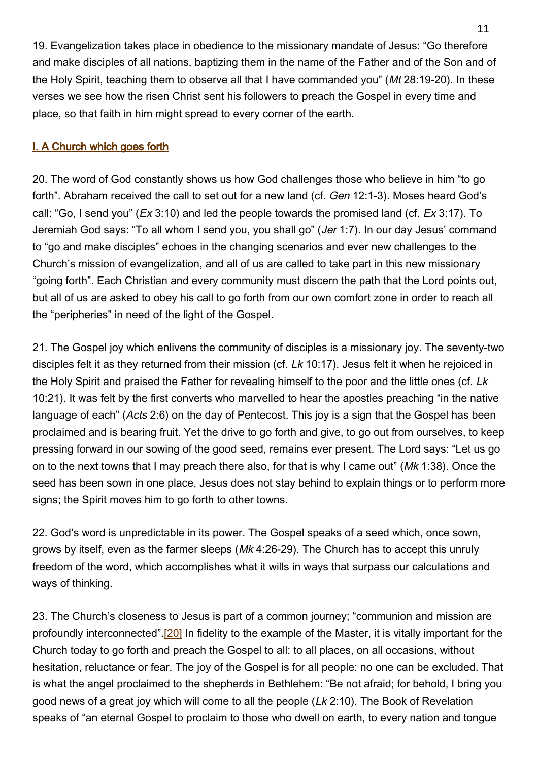19. Evangelization takes place in obedience to the missionary mandate of Jesus: "Go therefore and make disciples of all nations, baptizing them in the name of the Father and of the Son and of the Holy Spirit, teaching them to observe all that I have commanded you" (Mt 28:19-20). In these verses we see how the risen Christ sent his followers to preach the Gospel in every time and place, so that faith in him might spread to every corner of the earth.

# I. A Church which goes forth

20. The word of God constantly shows us how God challenges those who believe in him "to go forth". Abraham received the call to set out for a new land (cf. Gen 12:1-3). Moses heard God's call: "Go, I send you" ( $Ex$  3:10) and led the people towards the promised land (cf.  $Ex$  3:17). To Jeremiah God says: "To all whom I send you, you shall go" (Jer 1:7). In our day Jesus' command to "go and make disciples" echoes in the changing scenarios and ever new challenges to the Church's mission of evangelization, and all of us are called to take part in this new missionary "going forth". Each Christian and every community must discern the path that the Lord points out, but all of us are asked to obey his call to go forth from our own comfort zone in order to reach all the "peripheries" in need of the light of the Gospel.

21. The Gospel joy which enlivens the community of disciples is a missionary joy. The seventy-two disciples felt it as they returned from their mission (cf. Lk 10:17). Jesus felt it when he rejoiced in the Holy Spirit and praised the Father for revealing himself to the poor and the little ones (cf. Lk 10:21). It was felt by the first converts who marvelled to hear the apostles preaching "in the native language of each" (Acts 2:6) on the day of Pentecost. This joy is a sign that the Gospel has been proclaimed and is bearing fruit. Yet the drive to go forth and give, to go out from ourselves, to keep pressing forward in our sowing of the good seed, remains ever present. The Lord says: "Let us go on to the next towns that I may preach there also, for that is why I came out" (Mk 1:38). Once the seed has been sown in one place, Jesus does not stay behind to explain things or to perform more signs; the Spirit moves him to go forth to other towns.

22. God's word is unpredictable in its power. The Gospel speaks of a seed which, once sown, grows by itself, even as the farmer sleeps (Mk 4:26-29). The Church has to accept this unruly freedom of the word, which accomplishes what it wills in ways that surpass our calculations and ways of thinking.

23. The Church's closeness to Jesus is part of a common journey; "communion and mission are profoundly interconnected".<sup>[20]</sup> In fidelity to the example of the Master, it is vitally important for the Church today to go forth and preach the Gospel to all: to all places, on all occasions, without hesitation, reluctance or fear. The joy of the Gospel is for all people: no one can be excluded. That is what the angel proclaimed to the shepherds in Bethlehem: "Be not afraid; for behold, I bring you good news of a great joy which will come to all the people (Lk 2:10). The Book of Revelation speaks of "an eternal Gospel to proclaim to those who dwell on earth, to every nation and tongue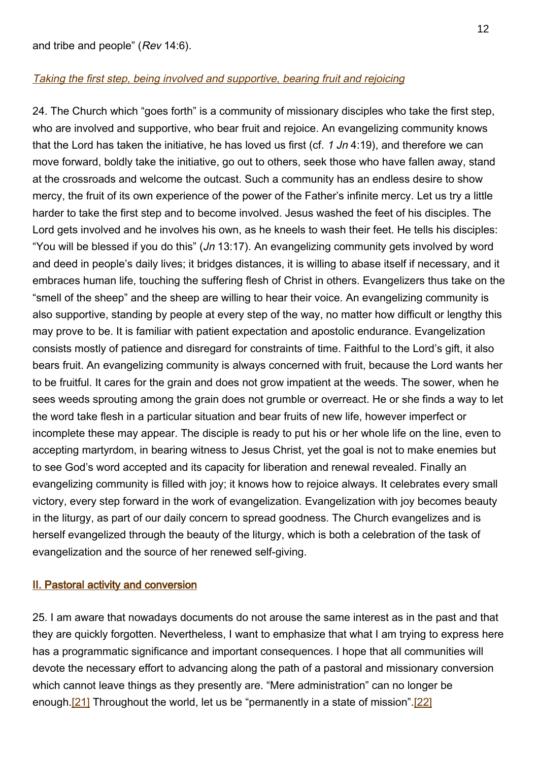#### Taking the first step, being involved and supportive, bearing fruit and rejoicing

24. The Church which "goes forth" is a community of missionary disciples who take the first step, who are involved and supportive, who bear fruit and rejoice. An evangelizing community knows that the Lord has taken the initiative, he has loved us first (cf.  $1 \text{ Jn } 4:19$ ), and therefore we can move forward, boldly take the initiative, go out to others, seek those who have fallen away, stand at the crossroads and welcome the outcast. Such a community has an endless desire to show mercy, the fruit of its own experience of the power of the Father's infinite mercy. Let us try a little harder to take the first step and to become involved. Jesus washed the feet of his disciples. The Lord gets involved and he involves his own, as he kneels to wash their feet. He tells his disciples: "You will be blessed if you do this" (Jn 13:17). An evangelizing community gets involved by word and deed in people's daily lives; it bridges distances, it is willing to abase itself if necessary, and it embraces human life, touching the suffering flesh of Christ in others. Evangelizers thus take on the "smell of the sheep" and the sheep are willing to hear their voice. An evangelizing community is also supportive, standing by people at every step of the way, no matter how difficult or lengthy this may prove to be. It is familiar with patient expectation and apostolic endurance. Evangelization consists mostly of patience and disregard for constraints of time. Faithful to the Lord's gift, it also bears fruit. An evangelizing community is always concerned with fruit, because the Lord wants her to be fruitful. It cares for the grain and does not grow impatient at the weeds. The sower, when he sees weeds sprouting among the grain does not grumble or overreact. He or she finds a way to let the word take flesh in a particular situation and bear fruits of new life, however imperfect or incomplete these may appear. The disciple is ready to put his or her whole life on the line, even to accepting martyrdom, in bearing witness to Jesus Christ, yet the goal is not to make enemies but to see God's word accepted and its capacity for liberation and renewal revealed. Finally an evangelizing community is filled with joy; it knows how to rejoice always. It celebrates every small victory, every step forward in the work of evangelization. Evangelization with joy becomes beauty in the liturgy, as part of our daily concern to spread goodness. The Church evangelizes and is herself evangelized through the beauty of the liturgy, which is both a celebration of the task of evangelization and the source of her renewed self-giving.

#### **II. Pastoral activity and conversion**

25. I am aware that nowadays documents do not arouse the same interest as in the past and that they are quickly forgotten. Nevertheless, I want to emphasize that what I am trying to express here has a programmatic significance and important consequences. I hope that all communities will devote the necessary effort to advancing along the path of a pastoral and missionary conversion which cannot leave things as they presently are. "Mere administration" can no longer be enough.<sup>[21]</sup> Throughout the world, let us be "permanently in a state of mission".<sup>[\[22\]](http://w2.vatican.va/content/francesco/en/apost_exhortations/documents/papa-francesco_esortazione-ap_20131124_evangelii-gaudium.html#_ftn22)</sup>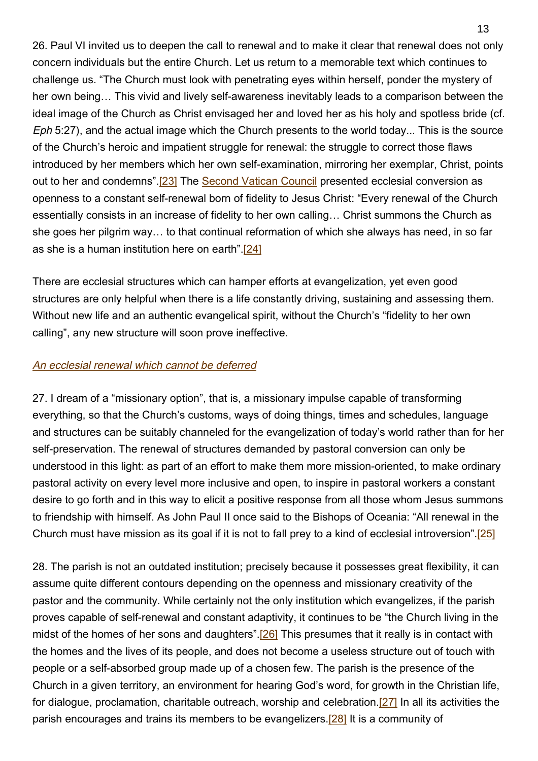26. Paul VI invited us to deepen the call to renewal and to make it clear that renewal does not only concern individuals but the entire Church. Let us return to a memorable text which continues to challenge us. "The Church must look with penetrating eyes within herself, ponder the mystery of her own being… This vivid and lively self-awareness inevitably leads to a comparison between the ideal image of the Church as Christ envisaged her and loved her as his holy and spotless bride (cf. Eph 5:27), and the actual image which the Church presents to the world today... This is the source of the Church's heroic and impatient struggle for renewal: the struggle to correct those flaws introduced by her members which her own self-examination, mirroring her exemplar, Christ, points out to her and condemns".[\[23\]](http://w2.vatican.va/content/francesco/en/apost_exhortations/documents/papa-francesco_esortazione-ap_20131124_evangelii-gaudium.html#_ftn23) The [Second Vatican Council](http://www.vatican.va/archive/hist_councils/ii_vatican_council/) presented ecclesial conversion as openness to a constant self-renewal born of fidelity to Jesus Christ: "Every renewal of the Church essentially consists in an increase of fidelity to her own calling… Christ summons the Church as she goes her pilgrim way… to that continual reformation of which she always has need, in so far as she is a human institution here on earth"[.\[24\]](http://w2.vatican.va/content/francesco/en/apost_exhortations/documents/papa-francesco_esortazione-ap_20131124_evangelii-gaudium.html#_ftn24)

There are ecclesial structures which can hamper efforts at evangelization, yet even good structures are only helpful when there is a life constantly driving, sustaining and assessing them. Without new life and an authentic evangelical spirit, without the Church's "fidelity to her own calling", any new structure will soon prove ineffective.

### An ecclesial renewal which cannot be deferred

27. I dream of a "missionary option", that is, a missionary impulse capable of transforming everything, so that the Church's customs, ways of doing things, times and schedules, language and structures can be suitably channeled for the evangelization of today's world rather than for her self-preservation. The renewal of structures demanded by pastoral conversion can only be understood in this light: as part of an effort to make them more mission-oriented, to make ordinary pastoral activity on every level more inclusive and open, to inspire in pastoral workers a constant desire to go forth and in this way to elicit a positive response from all those whom Jesus summons to friendship with himself. As John Paul II once said to the Bishops of Oceania: "All renewal in the Church must have mission as its goal if it is not to fall prey to a kind of ecclesial introversion".[\[25\]](http://w2.vatican.va/content/francesco/en/apost_exhortations/documents/papa-francesco_esortazione-ap_20131124_evangelii-gaudium.html#_ftn25)

28. The parish is not an outdated institution; precisely because it possesses great flexibility, it can assume quite different contours depending on the openness and missionary creativity of the pastor and the community. While certainly not the only institution which evangelizes, if the parish proves capable of self-renewal and constant adaptivity, it continues to be "the Church living in the midst of the homes of her sons and daughters". [26] This presumes that it really is in contact with the homes and the lives of its people, and does not become a useless structure out of touch with people or a self-absorbed group made up of a chosen few. The parish is the presence of the Church in a given territory, an environment for hearing God's word, for growth in the Christian life, for dialogue, proclamation, charitable outreach, worship and celebration.<sup>[27]</sup> In all its activities the parish encourages and trains its members to be evangelizers.<sup>[28]</sup> It is a community of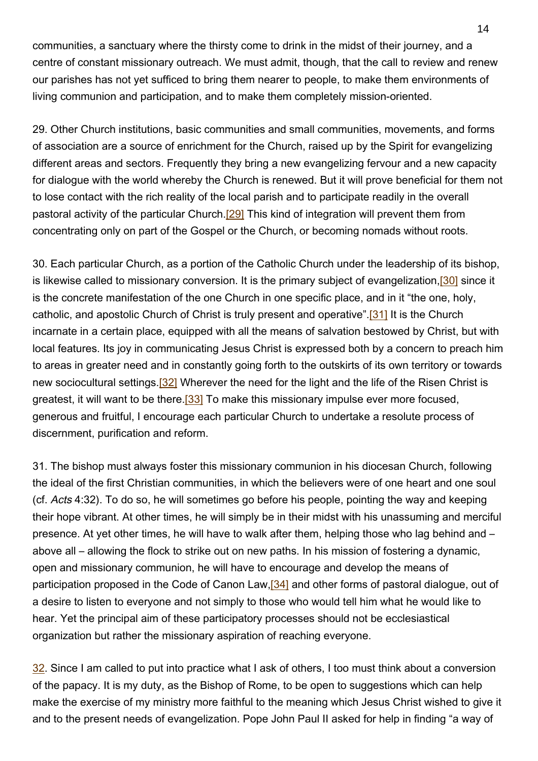communities, a sanctuary where the thirsty come to drink in the midst of their journey, and a centre of constant missionary outreach. We must admit, though, that the call to review and renew our parishes has not yet sufficed to bring them nearer to people, to make them environments of living communion and participation, and to make them completely mission-oriented.

29. Other Church institutions, basic communities and small communities, movements, and forms of association are a source of enrichment for the Church, raised up by the Spirit for evangelizing different areas and sectors. Frequently they bring a new evangelizing fervour and a new capacity for dialogue with the world whereby the Church is renewed. But it will prove beneficial for them not to lose contact with the rich reality of the local parish and to participate readily in the overall pastoral activity of the particular Church.[\[29\]](http://w2.vatican.va/content/francesco/en/apost_exhortations/documents/papa-francesco_esortazione-ap_20131124_evangelii-gaudium.html#_ftn29) This kind of integration will prevent them from concentrating only on part of the Gospel or the Church, or becoming nomads without roots.

30. Each particular Church, as a portion of the Catholic Church under the leadership of its bishop, is likewise called to missionary conversion. It is the primary subject of evangelization,<sup>[\[30\]](http://w2.vatican.va/content/francesco/en/apost_exhortations/documents/papa-francesco_esortazione-ap_20131124_evangelii-gaudium.html#_ftn30)</sup> since it is the concrete manifestation of the one Church in one specific place, and in it "the one, holy, catholic, and apostolic Church of Christ is truly present and operative".[\[31\]](http://w2.vatican.va/content/francesco/en/apost_exhortations/documents/papa-francesco_esortazione-ap_20131124_evangelii-gaudium.html#_ftn31) It is the Church incarnate in a certain place, equipped with all the means of salvation bestowed by Christ, but with local features. Its joy in communicating Jesus Christ is expressed both by a concern to preach him to areas in greater need and in constantly going forth to the outskirts of its own territory or towards new sociocultural settings.[\[32\]](http://w2.vatican.va/content/francesco/en/apost_exhortations/documents/papa-francesco_esortazione-ap_20131124_evangelii-gaudium.html#_ftn32) Wherever the need for the light and the life of the Risen Christ is greatest, it will want to be there.<sup>[\[33\]](http://w2.vatican.va/content/francesco/en/apost_exhortations/documents/papa-francesco_esortazione-ap_20131124_evangelii-gaudium.html#_ftn33)</sup> To make this missionary impulse ever more focused, generous and fruitful, I encourage each particular Church to undertake a resolute process of discernment, purification and reform.

31. The bishop must always foster this missionary communion in his diocesan Church, following the ideal of the first Christian communities, in which the believers were of one heart and one soul (cf. Acts 4:32). To do so, he will sometimes go before his people, pointing the way and keeping their hope vibrant. At other times, he will simply be in their midst with his unassuming and merciful presence. At yet other times, he will have to walk after them, helping those who lag behind and – above all – allowing the flock to strike out on new paths. In his mission of fostering a dynamic, open and missionary communion, he will have to encourage and develop the means of participation proposed in the Code of Canon Law[,\[34\]](http://w2.vatican.va/content/francesco/en/apost_exhortations/documents/papa-francesco_esortazione-ap_20131124_evangelii-gaudium.html#_ftn34) and other forms of pastoral dialogue, out of a desire to listen to everyone and not simply to those who would tell him what he would like to hear. Yet the principal aim of these participatory processes should not be ecclesiastical organization but rather the missionary aspiration of reaching everyone.

32. Since I am called to put into practice what I ask of others, I too must think about a conversion of the papacy. It is my duty, as the Bishop of Rome, to be open to suggestions which can help make the exercise of my ministry more faithful to the meaning which Jesus Christ wished to give it and to the present needs of evangelization. Pope John Paul II asked for help in finding "a way of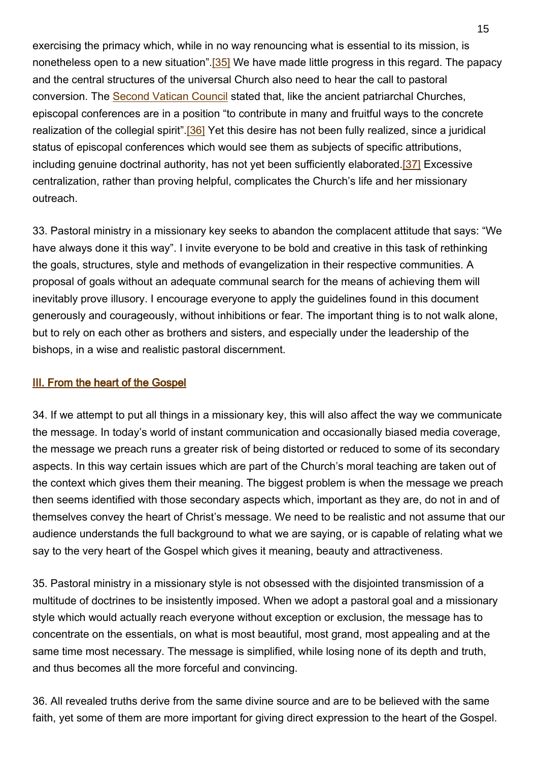exercising the primacy which, while in no way renouncing what is essential to its mission, is nonetheless open to a new situation".<sup>[\[35\]](http://w2.vatican.va/content/francesco/en/apost_exhortations/documents/papa-francesco_esortazione-ap_20131124_evangelii-gaudium.html#_ftn35)</sup> We have made little progress in this regard. The papacy and the central structures of the universal Church also need to hear the call to pastoral conversion. The [Second Vatican Council](http://www.vatican.va/archive/hist_councils/ii_vatican_council/) stated that, like the ancient patriarchal Churches, episcopal conferences are in a position "to contribute in many and fruitful ways to the concrete realization of the collegial spirit".<sup>[\[36\]](http://w2.vatican.va/content/francesco/en/apost_exhortations/documents/papa-francesco_esortazione-ap_20131124_evangelii-gaudium.html#_ftn36)</sup> Yet this desire has not been fully realized, since a juridical status of episcopal conferences which would see them as subjects of specific attributions, including genuine doctrinal authority, has not yet been sufficiently elaborated[.\[37\]](http://w2.vatican.va/content/francesco/en/apost_exhortations/documents/papa-francesco_esortazione-ap_20131124_evangelii-gaudium.html#_ftn37) Excessive centralization, rather than proving helpful, complicates the Church's life and her missionary outreach.

33. Pastoral ministry in a missionary key seeks to abandon the complacent attitude that says: "We have always done it this way". I invite everyone to be bold and creative in this task of rethinking the goals, structures, style and methods of evangelization in their respective communities. A proposal of goals without an adequate communal search for the means of achieving them will inevitably prove illusory. I encourage everyone to apply the guidelines found in this document generously and courageously, without inhibitions or fear. The important thing is to not walk alone, but to rely on each other as brothers and sisters, and especially under the leadership of the bishops, in a wise and realistic pastoral discernment.

# III. From the heart of the Gospel

34. If we attempt to put all things in a missionary key, this will also affect the way we communicate the message. In today's world of instant communication and occasionally biased media coverage, the message we preach runs a greater risk of being distorted or reduced to some of its secondary aspects. In this way certain issues which are part of the Church's moral teaching are taken out of the context which gives them their meaning. The biggest problem is when the message we preach then seems identified with those secondary aspects which, important as they are, do not in and of themselves convey the heart of Christ's message. We need to be realistic and not assume that our audience understands the full background to what we are saying, or is capable of relating what we say to the very heart of the Gospel which gives it meaning, beauty and attractiveness.

35. Pastoral ministry in a missionary style is not obsessed with the disjointed transmission of a multitude of doctrines to be insistently imposed. When we adopt a pastoral goal and a missionary style which would actually reach everyone without exception or exclusion, the message has to concentrate on the essentials, on what is most beautiful, most grand, most appealing and at the same time most necessary. The message is simplified, while losing none of its depth and truth, and thus becomes all the more forceful and convincing.

36. All revealed truths derive from the same divine source and are to be believed with the same faith, yet some of them are more important for giving direct expression to the heart of the Gospel.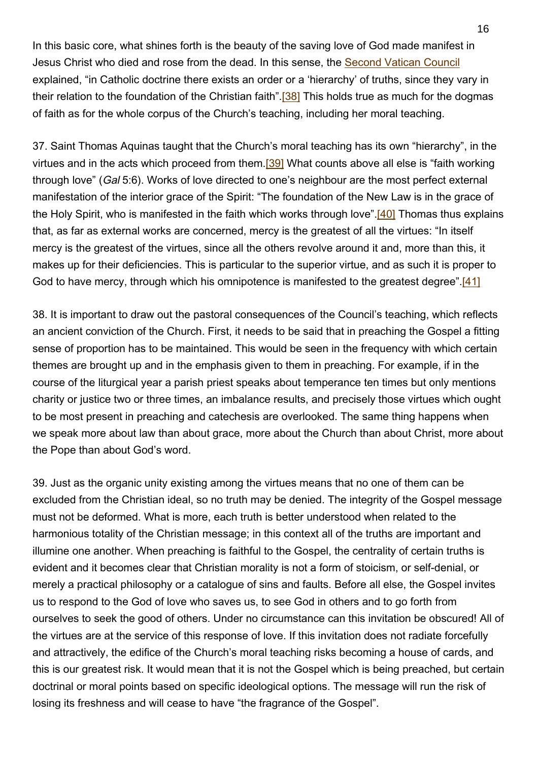In this basic core, what shines forth is the beauty of the saving love of God made manifest in Jesus Christ who died and rose from the dead. In this sense, the [Second Vatican Council](http://www.vatican.va/archive/hist_councils/ii_vatican_council/) explained, "in Catholic doctrine there exists an order or a 'hierarchy' of truths, since they vary in their relation to the foundation of the Christian faith".<sup>[\[38\]](http://w2.vatican.va/content/francesco/en/apost_exhortations/documents/papa-francesco_esortazione-ap_20131124_evangelii-gaudium.html#_ftn38)</sup> This holds true as much for the dogmas of faith as for the whole corpus of the Church's teaching, including her moral teaching.

37. Saint Thomas Aquinas taught that the Church's moral teaching has its own "hierarchy", in the virtues and in the acts which proceed from them.[\[39\]](http://w2.vatican.va/content/francesco/en/apost_exhortations/documents/papa-francesco_esortazione-ap_20131124_evangelii-gaudium.html#_ftn39) What counts above all else is "faith working through love" (Gal 5:6). Works of love directed to one's neighbour are the most perfect external manifestation of the interior grace of the Spirit: "The foundation of the New Law is in the grace of the Holy Spirit, who is manifested in the faith which works through love"[.\[40\]](http://w2.vatican.va/content/francesco/en/apost_exhortations/documents/papa-francesco_esortazione-ap_20131124_evangelii-gaudium.html#_ftn40) Thomas thus explains that, as far as external works are concerned, mercy is the greatest of all the virtues: "In itself mercy is the greatest of the virtues, since all the others revolve around it and, more than this, it makes up for their deficiencies. This is particular to the superior virtue, and as such it is proper to God to have mercy, through which his omnipotence is manifested to the greatest degree"[.\[41\]](http://w2.vatican.va/content/francesco/en/apost_exhortations/documents/papa-francesco_esortazione-ap_20131124_evangelii-gaudium.html#_ftn41)

38. It is important to draw out the pastoral consequences of the Council's teaching, which reflects an ancient conviction of the Church. First, it needs to be said that in preaching the Gospel a fitting sense of proportion has to be maintained. This would be seen in the frequency with which certain themes are brought up and in the emphasis given to them in preaching. For example, if in the course of the liturgical year a parish priest speaks about temperance ten times but only mentions charity or justice two or three times, an imbalance results, and precisely those virtues which ought to be most present in preaching and catechesis are overlooked. The same thing happens when we speak more about law than about grace, more about the Church than about Christ, more about the Pope than about God's word.

39. Just as the organic unity existing among the virtues means that no one of them can be excluded from the Christian ideal, so no truth may be denied. The integrity of the Gospel message must not be deformed. What is more, each truth is better understood when related to the harmonious totality of the Christian message; in this context all of the truths are important and illumine one another. When preaching is faithful to the Gospel, the centrality of certain truths is evident and it becomes clear that Christian morality is not a form of stoicism, or self-denial, or merely a practical philosophy or a catalogue of sins and faults. Before all else, the Gospel invites us to respond to the God of love who saves us, to see God in others and to go forth from ourselves to seek the good of others. Under no circumstance can this invitation be obscured! All of the virtues are at the service of this response of love. If this invitation does not radiate forcefully and attractively, the edifice of the Church's moral teaching risks becoming a house of cards, and this is our greatest risk. It would mean that it is not the Gospel which is being preached, but certain doctrinal or moral points based on specific ideological options. The message will run the risk of losing its freshness and will cease to have "the fragrance of the Gospel".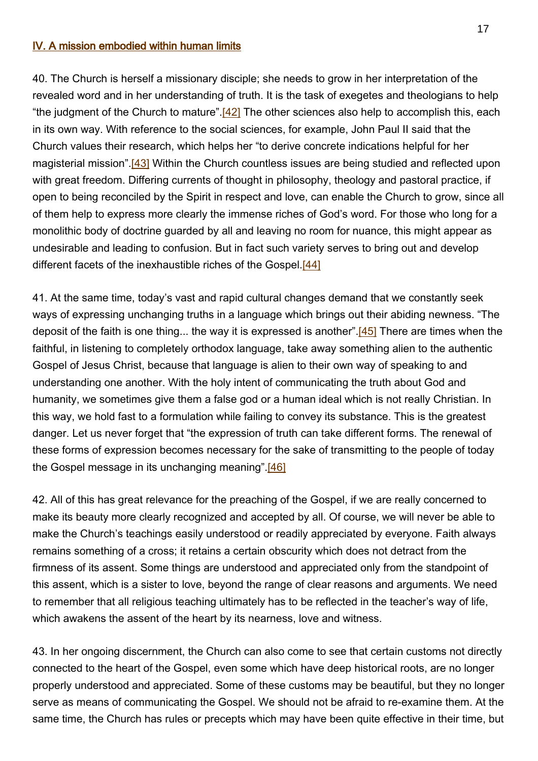#### IV. A mission embodied within human limits

40. The Church is herself a missionary disciple; she needs to grow in her interpretation of the revealed word and in her understanding of truth. It is the task of exegetes and theologians to help "the judgment of the Church to mature".[\[42\]](http://w2.vatican.va/content/francesco/en/apost_exhortations/documents/papa-francesco_esortazione-ap_20131124_evangelii-gaudium.html#_ftn42) The other sciences also help to accomplish this, each in its own way. With reference to the social sciences, for example, John Paul II said that the Church values their research, which helps her "to derive concrete indications helpful for her magisterial mission"[.\[43\]](http://w2.vatican.va/content/francesco/en/apost_exhortations/documents/papa-francesco_esortazione-ap_20131124_evangelii-gaudium.html#_ftn43) Within the Church countless issues are being studied and reflected upon with great freedom. Differing currents of thought in philosophy, theology and pastoral practice, if open to being reconciled by the Spirit in respect and love, can enable the Church to grow, since all of them help to express more clearly the immense riches of God's word. For those who long for a monolithic body of doctrine guarded by all and leaving no room for nuance, this might appear as undesirable and leading to confusion. But in fact such variety serves to bring out and develop different facets of the inexhaustible riches of the Gospel.[\[44\]](http://w2.vatican.va/content/francesco/en/apost_exhortations/documents/papa-francesco_esortazione-ap_20131124_evangelii-gaudium.html#_ftn44)

41. At the same time, today's vast and rapid cultural changes demand that we constantly seek ways of expressing unchanging truths in a language which brings out their abiding newness. "The deposit of the faith is one thing... the way it is expressed is another".[\[45\]](http://w2.vatican.va/content/francesco/en/apost_exhortations/documents/papa-francesco_esortazione-ap_20131124_evangelii-gaudium.html#_ftn45) There are times when the faithful, in listening to completely orthodox language, take away something alien to the authentic Gospel of Jesus Christ, because that language is alien to their own way of speaking to and understanding one another. With the holy intent of communicating the truth about God and humanity, we sometimes give them a false god or a human ideal which is not really Christian. In this way, we hold fast to a formulation while failing to convey its substance. This is the greatest danger. Let us never forget that "the expression of truth can take different forms. The renewal of these forms of expression becomes necessary for the sake of transmitting to the people of today the Gospel message in its unchanging meaning"[.\[46\]](http://w2.vatican.va/content/francesco/en/apost_exhortations/documents/papa-francesco_esortazione-ap_20131124_evangelii-gaudium.html#_ftn46)

42. All of this has great relevance for the preaching of the Gospel, if we are really concerned to make its beauty more clearly recognized and accepted by all. Of course, we will never be able to make the Church's teachings easily understood or readily appreciated by everyone. Faith always remains something of a cross; it retains a certain obscurity which does not detract from the firmness of its assent. Some things are understood and appreciated only from the standpoint of this assent, which is a sister to love, beyond the range of clear reasons and arguments. We need to remember that all religious teaching ultimately has to be reflected in the teacher's way of life, which awakens the assent of the heart by its nearness, love and witness.

43. In her ongoing discernment, the Church can also come to see that certain customs not directly connected to the heart of the Gospel, even some which have deep historical roots, are no longer properly understood and appreciated. Some of these customs may be beautiful, but they no longer serve as means of communicating the Gospel. We should not be afraid to re-examine them. At the same time, the Church has rules or precepts which may have been quite effective in their time, but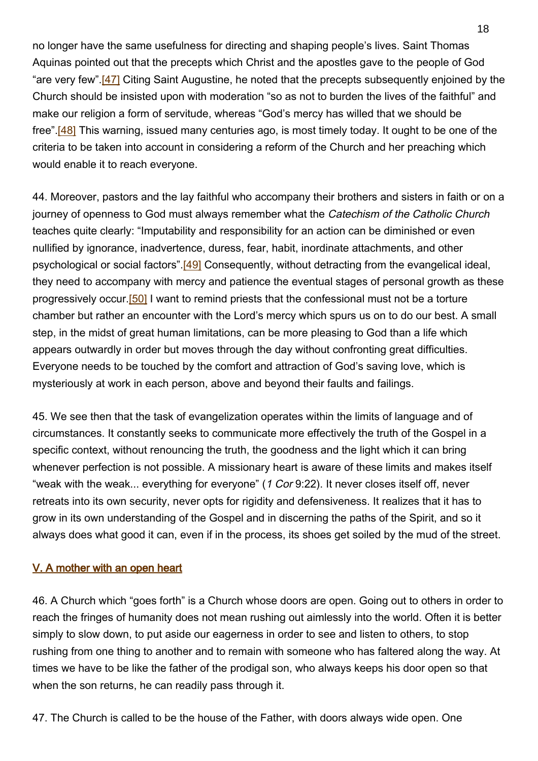no longer have the same usefulness for directing and shaping people's lives. Saint Thomas Aquinas pointed out that the precepts which Christ and the apostles gave to the people of God "are very few".[\[47\]](http://w2.vatican.va/content/francesco/en/apost_exhortations/documents/papa-francesco_esortazione-ap_20131124_evangelii-gaudium.html#_ftn47) Citing Saint Augustine, he noted that the precepts subsequently enjoined by the Church should be insisted upon with moderation "so as not to burden the lives of the faithful" and make our religion a form of servitude, whereas "God's mercy has willed that we should be free". [\[48\]](http://w2.vatican.va/content/francesco/en/apost_exhortations/documents/papa-francesco_esortazione-ap_20131124_evangelii-gaudium.html#_ftn48) This warning, issued many centuries ago, is most timely today. It ought to be one of the criteria to be taken into account in considering a reform of the Church and her preaching which would enable it to reach everyone.

44. Moreover, pastors and the lay faithful who accompany their brothers and sisters in faith or on a journey of openness to God must always remember what the Catechism of the Catholic Church teaches quite clearly: "Imputability and responsibility for an action can be diminished or even nullified by ignorance, inadvertence, duress, fear, habit, inordinate attachments, and other psychological or social factors".[\[49\]](http://w2.vatican.va/content/francesco/en/apost_exhortations/documents/papa-francesco_esortazione-ap_20131124_evangelii-gaudium.html#_ftn49) Consequently, without detracting from the evangelical ideal, they need to accompany with mercy and patience the eventual stages of personal growth as these progressively occur.[\[50\]](http://w2.vatican.va/content/francesco/en/apost_exhortations/documents/papa-francesco_esortazione-ap_20131124_evangelii-gaudium.html#_ftn50) I want to remind priests that the confessional must not be a torture chamber but rather an encounter with the Lord's mercy which spurs us on to do our best. A small step, in the midst of great human limitations, can be more pleasing to God than a life which appears outwardly in order but moves through the day without confronting great difficulties. Everyone needs to be touched by the comfort and attraction of God's saving love, which is mysteriously at work in each person, above and beyond their faults and failings.

45. We see then that the task of evangelization operates within the limits of language and of circumstances. It constantly seeks to communicate more effectively the truth of the Gospel in a specific context, without renouncing the truth, the goodness and the light which it can bring whenever perfection is not possible. A missionary heart is aware of these limits and makes itself "weak with the weak... everything for everyone" (1 Cor 9:22). It never closes itself off, never retreats into its own security, never opts for rigidity and defensiveness. It realizes that it has to grow in its own understanding of the Gospel and in discerning the paths of the Spirit, and so it always does what good it can, even if in the process, its shoes get soiled by the mud of the street.

#### V. A mother with an open heart

46. A Church which "goes forth" is a Church whose doors are open. Going out to others in order to reach the fringes of humanity does not mean rushing out aimlessly into the world. Often it is better simply to slow down, to put aside our eagerness in order to see and listen to others, to stop rushing from one thing to another and to remain with someone who has faltered along the way. At times we have to be like the father of the prodigal son, who always keeps his door open so that when the son returns, he can readily pass through it.

47. The Church is called to be the house of the Father, with doors always wide open. One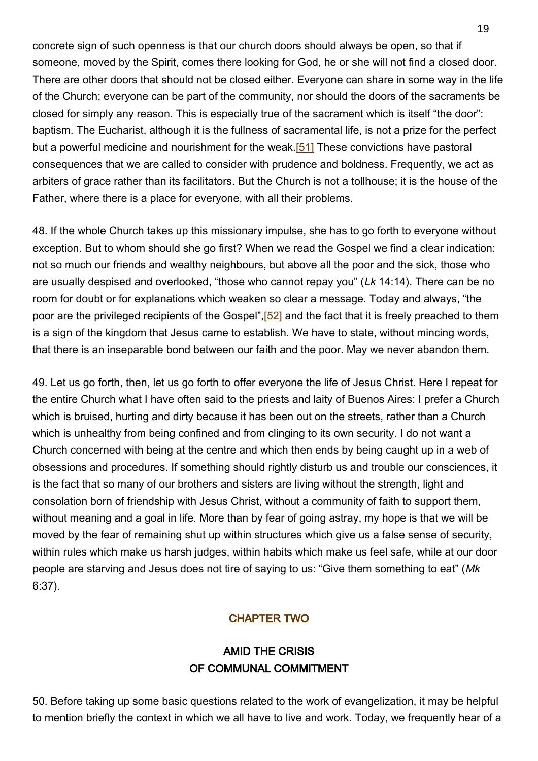concrete sign of such openness is that our church doors should always be open, so that if someone, moved by the Spirit, comes there looking for God, he or she will not find a closed door. There are other doors that should not be closed either. Everyone can share in some way in the life of the Church; everyone can be part of the community, nor should the doors of the sacraments be closed for simply any reason. This is especially true of the sacrament which is itself "the door": baptism. The Eucharist, although it is the fullness of sacramental life, is not a prize for the perfect but a powerful medicine and nourishment for the weak[.\[51\]](http://w2.vatican.va/content/francesco/en/apost_exhortations/documents/papa-francesco_esortazione-ap_20131124_evangelii-gaudium.html#_ftn51) These convictions have pastoral consequences that we are called to consider with prudence and boldness. Frequently, we act as arbiters of grace rather than its facilitators. But the Church is not a tollhouse; it is the house of the Father, where there is a place for everyone, with all their problems.

48. If the whole Church takes up this missionary impulse, she has to go forth to everyone without exception. But to whom should she go first? When we read the Gospel we find a clear indication: not so much our friends and wealthy neighbours, but above all the poor and the sick, those who are usually despised and overlooked, "those who cannot repay you" (Lk 14:14). There can be no room for doubt or for explanations which weaken so clear a message. Today and always, "the poor are the privileged recipients of the Gospel",[\[52\]](http://w2.vatican.va/content/francesco/en/apost_exhortations/documents/papa-francesco_esortazione-ap_20131124_evangelii-gaudium.html#_ftn52) and the fact that it is freely preached to them is a sign of the kingdom that Jesus came to establish. We have to state, without mincing words, that there is an inseparable bond between our faith and the poor. May we never abandon them.

49. Let us go forth, then, let us go forth to offer everyone the life of Jesus Christ. Here I repeat for the entire Church what I have often said to the priests and laity of Buenos Aires: I prefer a Church which is bruised, hurting and dirty because it has been out on the streets, rather than a Church which is unhealthy from being confined and from clinging to its own security. I do not want a Church concerned with being at the centre and which then ends by being caught up in a web of obsessions and procedures. If something should rightly disturb us and trouble our consciences, it is the fact that so many of our brothers and sisters are living without the strength, light and consolation born of friendship with Jesus Christ, without a community of faith to support them, without meaning and a goal in life. More than by fear of going astray, my hope is that we will be moved by the fear of remaining shut up within structures which give us a false sense of security, within rules which make us harsh judges, within habits which make us feel safe, while at our door people are starving and Jesus does not tire of saying to us: "Give them something to eat" (Mk 6:37).

# CHAPTER TWO

# AMID THE CRISIS OF COMMUNAL COMMITMENT

50. Before taking up some basic questions related to the work of evangelization, it may be helpful to mention briefly the context in which we all have to live and work. Today, we frequently hear of a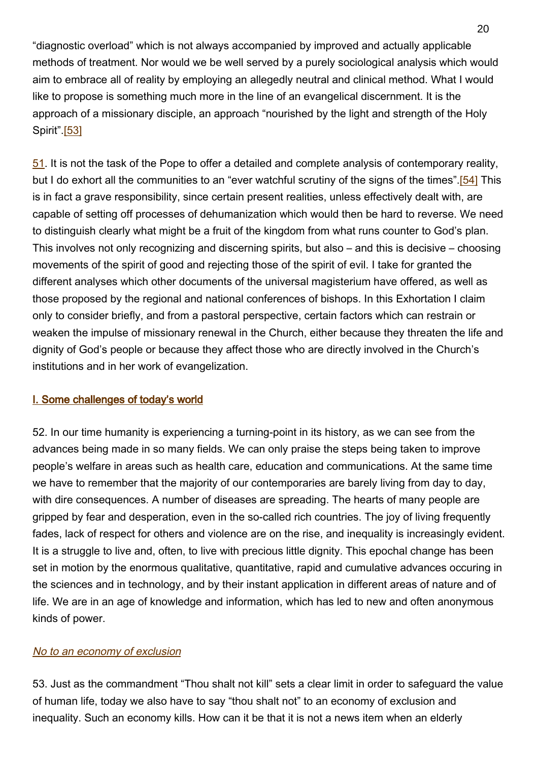"diagnostic overload" which is not always accompanied by improved and actually applicable methods of treatment. Nor would we be well served by a purely sociological analysis which would aim to embrace all of reality by employing an allegedly neutral and clinical method. What I would like to propose is something much more in the line of an evangelical discernment. It is the approach of a missionary disciple, an approach "nourished by the light and strength of the Holy Spirit".[\[53\]](http://w2.vatican.va/content/francesco/en/apost_exhortations/documents/papa-francesco_esortazione-ap_20131124_evangelii-gaudium.html#_ftn53)

51. It is not the task of the Pope to offer a detailed and complete analysis of contemporary reality, but I do exhort all the communities to an "ever watchful scrutiny of the signs of the times"[.\[54\]](http://w2.vatican.va/content/francesco/en/apost_exhortations/documents/papa-francesco_esortazione-ap_20131124_evangelii-gaudium.html#_ftn54) This is in fact a grave responsibility, since certain present realities, unless effectively dealt with, are capable of setting off processes of dehumanization which would then be hard to reverse. We need to distinguish clearly what might be a fruit of the kingdom from what runs counter to God's plan. This involves not only recognizing and discerning spirits, but also – and this is decisive – choosing movements of the spirit of good and rejecting those of the spirit of evil. I take for granted the different analyses which other documents of the universal magisterium have offered, as well as those proposed by the regional and national conferences of bishops. In this Exhortation I claim only to consider briefly, and from a pastoral perspective, certain factors which can restrain or weaken the impulse of missionary renewal in the Church, either because they threaten the life and dignity of God's people or because they affect those who are directly involved in the Church's institutions and in her work of evangelization.

# I. Some challenges of today's world

52. In our time humanity is experiencing a turning-point in its history, as we can see from the advances being made in so many fields. We can only praise the steps being taken to improve people's welfare in areas such as health care, education and communications. At the same time we have to remember that the majority of our contemporaries are barely living from day to day. with dire consequences. A number of diseases are spreading. The hearts of many people are gripped by fear and desperation, even in the so-called rich countries. The joy of living frequently fades, lack of respect for others and violence are on the rise, and inequality is increasingly evident. It is a struggle to live and, often, to live with precious little dignity. This epochal change has been set in motion by the enormous qualitative, quantitative, rapid and cumulative advances occuring in the sciences and in technology, and by their instant application in different areas of nature and of life. We are in an age of knowledge and information, which has led to new and often anonymous kinds of power.

# No to an economy of exclusion

53. Just as the commandment "Thou shalt not kill" sets a clear limit in order to safeguard the value of human life, today we also have to say "thou shalt not" to an economy of exclusion and inequality. Such an economy kills. How can it be that it is not a news item when an elderly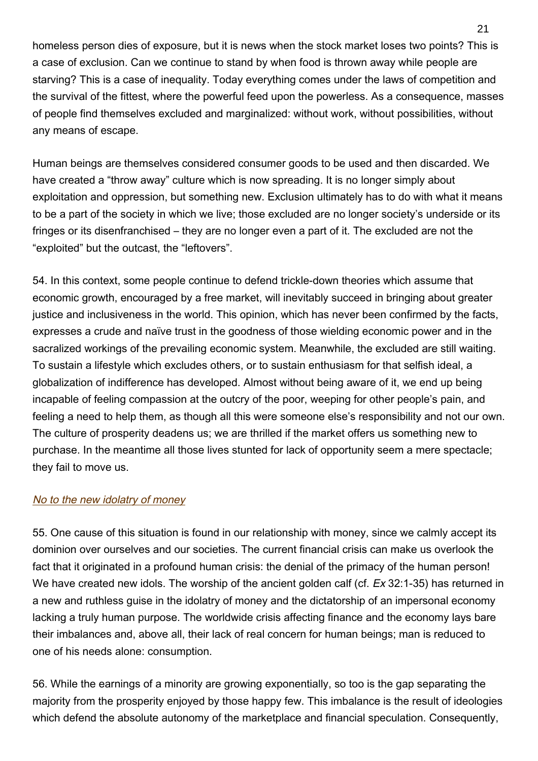homeless person dies of exposure, but it is news when the stock market loses two points? This is a case of exclusion. Can we continue to stand by when food is thrown away while people are starving? This is a case of inequality. Today everything comes under the laws of competition and the survival of the fittest, where the powerful feed upon the powerless. As a consequence, masses of people find themselves excluded and marginalized: without work, without possibilities, without any means of escape.

Human beings are themselves considered consumer goods to be used and then discarded. We have created a "throw away" culture which is now spreading. It is no longer simply about exploitation and oppression, but something new. Exclusion ultimately has to do with what it means to be a part of the society in which we live; those excluded are no longer society's underside or its fringes or its disenfranchised – they are no longer even a part of it. The excluded are not the "exploited" but the outcast, the "leftovers".

54. In this context, some people continue to defend trickle-down theories which assume that economic growth, encouraged by a free market, will inevitably succeed in bringing about greater justice and inclusiveness in the world. This opinion, which has never been confirmed by the facts, expresses a crude and naïve trust in the goodness of those wielding economic power and in the sacralized workings of the prevailing economic system. Meanwhile, the excluded are still waiting. To sustain a lifestyle which excludes others, or to sustain enthusiasm for that selfish ideal, a globalization of indifference has developed. Almost without being aware of it, we end up being incapable of feeling compassion at the outcry of the poor, weeping for other people's pain, and feeling a need to help them, as though all this were someone else's responsibility and not our own. The culture of prosperity deadens us; we are thrilled if the market offers us something new to purchase. In the meantime all those lives stunted for lack of opportunity seem a mere spectacle; they fail to move us.

#### No to the new idolatry of money

55. One cause of this situation is found in our relationship with money, since we calmly accept its dominion over ourselves and our societies. The current financial crisis can make us overlook the fact that it originated in a profound human crisis: the denial of the primacy of the human person! We have created new idols. The worship of the ancient golden calf (cf. Ex 32:1-35) has returned in a new and ruthless guise in the idolatry of money and the dictatorship of an impersonal economy lacking a truly human purpose. The worldwide crisis affecting finance and the economy lays bare their imbalances and, above all, their lack of real concern for human beings; man is reduced to one of his needs alone: consumption.

56. While the earnings of a minority are growing exponentially, so too is the gap separating the majority from the prosperity enjoyed by those happy few. This imbalance is the result of ideologies which defend the absolute autonomy of the marketplace and financial speculation. Consequently,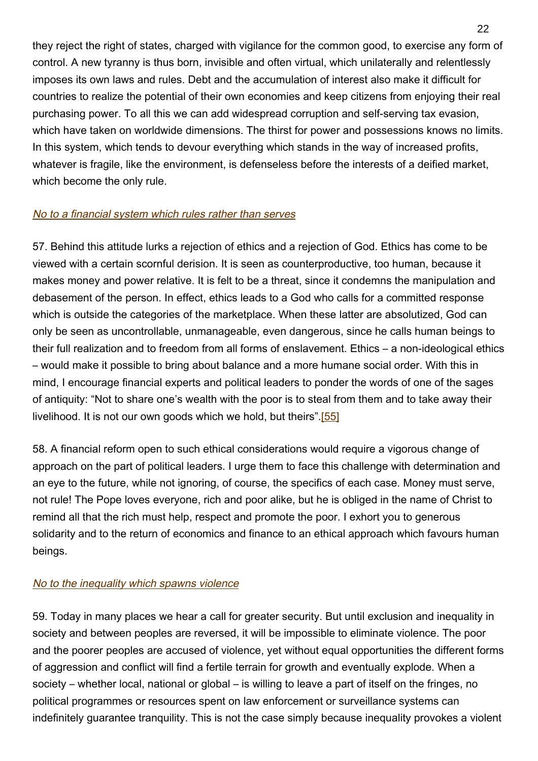they reject the right of states, charged with vigilance for the common good, to exercise any form of control. A new tyranny is thus born, invisible and often virtual, which unilaterally and relentlessly imposes its own laws and rules. Debt and the accumulation of interest also make it difficult for countries to realize the potential of their own economies and keep citizens from enjoying their real purchasing power. To all this we can add widespread corruption and self-serving tax evasion, which have taken on worldwide dimensions. The thirst for power and possessions knows no limits. In this system, which tends to devour everything which stands in the way of increased profits, whatever is fragile, like the environment, is defenseless before the interests of a deified market, which become the only rule.

#### No to a financial system which rules rather than serves

57. Behind this attitude lurks a rejection of ethics and a rejection of God. Ethics has come to be viewed with a certain scornful derision. It is seen as counterproductive, too human, because it makes money and power relative. It is felt to be a threat, since it condemns the manipulation and debasement of the person. In effect, ethics leads to a God who calls for a committed response which is outside the categories of the marketplace. When these latter are absolutized, God can only be seen as uncontrollable, unmanageable, even dangerous, since he calls human beings to their full realization and to freedom from all forms of enslavement. Ethics – a non-ideological ethics – would make it possible to bring about balance and a more humane social order. With this in mind, I encourage financial experts and political leaders to ponder the words of one of the sages of antiquity: "Not to share one's wealth with the poor is to steal from them and to take away their livelihood. It is not our own goods which we hold, but theirs"[.\[55\]](http://w2.vatican.va/content/francesco/en/apost_exhortations/documents/papa-francesco_esortazione-ap_20131124_evangelii-gaudium.html#_ftn55)

58. A financial reform open to such ethical considerations would require a vigorous change of approach on the part of political leaders. I urge them to face this challenge with determination and an eye to the future, while not ignoring, of course, the specifics of each case. Money must serve, not rule! The Pope loves everyone, rich and poor alike, but he is obliged in the name of Christ to remind all that the rich must help, respect and promote the poor. I exhort you to generous solidarity and to the return of economics and finance to an ethical approach which favours human beings.

# No to the inequality which spawns violence

59. Today in many places we hear a call for greater security. But until exclusion and inequality in society and between peoples are reversed, it will be impossible to eliminate violence. The poor and the poorer peoples are accused of violence, yet without equal opportunities the different forms of aggression and conflict will find a fertile terrain for growth and eventually explode. When a society – whether local, national or global – is willing to leave a part of itself on the fringes, no political programmes or resources spent on law enforcement or surveillance systems can indefinitely guarantee tranquility. This is not the case simply because inequality provokes a violent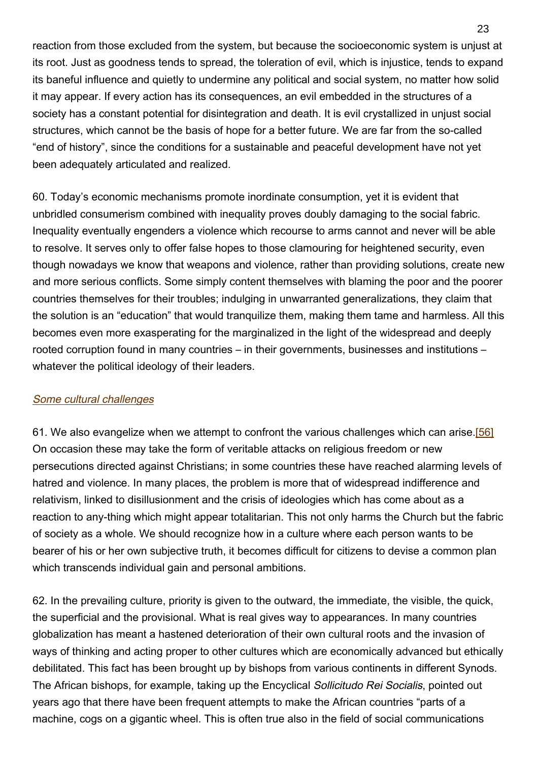reaction from those excluded from the system, but because the socioeconomic system is unjust at its root. Just as goodness tends to spread, the toleration of evil, which is injustice, tends to expand its baneful influence and quietly to undermine any political and social system, no matter how solid it may appear. If every action has its consequences, an evil embedded in the structures of a society has a constant potential for disintegration and death. It is evil crystallized in unjust social structures, which cannot be the basis of hope for a better future. We are far from the so-called "end of history", since the conditions for a sustainable and peaceful development have not yet been adequately articulated and realized.

60. Today's economic mechanisms promote inordinate consumption, yet it is evident that unbridled consumerism combined with inequality proves doubly damaging to the social fabric. Inequality eventually engenders a violence which recourse to arms cannot and never will be able to resolve. It serves only to offer false hopes to those clamouring for heightened security, even though nowadays we know that weapons and violence, rather than providing solutions, create new and more serious conflicts. Some simply content themselves with blaming the poor and the poorer countries themselves for their troubles; indulging in unwarranted generalizations, they claim that the solution is an "education" that would tranquilize them, making them tame and harmless. All this becomes even more exasperating for the marginalized in the light of the widespread and deeply rooted corruption found in many countries – in their governments, businesses and institutions – whatever the political ideology of their leaders.

# Some cultural challenges

61. We also evangelize when we attempt to confront the various challenges which can arise.[\[56\]](http://w2.vatican.va/content/francesco/en/apost_exhortations/documents/papa-francesco_esortazione-ap_20131124_evangelii-gaudium.html#_ftn56) On occasion these may take the form of veritable attacks on religious freedom or new persecutions directed against Christians; in some countries these have reached alarming levels of hatred and violence. In many places, the problem is more that of widespread indifference and relativism, linked to disillusionment and the crisis of ideologies which has come about as a reaction to any-thing which might appear totalitarian. This not only harms the Church but the fabric of society as a whole. We should recognize how in a culture where each person wants to be bearer of his or her own subjective truth, it becomes difficult for citizens to devise a common plan which transcends individual gain and personal ambitions.

62. In the prevailing culture, priority is given to the outward, the immediate, the visible, the quick, the superficial and the provisional. What is real gives way to appearances. In many countries globalization has meant a hastened deterioration of their own cultural roots and the invasion of ways of thinking and acting proper to other cultures which are economically advanced but ethically debilitated. This fact has been brought up by bishops from various continents in different Synods. The African bishops, for example, taking up the Encyclical Sollicitudo Rei Socialis, pointed out years ago that there have been frequent attempts to make the African countries "parts of a machine, cogs on a gigantic wheel. This is often true also in the field of social communications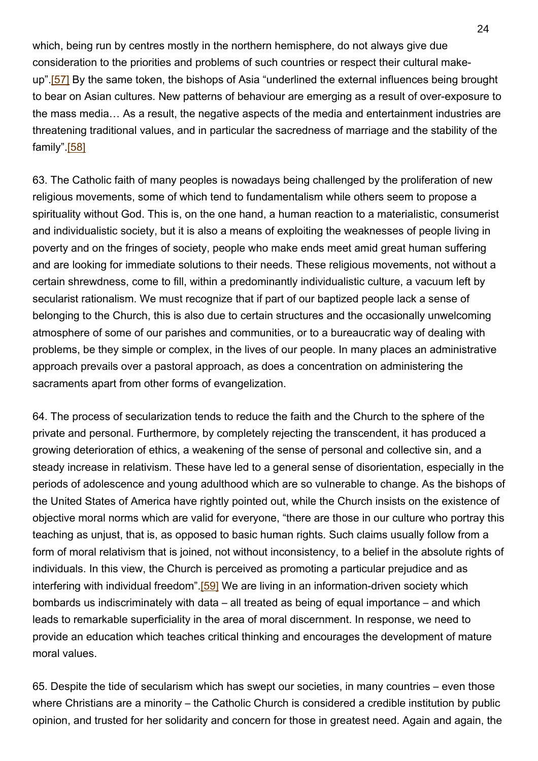which, being run by centres mostly in the northern hemisphere, do not always give due consideration to the priorities and problems of such countries or respect their cultural makeup".[\[57\]](http://w2.vatican.va/content/francesco/en/apost_exhortations/documents/papa-francesco_esortazione-ap_20131124_evangelii-gaudium.html#_ftn57) By the same token, the bishops of Asia "underlined the external influences being brought to bear on Asian cultures. New patterns of behaviour are emerging as a result of over-exposure to the mass media… As a result, the negative aspects of the media and entertainment industries are threatening traditional values, and in particular the sacredness of marriage and the stability of the family".[\[58\]](http://w2.vatican.va/content/francesco/en/apost_exhortations/documents/papa-francesco_esortazione-ap_20131124_evangelii-gaudium.html#_ftn58)

63. The Catholic faith of many peoples is nowadays being challenged by the proliferation of new religious movements, some of which tend to fundamentalism while others seem to propose a spirituality without God. This is, on the one hand, a human reaction to a materialistic, consumerist and individualistic society, but it is also a means of exploiting the weaknesses of people living in poverty and on the fringes of society, people who make ends meet amid great human suffering and are looking for immediate solutions to their needs. These religious movements, not without a certain shrewdness, come to fill, within a predominantly individualistic culture, a vacuum left by secularist rationalism. We must recognize that if part of our baptized people lack a sense of belonging to the Church, this is also due to certain structures and the occasionally unwelcoming atmosphere of some of our parishes and communities, or to a bureaucratic way of dealing with problems, be they simple or complex, in the lives of our people. In many places an administrative approach prevails over a pastoral approach, as does a concentration on administering the sacraments apart from other forms of evangelization.

64. The process of secularization tends to reduce the faith and the Church to the sphere of the private and personal. Furthermore, by completely rejecting the transcendent, it has produced a growing deterioration of ethics, a weakening of the sense of personal and collective sin, and a steady increase in relativism. These have led to a general sense of disorientation, especially in the periods of adolescence and young adulthood which are so vulnerable to change. As the bishops of the United States of America have rightly pointed out, while the Church insists on the existence of objective moral norms which are valid for everyone, "there are those in our culture who portray this teaching as unjust, that is, as opposed to basic human rights. Such claims usually follow from a form of moral relativism that is joined, not without inconsistency, to a belief in the absolute rights of individuals. In this view, the Church is perceived as promoting a particular prejudice and as interfering with individual freedom". [\[59\]](http://w2.vatican.va/content/francesco/en/apost_exhortations/documents/papa-francesco_esortazione-ap_20131124_evangelii-gaudium.html#_ftn59) We are living in an information-driven society which bombards us indiscriminately with data – all treated as being of equal importance – and which leads to remarkable superficiality in the area of moral discernment. In response, we need to provide an education which teaches critical thinking and encourages the development of mature moral values.

65. Despite the tide of secularism which has swept our societies, in many countries – even those where Christians are a minority – the Catholic Church is considered a credible institution by public opinion, and trusted for her solidarity and concern for those in greatest need. Again and again, the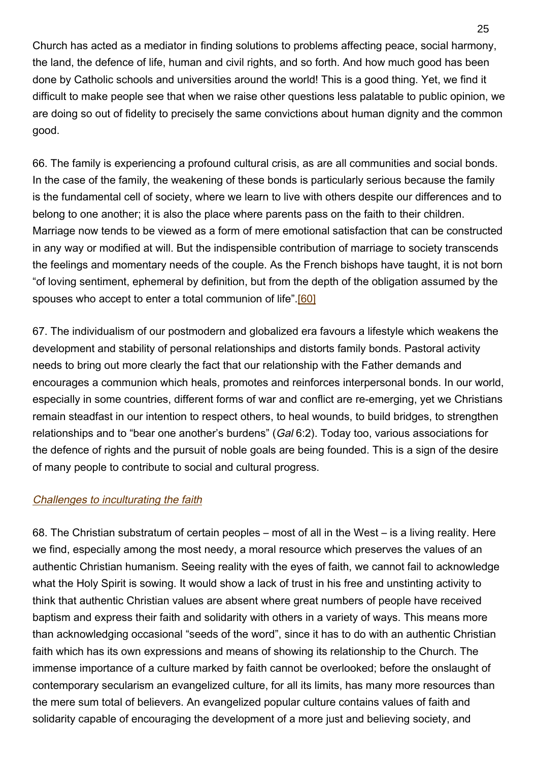Church has acted as a mediator in finding solutions to problems affecting peace, social harmony, the land, the defence of life, human and civil rights, and so forth. And how much good has been done by Catholic schools and universities around the world! This is a good thing. Yet, we find it difficult to make people see that when we raise other questions less palatable to public opinion, we are doing so out of fidelity to precisely the same convictions about human dignity and the common good.

66. The family is experiencing a profound cultural crisis, as are all communities and social bonds. In the case of the family, the weakening of these bonds is particularly serious because the family is the fundamental cell of society, where we learn to live with others despite our differences and to belong to one another; it is also the place where parents pass on the faith to their children. Marriage now tends to be viewed as a form of mere emotional satisfaction that can be constructed in any way or modified at will. But the indispensible contribution of marriage to society transcends the feelings and momentary needs of the couple. As the French bishops have taught, it is not born "of loving sentiment, ephemeral by definition, but from the depth of the obligation assumed by the spouses who accept to enter a total communion of life"[.\[60\]](http://w2.vatican.va/content/francesco/en/apost_exhortations/documents/papa-francesco_esortazione-ap_20131124_evangelii-gaudium.html#_ftn60)

67. The individualism of our postmodern and globalized era favours a lifestyle which weakens the development and stability of personal relationships and distorts family bonds. Pastoral activity needs to bring out more clearly the fact that our relationship with the Father demands and encourages a communion which heals, promotes and reinforces interpersonal bonds. In our world, especially in some countries, different forms of war and conflict are re-emerging, yet we Christians remain steadfast in our intention to respect others, to heal wounds, to build bridges, to strengthen relationships and to "bear one another's burdens" (Gal 6:2). Today too, various associations for the defence of rights and the pursuit of noble goals are being founded. This is a sign of the desire of many people to contribute to social and cultural progress.

#### Challenges to inculturating the faith

68. The Christian substratum of certain peoples – most of all in the West – is a living reality. Here we find, especially among the most needy, a moral resource which preserves the values of an authentic Christian humanism. Seeing reality with the eyes of faith, we cannot fail to acknowledge what the Holy Spirit is sowing. It would show a lack of trust in his free and unstinting activity to think that authentic Christian values are absent where great numbers of people have received baptism and express their faith and solidarity with others in a variety of ways. This means more than acknowledging occasional "seeds of the word", since it has to do with an authentic Christian faith which has its own expressions and means of showing its relationship to the Church. The immense importance of a culture marked by faith cannot be overlooked; before the onslaught of contemporary secularism an evangelized culture, for all its limits, has many more resources than the mere sum total of believers. An evangelized popular culture contains values of faith and solidarity capable of encouraging the development of a more just and believing society, and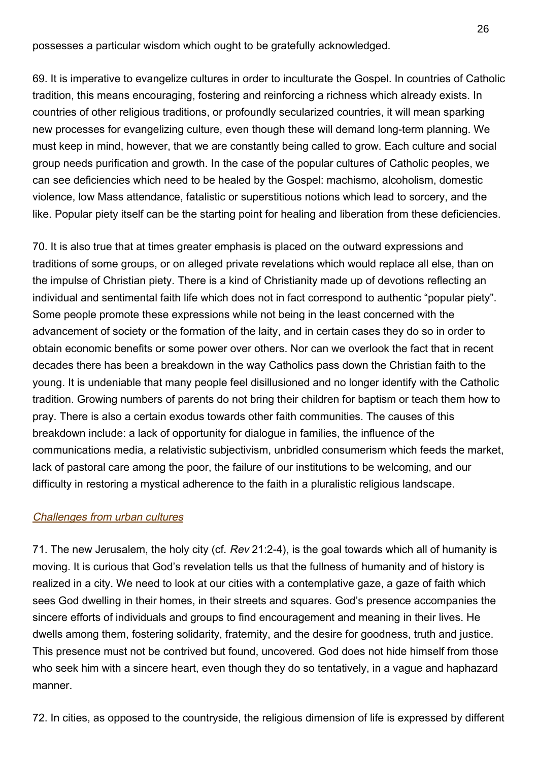possesses a particular wisdom which ought to be gratefully acknowledged.

69. It is imperative to evangelize cultures in order to inculturate the Gospel. In countries of Catholic tradition, this means encouraging, fostering and reinforcing a richness which already exists. In countries of other religious traditions, or profoundly secularized countries, it will mean sparking new processes for evangelizing culture, even though these will demand long-term planning. We must keep in mind, however, that we are constantly being called to grow. Each culture and social group needs purification and growth. In the case of the popular cultures of Catholic peoples, we can see deficiencies which need to be healed by the Gospel: machismo, alcoholism, domestic violence, low Mass attendance, fatalistic or superstitious notions which lead to sorcery, and the like. Popular piety itself can be the starting point for healing and liberation from these deficiencies.

70. It is also true that at times greater emphasis is placed on the outward expressions and traditions of some groups, or on alleged private revelations which would replace all else, than on the impulse of Christian piety. There is a kind of Christianity made up of devotions reflecting an individual and sentimental faith life which does not in fact correspond to authentic "popular piety". Some people promote these expressions while not being in the least concerned with the advancement of society or the formation of the laity, and in certain cases they do so in order to obtain economic benefits or some power over others. Nor can we overlook the fact that in recent decades there has been a breakdown in the way Catholics pass down the Christian faith to the young. It is undeniable that many people feel disillusioned and no longer identify with the Catholic tradition. Growing numbers of parents do not bring their children for baptism or teach them how to pray. There is also a certain exodus towards other faith communities. The causes of this breakdown include: a lack of opportunity for dialogue in families, the influence of the communications media, a relativistic subjectivism, unbridled consumerism which feeds the market, lack of pastoral care among the poor, the failure of our institutions to be welcoming, and our difficulty in restoring a mystical adherence to the faith in a pluralistic religious landscape.

#### Challenges from urban cultures

71. The new Jerusalem, the holy city (cf. Rev 21:2-4), is the goal towards which all of humanity is moving. It is curious that God's revelation tells us that the fullness of humanity and of history is realized in a city. We need to look at our cities with a contemplative gaze, a gaze of faith which sees God dwelling in their homes, in their streets and squares. God's presence accompanies the sincere efforts of individuals and groups to find encouragement and meaning in their lives. He dwells among them, fostering solidarity, fraternity, and the desire for goodness, truth and justice. This presence must not be contrived but found, uncovered. God does not hide himself from those who seek him with a sincere heart, even though they do so tentatively, in a vague and haphazard manner.

72. In cities, as opposed to the countryside, the religious dimension of life is expressed by different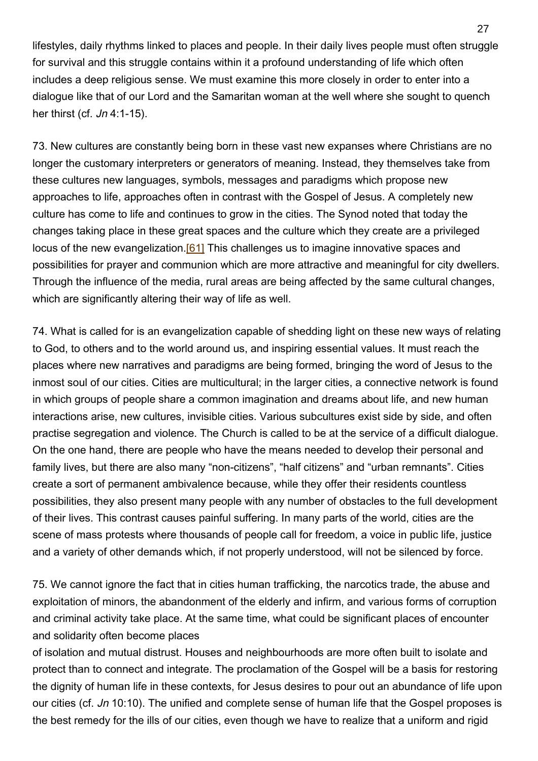lifestyles, daily rhythms linked to places and people. In their daily lives people must often struggle for survival and this struggle contains within it a profound understanding of life which often includes a deep religious sense. We must examine this more closely in order to enter into a dialogue like that of our Lord and the Samaritan woman at the well where she sought to quench her thirst (cf. Jn 4:1-15).

73. New cultures are constantly being born in these vast new expanses where Christians are no longer the customary interpreters or generators of meaning. Instead, they themselves take from these cultures new languages, symbols, messages and paradigms which propose new approaches to life, approaches often in contrast with the Gospel of Jesus. A completely new culture has come to life and continues to grow in the cities. The Synod noted that today the changes taking place in these great spaces and the culture which they create are a privileged locus of the new evangelization.<sup>[\[61\]](http://w2.vatican.va/content/francesco/en/apost_exhortations/documents/papa-francesco_esortazione-ap_20131124_evangelii-gaudium.html#_ftn61)</sup> This challenges us to imagine innovative spaces and possibilities for prayer and communion which are more attractive and meaningful for city dwellers. Through the influence of the media, rural areas are being affected by the same cultural changes, which are significantly altering their way of life as well.

74. What is called for is an evangelization capable of shedding light on these new ways of relating to God, to others and to the world around us, and inspiring essential values. It must reach the places where new narratives and paradigms are being formed, bringing the word of Jesus to the inmost soul of our cities. Cities are multicultural; in the larger cities, a connective network is found in which groups of people share a common imagination and dreams about life, and new human interactions arise, new cultures, invisible cities. Various subcultures exist side by side, and often practise segregation and violence. The Church is called to be at the service of a difficult dialogue. On the one hand, there are people who have the means needed to develop their personal and family lives, but there are also many "non-citizens", "half citizens" and "urban remnants". Cities create a sort of permanent ambivalence because, while they offer their residents countless possibilities, they also present many people with any number of obstacles to the full development of their lives. This contrast causes painful suffering. In many parts of the world, cities are the scene of mass protests where thousands of people call for freedom, a voice in public life, justice and a variety of other demands which, if not properly understood, will not be silenced by force.

75. We cannot ignore the fact that in cities human trafficking, the narcotics trade, the abuse and exploitation of minors, the abandonment of the elderly and infirm, and various forms of corruption and criminal activity take place. At the same time, what could be significant places of encounter and solidarity often become places

of isolation and mutual distrust. Houses and neighbourhoods are more often built to isolate and protect than to connect and integrate. The proclamation of the Gospel will be a basis for restoring the dignity of human life in these contexts, for Jesus desires to pour out an abundance of life upon our cities (cf. Jn 10:10). The unified and complete sense of human life that the Gospel proposes is the best remedy for the ills of our cities, even though we have to realize that a uniform and rigid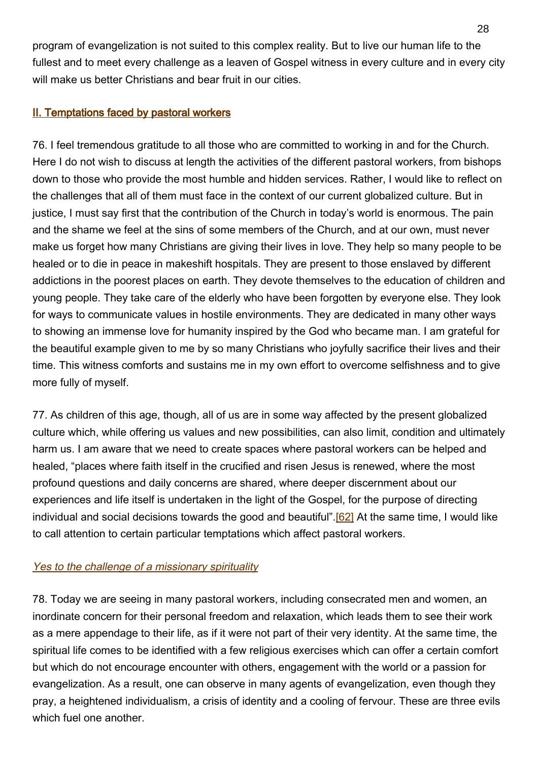program of evangelization is not suited to this complex reality. But to live our human life to the fullest and to meet every challenge as a leaven of Gospel witness in every culture and in every city will make us better Christians and bear fruit in our cities.

# **II. Temptations faced by pastoral workers**

76. I feel tremendous gratitude to all those who are committed to working in and for the Church. Here I do not wish to discuss at length the activities of the different pastoral workers, from bishops down to those who provide the most humble and hidden services. Rather, I would like to reflect on the challenges that all of them must face in the context of our current globalized culture. But in justice, I must say first that the contribution of the Church in today's world is enormous. The pain and the shame we feel at the sins of some members of the Church, and at our own, must never make us forget how many Christians are giving their lives in love. They help so many people to be healed or to die in peace in makeshift hospitals. They are present to those enslaved by different addictions in the poorest places on earth. They devote themselves to the education of children and young people. They take care of the elderly who have been forgotten by everyone else. They look for ways to communicate values in hostile environments. They are dedicated in many other ways to showing an immense love for humanity inspired by the God who became man. I am grateful for the beautiful example given to me by so many Christians who joyfully sacrifice their lives and their time. This witness comforts and sustains me in my own effort to overcome selfishness and to give more fully of myself.

77. As children of this age, though, all of us are in some way affected by the present globalized culture which, while offering us values and new possibilities, can also limit, condition and ultimately harm us. I am aware that we need to create spaces where pastoral workers can be helped and healed, "places where faith itself in the crucified and risen Jesus is renewed, where the most profound questions and daily concerns are shared, where deeper discernment about our experiences and life itself is undertaken in the light of the Gospel, for the purpose of directing individual and social decisions towards the good and beautiful"[.\[62\]](http://w2.vatican.va/content/francesco/en/apost_exhortations/documents/papa-francesco_esortazione-ap_20131124_evangelii-gaudium.html#_ftn62) At the same time, I would like to call attention to certain particular temptations which affect pastoral workers.

# Yes to the challenge of a missionary spirituality

78. Today we are seeing in many pastoral workers, including consecrated men and women, an inordinate concern for their personal freedom and relaxation, which leads them to see their work as a mere appendage to their life, as if it were not part of their very identity. At the same time, the spiritual life comes to be identified with a few religious exercises which can offer a certain comfort but which do not encourage encounter with others, engagement with the world or a passion for evangelization. As a result, one can observe in many agents of evangelization, even though they pray, a heightened individualism, a crisis of identity and a cooling of fervour. These are three evils which fuel one another.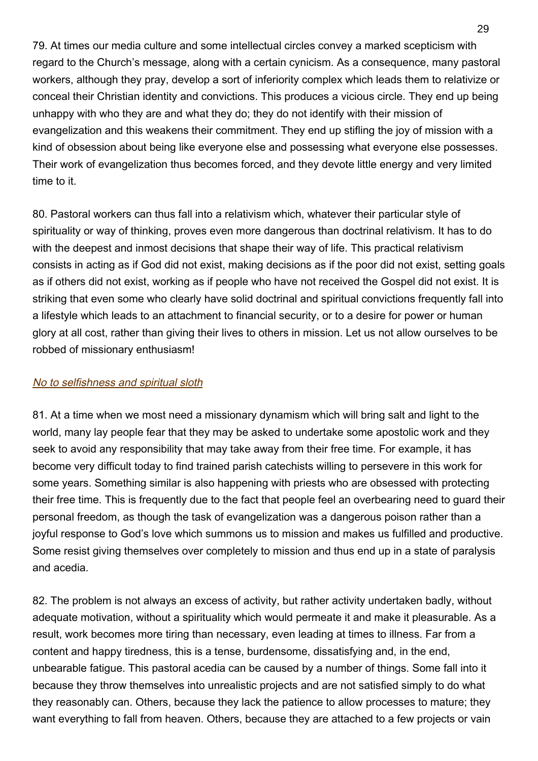79. At times our media culture and some intellectual circles convey a marked scepticism with regard to the Church's message, along with a certain cynicism. As a consequence, many pastoral workers, although they pray, develop a sort of inferiority complex which leads them to relativize or conceal their Christian identity and convictions. This produces a vicious circle. They end up being unhappy with who they are and what they do; they do not identify with their mission of evangelization and this weakens their commitment. They end up stifling the joy of mission with a kind of obsession about being like everyone else and possessing what everyone else possesses. Their work of evangelization thus becomes forced, and they devote little energy and very limited time to it.

80. Pastoral workers can thus fall into a relativism which, whatever their particular style of spirituality or way of thinking, proves even more dangerous than doctrinal relativism. It has to do with the deepest and inmost decisions that shape their way of life. This practical relativism consists in acting as if God did not exist, making decisions as if the poor did not exist, setting goals as if others did not exist, working as if people who have not received the Gospel did not exist. It is striking that even some who clearly have solid doctrinal and spiritual convictions frequently fall into a lifestyle which leads to an attachment to financial security, or to a desire for power or human glory at all cost, rather than giving their lives to others in mission. Let us not allow ourselves to be robbed of missionary enthusiasm!

#### No to selfishness and spiritual sloth

81. At a time when we most need a missionary dynamism which will bring salt and light to the world, many lay people fear that they may be asked to undertake some apostolic work and they seek to avoid any responsibility that may take away from their free time. For example, it has become very difficult today to find trained parish catechists willing to persevere in this work for some years. Something similar is also happening with priests who are obsessed with protecting their free time. This is frequently due to the fact that people feel an overbearing need to guard their personal freedom, as though the task of evangelization was a dangerous poison rather than a joyful response to God's love which summons us to mission and makes us fulfilled and productive. Some resist giving themselves over completely to mission and thus end up in a state of paralysis and acedia.

82. The problem is not always an excess of activity, but rather activity undertaken badly, without adequate motivation, without a spirituality which would permeate it and make it pleasurable. As a result, work becomes more tiring than necessary, even leading at times to illness. Far from a content and happy tiredness, this is a tense, burdensome, dissatisfying and, in the end, unbearable fatigue. This pastoral acedia can be caused by a number of things. Some fall into it because they throw themselves into unrealistic projects and are not satisfied simply to do what they reasonably can. Others, because they lack the patience to allow processes to mature; they want everything to fall from heaven. Others, because they are attached to a few projects or vain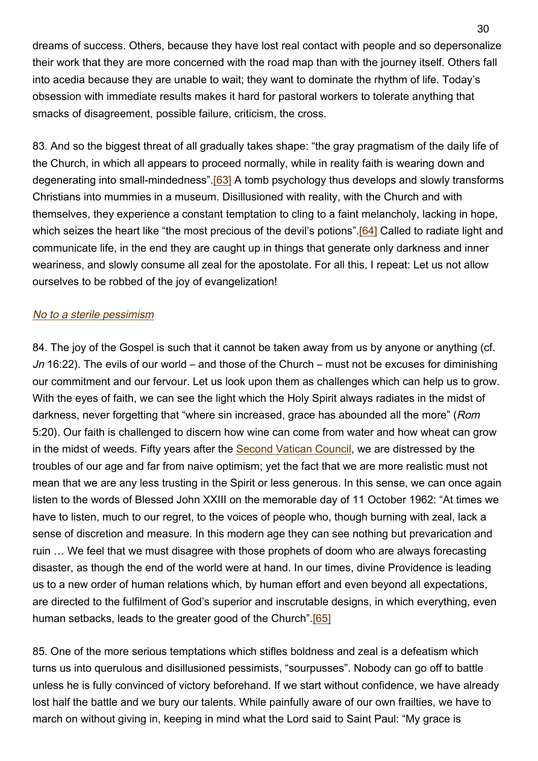dreams of success. Others, because they have lost real contact with people and so depersonalize their work that they are more concerned with the road map than with the journey itself. Others fall into acedia because they are unable to wait; they want to dominate the rhythm of life. Today's obsession with immediate results makes it hard for pastoral workers to tolerate anything that smacks of disagreement, possible failure, criticism, the cross.

83. And so the biggest threat of all gradually takes shape: "the gray pragmatism of the daily life of the Church, in which all appears to proceed normally, while in reality faith is wearing down and degenerating into small-mindedness".<sup>[63]</sup> A tomb psychology thus develops and slowly transforms Christians into mummies in a museum. Disillusioned with reality, with the Church and with themselves, they experience a constant temptation to cling to a faint melancholy, lacking in hope, which seizes the heart like "the most precious of the devil's potions".<sup>[64]</sup> Called to radiate light and communicate life, in the end they are caught up in things that generate only darkness and inner weariness, and slowly consume all zeal for the apostolate. For all this, I repeat: Let us not allow ourselves to be robbed of the joy of evangelization!

#### No to a sterile pessimism

84. The joy of the Gospel is such that it cannot be taken away from us by anyone or anything (cf. Jn 16:22). The evils of our world – and those of the Church – must not be excuses for diminishing our commitment and our fervour. Let us look upon them as challenges which can help us to grow. With the eyes of faith, we can see the light which the Holy Spirit always radiates in the midst of darkness, never forgetting that "where sin increased, grace has abounded all the more" (Rom 5:20). Our faith is challenged to discern how wine can come from water and how wheat can grow in the midst of weeds. Fifty years after the [Second Vatican Council,](http://www.vatican.va/archive/hist_councils/ii_vatican_council/) we are distressed by the troubles of our age and far from naive optimism; yet the fact that we are more realistic must not mean that we are any less trusting in the Spirit or less generous. In this sense, we can once again listen to the words of Blessed John XXIII on the memorable day of 11 October 1962: "At times we have to listen, much to our regret, to the voices of people who, though burning with zeal, lack a sense of discretion and measure. In this modern age they can see nothing but prevarication and ruin … We feel that we must disagree with those prophets of doom who are always forecasting disaster, as though the end of the world were at hand. In our times, divine Providence is leading us to a new order of human relations which, by human effort and even beyond all expectations, are directed to the fulfilment of God's superior and inscrutable designs, in which everything, even human setbacks, leads to the greater good of the Church".<sup>[\[65\]](http://w2.vatican.va/content/francesco/en/apost_exhortations/documents/papa-francesco_esortazione-ap_20131124_evangelii-gaudium.html#_ftn65)</sup>

85. One of the more serious temptations which stifles boldness and zeal is a defeatism which turns us into querulous and disillusioned pessimists, "sourpusses". Nobody can go off to battle unless he is fully convinced of victory beforehand. If we start without confidence, we have already lost half the battle and we bury our talents. While painfully aware of our own frailties, we have to march on without giving in, keeping in mind what the Lord said to Saint Paul: "My grace is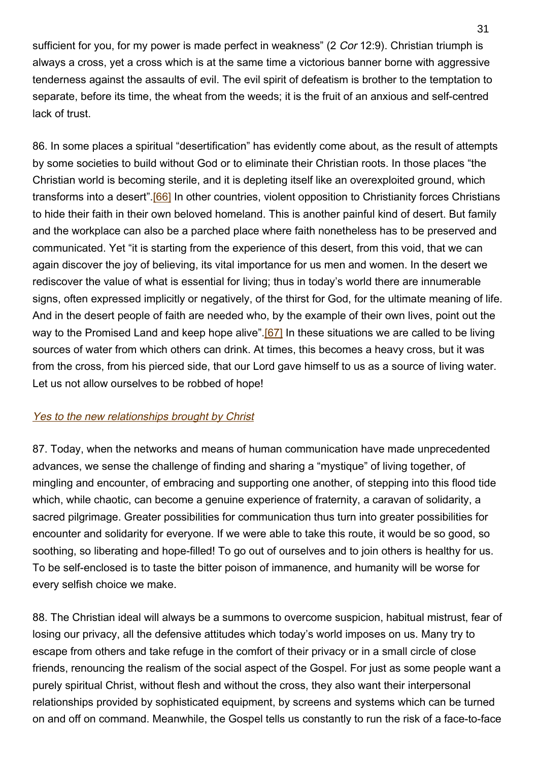sufficient for you, for my power is made perfect in weakness" (2 Cor 12:9). Christian triumph is always a cross, yet a cross which is at the same time a victorious banner borne with aggressive tenderness against the assaults of evil. The evil spirit of defeatism is brother to the temptation to separate, before its time, the wheat from the weeds; it is the fruit of an anxious and self-centred lack of trust.

86. In some places a spiritual "desertification" has evidently come about, as the result of attempts by some societies to build without God or to eliminate their Christian roots. In those places "the Christian world is becoming sterile, and it is depleting itself like an overexploited ground, which transforms into a desert"[.\[66\]](http://w2.vatican.va/content/francesco/en/apost_exhortations/documents/papa-francesco_esortazione-ap_20131124_evangelii-gaudium.html#_ftn66) In other countries, violent opposition to Christianity forces Christians to hide their faith in their own beloved homeland. This is another painful kind of desert. But family and the workplace can also be a parched place where faith nonetheless has to be preserved and communicated. Yet "it is starting from the experience of this desert, from this void, that we can again discover the joy of believing, its vital importance for us men and women. In the desert we rediscover the value of what is essential for living; thus in today's world there are innumerable signs, often expressed implicitly or negatively, of the thirst for God, for the ultimate meaning of life. And in the desert people of faith are needed who, by the example of their own lives, point out the way to the Promised Land and keep hope alive".<sup>[\[67\]](http://w2.vatican.va/content/francesco/en/apost_exhortations/documents/papa-francesco_esortazione-ap_20131124_evangelii-gaudium.html#_ftn67)</sup> In these situations we are called to be living sources of water from which others can drink. At times, this becomes a heavy cross, but it was from the cross, from his pierced side, that our Lord gave himself to us as a source of living water. Let us not allow ourselves to be robbed of hope!

# Yes to the new relationships brought by Christ

87. Today, when the networks and means of human communication have made unprecedented advances, we sense the challenge of finding and sharing a "mystique" of living together, of mingling and encounter, of embracing and supporting one another, of stepping into this flood tide which, while chaotic, can become a genuine experience of fraternity, a caravan of solidarity, a sacred pilgrimage. Greater possibilities for communication thus turn into greater possibilities for encounter and solidarity for everyone. If we were able to take this route, it would be so good, so soothing, so liberating and hope-filled! To go out of ourselves and to join others is healthy for us. To be self-enclosed is to taste the bitter poison of immanence, and humanity will be worse for every selfish choice we make.

88. The Christian ideal will always be a summons to overcome suspicion, habitual mistrust, fear of losing our privacy, all the defensive attitudes which today's world imposes on us. Many try to escape from others and take refuge in the comfort of their privacy or in a small circle of close friends, renouncing the realism of the social aspect of the Gospel. For just as some people want a purely spiritual Christ, without flesh and without the cross, they also want their interpersonal relationships provided by sophisticated equipment, by screens and systems which can be turned on and off on command. Meanwhile, the Gospel tells us constantly to run the risk of a face-to-face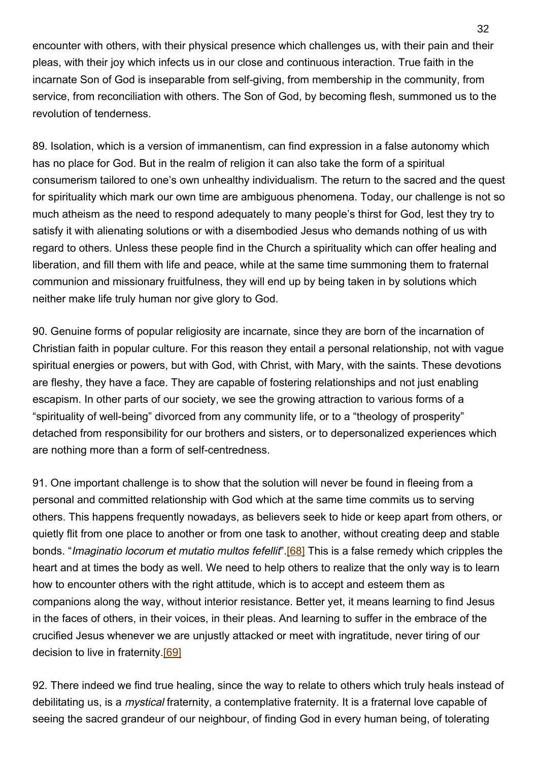encounter with others, with their physical presence which challenges us, with their pain and their pleas, with their joy which infects us in our close and continuous interaction. True faith in the incarnate Son of God is inseparable from self-giving, from membership in the community, from service, from reconciliation with others. The Son of God, by becoming flesh, summoned us to the revolution of tenderness.

89. Isolation, which is a version of immanentism, can find expression in a false autonomy which has no place for God. But in the realm of religion it can also take the form of a spiritual consumerism tailored to one's own unhealthy individualism. The return to the sacred and the quest for spirituality which mark our own time are ambiguous phenomena. Today, our challenge is not so much atheism as the need to respond adequately to many people's thirst for God, lest they try to satisfy it with alienating solutions or with a disembodied Jesus who demands nothing of us with regard to others. Unless these people find in the Church a spirituality which can offer healing and liberation, and fill them with life and peace, while at the same time summoning them to fraternal communion and missionary fruitfulness, they will end up by being taken in by solutions which neither make life truly human nor give glory to God.

90. Genuine forms of popular religiosity are incarnate, since they are born of the incarnation of Christian faith in popular culture. For this reason they entail a personal relationship, not with vague spiritual energies or powers, but with God, with Christ, with Mary, with the saints. These devotions are fleshy, they have a face. They are capable of fostering relationships and not just enabling escapism. In other parts of our society, we see the growing attraction to various forms of a "spirituality of well-being" divorced from any community life, or to a "theology of prosperity" detached from responsibility for our brothers and sisters, or to depersonalized experiences which are nothing more than a form of self-centredness.

91. One important challenge is to show that the solution will never be found in fleeing from a personal and committed relationship with God which at the same time commits us to serving others. This happens frequently nowadays, as believers seek to hide or keep apart from others, or quietly flit from one place to another or from one task to another, without creating deep and stable bonds. "Imaginatio locorum et mutatio multos fefellit".<sup>[68]</sup> This is a false remedy which cripples the heart and at times the body as well. We need to help others to realize that the only way is to learn how to encounter others with the right attitude, which is to accept and esteem them as companions along the way, without interior resistance. Better yet, it means learning to find Jesus in the faces of others, in their voices, in their pleas. And learning to suffer in the embrace of the crucified Jesus whenever we are unjustly attacked or meet with ingratitude, never tiring of our decision to live in fraternity.[\[69\]](http://w2.vatican.va/content/francesco/en/apost_exhortations/documents/papa-francesco_esortazione-ap_20131124_evangelii-gaudium.html#_ftn69)

92. There indeed we find true healing, since the way to relate to others which truly heals instead of debilitating us, is a *mystical* fraternity, a contemplative fraternity. It is a fraternal love capable of seeing the sacred grandeur of our neighbour, of finding God in every human being, of tolerating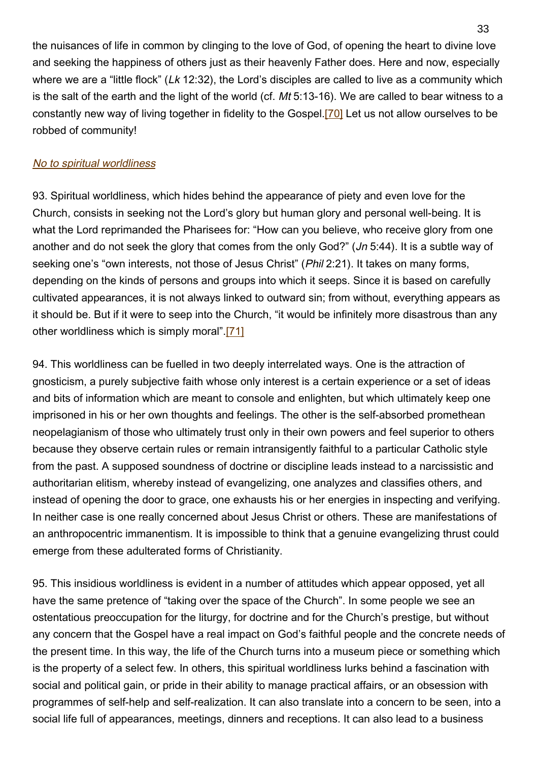the nuisances of life in common by clinging to the love of God, of opening the heart to divine love and seeking the happiness of others just as their heavenly Father does. Here and now, especially where we are a "little flock" (Lk 12:32), the Lord's disciples are called to live as a community which is the salt of the earth and the light of the world (cf. Mt 5:13-16). We are called to bear witness to a constantly new way of living together in fidelity to the Gospel[.\[70\]](http://w2.vatican.va/content/francesco/en/apost_exhortations/documents/papa-francesco_esortazione-ap_20131124_evangelii-gaudium.html#_ftn70) Let us not allow ourselves to be robbed of community!

#### No to spiritual worldliness

93. Spiritual worldliness, which hides behind the appearance of piety and even love for the Church, consists in seeking not the Lord's glory but human glory and personal well-being. It is what the Lord reprimanded the Pharisees for: "How can you believe, who receive glory from one another and do not seek the glory that comes from the only God?" (Jn 5:44). It is a subtle way of seeking one's "own interests, not those of Jesus Christ" (Phil 2:21). It takes on many forms, depending on the kinds of persons and groups into which it seeps. Since it is based on carefully cultivated appearances, it is not always linked to outward sin; from without, everything appears as it should be. But if it were to seep into the Church, "it would be infinitely more disastrous than any other worldliness which is simply moral".[\[71\]](http://w2.vatican.va/content/francesco/en/apost_exhortations/documents/papa-francesco_esortazione-ap_20131124_evangelii-gaudium.html#_ftn71)

94. This worldliness can be fuelled in two deeply interrelated ways. One is the attraction of gnosticism, a purely subjective faith whose only interest is a certain experience or a set of ideas and bits of information which are meant to console and enlighten, but which ultimately keep one imprisoned in his or her own thoughts and feelings. The other is the self-absorbed promethean neopelagianism of those who ultimately trust only in their own powers and feel superior to others because they observe certain rules or remain intransigently faithful to a particular Catholic style from the past. A supposed soundness of doctrine or discipline leads instead to a narcissistic and authoritarian elitism, whereby instead of evangelizing, one analyzes and classifies others, and instead of opening the door to grace, one exhausts his or her energies in inspecting and verifying. In neither case is one really concerned about Jesus Christ or others. These are manifestations of an anthropocentric immanentism. It is impossible to think that a genuine evangelizing thrust could emerge from these adulterated forms of Christianity.

95. This insidious worldliness is evident in a number of attitudes which appear opposed, yet all have the same pretence of "taking over the space of the Church". In some people we see an ostentatious preoccupation for the liturgy, for doctrine and for the Church's prestige, but without any concern that the Gospel have a real impact on God's faithful people and the concrete needs of the present time. In this way, the life of the Church turns into a museum piece or something which is the property of a select few. In others, this spiritual worldliness lurks behind a fascination with social and political gain, or pride in their ability to manage practical affairs, or an obsession with programmes of self-help and self-realization. It can also translate into a concern to be seen, into a social life full of appearances, meetings, dinners and receptions. It can also lead to a business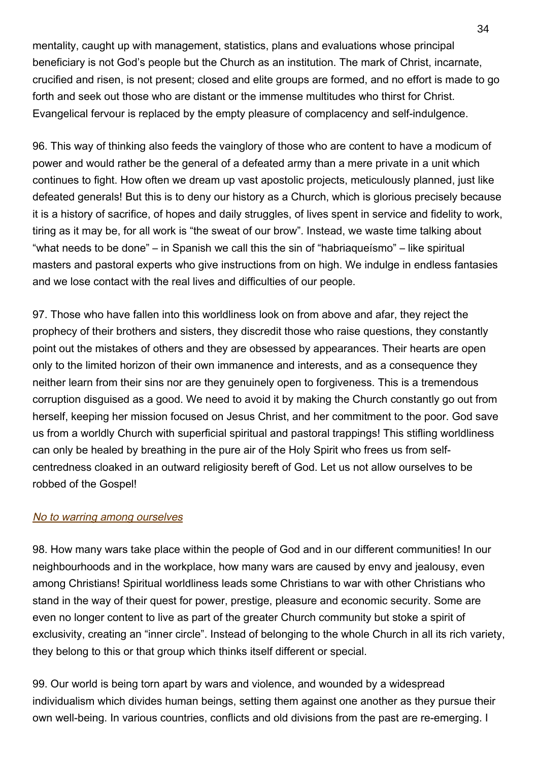mentality, caught up with management, statistics, plans and evaluations whose principal beneficiary is not God's people but the Church as an institution. The mark of Christ, incarnate, crucified and risen, is not present; closed and elite groups are formed, and no effort is made to go forth and seek out those who are distant or the immense multitudes who thirst for Christ. Evangelical fervour is replaced by the empty pleasure of complacency and self-indulgence.

96. This way of thinking also feeds the vainglory of those who are content to have a modicum of power and would rather be the general of a defeated army than a mere private in a unit which continues to fight. How often we dream up vast apostolic projects, meticulously planned, just like defeated generals! But this is to deny our history as a Church, which is glorious precisely because it is a history of sacrifice, of hopes and daily struggles, of lives spent in service and fidelity to work, tiring as it may be, for all work is "the sweat of our brow". Instead, we waste time talking about "what needs to be done" – in Spanish we call this the sin of "habriaqueísmo" – like spiritual masters and pastoral experts who give instructions from on high. We indulge in endless fantasies and we lose contact with the real lives and difficulties of our people.

97. Those who have fallen into this worldliness look on from above and afar, they reject the prophecy of their brothers and sisters, they discredit those who raise questions, they constantly point out the mistakes of others and they are obsessed by appearances. Their hearts are open only to the limited horizon of their own immanence and interests, and as a consequence they neither learn from their sins nor are they genuinely open to forgiveness. This is a tremendous corruption disguised as a good. We need to avoid it by making the Church constantly go out from herself, keeping her mission focused on Jesus Christ, and her commitment to the poor. God save us from a worldly Church with superficial spiritual and pastoral trappings! This stifling worldliness can only be healed by breathing in the pure air of the Holy Spirit who frees us from selfcentredness cloaked in an outward religiosity bereft of God. Let us not allow ourselves to be robbed of the Gospel!

#### No to warring among ourselves

98. How many wars take place within the people of God and in our different communities! In our neighbourhoods and in the workplace, how many wars are caused by envy and jealousy, even among Christians! Spiritual worldliness leads some Christians to war with other Christians who stand in the way of their quest for power, prestige, pleasure and economic security. Some are even no longer content to live as part of the greater Church community but stoke a spirit of exclusivity, creating an "inner circle". Instead of belonging to the whole Church in all its rich variety, they belong to this or that group which thinks itself different or special.

99. Our world is being torn apart by wars and violence, and wounded by a widespread individualism which divides human beings, setting them against one another as they pursue their own well-being. In various countries, conflicts and old divisions from the past are re-emerging. I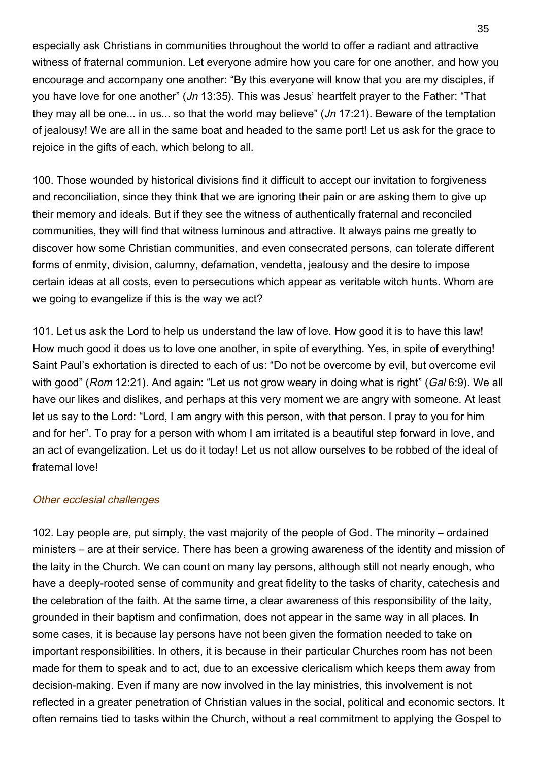especially ask Christians in communities throughout the world to offer a radiant and attractive witness of fraternal communion. Let everyone admire how you care for one another, and how you encourage and accompany one another: "By this everyone will know that you are my disciples, if you have love for one another" (Jn 13:35). This was Jesus' heartfelt prayer to the Father: "That they may all be one... in us... so that the world may believe"  $Jn$  17:21). Beware of the temptation of jealousy! We are all in the same boat and headed to the same port! Let us ask for the grace to rejoice in the gifts of each, which belong to all.

100. Those wounded by historical divisions find it difficult to accept our invitation to forgiveness and reconciliation, since they think that we are ignoring their pain or are asking them to give up their memory and ideals. But if they see the witness of authentically fraternal and reconciled communities, they will find that witness luminous and attractive. It always pains me greatly to discover how some Christian communities, and even consecrated persons, can tolerate different forms of enmity, division, calumny, defamation, vendetta, jealousy and the desire to impose certain ideas at all costs, even to persecutions which appear as veritable witch hunts. Whom are we going to evangelize if this is the way we act?

101. Let us ask the Lord to help us understand the law of love. How good it is to have this law! How much good it does us to love one another, in spite of everything. Yes, in spite of everything! Saint Paul's exhortation is directed to each of us: "Do not be overcome by evil, but overcome evil with good" (Rom 12:21). And again: "Let us not grow weary in doing what is right" (Gal 6:9). We all have our likes and dislikes, and perhaps at this very moment we are angry with someone. At least let us say to the Lord: "Lord, I am angry with this person, with that person. I pray to you for him and for her". To pray for a person with whom I am irritated is a beautiful step forward in love, and an act of evangelization. Let us do it today! Let us not allow ourselves to be robbed of the ideal of fraternal love!

#### Other ecclesial challenges

102. Lay people are, put simply, the vast majority of the people of God. The minority – ordained ministers – are at their service. There has been a growing awareness of the identity and mission of the laity in the Church. We can count on many lay persons, although still not nearly enough, who have a deeply-rooted sense of community and great fidelity to the tasks of charity, catechesis and the celebration of the faith. At the same time, a clear awareness of this responsibility of the laity, grounded in their baptism and confirmation, does not appear in the same way in all places. In some cases, it is because lay persons have not been given the formation needed to take on important responsibilities. In others, it is because in their particular Churches room has not been made for them to speak and to act, due to an excessive clericalism which keeps them away from decision-making. Even if many are now involved in the lay ministries, this involvement is not reflected in a greater penetration of Christian values in the social, political and economic sectors. It often remains tied to tasks within the Church, without a real commitment to applying the Gospel to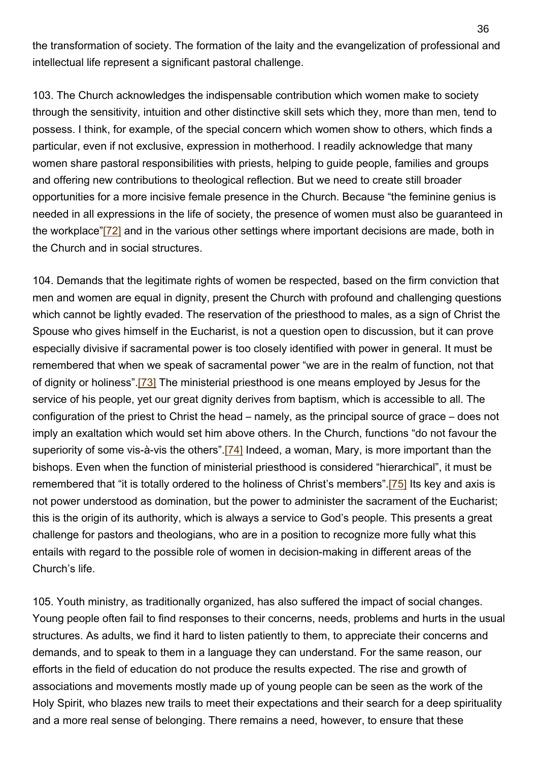the transformation of society. The formation of the laity and the evangelization of professional and intellectual life represent a significant pastoral challenge.

103. The Church acknowledges the indispensable contribution which women make to society through the sensitivity, intuition and other distinctive skill sets which they, more than men, tend to possess. I think, for example, of the special concern which women show to others, which finds a particular, even if not exclusive, expression in motherhood. I readily acknowledge that many women share pastoral responsibilities with priests, helping to guide people, families and groups and offering new contributions to theological reflection. But we need to create still broader opportunities for a more incisive female presence in the Church. Because "the feminine genius is needed in all expressions in the life of society, the presence of women must also be guaranteed in the workplace"[\[72\]](http://w2.vatican.va/content/francesco/en/apost_exhortations/documents/papa-francesco_esortazione-ap_20131124_evangelii-gaudium.html#_ftn72) and in the various other settings where important decisions are made, both in the Church and in social structures.

104. Demands that the legitimate rights of women be respected, based on the firm conviction that men and women are equal in dignity, present the Church with profound and challenging questions which cannot be lightly evaded. The reservation of the priesthood to males, as a sign of Christ the Spouse who gives himself in the Eucharist, is not a question open to discussion, but it can prove especially divisive if sacramental power is too closely identified with power in general. It must be remembered that when we speak of sacramental power "we are in the realm of function, not that of dignity or holiness".[\[73\]](http://w2.vatican.va/content/francesco/en/apost_exhortations/documents/papa-francesco_esortazione-ap_20131124_evangelii-gaudium.html#_ftn73) The ministerial priesthood is one means employed by Jesus for the service of his people, yet our great dignity derives from baptism, which is accessible to all. The configuration of the priest to Christ the head – namely, as the principal source of grace – does not imply an exaltation which would set him above others. In the Church, functions "do not favour the superiority of some vis-à-vis the others".[\[74\]](http://w2.vatican.va/content/francesco/en/apost_exhortations/documents/papa-francesco_esortazione-ap_20131124_evangelii-gaudium.html#_ftn74) Indeed, a woman, Mary, is more important than the bishops. Even when the function of ministerial priesthood is considered "hierarchical", it must be remembered that "it is totally ordered to the holiness of Christ's members".[\[75\]](http://w2.vatican.va/content/francesco/en/apost_exhortations/documents/papa-francesco_esortazione-ap_20131124_evangelii-gaudium.html#_ftn75) Its key and axis is not power understood as domination, but the power to administer the sacrament of the Eucharist; this is the origin of its authority, which is always a service to God's people. This presents a great challenge for pastors and theologians, who are in a position to recognize more fully what this entails with regard to the possible role of women in decision-making in different areas of the Church's life.

105. Youth ministry, as traditionally organized, has also suffered the impact of social changes. Young people often fail to find responses to their concerns, needs, problems and hurts in the usual structures. As adults, we find it hard to listen patiently to them, to appreciate their concerns and demands, and to speak to them in a language they can understand. For the same reason, our efforts in the field of education do not produce the results expected. The rise and growth of associations and movements mostly made up of young people can be seen as the work of the Holy Spirit, who blazes new trails to meet their expectations and their search for a deep spirituality and a more real sense of belonging. There remains a need, however, to ensure that these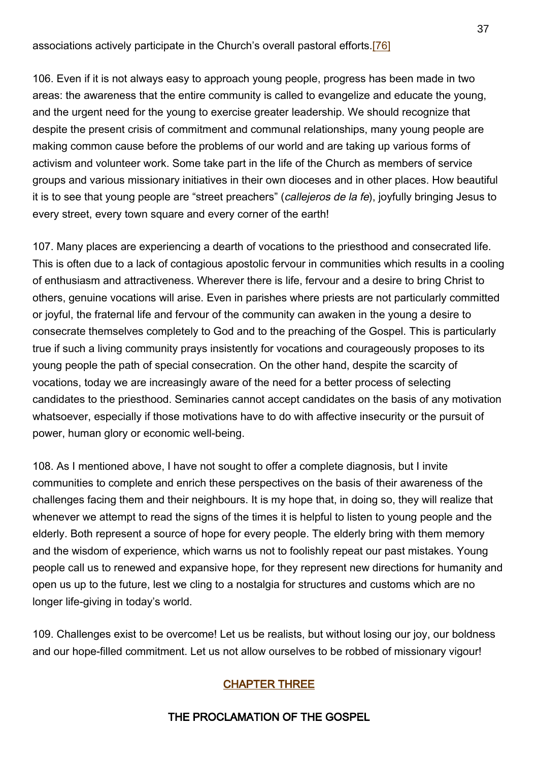associations actively participate in the Church's overall pastoral efforts.[\[76\]](http://w2.vatican.va/content/francesco/en/apost_exhortations/documents/papa-francesco_esortazione-ap_20131124_evangelii-gaudium.html#_ftn76)

106. Even if it is not always easy to approach young people, progress has been made in two areas: the awareness that the entire community is called to evangelize and educate the young, and the urgent need for the young to exercise greater leadership. We should recognize that despite the present crisis of commitment and communal relationships, many young people are making common cause before the problems of our world and are taking up various forms of activism and volunteer work. Some take part in the life of the Church as members of service groups and various missionary initiatives in their own dioceses and in other places. How beautiful it is to see that young people are "street preachers" (callejeros de la fe), joyfully bringing Jesus to every street, every town square and every corner of the earth!

107. Many places are experiencing a dearth of vocations to the priesthood and consecrated life. This is often due to a lack of contagious apostolic fervour in communities which results in a cooling of enthusiasm and attractiveness. Wherever there is life, fervour and a desire to bring Christ to others, genuine vocations will arise. Even in parishes where priests are not particularly committed or joyful, the fraternal life and fervour of the community can awaken in the young a desire to consecrate themselves completely to God and to the preaching of the Gospel. This is particularly true if such a living community prays insistently for vocations and courageously proposes to its young people the path of special consecration. On the other hand, despite the scarcity of vocations, today we are increasingly aware of the need for a better process of selecting candidates to the priesthood. Seminaries cannot accept candidates on the basis of any motivation whatsoever, especially if those motivations have to do with affective insecurity or the pursuit of power, human glory or economic well-being.

108. As I mentioned above, I have not sought to offer a complete diagnosis, but I invite communities to complete and enrich these perspectives on the basis of their awareness of the challenges facing them and their neighbours. It is my hope that, in doing so, they will realize that whenever we attempt to read the signs of the times it is helpful to listen to young people and the elderly. Both represent a source of hope for every people. The elderly bring with them memory and the wisdom of experience, which warns us not to foolishly repeat our past mistakes. Young people call us to renewed and expansive hope, for they represent new directions for humanity and open us up to the future, lest we cling to a nostalgia for structures and customs which are no longer life-giving in today's world.

109. Challenges exist to be overcome! Let us be realists, but without losing our joy, our boldness and our hope-filled commitment. Let us not allow ourselves to be robbed of missionary vigour!

## CHAPTER THREE

### THE PROCLAMATION OF THE GOSPEL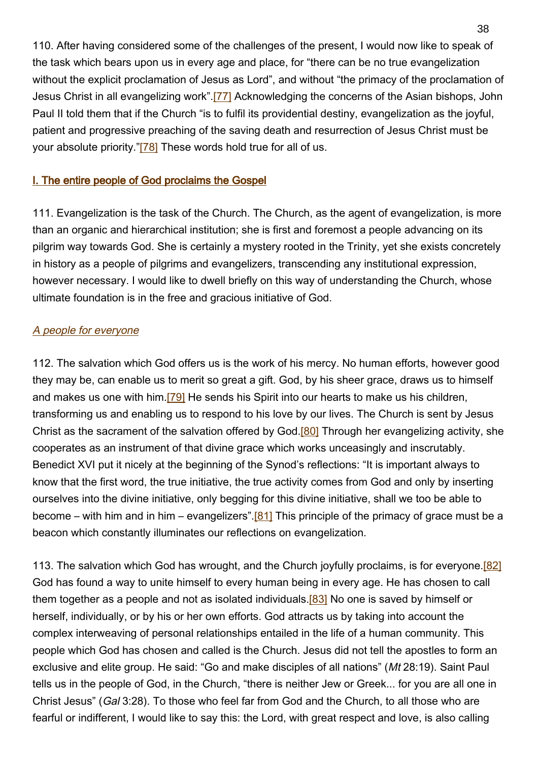110. After having considered some of the challenges of the present, I would now like to speak of the task which bears upon us in every age and place, for "there can be no true evangelization without the explicit proclamation of Jesus as Lord", and without "the primacy of the proclamation of Jesus Christ in all evangelizing work".[\[77\]](http://w2.vatican.va/content/francesco/en/apost_exhortations/documents/papa-francesco_esortazione-ap_20131124_evangelii-gaudium.html#_ftn77) Acknowledging the concerns of the Asian bishops, John Paul II told them that if the Church "is to fulfil its providential destiny, evangelization as the joyful, patient and progressive preaching of the saving death and resurrection of Jesus Christ must be your absolute priority."[\[78\]](http://w2.vatican.va/content/francesco/en/apost_exhortations/documents/papa-francesco_esortazione-ap_20131124_evangelii-gaudium.html#_ftn78) These words hold true for all of us.

### I. The entire people of God proclaims the Gospel

111. Evangelization is the task of the Church. The Church, as the agent of evangelization, is more than an organic and hierarchical institution; she is first and foremost a people advancing on its pilgrim way towards God. She is certainly a mystery rooted in the Trinity, yet she exists concretely in history as a people of pilgrims and evangelizers, transcending any institutional expression, however necessary. I would like to dwell briefly on this way of understanding the Church, whose ultimate foundation is in the free and gracious initiative of God.

### A people for everyone

112. The salvation which God offers us is the work of his mercy. No human efforts, however good they may be, can enable us to merit so great a gift. God, by his sheer grace, draws us to himself and makes us one with him.<sup>[\[79\]](http://w2.vatican.va/content/francesco/en/apost_exhortations/documents/papa-francesco_esortazione-ap_20131124_evangelii-gaudium.html#_ftn79)</sup> He sends his Spirit into our hearts to make us his children, transforming us and enabling us to respond to his love by our lives. The Church is sent by Jesus Christ as the sacrament of the salvation offered by God.[\[80\]](http://w2.vatican.va/content/francesco/en/apost_exhortations/documents/papa-francesco_esortazione-ap_20131124_evangelii-gaudium.html#_ftn80) Through her evangelizing activity, she cooperates as an instrument of that divine grace which works unceasingly and inscrutably. Benedict XVI put it nicely at the beginning of the Synod's reflections: "It is important always to know that the first word, the true initiative, the true activity comes from God and only by inserting ourselves into the divine initiative, only begging for this divine initiative, shall we too be able to become – with him and in him – evangelizers".  $[81]$  This principle of the primacy of grace must be a beacon which constantly illuminates our reflections on evangelization.

113. The salvation which God has wrought, and the Church joyfully proclaims, is for everyone.[\[82\]](http://w2.vatican.va/content/francesco/en/apost_exhortations/documents/papa-francesco_esortazione-ap_20131124_evangelii-gaudium.html#_ftn82) God has found a way to unite himself to every human being in every age. He has chosen to call them together as a people and not as isolated individuals.<sup>[\[83\]](http://w2.vatican.va/content/francesco/en/apost_exhortations/documents/papa-francesco_esortazione-ap_20131124_evangelii-gaudium.html#_ftn83)</sup> No one is saved by himself or herself, individually, or by his or her own efforts. God attracts us by taking into account the complex interweaving of personal relationships entailed in the life of a human community. This people which God has chosen and called is the Church. Jesus did not tell the apostles to form an exclusive and elite group. He said: "Go and make disciples of all nations" (Mt 28:19). Saint Paul tells us in the people of God, in the Church, "there is neither Jew or Greek... for you are all one in Christ Jesus" (Gal 3:28). To those who feel far from God and the Church, to all those who are fearful or indifferent, I would like to say this: the Lord, with great respect and love, is also calling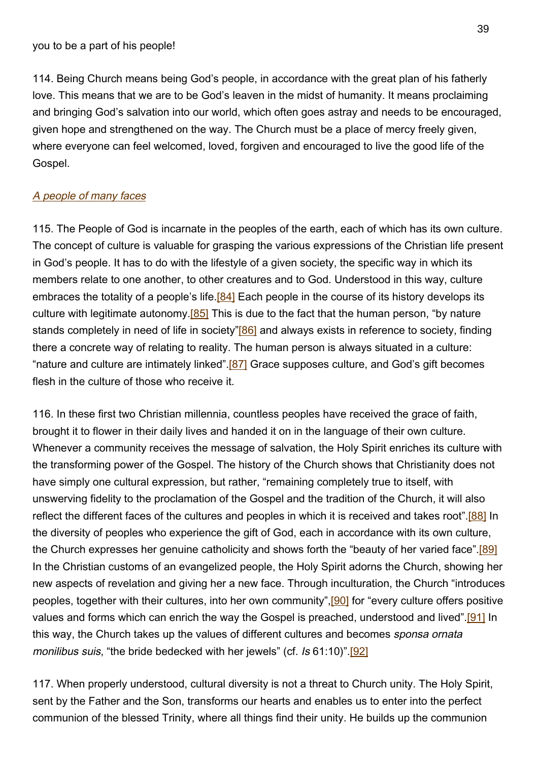114. Being Church means being God's people, in accordance with the great plan of his fatherly love. This means that we are to be God's leaven in the midst of humanity. It means proclaiming and bringing God's salvation into our world, which often goes astray and needs to be encouraged, given hope and strengthened on the way. The Church must be a place of mercy freely given, where everyone can feel welcomed, loved, forgiven and encouraged to live the good life of the Gospel.

# A people of many faces

115. The People of God is incarnate in the peoples of the earth, each of which has its own culture. The concept of culture is valuable for grasping the various expressions of the Christian life present in God's people. It has to do with the lifestyle of a given society, the specific way in which its members relate to one another, to other creatures and to God. Understood in this way, culture embraces the totality of a people's life.<sup>[\[84\]](http://w2.vatican.va/content/francesco/en/apost_exhortations/documents/papa-francesco_esortazione-ap_20131124_evangelii-gaudium.html#_ftn84)</sup> Each people in the course of its history develops its culture with legitimate autonomy.<sup>[\[85\]](http://w2.vatican.va/content/francesco/en/apost_exhortations/documents/papa-francesco_esortazione-ap_20131124_evangelii-gaudium.html#_ftn85)</sup> This is due to the fact that the human person, "by nature stands completely in need of life in society"[\[86\]](http://w2.vatican.va/content/francesco/en/apost_exhortations/documents/papa-francesco_esortazione-ap_20131124_evangelii-gaudium.html#_ftn86) and always exists in reference to society, finding there a concrete way of relating to reality. The human person is always situated in a culture: "nature and culture are intimately linked".<sup>[87]</sup> Grace supposes culture, and God's gift becomes flesh in the culture of those who receive it.

116. In these first two Christian millennia, countless peoples have received the grace of faith, brought it to flower in their daily lives and handed it on in the language of their own culture. Whenever a community receives the message of salvation, the Holy Spirit enriches its culture with the transforming power of the Gospel. The history of the Church shows that Christianity does not have simply one cultural expression, but rather, "remaining completely true to itself, with unswerving fidelity to the proclamation of the Gospel and the tradition of the Church, it will also reflect the different faces of the cultures and peoples in which it is received and takes root".<sup>[\[88\]](http://w2.vatican.va/content/francesco/en/apost_exhortations/documents/papa-francesco_esortazione-ap_20131124_evangelii-gaudium.html#_ftn88)</sup> In the diversity of peoples who experience the gift of God, each in accordance with its own culture, the Church expresses her genuine catholicity and shows forth the "beauty of her varied face".[\[89\]](http://w2.vatican.va/content/francesco/en/apost_exhortations/documents/papa-francesco_esortazione-ap_20131124_evangelii-gaudium.html#_ftn89) In the Christian customs of an evangelized people, the Holy Spirit adorns the Church, showing her new aspects of revelation and giving her a new face. Through inculturation, the Church "introduces peoples, together with their cultures, into her own community",[\[90\]](http://w2.vatican.va/content/francesco/en/apost_exhortations/documents/papa-francesco_esortazione-ap_20131124_evangelii-gaudium.html#_ftn90) for "every culture offers positive values and forms which can enrich the way the Gospel is preached, understood and lived".[\[91\]](http://w2.vatican.va/content/francesco/en/apost_exhortations/documents/papa-francesco_esortazione-ap_20131124_evangelii-gaudium.html#_ftn91) In this way, the Church takes up the values of different cultures and becomes *sponsa ornata* monilibus suis, "the bride bedecked with her jewels" (cf. Is 61:10)" [92]

117. When properly understood, cultural diversity is not a threat to Church unity. The Holy Spirit, sent by the Father and the Son, transforms our hearts and enables us to enter into the perfect communion of the blessed Trinity, where all things find their unity. He builds up the communion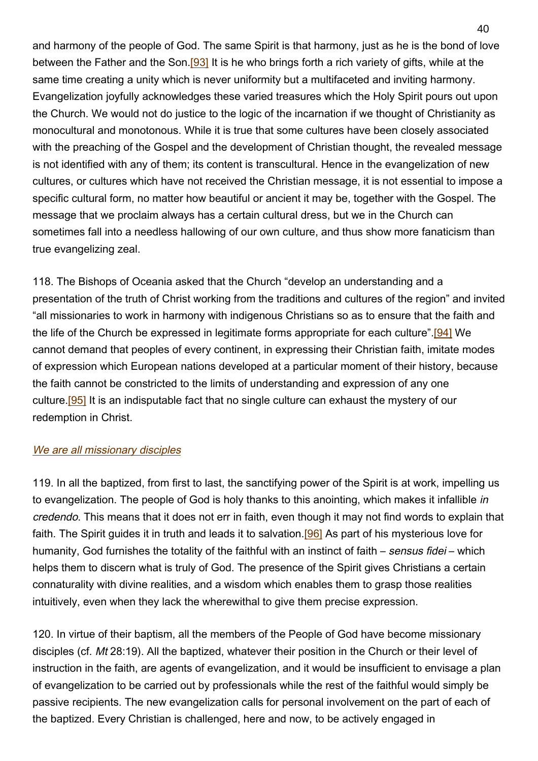and harmony of the people of God. The same Spirit is that harmony, just as he is the bond of love between the Father and the Son.<sup>[\[93\]](http://w2.vatican.va/content/francesco/en/apost_exhortations/documents/papa-francesco_esortazione-ap_20131124_evangelii-gaudium.html#_ftn93)</sup> It is he who brings forth a rich variety of gifts, while at the same time creating a unity which is never uniformity but a multifaceted and inviting harmony. Evangelization joyfully acknowledges these varied treasures which the Holy Spirit pours out upon the Church. We would not do justice to the logic of the incarnation if we thought of Christianity as monocultural and monotonous. While it is true that some cultures have been closely associated with the preaching of the Gospel and the development of Christian thought, the revealed message is not identified with any of them; its content is transcultural. Hence in the evangelization of new cultures, or cultures which have not received the Christian message, it is not essential to impose a specific cultural form, no matter how beautiful or ancient it may be, together with the Gospel. The message that we proclaim always has a certain cultural dress, but we in the Church can sometimes fall into a needless hallowing of our own culture, and thus show more fanaticism than true evangelizing zeal.

118. The Bishops of Oceania asked that the Church "develop an understanding and a presentation of the truth of Christ working from the traditions and cultures of the region" and invited "all missionaries to work in harmony with indigenous Christians so as to ensure that the faith and the life of the Church be expressed in legitimate forms appropriate for each culture".[\[94\]](http://w2.vatican.va/content/francesco/en/apost_exhortations/documents/papa-francesco_esortazione-ap_20131124_evangelii-gaudium.html#_ftn94) We cannot demand that peoples of every continent, in expressing their Christian faith, imitate modes of expression which European nations developed at a particular moment of their history, because the faith cannot be constricted to the limits of understanding and expression of any one culture[.\[95\]](http://w2.vatican.va/content/francesco/en/apost_exhortations/documents/papa-francesco_esortazione-ap_20131124_evangelii-gaudium.html#_ftn95) It is an indisputable fact that no single culture can exhaust the mystery of our redemption in Christ.

### We are all missionary disciples

119. In all the baptized, from first to last, the sanctifying power of the Spirit is at work, impelling us to evangelization. The people of God is holy thanks to this anointing, which makes it infallible in credendo. This means that it does not err in faith, even though it may not find words to explain that faith. The Spirit guides it in truth and leads it to salvation.<sup>[\[96\]](http://w2.vatican.va/content/francesco/en/apost_exhortations/documents/papa-francesco_esortazione-ap_20131124_evangelii-gaudium.html#_ftn96)</sup> As part of his mysterious love for humanity. God furnishes the totality of the faithful with an instinct of faith – sensus fidei – which helps them to discern what is truly of God. The presence of the Spirit gives Christians a certain connaturality with divine realities, and a wisdom which enables them to grasp those realities intuitively, even when they lack the wherewithal to give them precise expression.

120. In virtue of their baptism, all the members of the People of God have become missionary disciples (cf. Mt 28:19). All the baptized, whatever their position in the Church or their level of instruction in the faith, are agents of evangelization, and it would be insufficient to envisage a plan of evangelization to be carried out by professionals while the rest of the faithful would simply be passive recipients. The new evangelization calls for personal involvement on the part of each of the baptized. Every Christian is challenged, here and now, to be actively engaged in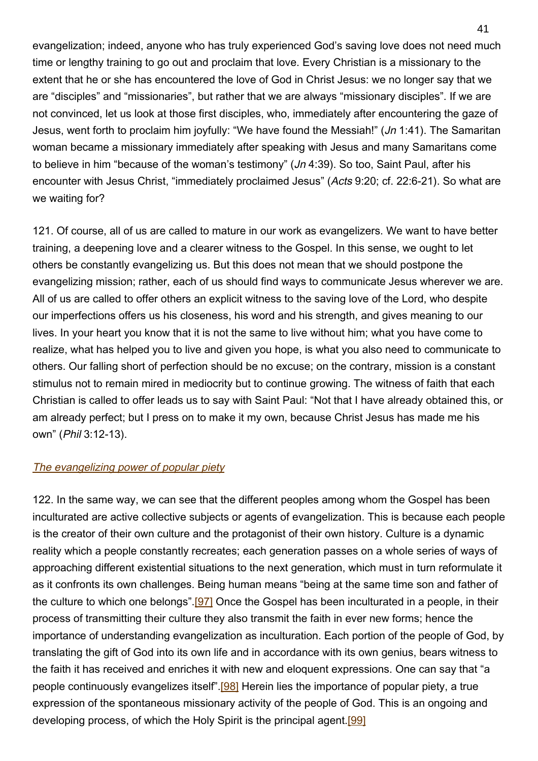evangelization; indeed, anyone who has truly experienced God's saving love does not need much time or lengthy training to go out and proclaim that love. Every Christian is a missionary to the extent that he or she has encountered the love of God in Christ Jesus: we no longer say that we are "disciples" and "missionaries", but rather that we are always "missionary disciples". If we are not convinced, let us look at those first disciples, who, immediately after encountering the gaze of Jesus, went forth to proclaim him joyfully: "We have found the Messiah!" (Jn 1:41). The Samaritan woman became a missionary immediately after speaking with Jesus and many Samaritans come to believe in him "because of the woman's testimony" (*Jn* 4:39). So too, Saint Paul, after his encounter with Jesus Christ, "immediately proclaimed Jesus" (Acts 9:20; cf. 22:6-21). So what are we waiting for?

121. Of course, all of us are called to mature in our work as evangelizers. We want to have better training, a deepening love and a clearer witness to the Gospel. In this sense, we ought to let others be constantly evangelizing us. But this does not mean that we should postpone the evangelizing mission; rather, each of us should find ways to communicate Jesus wherever we are. All of us are called to offer others an explicit witness to the saving love of the Lord, who despite our imperfections offers us his closeness, his word and his strength, and gives meaning to our lives. In your heart you know that it is not the same to live without him; what you have come to realize, what has helped you to live and given you hope, is what you also need to communicate to others. Our falling short of perfection should be no excuse; on the contrary, mission is a constant stimulus not to remain mired in mediocrity but to continue growing. The witness of faith that each Christian is called to offer leads us to say with Saint Paul: "Not that I have already obtained this, or am already perfect; but I press on to make it my own, because Christ Jesus has made me his own" (Phil 3:12-13).

#### The evangelizing power of popular piety

122. In the same way, we can see that the different peoples among whom the Gospel has been inculturated are active collective subjects or agents of evangelization. This is because each people is the creator of their own culture and the protagonist of their own history. Culture is a dynamic reality which a people constantly recreates; each generation passes on a whole series of ways of approaching different existential situations to the next generation, which must in turn reformulate it as it confronts its own challenges. Being human means "being at the same time son and father of the culture to which one belongs"[.\[97\]](http://w2.vatican.va/content/francesco/en/apost_exhortations/documents/papa-francesco_esortazione-ap_20131124_evangelii-gaudium.html#_ftn97) Once the Gospel has been inculturated in a people, in their process of transmitting their culture they also transmit the faith in ever new forms; hence the importance of understanding evangelization as inculturation. Each portion of the people of God, by translating the gift of God into its own life and in accordance with its own genius, bears witness to the faith it has received and enriches it with new and eloquent expressions. One can say that "a people continuously evangelizes itself"[.\[98\]](http://w2.vatican.va/content/francesco/en/apost_exhortations/documents/papa-francesco_esortazione-ap_20131124_evangelii-gaudium.html#_ftn98) Herein lies the importance of popular piety, a true expression of the spontaneous missionary activity of the people of God. This is an ongoing and developing process, of which the Holy Spirit is the principal agent.[\[99\]](http://w2.vatican.va/content/francesco/en/apost_exhortations/documents/papa-francesco_esortazione-ap_20131124_evangelii-gaudium.html#_ftn99)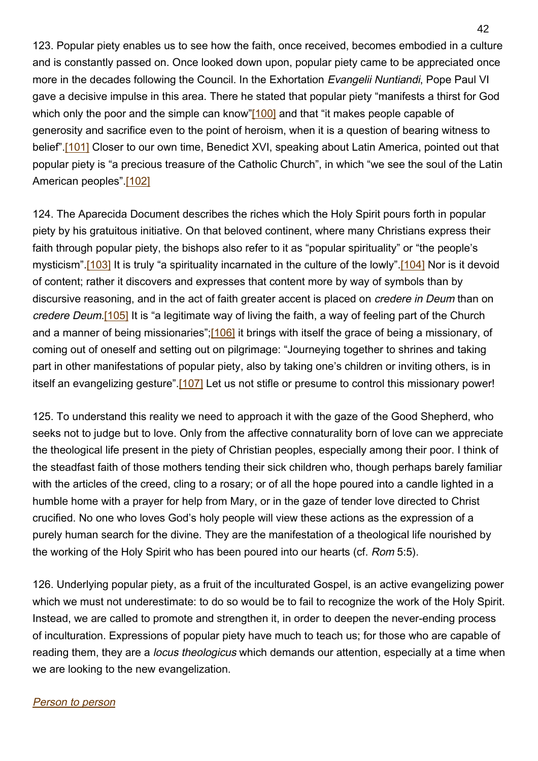123. Popular piety enables us to see how the faith, once received, becomes embodied in a culture and is constantly passed on. Once looked down upon, popular piety came to be appreciated once more in the decades following the Council. In the Exhortation Evangelii Nuntiandi, Pope Paul VI gave a decisive impulse in this area. There he stated that popular piety "manifests a thirst for God which only the poor and the simple can know"[\[100\]](http://w2.vatican.va/content/francesco/en/apost_exhortations/documents/papa-francesco_esortazione-ap_20131124_evangelii-gaudium.html#_ftn100) and that "it makes people capable of generosity and sacrifice even to the point of heroism, when it is a question of bearing witness to belief".[\[101\]](http://w2.vatican.va/content/francesco/en/apost_exhortations/documents/papa-francesco_esortazione-ap_20131124_evangelii-gaudium.html#_ftn101) Closer to our own time, Benedict XVI, speaking about Latin America, pointed out that popular piety is "a precious treasure of the Catholic Church", in which "we see the soul of the Latin American peoples"[.\[102\]](http://w2.vatican.va/content/francesco/en/apost_exhortations/documents/papa-francesco_esortazione-ap_20131124_evangelii-gaudium.html#_ftn102)

124. The Aparecida Document describes the riches which the Holy Spirit pours forth in popular piety by his gratuitous initiative. On that beloved continent, where many Christians express their faith through popular piety, the bishops also refer to it as "popular spirituality" or "the people's mysticism".[\[103\]](http://w2.vatican.va/content/francesco/en/apost_exhortations/documents/papa-francesco_esortazione-ap_20131124_evangelii-gaudium.html#_ftn103) It is truly "a spirituality incarnated in the culture of the lowly"[.\[104\]](http://w2.vatican.va/content/francesco/en/apost_exhortations/documents/papa-francesco_esortazione-ap_20131124_evangelii-gaudium.html#_ftn104) Nor is it devoid of content; rather it discovers and expresses that content more by way of symbols than by discursive reasoning, and in the act of faith greater accent is placed on *credere in Deum* than on credere Deum[.\[105\]](http://w2.vatican.va/content/francesco/en/apost_exhortations/documents/papa-francesco_esortazione-ap_20131124_evangelii-gaudium.html#_ftn105) It is "a legitimate way of living the faith, a way of feeling part of the Church and a manner of being missionaries"[;\[106\]](http://w2.vatican.va/content/francesco/en/apost_exhortations/documents/papa-francesco_esortazione-ap_20131124_evangelii-gaudium.html#_ftn106) it brings with itself the grace of being a missionary, of coming out of oneself and setting out on pilgrimage: "Journeying together to shrines and taking part in other manifestations of popular piety, also by taking one's children or inviting others, is in itself an evangelizing gesture".[\[107\]](http://w2.vatican.va/content/francesco/en/apost_exhortations/documents/papa-francesco_esortazione-ap_20131124_evangelii-gaudium.html#_ftn107) Let us not stifle or presume to control this missionary power!

125. To understand this reality we need to approach it with the gaze of the Good Shepherd, who seeks not to judge but to love. Only from the affective connaturality born of love can we appreciate the theological life present in the piety of Christian peoples, especially among their poor. I think of the steadfast faith of those mothers tending their sick children who, though perhaps barely familiar with the articles of the creed, cling to a rosary; or of all the hope poured into a candle lighted in a humble home with a prayer for help from Mary, or in the gaze of tender love directed to Christ crucified. No one who loves God's holy people will view these actions as the expression of a purely human search for the divine. They are the manifestation of a theological life nourished by the working of the Holy Spirit who has been poured into our hearts (cf. Rom 5:5).

126. Underlying popular piety, as a fruit of the inculturated Gospel, is an active evangelizing power which we must not underestimate: to do so would be to fail to recognize the work of the Holy Spirit. Instead, we are called to promote and strengthen it, in order to deepen the never-ending process of inculturation. Expressions of popular piety have much to teach us; for those who are capable of reading them, they are a *locus theologicus* which demands our attention, especially at a time when we are looking to the new evangelization.

### Person to person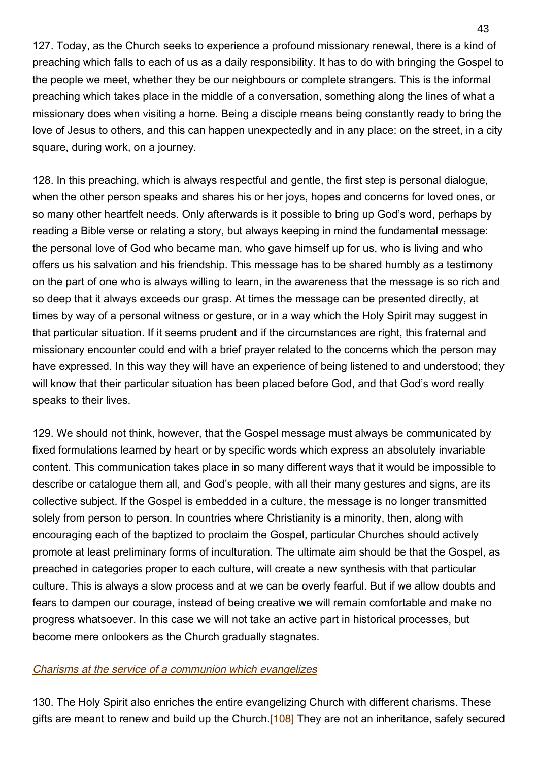127. Today, as the Church seeks to experience a profound missionary renewal, there is a kind of preaching which falls to each of us as a daily responsibility. It has to do with bringing the Gospel to the people we meet, whether they be our neighbours or complete strangers. This is the informal preaching which takes place in the middle of a conversation, something along the lines of what a missionary does when visiting a home. Being a disciple means being constantly ready to bring the love of Jesus to others, and this can happen unexpectedly and in any place: on the street, in a city square, during work, on a journey.

128. In this preaching, which is always respectful and gentle, the first step is personal dialogue, when the other person speaks and shares his or her joys, hopes and concerns for loved ones, or so many other heartfelt needs. Only afterwards is it possible to bring up God's word, perhaps by reading a Bible verse or relating a story, but always keeping in mind the fundamental message: the personal love of God who became man, who gave himself up for us, who is living and who offers us his salvation and his friendship. This message has to be shared humbly as a testimony on the part of one who is always willing to learn, in the awareness that the message is so rich and so deep that it always exceeds our grasp. At times the message can be presented directly, at times by way of a personal witness or gesture, or in a way which the Holy Spirit may suggest in that particular situation. If it seems prudent and if the circumstances are right, this fraternal and missionary encounter could end with a brief prayer related to the concerns which the person may have expressed. In this way they will have an experience of being listened to and understood; they will know that their particular situation has been placed before God, and that God's word really speaks to their lives.

129. We should not think, however, that the Gospel message must always be communicated by fixed formulations learned by heart or by specific words which express an absolutely invariable content. This communication takes place in so many different ways that it would be impossible to describe or catalogue them all, and God's people, with all their many gestures and signs, are its collective subject. If the Gospel is embedded in a culture, the message is no longer transmitted solely from person to person. In countries where Christianity is a minority, then, along with encouraging each of the baptized to proclaim the Gospel, particular Churches should actively promote at least preliminary forms of inculturation. The ultimate aim should be that the Gospel, as preached in categories proper to each culture, will create a new synthesis with that particular culture. This is always a slow process and at we can be overly fearful. But if we allow doubts and fears to dampen our courage, instead of being creative we will remain comfortable and make no progress whatsoever. In this case we will not take an active part in historical processes, but become mere onlookers as the Church gradually stagnates.

## Charisms at the service of a communion which evangelizes

130. The Holy Spirit also enriches the entire evangelizing Church with different charisms. These gifts are meant to renew and build up the Church.<sup>[\[108\]](http://w2.vatican.va/content/francesco/en/apost_exhortations/documents/papa-francesco_esortazione-ap_20131124_evangelii-gaudium.html#_ftn108)</sup> They are not an inheritance, safely secured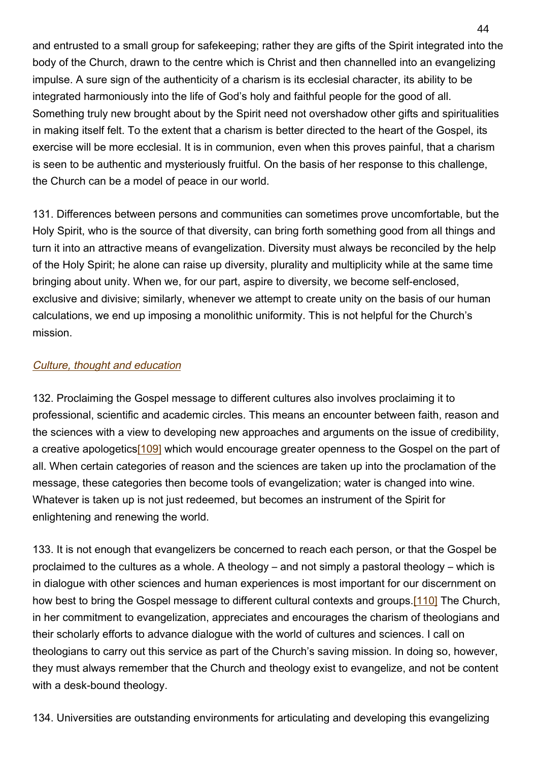and entrusted to a small group for safekeeping; rather they are gifts of the Spirit integrated into the body of the Church, drawn to the centre which is Christ and then channelled into an evangelizing impulse. A sure sign of the authenticity of a charism is its ecclesial character, its ability to be integrated harmoniously into the life of God's holy and faithful people for the good of all. Something truly new brought about by the Spirit need not overshadow other gifts and spiritualities in making itself felt. To the extent that a charism is better directed to the heart of the Gospel, its exercise will be more ecclesial. It is in communion, even when this proves painful, that a charism is seen to be authentic and mysteriously fruitful. On the basis of her response to this challenge, the Church can be a model of peace in our world.

131. Differences between persons and communities can sometimes prove uncomfortable, but the Holy Spirit, who is the source of that diversity, can bring forth something good from all things and turn it into an attractive means of evangelization. Diversity must always be reconciled by the help of the Holy Spirit; he alone can raise up diversity, plurality and multiplicity while at the same time bringing about unity. When we, for our part, aspire to diversity, we become self-enclosed, exclusive and divisive; similarly, whenever we attempt to create unity on the basis of our human calculations, we end up imposing a monolithic uniformity. This is not helpful for the Church's mission.

## Culture, thought and education

132. Proclaiming the Gospel message to different cultures also involves proclaiming it to professional, scientific and academic circles. This means an encounter between faith, reason and the sciences with a view to developing new approaches and arguments on the issue of credibility, a creative apologetics<sup>[109]</sup> which would encourage greater openness to the Gospel on the part of all. When certain categories of reason and the sciences are taken up into the proclamation of the message, these categories then become tools of evangelization; water is changed into wine. Whatever is taken up is not just redeemed, but becomes an instrument of the Spirit for enlightening and renewing the world.

133. It is not enough that evangelizers be concerned to reach each person, or that the Gospel be proclaimed to the cultures as a whole. A theology – and not simply a pastoral theology – which is in dialogue with other sciences and human experiences is most important for our discernment on how best to bring the Gospel message to different cultural contexts and groups[.\[110\]](http://w2.vatican.va/content/francesco/en/apost_exhortations/documents/papa-francesco_esortazione-ap_20131124_evangelii-gaudium.html#_ftn110) The Church, in her commitment to evangelization, appreciates and encourages the charism of theologians and their scholarly efforts to advance dialogue with the world of cultures and sciences. I call on theologians to carry out this service as part of the Church's saving mission. In doing so, however, they must always remember that the Church and theology exist to evangelize, and not be content with a desk-bound theology.

134. Universities are outstanding environments for articulating and developing this evangelizing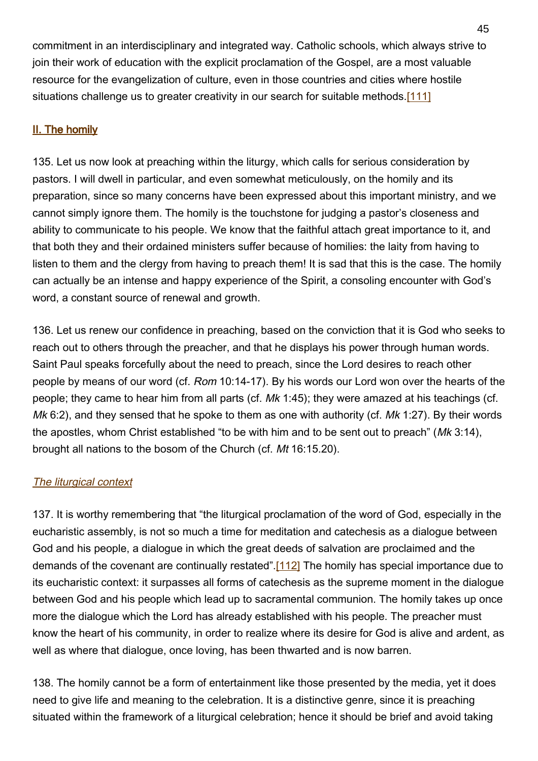commitment in an interdisciplinary and integrated way. Catholic schools, which always strive to join their work of education with the explicit proclamation of the Gospel, are a most valuable resource for the evangelization of culture, even in those countries and cities where hostile situations challenge us to greater creativity in our search for suitable methods.[\[111\]](http://w2.vatican.va/content/francesco/en/apost_exhortations/documents/papa-francesco_esortazione-ap_20131124_evangelii-gaudium.html#_ftn111)

# **II. The homily**

135. Let us now look at preaching within the liturgy, which calls for serious consideration by pastors. I will dwell in particular, and even somewhat meticulously, on the homily and its preparation, since so many concerns have been expressed about this important ministry, and we cannot simply ignore them. The homily is the touchstone for judging a pastor's closeness and ability to communicate to his people. We know that the faithful attach great importance to it, and that both they and their ordained ministers suffer because of homilies: the laity from having to listen to them and the clergy from having to preach them! It is sad that this is the case. The homily can actually be an intense and happy experience of the Spirit, a consoling encounter with God's word, a constant source of renewal and growth.

136. Let us renew our confidence in preaching, based on the conviction that it is God who seeks to reach out to others through the preacher, and that he displays his power through human words. Saint Paul speaks forcefully about the need to preach, since the Lord desires to reach other people by means of our word (cf. Rom 10:14-17). By his words our Lord won over the hearts of the people; they came to hear him from all parts (cf. Mk 1:45); they were amazed at his teachings (cf. Mk 6:2), and they sensed that he spoke to them as one with authority (cf.  $Mk$  1:27). By their words the apostles, whom Christ established "to be with him and to be sent out to preach" (Mk 3:14). brought all nations to the bosom of the Church (cf. Mt 16:15.20).

## The liturgical context

137. It is worthy remembering that "the liturgical proclamation of the word of God, especially in the eucharistic assembly, is not so much a time for meditation and catechesis as a dialogue between God and his people, a dialogue in which the great deeds of salvation are proclaimed and the demands of the covenant are continually restated"[.\[112\]](http://w2.vatican.va/content/francesco/en/apost_exhortations/documents/papa-francesco_esortazione-ap_20131124_evangelii-gaudium.html#_ftn112) The homily has special importance due to its eucharistic context: it surpasses all forms of catechesis as the supreme moment in the dialogue between God and his people which lead up to sacramental communion. The homily takes up once more the dialogue which the Lord has already established with his people. The preacher must know the heart of his community, in order to realize where its desire for God is alive and ardent, as well as where that dialogue, once loving, has been thwarted and is now barren.

138. The homily cannot be a form of entertainment like those presented by the media, yet it does need to give life and meaning to the celebration. It is a distinctive genre, since it is preaching situated within the framework of a liturgical celebration; hence it should be brief and avoid taking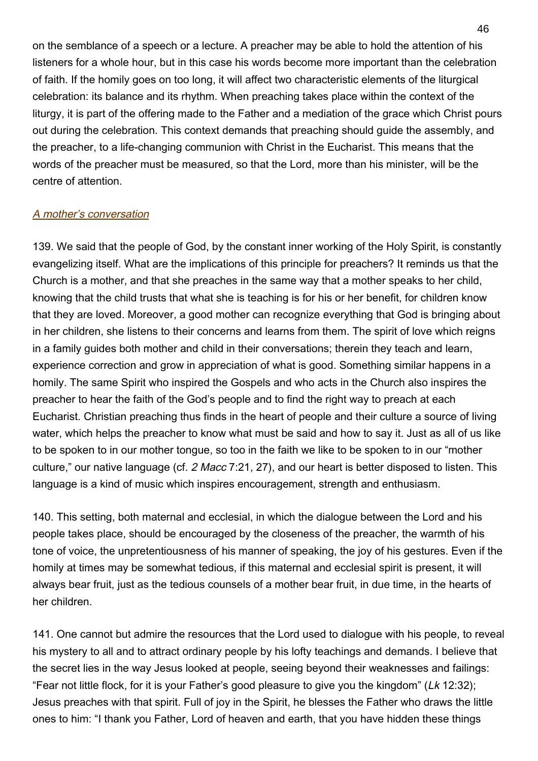on the semblance of a speech or a lecture. A preacher may be able to hold the attention of his listeners for a whole hour, but in this case his words become more important than the celebration of faith. If the homily goes on too long, it will affect two characteristic elements of the liturgical celebration: its balance and its rhythm. When preaching takes place within the context of the liturgy, it is part of the offering made to the Father and a mediation of the grace which Christ pours out during the celebration. This context demands that preaching should guide the assembly, and the preacher, to a life-changing communion with Christ in the Eucharist. This means that the words of the preacher must be measured, so that the Lord, more than his minister, will be the centre of attention.

#### A mother's conversation

139. We said that the people of God, by the constant inner working of the Holy Spirit, is constantly evangelizing itself. What are the implications of this principle for preachers? It reminds us that the Church is a mother, and that she preaches in the same way that a mother speaks to her child, knowing that the child trusts that what she is teaching is for his or her benefit, for children know that they are loved. Moreover, a good mother can recognize everything that God is bringing about in her children, she listens to their concerns and learns from them. The spirit of love which reigns in a family guides both mother and child in their conversations; therein they teach and learn, experience correction and grow in appreciation of what is good. Something similar happens in a homily. The same Spirit who inspired the Gospels and who acts in the Church also inspires the preacher to hear the faith of the God's people and to find the right way to preach at each Eucharist. Christian preaching thus finds in the heart of people and their culture a source of living water, which helps the preacher to know what must be said and how to say it. Just as all of us like to be spoken to in our mother tongue, so too in the faith we like to be spoken to in our "mother culture," our native language (cf. 2 Macc 7:21, 27), and our heart is better disposed to listen. This language is a kind of music which inspires encouragement, strength and enthusiasm.

140. This setting, both maternal and ecclesial, in which the dialogue between the Lord and his people takes place, should be encouraged by the closeness of the preacher, the warmth of his tone of voice, the unpretentiousness of his manner of speaking, the joy of his gestures. Even if the homily at times may be somewhat tedious, if this maternal and ecclesial spirit is present, it will always bear fruit, just as the tedious counsels of a mother bear fruit, in due time, in the hearts of her children.

141. One cannot but admire the resources that the Lord used to dialogue with his people, to reveal his mystery to all and to attract ordinary people by his lofty teachings and demands. I believe that the secret lies in the way Jesus looked at people, seeing beyond their weaknesses and failings: "Fear not little flock, for it is your Father's good pleasure to give you the kingdom" ( $Lk$  12:32); Jesus preaches with that spirit. Full of joy in the Spirit, he blesses the Father who draws the little ones to him: "I thank you Father, Lord of heaven and earth, that you have hidden these things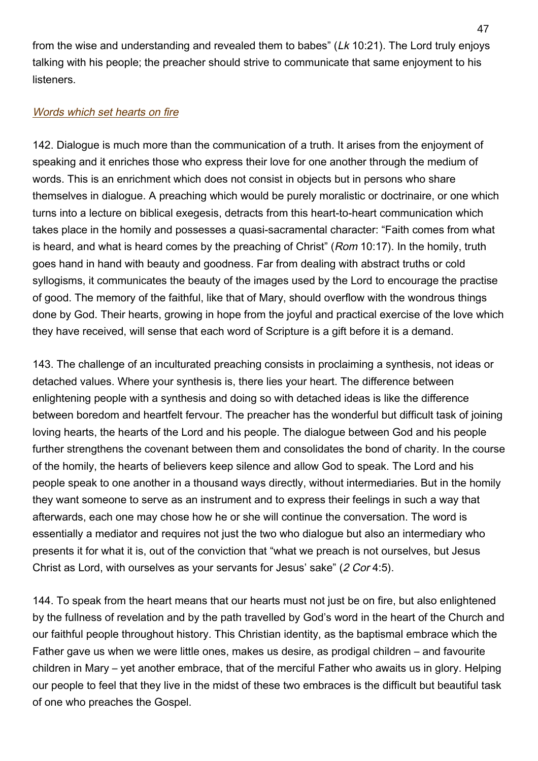from the wise and understanding and revealed them to babes" (Lk 10:21). The Lord truly enjoys talking with his people; the preacher should strive to communicate that same enjoyment to his listeners.

#### Words which set hearts on fire

142. Dialogue is much more than the communication of a truth. It arises from the enjoyment of speaking and it enriches those who express their love for one another through the medium of words. This is an enrichment which does not consist in objects but in persons who share themselves in dialogue. A preaching which would be purely moralistic or doctrinaire, or one which turns into a lecture on biblical exegesis, detracts from this heart-to-heart communication which takes place in the homily and possesses a quasi-sacramental character: "Faith comes from what is heard, and what is heard comes by the preaching of Christ" (Rom 10:17). In the homily, truth goes hand in hand with beauty and goodness. Far from dealing with abstract truths or cold syllogisms, it communicates the beauty of the images used by the Lord to encourage the practise of good. The memory of the faithful, like that of Mary, should overflow with the wondrous things done by God. Their hearts, growing in hope from the joyful and practical exercise of the love which they have received, will sense that each word of Scripture is a gift before it is a demand.

143. The challenge of an inculturated preaching consists in proclaiming a synthesis, not ideas or detached values. Where your synthesis is, there lies your heart. The difference between enlightening people with a synthesis and doing so with detached ideas is like the difference between boredom and heartfelt fervour. The preacher has the wonderful but difficult task of joining loving hearts, the hearts of the Lord and his people. The dialogue between God and his people further strengthens the covenant between them and consolidates the bond of charity. In the course of the homily, the hearts of believers keep silence and allow God to speak. The Lord and his people speak to one another in a thousand ways directly, without intermediaries. But in the homily they want someone to serve as an instrument and to express their feelings in such a way that afterwards, each one may chose how he or she will continue the conversation. The word is essentially a mediator and requires not just the two who dialogue but also an intermediary who presents it for what it is, out of the conviction that "what we preach is not ourselves, but Jesus Christ as Lord, with ourselves as your servants for Jesus' sake" (2 Cor 4:5).

144. To speak from the heart means that our hearts must not just be on fire, but also enlightened by the fullness of revelation and by the path travelled by God's word in the heart of the Church and our faithful people throughout history. This Christian identity, as the baptismal embrace which the Father gave us when we were little ones, makes us desire, as prodigal children – and favourite children in Mary – yet another embrace, that of the merciful Father who awaits us in glory. Helping our people to feel that they live in the midst of these two embraces is the difficult but beautiful task of one who preaches the Gospel.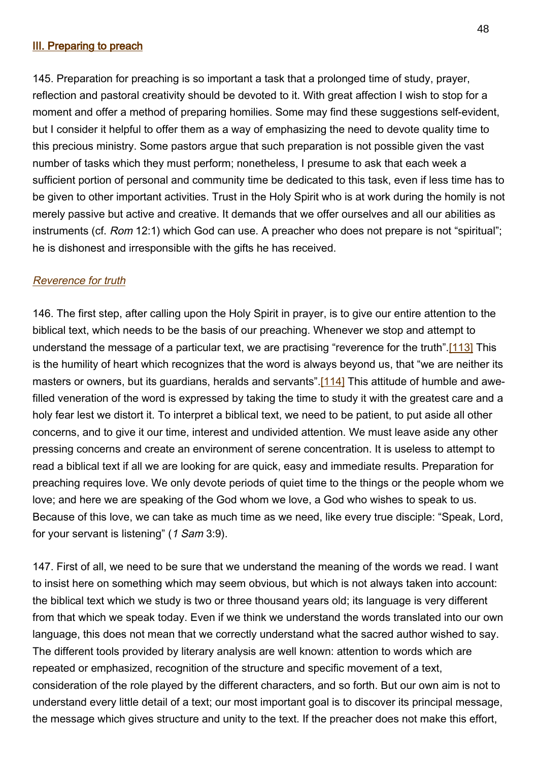### III. Preparing to preach

145. Preparation for preaching is so important a task that a prolonged time of study, prayer, reflection and pastoral creativity should be devoted to it. With great affection I wish to stop for a moment and offer a method of preparing homilies. Some may find these suggestions self-evident, but I consider it helpful to offer them as a way of emphasizing the need to devote quality time to this precious ministry. Some pastors argue that such preparation is not possible given the vast number of tasks which they must perform; nonetheless, I presume to ask that each week a sufficient portion of personal and community time be dedicated to this task, even if less time has to be given to other important activities. Trust in the Holy Spirit who is at work during the homily is not merely passive but active and creative. It demands that we offer ourselves and all our abilities as instruments (cf. Rom 12:1) which God can use. A preacher who does not prepare is not "spiritual"; he is dishonest and irresponsible with the gifts he has received.

#### Reverence for truth

146. The first step, after calling upon the Holy Spirit in prayer, is to give our entire attention to the biblical text, which needs to be the basis of our preaching. Whenever we stop and attempt to understand the message of a particular text, we are practising "reverence for the truth".[\[113\]](http://w2.vatican.va/content/francesco/en/apost_exhortations/documents/papa-francesco_esortazione-ap_20131124_evangelii-gaudium.html#_ftn113) This is the humility of heart which recognizes that the word is always beyond us, that "we are neither its masters or owners, but its guardians, heralds and servants". [\[114\]](http://w2.vatican.va/content/francesco/en/apost_exhortations/documents/papa-francesco_esortazione-ap_20131124_evangelii-gaudium.html#_ftn114) This attitude of humble and awefilled veneration of the word is expressed by taking the time to study it with the greatest care and a holy fear lest we distort it. To interpret a biblical text, we need to be patient, to put aside all other concerns, and to give it our time, interest and undivided attention. We must leave aside any other pressing concerns and create an environment of serene concentration. It is useless to attempt to read a biblical text if all we are looking for are quick, easy and immediate results. Preparation for preaching requires love. We only devote periods of quiet time to the things or the people whom we love; and here we are speaking of the God whom we love, a God who wishes to speak to us. Because of this love, we can take as much time as we need, like every true disciple: "Speak, Lord, for your servant is listening" (1 Sam 3:9).

147. First of all, we need to be sure that we understand the meaning of the words we read. I want to insist here on something which may seem obvious, but which is not always taken into account: the biblical text which we study is two or three thousand years old; its language is very different from that which we speak today. Even if we think we understand the words translated into our own language, this does not mean that we correctly understand what the sacred author wished to say. The different tools provided by literary analysis are well known: attention to words which are repeated or emphasized, recognition of the structure and specific movement of a text, consideration of the role played by the different characters, and so forth. But our own aim is not to understand every little detail of a text; our most important goal is to discover its principal message, the message which gives structure and unity to the text. If the preacher does not make this effort,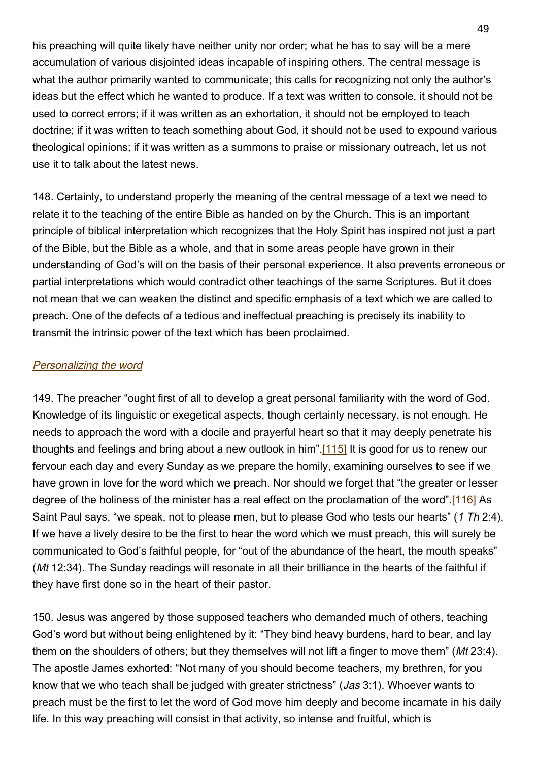his preaching will quite likely have neither unity nor order; what he has to say will be a mere accumulation of various disjointed ideas incapable of inspiring others. The central message is what the author primarily wanted to communicate; this calls for recognizing not only the author's ideas but the effect which he wanted to produce. If a text was written to console, it should not be used to correct errors; if it was written as an exhortation, it should not be employed to teach doctrine; if it was written to teach something about God, it should not be used to expound various theological opinions; if it was written as a summons to praise or missionary outreach, let us not use it to talk about the latest news.

148. Certainly, to understand properly the meaning of the central message of a text we need to relate it to the teaching of the entire Bible as handed on by the Church. This is an important principle of biblical interpretation which recognizes that the Holy Spirit has inspired not just a part of the Bible, but the Bible as a whole, and that in some areas people have grown in their understanding of God's will on the basis of their personal experience. It also prevents erroneous or partial interpretations which would contradict other teachings of the same Scriptures. But it does not mean that we can weaken the distinct and specific emphasis of a text which we are called to preach. One of the defects of a tedious and ineffectual preaching is precisely its inability to transmit the intrinsic power of the text which has been proclaimed.

#### Personalizing the word

149. The preacher "ought first of all to develop a great personal familiarity with the word of God. Knowledge of its linguistic or exegetical aspects, though certainly necessary, is not enough. He needs to approach the word with a docile and prayerful heart so that it may deeply penetrate his thoughts and feelings and bring about a new outlook in him".[\[115\]](http://w2.vatican.va/content/francesco/en/apost_exhortations/documents/papa-francesco_esortazione-ap_20131124_evangelii-gaudium.html#_ftn115) It is good for us to renew our fervour each day and every Sunday as we prepare the homily, examining ourselves to see if we have grown in love for the word which we preach. Nor should we forget that "the greater or lesser degree of the holiness of the minister has a real effect on the proclamation of the word".[\[116\]](http://w2.vatican.va/content/francesco/en/apost_exhortations/documents/papa-francesco_esortazione-ap_20131124_evangelii-gaudium.html#_ftn116) As Saint Paul says, "we speak, not to please men, but to please God who tests our hearts" (1 Th 2:4). If we have a lively desire to be the first to hear the word which we must preach, this will surely be communicated to God's faithful people, for "out of the abundance of the heart, the mouth speaks" (Mt 12:34). The Sunday readings will resonate in all their brilliance in the hearts of the faithful if they have first done so in the heart of their pastor.

150. Jesus was angered by those supposed teachers who demanded much of others, teaching God's word but without being enlightened by it: "They bind heavy burdens, hard to bear, and lay them on the shoulders of others; but they themselves will not lift a finger to move them" (Mt 23:4). The apostle James exhorted: "Not many of you should become teachers, my brethren, for you know that we who teach shall be judged with greater strictness" (Jas 3:1). Whoever wants to preach must be the first to let the word of God move him deeply and become incarnate in his daily life. In this way preaching will consist in that activity, so intense and fruitful, which is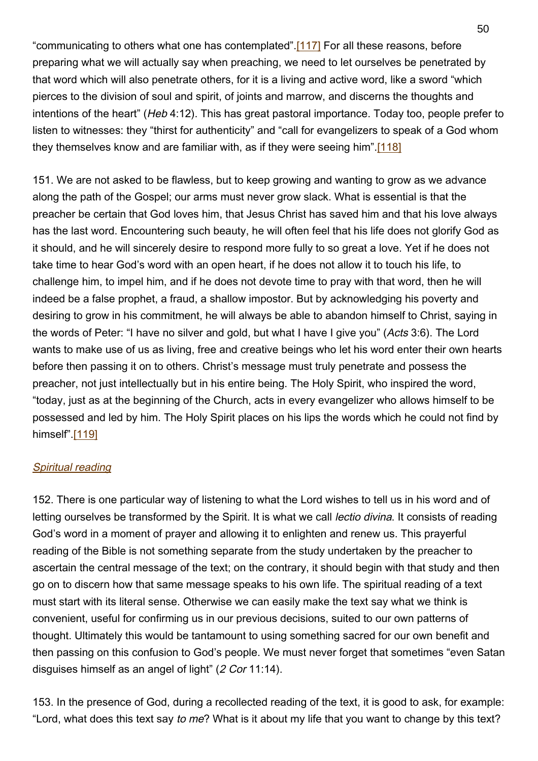"communicating to others what one has contemplated".[\[117\]](http://w2.vatican.va/content/francesco/en/apost_exhortations/documents/papa-francesco_esortazione-ap_20131124_evangelii-gaudium.html#_ftn117) For all these reasons, before preparing what we will actually say when preaching, we need to let ourselves be penetrated by that word which will also penetrate others, for it is a living and active word, like a sword "which pierces to the division of soul and spirit, of joints and marrow, and discerns the thoughts and intentions of the heart" (Heb 4:12). This has great pastoral importance. Today too, people prefer to listen to witnesses: they "thirst for authenticity" and "call for evangelizers to speak of a God whom they themselves know and are familiar with, as if they were seeing him"[.\[118\]](http://w2.vatican.va/content/francesco/en/apost_exhortations/documents/papa-francesco_esortazione-ap_20131124_evangelii-gaudium.html#_ftn118)

151. We are not asked to be flawless, but to keep growing and wanting to grow as we advance along the path of the Gospel; our arms must never grow slack. What is essential is that the preacher be certain that God loves him, that Jesus Christ has saved him and that his love always has the last word. Encountering such beauty, he will often feel that his life does not glorify God as it should, and he will sincerely desire to respond more fully to so great a love. Yet if he does not take time to hear God's word with an open heart, if he does not allow it to touch his life, to challenge him, to impel him, and if he does not devote time to pray with that word, then he will indeed be a false prophet, a fraud, a shallow impostor. But by acknowledging his poverty and desiring to grow in his commitment, he will always be able to abandon himself to Christ, saying in the words of Peter: "I have no silver and gold, but what I have I give you" (Acts 3:6). The Lord wants to make use of us as living, free and creative beings who let his word enter their own hearts before then passing it on to others. Christ's message must truly penetrate and possess the preacher, not just intellectually but in his entire being. The Holy Spirit, who inspired the word, "today, just as at the beginning of the Church, acts in every evangelizer who allows himself to be possessed and led by him. The Holy Spirit places on his lips the words which he could not find by himself"[.\[119\]](http://w2.vatican.va/content/francesco/en/apost_exhortations/documents/papa-francesco_esortazione-ap_20131124_evangelii-gaudium.html#_ftn119)

### Spiritual reading

152. There is one particular way of listening to what the Lord wishes to tell us in his word and of letting ourselves be transformed by the Spirit. It is what we call lectio divina. It consists of reading God's word in a moment of prayer and allowing it to enlighten and renew us. This prayerful reading of the Bible is not something separate from the study undertaken by the preacher to ascertain the central message of the text; on the contrary, it should begin with that study and then go on to discern how that same message speaks to his own life. The spiritual reading of a text must start with its literal sense. Otherwise we can easily make the text say what we think is convenient, useful for confirming us in our previous decisions, suited to our own patterns of thought. Ultimately this would be tantamount to using something sacred for our own benefit and then passing on this confusion to God's people. We must never forget that sometimes "even Satan disguises himself as an angel of light" (2 Cor 11:14).

153. In the presence of God, during a recollected reading of the text, it is good to ask, for example: "Lord, what does this text say to me? What is it about my life that you want to change by this text?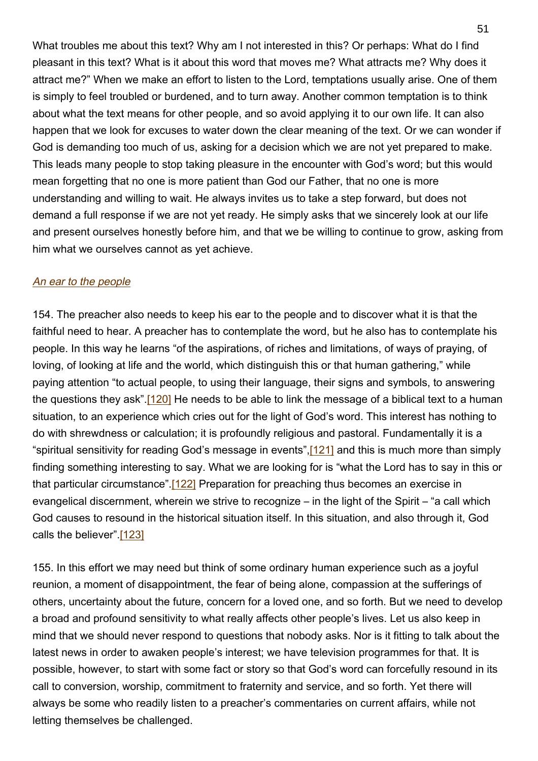What troubles me about this text? Why am I not interested in this? Or perhaps: What do I find pleasant in this text? What is it about this word that moves me? What attracts me? Why does it attract me?" When we make an effort to listen to the Lord, temptations usually arise. One of them is simply to feel troubled or burdened, and to turn away. Another common temptation is to think about what the text means for other people, and so avoid applying it to our own life. It can also happen that we look for excuses to water down the clear meaning of the text. Or we can wonder if God is demanding too much of us, asking for a decision which we are not yet prepared to make. This leads many people to stop taking pleasure in the encounter with God's word; but this would mean forgetting that no one is more patient than God our Father, that no one is more understanding and willing to wait. He always invites us to take a step forward, but does not demand a full response if we are not yet ready. He simply asks that we sincerely look at our life and present ourselves honestly before him, and that we be willing to continue to grow, asking from him what we ourselves cannot as yet achieve.

#### An ear to the people

154. The preacher also needs to keep his ear to the people and to discover what it is that the faithful need to hear. A preacher has to contemplate the word, but he also has to contemplate his people. In this way he learns "of the aspirations, of riches and limitations, of ways of praying, of loving, of looking at life and the world, which distinguish this or that human gathering," while paying attention "to actual people, to using their language, their signs and symbols, to answering the questions they ask".[\[120\]](http://w2.vatican.va/content/francesco/en/apost_exhortations/documents/papa-francesco_esortazione-ap_20131124_evangelii-gaudium.html#_ftn120) He needs to be able to link the message of a biblical text to a human situation, to an experience which cries out for the light of God's word. This interest has nothing to do with shrewdness or calculation; it is profoundly religious and pastoral. Fundamentally it is a "spiritual sensitivity for reading God's message in events",[\[121\]](http://w2.vatican.va/content/francesco/en/apost_exhortations/documents/papa-francesco_esortazione-ap_20131124_evangelii-gaudium.html#_ftn121) and this is much more than simply finding something interesting to say. What we are looking for is "what the Lord has to say in this or that particular circumstance". [\[122\]](http://w2.vatican.va/content/francesco/en/apost_exhortations/documents/papa-francesco_esortazione-ap_20131124_evangelii-gaudium.html#_ftn122) Preparation for preaching thus becomes an exercise in evangelical discernment, wherein we strive to recognize – in the light of the Spirit – "a call which God causes to resound in the historical situation itself. In this situation, and also through it, God calls the believer".[\[123\]](http://w2.vatican.va/content/francesco/en/apost_exhortations/documents/papa-francesco_esortazione-ap_20131124_evangelii-gaudium.html#_ftn123)

155. In this effort we may need but think of some ordinary human experience such as a joyful reunion, a moment of disappointment, the fear of being alone, compassion at the sufferings of others, uncertainty about the future, concern for a loved one, and so forth. But we need to develop a broad and profound sensitivity to what really affects other people's lives. Let us also keep in mind that we should never respond to questions that nobody asks. Nor is it fitting to talk about the latest news in order to awaken people's interest; we have television programmes for that. It is possible, however, to start with some fact or story so that God's word can forcefully resound in its call to conversion, worship, commitment to fraternity and service, and so forth. Yet there will always be some who readily listen to a preacher's commentaries on current affairs, while not letting themselves be challenged.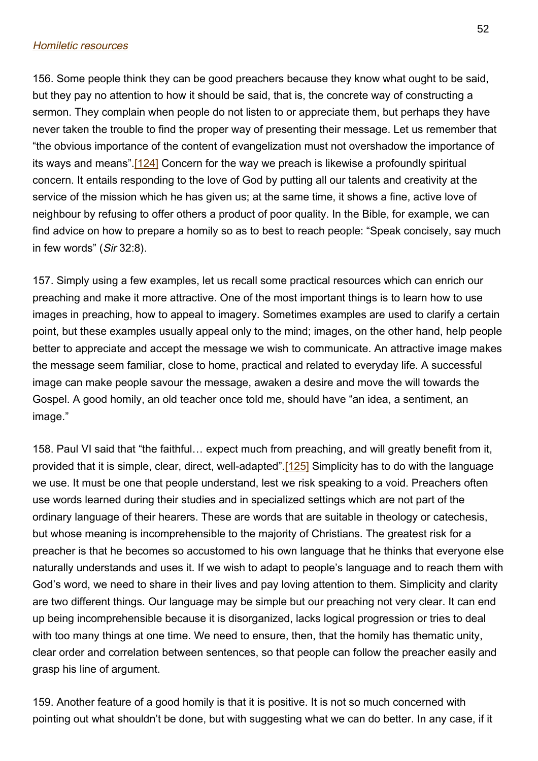### Homiletic resources

156. Some people think they can be good preachers because they know what ought to be said, but they pay no attention to how it should be said, that is, the concrete way of constructing a sermon. They complain when people do not listen to or appreciate them, but perhaps they have never taken the trouble to find the proper way of presenting their message. Let us remember that "the obvious importance of the content of evangelization must not overshadow the importance of its ways and means".[\[124\]](http://w2.vatican.va/content/francesco/en/apost_exhortations/documents/papa-francesco_esortazione-ap_20131124_evangelii-gaudium.html#_ftn124) Concern for the way we preach is likewise a profoundly spiritual concern. It entails responding to the love of God by putting all our talents and creativity at the service of the mission which he has given us; at the same time, it shows a fine, active love of neighbour by refusing to offer others a product of poor quality. In the Bible, for example, we can find advice on how to prepare a homily so as to best to reach people: "Speak concisely, say much in few words" (Sir 32:8).

157. Simply using a few examples, let us recall some practical resources which can enrich our preaching and make it more attractive. One of the most important things is to learn how to use images in preaching, how to appeal to imagery. Sometimes examples are used to clarify a certain point, but these examples usually appeal only to the mind; images, on the other hand, help people better to appreciate and accept the message we wish to communicate. An attractive image makes the message seem familiar, close to home, practical and related to everyday life. A successful image can make people savour the message, awaken a desire and move the will towards the Gospel. A good homily, an old teacher once told me, should have "an idea, a sentiment, an image."

158. Paul VI said that "the faithful… expect much from preaching, and will greatly benefit from it, provided that it is simple, clear, direct, well-adapted"[.\[125\]](http://w2.vatican.va/content/francesco/en/apost_exhortations/documents/papa-francesco_esortazione-ap_20131124_evangelii-gaudium.html#_ftn125) Simplicity has to do with the language we use. It must be one that people understand, lest we risk speaking to a void. Preachers often use words learned during their studies and in specialized settings which are not part of the ordinary language of their hearers. These are words that are suitable in theology or catechesis, but whose meaning is incomprehensible to the majority of Christians. The greatest risk for a preacher is that he becomes so accustomed to his own language that he thinks that everyone else naturally understands and uses it. If we wish to adapt to people's language and to reach them with God's word, we need to share in their lives and pay loving attention to them. Simplicity and clarity are two different things. Our language may be simple but our preaching not very clear. It can end up being incomprehensible because it is disorganized, lacks logical progression or tries to deal with too many things at one time. We need to ensure, then, that the homily has thematic unity, clear order and correlation between sentences, so that people can follow the preacher easily and grasp his line of argument.

159. Another feature of a good homily is that it is positive. It is not so much concerned with pointing out what shouldn't be done, but with suggesting what we can do better. In any case, if it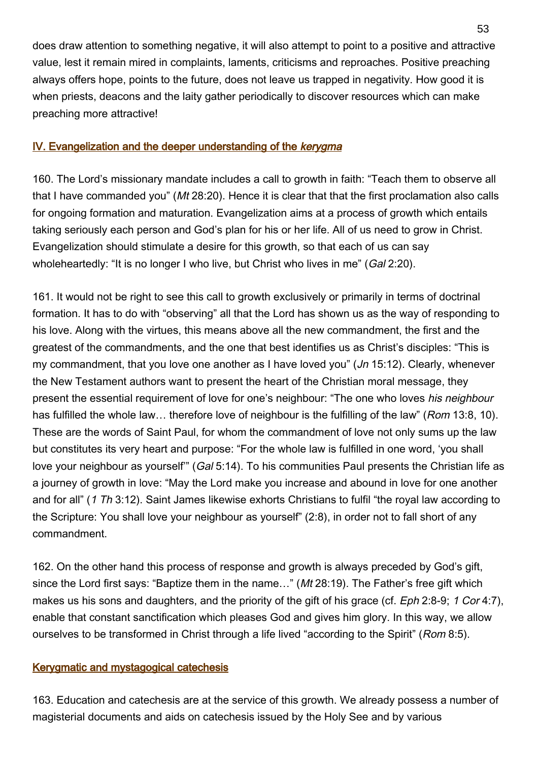does draw attention to something negative, it will also attempt to point to a positive and attractive value, lest it remain mired in complaints, laments, criticisms and reproaches. Positive preaching always offers hope, points to the future, does not leave us trapped in negativity. How good it is when priests, deacons and the laity gather periodically to discover resources which can make preaching more attractive!

## IV. Evangelization and the deeper understanding of the kerygma

160. The Lord's missionary mandate includes a call to growth in faith: "Teach them to observe all that I have commanded you" (Mt 28:20). Hence it is clear that that the first proclamation also calls for ongoing formation and maturation. Evangelization aims at a process of growth which entails taking seriously each person and God's plan for his or her life. All of us need to grow in Christ. Evangelization should stimulate a desire for this growth, so that each of us can say wholeheartedly: "It is no longer I who live, but Christ who lives in me" (Gal 2:20).

161. It would not be right to see this call to growth exclusively or primarily in terms of doctrinal formation. It has to do with "observing" all that the Lord has shown us as the way of responding to his love. Along with the virtues, this means above all the new commandment, the first and the greatest of the commandments, and the one that best identifies us as Christ's disciples: "This is my commandment, that you love one another as I have loved you" (Jn 15:12). Clearly, whenever the New Testament authors want to present the heart of the Christian moral message, they present the essential requirement of love for one's neighbour: "The one who loves his neighbour has fulfilled the whole law... therefore love of neighbour is the fulfilling of the law" (Rom 13:8, 10). These are the words of Saint Paul, for whom the commandment of love not only sums up the law but constitutes its very heart and purpose: "For the whole law is fulfilled in one word, 'you shall love your neighbour as yourself" (Gal 5:14). To his communities Paul presents the Christian life as a journey of growth in love: "May the Lord make you increase and abound in love for one another and for all" (1 Th 3:12). Saint James likewise exhorts Christians to fulfil "the royal law according to the Scripture: You shall love your neighbour as yourself" (2:8), in order not to fall short of any commandment.

162. On the other hand this process of response and growth is always preceded by God's gift, since the Lord first says: "Baptize them in the name..." (Mt 28:19). The Father's free gift which makes us his sons and daughters, and the priority of the gift of his grace (cf. Eph 2:8-9; 1 Cor 4:7), enable that constant sanctification which pleases God and gives him glory. In this way, we allow ourselves to be transformed in Christ through a life lived "according to the Spirit" (Rom 8:5).

## Kerygmatic and mystagogical catechesis

163. Education and catechesis are at the service of this growth. We already possess a number of magisterial documents and aids on catechesis issued by the Holy See and by various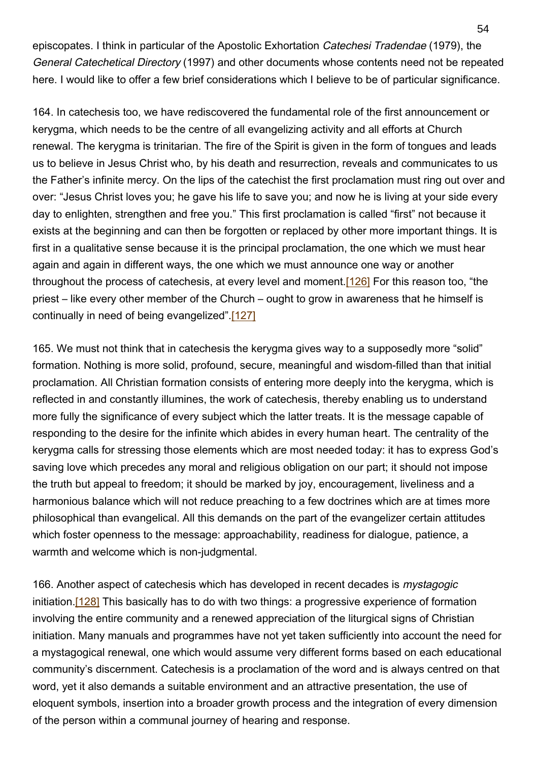episcopates. I think in particular of the Apostolic Exhortation Catechesi Tradendae (1979), the General Catechetical Directory (1997) and other documents whose contents need not be repeated here. I would like to offer a few brief considerations which I believe to be of particular significance.

164. In catechesis too, we have rediscovered the fundamental role of the first announcement or kerygma, which needs to be the centre of all evangelizing activity and all efforts at Church renewal. The kerygma is trinitarian. The fire of the Spirit is given in the form of tongues and leads us to believe in Jesus Christ who, by his death and resurrection, reveals and communicates to us the Father's infinite mercy. On the lips of the catechist the first proclamation must ring out over and over: "Jesus Christ loves you; he gave his life to save you; and now he is living at your side every day to enlighten, strengthen and free you." This first proclamation is called "first" not because it exists at the beginning and can then be forgotten or replaced by other more important things. It is first in a qualitative sense because it is the principal proclamation, the one which we must hear again and again in different ways, the one which we must announce one way or another throughout the process of catechesis, at every level and moment.[\[126\]](http://w2.vatican.va/content/francesco/en/apost_exhortations/documents/papa-francesco_esortazione-ap_20131124_evangelii-gaudium.html#_ftn126) For this reason too, "the priest – like every other member of the Church – ought to grow in awareness that he himself is continually in need of being evangelized"[.\[127\]](http://w2.vatican.va/content/francesco/en/apost_exhortations/documents/papa-francesco_esortazione-ap_20131124_evangelii-gaudium.html#_ftn127)

165. We must not think that in catechesis the kerygma gives way to a supposedly more "solid" formation. Nothing is more solid, profound, secure, meaningful and wisdom-filled than that initial proclamation. All Christian formation consists of entering more deeply into the kerygma, which is reflected in and constantly illumines, the work of catechesis, thereby enabling us to understand more fully the significance of every subject which the latter treats. It is the message capable of responding to the desire for the infinite which abides in every human heart. The centrality of the kerygma calls for stressing those elements which are most needed today: it has to express God's saving love which precedes any moral and religious obligation on our part; it should not impose the truth but appeal to freedom; it should be marked by joy, encouragement, liveliness and a harmonious balance which will not reduce preaching to a few doctrines which are at times more philosophical than evangelical. All this demands on the part of the evangelizer certain attitudes which foster openness to the message: approachability, readiness for dialogue, patience, a warmth and welcome which is non-judgmental.

166. Another aspect of catechesis which has developed in recent decades is *mystagogic* initiation[.\[128\]](http://w2.vatican.va/content/francesco/en/apost_exhortations/documents/papa-francesco_esortazione-ap_20131124_evangelii-gaudium.html#_ftn128) This basically has to do with two things: a progressive experience of formation involving the entire community and a renewed appreciation of the liturgical signs of Christian initiation. Many manuals and programmes have not yet taken sufficiently into account the need for a mystagogical renewal, one which would assume very different forms based on each educational community's discernment. Catechesis is a proclamation of the word and is always centred on that word, yet it also demands a suitable environment and an attractive presentation, the use of eloquent symbols, insertion into a broader growth process and the integration of every dimension of the person within a communal journey of hearing and response.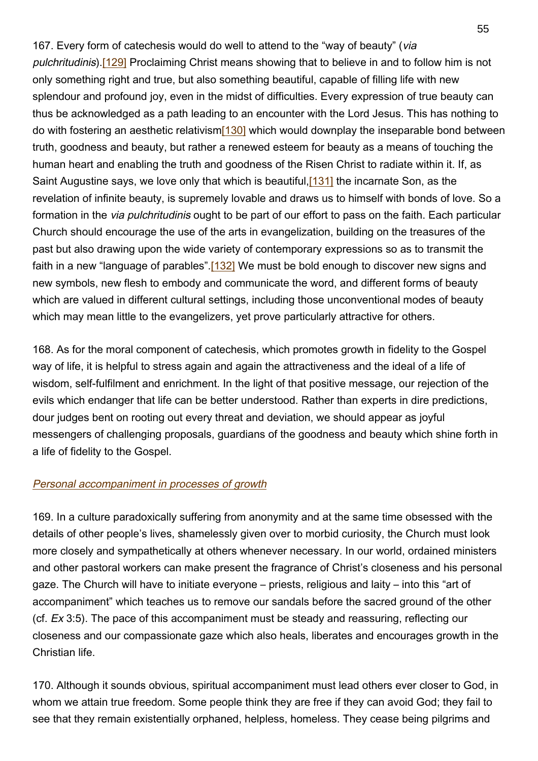167. Every form of catechesis would do well to attend to the "way of beauty" (via pulchritudinis)[.\[129\]](http://w2.vatican.va/content/francesco/en/apost_exhortations/documents/papa-francesco_esortazione-ap_20131124_evangelii-gaudium.html#_ftn129) Proclaiming Christ means showing that to believe in and to follow him is not only something right and true, but also something beautiful, capable of filling life with new splendour and profound joy, even in the midst of difficulties. Every expression of true beauty can thus be acknowledged as a path leading to an encounter with the Lord Jesus. This has nothing to do with fostering an aesthetic relativis[m\[130\]](http://w2.vatican.va/content/francesco/en/apost_exhortations/documents/papa-francesco_esortazione-ap_20131124_evangelii-gaudium.html#_ftn130) which would downplay the inseparable bond between truth, goodness and beauty, but rather a renewed esteem for beauty as a means of touching the human heart and enabling the truth and goodness of the Risen Christ to radiate within it. If, as Saint Augustine says, we love only that which is beautiful,[\[131\]](http://w2.vatican.va/content/francesco/en/apost_exhortations/documents/papa-francesco_esortazione-ap_20131124_evangelii-gaudium.html#_ftn131) the incarnate Son, as the revelation of infinite beauty, is supremely lovable and draws us to himself with bonds of love. So a formation in the *via pulchritudinis* ought to be part of our effort to pass on the faith. Each particular Church should encourage the use of the arts in evangelization, building on the treasures of the past but also drawing upon the wide variety of contemporary expressions so as to transmit the faith in a new "language of parables"[.\[132\]](http://w2.vatican.va/content/francesco/en/apost_exhortations/documents/papa-francesco_esortazione-ap_20131124_evangelii-gaudium.html#_ftn132) We must be bold enough to discover new signs and new symbols, new flesh to embody and communicate the word, and different forms of beauty which are valued in different cultural settings, including those unconventional modes of beauty which may mean little to the evangelizers, yet prove particularly attractive for others.

168. As for the moral component of catechesis, which promotes growth in fidelity to the Gospel way of life, it is helpful to stress again and again the attractiveness and the ideal of a life of wisdom, self-fulfilment and enrichment. In the light of that positive message, our rejection of the evils which endanger that life can be better understood. Rather than experts in dire predictions, dour judges bent on rooting out every threat and deviation, we should appear as joyful messengers of challenging proposals, guardians of the goodness and beauty which shine forth in a life of fidelity to the Gospel.

## Personal accompaniment in processes of growth

169. In a culture paradoxically suffering from anonymity and at the same time obsessed with the details of other people's lives, shamelessly given over to morbid curiosity, the Church must look more closely and sympathetically at others whenever necessary. In our world, ordained ministers and other pastoral workers can make present the fragrance of Christ's closeness and his personal gaze. The Church will have to initiate everyone – priests, religious and laity – into this "art of accompaniment" which teaches us to remove our sandals before the sacred ground of the other (cf. Ex 3:5). The pace of this accompaniment must be steady and reassuring, reflecting our closeness and our compassionate gaze which also heals, liberates and encourages growth in the Christian life.

170. Although it sounds obvious, spiritual accompaniment must lead others ever closer to God, in whom we attain true freedom. Some people think they are free if they can avoid God; they fail to see that they remain existentially orphaned, helpless, homeless. They cease being pilgrims and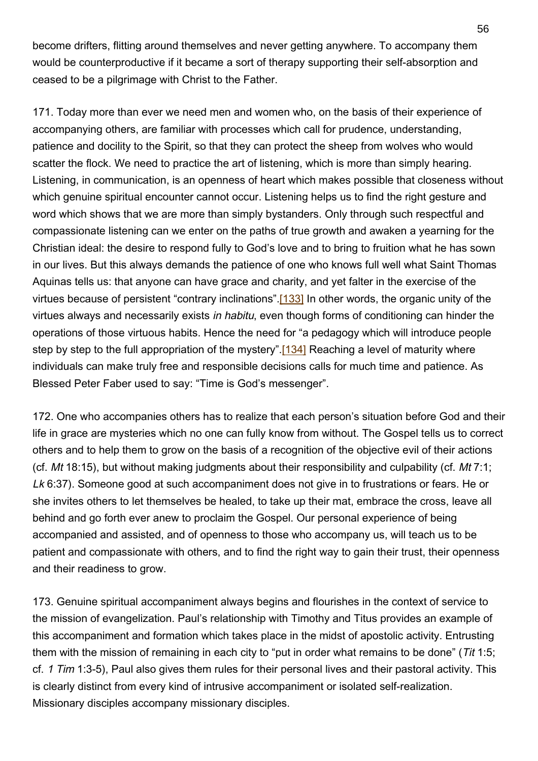become drifters, flitting around themselves and never getting anywhere. To accompany them would be counterproductive if it became a sort of therapy supporting their self-absorption and ceased to be a pilgrimage with Christ to the Father.

171. Today more than ever we need men and women who, on the basis of their experience of accompanying others, are familiar with processes which call for prudence, understanding, patience and docility to the Spirit, so that they can protect the sheep from wolves who would scatter the flock. We need to practice the art of listening, which is more than simply hearing. Listening, in communication, is an openness of heart which makes possible that closeness without which genuine spiritual encounter cannot occur. Listening helps us to find the right gesture and word which shows that we are more than simply bystanders. Only through such respectful and compassionate listening can we enter on the paths of true growth and awaken a yearning for the Christian ideal: the desire to respond fully to God's love and to bring to fruition what he has sown in our lives. But this always demands the patience of one who knows full well what Saint Thomas Aquinas tells us: that anyone can have grace and charity, and yet falter in the exercise of the virtues because of persistent "contrary inclinations"[.\[133\]](http://w2.vatican.va/content/francesco/en/apost_exhortations/documents/papa-francesco_esortazione-ap_20131124_evangelii-gaudium.html#_ftn133) In other words, the organic unity of the virtues always and necessarily exists in habitu, even though forms of conditioning can hinder the operations of those virtuous habits. Hence the need for "a pedagogy which will introduce people step by step to the full appropriation of the mystery". [\[134\]](http://w2.vatican.va/content/francesco/en/apost_exhortations/documents/papa-francesco_esortazione-ap_20131124_evangelii-gaudium.html#_ftn134) Reaching a level of maturity where individuals can make truly free and responsible decisions calls for much time and patience. As Blessed Peter Faber used to say: "Time is God's messenger".

172. One who accompanies others has to realize that each person's situation before God and their life in grace are mysteries which no one can fully know from without. The Gospel tells us to correct others and to help them to grow on the basis of a recognition of the objective evil of their actions (cf. Mt 18:15), but without making judgments about their responsibility and culpability (cf. Mt 7:1; Lk 6:37). Someone good at such accompaniment does not give in to frustrations or fears. He or she invites others to let themselves be healed, to take up their mat, embrace the cross, leave all behind and go forth ever anew to proclaim the Gospel. Our personal experience of being accompanied and assisted, and of openness to those who accompany us, will teach us to be patient and compassionate with others, and to find the right way to gain their trust, their openness and their readiness to grow.

173. Genuine spiritual accompaniment always begins and flourishes in the context of service to the mission of evangelization. Paul's relationship with Timothy and Titus provides an example of this accompaniment and formation which takes place in the midst of apostolic activity. Entrusting them with the mission of remaining in each city to "put in order what remains to be done" (Tit 1:5; cf. 1 Tim 1:3-5), Paul also gives them rules for their personal lives and their pastoral activity. This is clearly distinct from every kind of intrusive accompaniment or isolated self-realization. Missionary disciples accompany missionary disciples.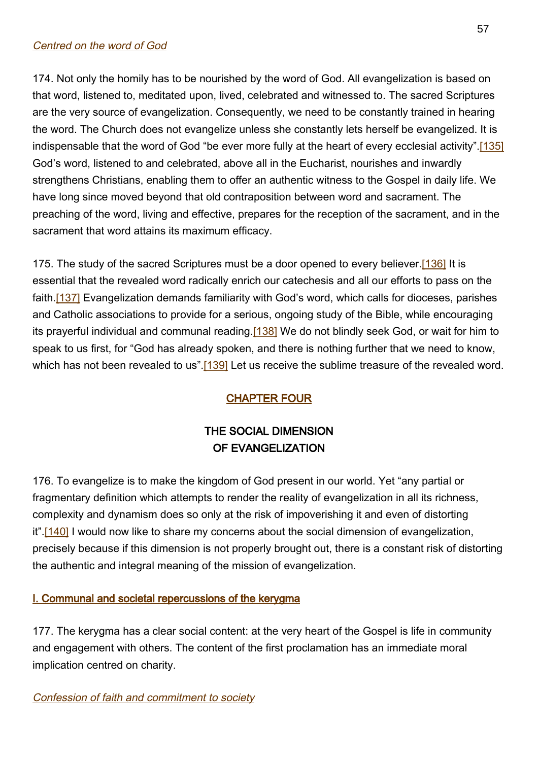## Centred on the word of God

174. Not only the homily has to be nourished by the word of God. All evangelization is based on that word, listened to, meditated upon, lived, celebrated and witnessed to. The sacred Scriptures are the very source of evangelization. Consequently, we need to be constantly trained in hearing the word. The Church does not evangelize unless she constantly lets herself be evangelized. It is indispensable that the word of God "be ever more fully at the heart of every ecclesial activity".[\[135\]](http://w2.vatican.va/content/francesco/en/apost_exhortations/documents/papa-francesco_esortazione-ap_20131124_evangelii-gaudium.html#_ftn135) God's word, listened to and celebrated, above all in the Eucharist, nourishes and inwardly strengthens Christians, enabling them to offer an authentic witness to the Gospel in daily life. We have long since moved beyond that old contraposition between word and sacrament. The preaching of the word, living and effective, prepares for the reception of the sacrament, and in the sacrament that word attains its maximum efficacy.

175. The study of the sacred Scriptures must be a door opened to every believer.<sup>[\[136\]](http://w2.vatican.va/content/francesco/en/apost_exhortations/documents/papa-francesco_esortazione-ap_20131124_evangelii-gaudium.html#_ftn136)</sup> It is essential that the revealed word radically enrich our catechesis and all our efforts to pass on the faith.<sup>[\[137\]](http://w2.vatican.va/content/francesco/en/apost_exhortations/documents/papa-francesco_esortazione-ap_20131124_evangelii-gaudium.html#_ftn137)</sup> Evangelization demands familiarity with God's word, which calls for dioceses, parishes and Catholic associations to provide for a serious, ongoing study of the Bible, while encouraging its prayerful individual and communal reading.[\[138\]](http://w2.vatican.va/content/francesco/en/apost_exhortations/documents/papa-francesco_esortazione-ap_20131124_evangelii-gaudium.html#_ftn138) We do not blindly seek God, or wait for him to speak to us first, for "God has already spoken, and there is nothing further that we need to know, which has not been revealed to us".<sup>[139]</sup> Let us receive the sublime treasure of the revealed word.

# CHAPTER FOUR

# THE SOCIAL DIMENSION OF EVANGELIZATION

176. To evangelize is to make the kingdom of God present in our world. Yet "any partial or fragmentary definition which attempts to render the reality of evangelization in all its richness, complexity and dynamism does so only at the risk of impoverishing it and even of distorting it"[.\[140\]](http://w2.vatican.va/content/francesco/en/apost_exhortations/documents/papa-francesco_esortazione-ap_20131124_evangelii-gaudium.html#_ftn140) I would now like to share my concerns about the social dimension of evangelization, precisely because if this dimension is not properly brought out, there is a constant risk of distorting the authentic and integral meaning of the mission of evangelization.

# I. Communal and societal repercussions of the kerygma

177. The kerygma has a clear social content: at the very heart of the Gospel is life in community and engagement with others. The content of the first proclamation has an immediate moral implication centred on charity.

Confession of faith and commitment to society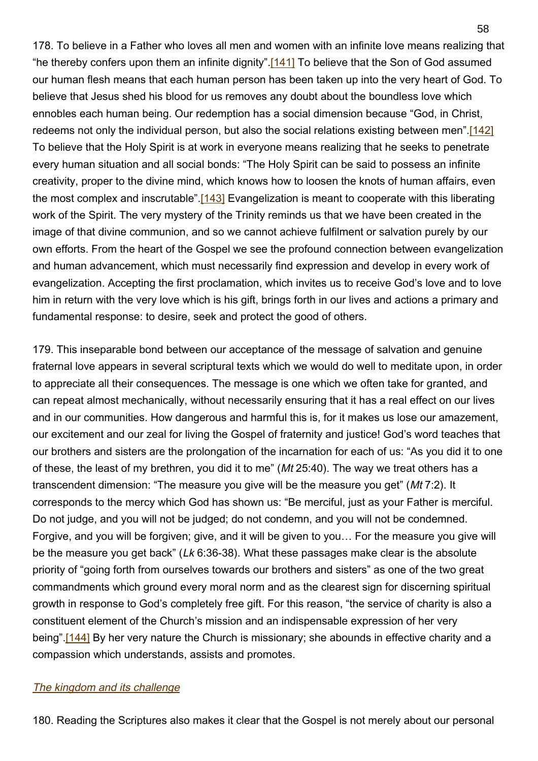178. To believe in a Father who loves all men and women with an infinite love means realizing that "he thereby confers upon them an infinite dignity"[.\[141\]](http://w2.vatican.va/content/francesco/en/apost_exhortations/documents/papa-francesco_esortazione-ap_20131124_evangelii-gaudium.html#_ftn141) To believe that the Son of God assumed our human flesh means that each human person has been taken up into the very heart of God. To believe that Jesus shed his blood for us removes any doubt about the boundless love which ennobles each human being. Our redemption has a social dimension because "God, in Christ, redeems not only the individual person, but also the social relations existing between men".<sup>[142]</sup> To believe that the Holy Spirit is at work in everyone means realizing that he seeks to penetrate every human situation and all social bonds: "The Holy Spirit can be said to possess an infinite creativity, proper to the divine mind, which knows how to loosen the knots of human affairs, even the most complex and inscrutable". [\[143\]](http://w2.vatican.va/content/francesco/en/apost_exhortations/documents/papa-francesco_esortazione-ap_20131124_evangelii-gaudium.html#_ftn143) Evangelization is meant to cooperate with this liberating work of the Spirit. The very mystery of the Trinity reminds us that we have been created in the image of that divine communion, and so we cannot achieve fulfilment or salvation purely by our own efforts. From the heart of the Gospel we see the profound connection between evangelization and human advancement, which must necessarily find expression and develop in every work of evangelization. Accepting the first proclamation, which invites us to receive God's love and to love him in return with the very love which is his gift, brings forth in our lives and actions a primary and fundamental response: to desire, seek and protect the good of others.

179. This inseparable bond between our acceptance of the message of salvation and genuine fraternal love appears in several scriptural texts which we would do well to meditate upon, in order to appreciate all their consequences. The message is one which we often take for granted, and can repeat almost mechanically, without necessarily ensuring that it has a real effect on our lives and in our communities. How dangerous and harmful this is, for it makes us lose our amazement, our excitement and our zeal for living the Gospel of fraternity and justice! God's word teaches that our brothers and sisters are the prolongation of the incarnation for each of us: "As you did it to one of these, the least of my brethren, you did it to me" (Mt 25:40). The way we treat others has a transcendent dimension: "The measure you give will be the measure you get" (Mt 7:2). It corresponds to the mercy which God has shown us: "Be merciful, just as your Father is merciful. Do not judge, and you will not be judged; do not condemn, and you will not be condemned. Forgive, and you will be forgiven; give, and it will be given to you… For the measure you give will be the measure you get back" (Lk 6:36-38). What these passages make clear is the absolute priority of "going forth from ourselves towards our brothers and sisters" as one of the two great commandments which ground every moral norm and as the clearest sign for discerning spiritual growth in response to God's completely free gift. For this reason, "the service of charity is also a constituent element of the Church's mission and an indispensable expression of her very being".[\[144\]](http://w2.vatican.va/content/francesco/en/apost_exhortations/documents/papa-francesco_esortazione-ap_20131124_evangelii-gaudium.html#_ftn144) By her very nature the Church is missionary; she abounds in effective charity and a compassion which understands, assists and promotes.

### The kingdom and its challenge

180. Reading the Scriptures also makes it clear that the Gospel is not merely about our personal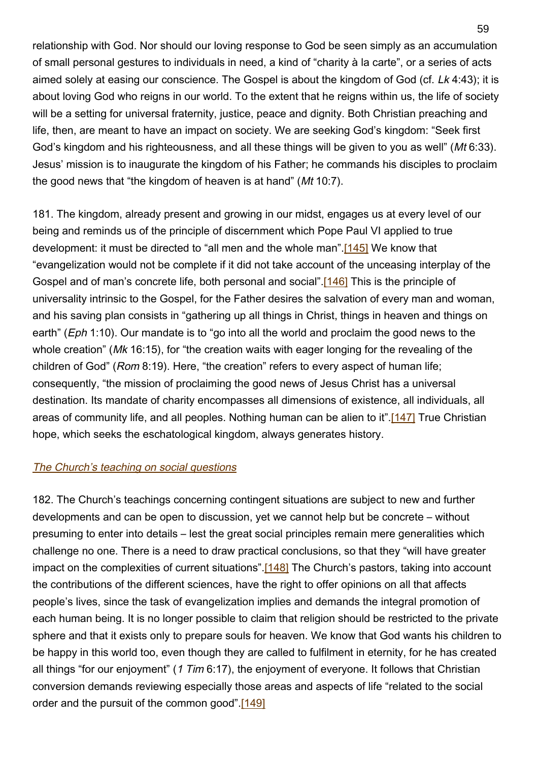relationship with God. Nor should our loving response to God be seen simply as an accumulation of small personal gestures to individuals in need, a kind of "charity à la carte", or a series of acts aimed solely at easing our conscience. The Gospel is about the kingdom of God (cf. Lk 4:43); it is about loving God who reigns in our world. To the extent that he reigns within us, the life of society will be a setting for universal fraternity, justice, peace and dignity. Both Christian preaching and life, then, are meant to have an impact on society. We are seeking God's kingdom: "Seek first God's kingdom and his righteousness, and all these things will be given to you as well" (Mt 6:33). Jesus' mission is to inaugurate the kingdom of his Father; he commands his disciples to proclaim the good news that "the kingdom of heaven is at hand" (Mt 10:7).

181. The kingdom, already present and growing in our midst, engages us at every level of our being and reminds us of the principle of discernment which Pope Paul VI applied to true development: it must be directed to "all men and the whole man".[\[145\]](http://w2.vatican.va/content/francesco/en/apost_exhortations/documents/papa-francesco_esortazione-ap_20131124_evangelii-gaudium.html#_ftn145) We know that "evangelization would not be complete if it did not take account of the unceasing interplay of the Gospel and of man's concrete life, both personal and social".[\[146\]](http://w2.vatican.va/content/francesco/en/apost_exhortations/documents/papa-francesco_esortazione-ap_20131124_evangelii-gaudium.html#_ftn146) This is the principle of universality intrinsic to the Gospel, for the Father desires the salvation of every man and woman, and his saving plan consists in "gathering up all things in Christ, things in heaven and things on earth" (*Eph* 1:10). Our mandate is to "go into all the world and proclaim the good news to the whole creation" (Mk 16:15), for "the creation waits with eager longing for the revealing of the children of God" (Rom 8:19). Here, "the creation" refers to every aspect of human life; consequently, "the mission of proclaiming the good news of Jesus Christ has a universal destination. Its mandate of charity encompasses all dimensions of existence, all individuals, all areas of community life, and all peoples. Nothing human can be alien to it".[\[147\]](http://w2.vatican.va/content/francesco/en/apost_exhortations/documents/papa-francesco_esortazione-ap_20131124_evangelii-gaudium.html#_ftn147) True Christian hope, which seeks the eschatological kingdom, always generates history.

#### The Church's teaching on social questions

182. The Church's teachings concerning contingent situations are subject to new and further developments and can be open to discussion, yet we cannot help but be concrete – without presuming to enter into details – lest the great social principles remain mere generalities which challenge no one. There is a need to draw practical conclusions, so that they "will have greater impact on the complexities of current situations".[\[148\]](http://w2.vatican.va/content/francesco/en/apost_exhortations/documents/papa-francesco_esortazione-ap_20131124_evangelii-gaudium.html#_ftn148) The Church's pastors, taking into account the contributions of the different sciences, have the right to offer opinions on all that affects people's lives, since the task of evangelization implies and demands the integral promotion of each human being. It is no longer possible to claim that religion should be restricted to the private sphere and that it exists only to prepare souls for heaven. We know that God wants his children to be happy in this world too, even though they are called to fulfilment in eternity, for he has created all things "for our enjoyment" (1 Tim 6:17), the enjoyment of everyone. It follows that Christian conversion demands reviewing especially those areas and aspects of life "related to the social order and the pursuit of the common good".[\[149\]](http://w2.vatican.va/content/francesco/en/apost_exhortations/documents/papa-francesco_esortazione-ap_20131124_evangelii-gaudium.html#_ftn149)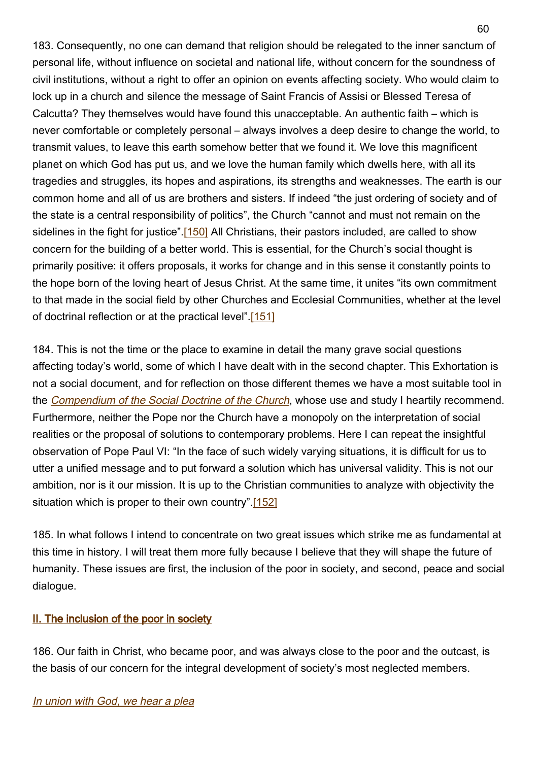183. Consequently, no one can demand that religion should be relegated to the inner sanctum of personal life, without influence on societal and national life, without concern for the soundness of civil institutions, without a right to offer an opinion on events affecting society. Who would claim to lock up in a church and silence the message of Saint Francis of Assisi or Blessed Teresa of Calcutta? They themselves would have found this unacceptable. An authentic faith – which is never comfortable or completely personal – always involves a deep desire to change the world, to transmit values, to leave this earth somehow better that we found it. We love this magnificent planet on which God has put us, and we love the human family which dwells here, with all its tragedies and struggles, its hopes and aspirations, its strengths and weaknesses. The earth is our common home and all of us are brothers and sisters. If indeed "the just ordering of society and of the state is a central responsibility of politics", the Church "cannot and must not remain on the sidelines in the fight for justice". [150] All Christians, their pastors included, are called to show concern for the building of a better world. This is essential, for the Church's social thought is primarily positive: it offers proposals, it works for change and in this sense it constantly points to the hope born of the loving heart of Jesus Christ. At the same time, it unites "its own commitment to that made in the social field by other Churches and Ecclesial Communities, whether at the level of doctrinal reflection or at the practical level"[.\[151\]](http://w2.vatican.va/content/francesco/en/apost_exhortations/documents/papa-francesco_esortazione-ap_20131124_evangelii-gaudium.html#_ftn151)

184. This is not the time or the place to examine in detail the many grave social questions affecting today's world, some of which I have dealt with in the second chapter. This Exhortation is not a social document, and for reflection on those different themes we have a most suitable tool in the [Compendium of the Social Doctrine of the Church](http://www.vatican.va/roman_curia/pontifical_councils/justpeace/documents/rc_pc_justpeace_doc_20060526_compendio-dott-soc_en.html), whose use and study I heartily recommend. Furthermore, neither the Pope nor the Church have a monopoly on the interpretation of social realities or the proposal of solutions to contemporary problems. Here I can repeat the insightful observation of Pope Paul VI: "In the face of such widely varying situations, it is difficult for us to utter a unified message and to put forward a solution which has universal validity. This is not our ambition, nor is it our mission. It is up to the Christian communities to analyze with objectivity the situation which is proper to their own country". [\[152\]](http://w2.vatican.va/content/francesco/en/apost_exhortations/documents/papa-francesco_esortazione-ap_20131124_evangelii-gaudium.html#_ftn152)

185. In what follows I intend to concentrate on two great issues which strike me as fundamental at this time in history. I will treat them more fully because I believe that they will shape the future of humanity. These issues are first, the inclusion of the poor in society, and second, peace and social dialogue.

# II. The inclusion of the poor in society

186. Our faith in Christ, who became poor, and was always close to the poor and the outcast, is the basis of our concern for the integral development of society's most neglected members.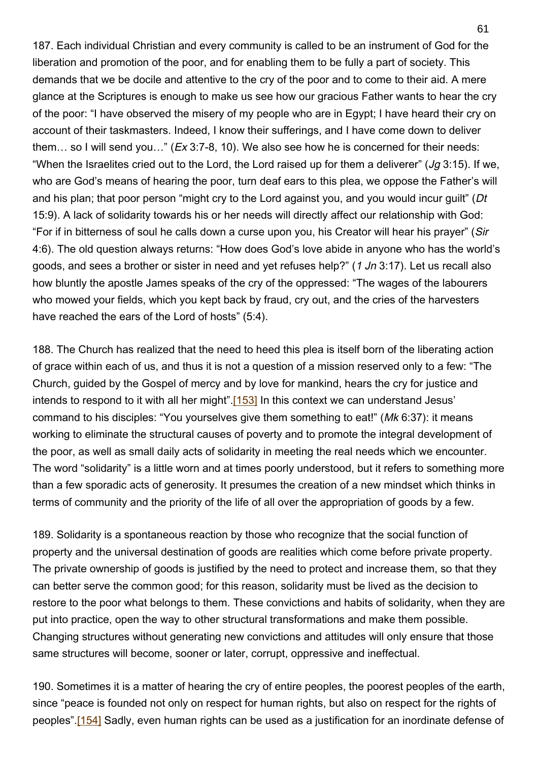187. Each individual Christian and every community is called to be an instrument of God for the liberation and promotion of the poor, and for enabling them to be fully a part of society. This demands that we be docile and attentive to the cry of the poor and to come to their aid. A mere glance at the Scriptures is enough to make us see how our gracious Father wants to hear the cry of the poor: "I have observed the misery of my people who are in Egypt; I have heard their cry on account of their taskmasters. Indeed, I know their sufferings, and I have come down to deliver them... so I will send you..."  $(EX 3:7-8, 10)$ . We also see how he is concerned for their needs: "When the Israelites cried out to the Lord, the Lord raised up for them a deliverer" ( $Jq$  3:15). If we, who are God's means of hearing the poor, turn deaf ears to this plea, we oppose the Father's will and his plan; that poor person "might cry to the Lord against you, and you would incur guilt" (Dt 15:9). A lack of solidarity towards his or her needs will directly affect our relationship with God: "For if in bitterness of soul he calls down a curse upon you, his Creator will hear his prayer" (Sir 4:6). The old question always returns: "How does God's love abide in anyone who has the world's goods, and sees a brother or sister in need and yet refuses help?" (1 Jn 3:17). Let us recall also how bluntly the apostle James speaks of the cry of the oppressed: "The wages of the labourers who mowed your fields, which you kept back by fraud, cry out, and the cries of the harvesters have reached the ears of the Lord of hosts" (5:4).

188. The Church has realized that the need to heed this plea is itself born of the liberating action of grace within each of us, and thus it is not a question of a mission reserved only to a few: "The Church, guided by the Gospel of mercy and by love for mankind, hears the cry for justice and intends to respond to it with all her might".[\[153\]](http://w2.vatican.va/content/francesco/en/apost_exhortations/documents/papa-francesco_esortazione-ap_20131124_evangelii-gaudium.html#_ftn153) In this context we can understand Jesus' command to his disciples: "You yourselves give them something to eat!" (Mk 6:37): it means working to eliminate the structural causes of poverty and to promote the integral development of the poor, as well as small daily acts of solidarity in meeting the real needs which we encounter. The word "solidarity" is a little worn and at times poorly understood, but it refers to something more than a few sporadic acts of generosity. It presumes the creation of a new mindset which thinks in terms of community and the priority of the life of all over the appropriation of goods by a few.

189. Solidarity is a spontaneous reaction by those who recognize that the social function of property and the universal destination of goods are realities which come before private property. The private ownership of goods is justified by the need to protect and increase them, so that they can better serve the common good; for this reason, solidarity must be lived as the decision to restore to the poor what belongs to them. These convictions and habits of solidarity, when they are put into practice, open the way to other structural transformations and make them possible. Changing structures without generating new convictions and attitudes will only ensure that those same structures will become, sooner or later, corrupt, oppressive and ineffectual.

190. Sometimes it is a matter of hearing the cry of entire peoples, the poorest peoples of the earth, since "peace is founded not only on respect for human rights, but also on respect for the rights of peoples"[.\[154\]](http://w2.vatican.va/content/francesco/en/apost_exhortations/documents/papa-francesco_esortazione-ap_20131124_evangelii-gaudium.html#_ftn154) Sadly, even human rights can be used as a justification for an inordinate defense of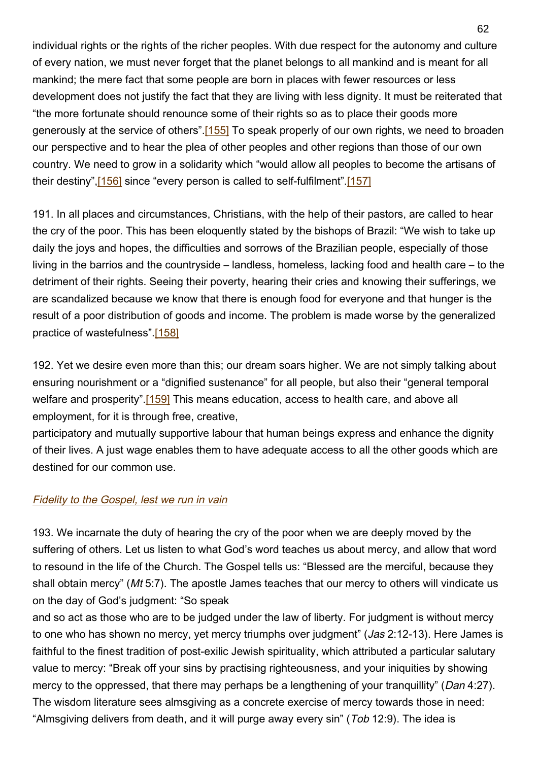individual rights or the rights of the richer peoples. With due respect for the autonomy and culture of every nation, we must never forget that the planet belongs to all mankind and is meant for all mankind; the mere fact that some people are born in places with fewer resources or less development does not justify the fact that they are living with less dignity. It must be reiterated that "the more fortunate should renounce some of their rights so as to place their goods more generously at the service of others".<sup>[\[155\]](http://w2.vatican.va/content/francesco/en/apost_exhortations/documents/papa-francesco_esortazione-ap_20131124_evangelii-gaudium.html#_ftn155)</sup> To speak properly of our own rights, we need to broaden our perspective and to hear the plea of other peoples and other regions than those of our own country. We need to grow in a solidarity which "would allow all peoples to become the artisans of their destiny",[\[156\]](http://w2.vatican.va/content/francesco/en/apost_exhortations/documents/papa-francesco_esortazione-ap_20131124_evangelii-gaudium.html#_ftn156) since "every person is called to self-fulfilment".[\[157\]](http://w2.vatican.va/content/francesco/en/apost_exhortations/documents/papa-francesco_esortazione-ap_20131124_evangelii-gaudium.html#_ftn157)

191. In all places and circumstances, Christians, with the help of their pastors, are called to hear the cry of the poor. This has been eloquently stated by the bishops of Brazil: "We wish to take up daily the joys and hopes, the difficulties and sorrows of the Brazilian people, especially of those living in the barrios and the countryside – landless, homeless, lacking food and health care – to the detriment of their rights. Seeing their poverty, hearing their cries and knowing their sufferings, we are scandalized because we know that there is enough food for everyone and that hunger is the result of a poor distribution of goods and income. The problem is made worse by the generalized practice of wastefulness"[.\[158\]](http://w2.vatican.va/content/francesco/en/apost_exhortations/documents/papa-francesco_esortazione-ap_20131124_evangelii-gaudium.html#_ftn158)

192. Yet we desire even more than this; our dream soars higher. We are not simply talking about ensuring nourishment or a "dignified sustenance" for all people, but also their "general temporal welfare and prosperity". [159] This means education, access to health care, and above all employment, for it is through free, creative,

participatory and mutually supportive labour that human beings express and enhance the dignity of their lives. A just wage enables them to have adequate access to all the other goods which are destined for our common use.

#### Fidelity to the Gospel, lest we run in vain

193. We incarnate the duty of hearing the cry of the poor when we are deeply moved by the suffering of others. Let us listen to what God's word teaches us about mercy, and allow that word to resound in the life of the Church. The Gospel tells us: "Blessed are the merciful, because they shall obtain mercy" (Mt 5:7). The apostle James teaches that our mercy to others will vindicate us on the day of God's judgment: "So speak

and so act as those who are to be judged under the law of liberty. For judgment is without mercy to one who has shown no mercy, yet mercy triumphs over judgment" (Jas 2:12-13). Here James is faithful to the finest tradition of post-exilic Jewish spirituality, which attributed a particular salutary value to mercy: "Break off your sins by practising righteousness, and your iniquities by showing mercy to the oppressed, that there may perhaps be a lengthening of your tranquillity" (Dan 4:27). The wisdom literature sees almsgiving as a concrete exercise of mercy towards those in need: "Almsgiving delivers from death, and it will purge away every sin" (Tob 12:9). The idea is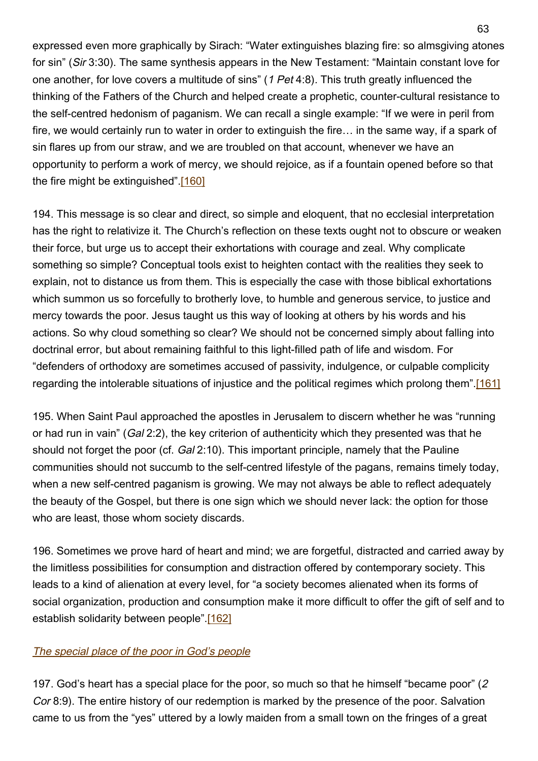expressed even more graphically by Sirach: "Water extinguishes blazing fire: so almsgiving atones for sin" (Sir 3:30). The same synthesis appears in the New Testament: "Maintain constant love for one another, for love covers a multitude of sins" (1 Pet 4:8). This truth greatly influenced the thinking of the Fathers of the Church and helped create a prophetic, counter-cultural resistance to the self-centred hedonism of paganism. We can recall a single example: "If we were in peril from fire, we would certainly run to water in order to extinguish the fire… in the same way, if a spark of sin flares up from our straw, and we are troubled on that account, whenever we have an opportunity to perform a work of mercy, we should rejoice, as if a fountain opened before so that the fire might be extinguished".[\[160\]](http://w2.vatican.va/content/francesco/en/apost_exhortations/documents/papa-francesco_esortazione-ap_20131124_evangelii-gaudium.html#_ftn160)

194. This message is so clear and direct, so simple and eloquent, that no ecclesial interpretation has the right to relativize it. The Church's reflection on these texts ought not to obscure or weaken their force, but urge us to accept their exhortations with courage and zeal. Why complicate something so simple? Conceptual tools exist to heighten contact with the realities they seek to explain, not to distance us from them. This is especially the case with those biblical exhortations which summon us so forcefully to brotherly love, to humble and generous service, to justice and mercy towards the poor. Jesus taught us this way of looking at others by his words and his actions. So why cloud something so clear? We should not be concerned simply about falling into doctrinal error, but about remaining faithful to this light-filled path of life and wisdom. For "defenders of orthodoxy are sometimes accused of passivity, indulgence, or culpable complicity regarding the intolerable situations of injustice and the political regimes which prolong them".[\[161\]](http://w2.vatican.va/content/francesco/en/apost_exhortations/documents/papa-francesco_esortazione-ap_20131124_evangelii-gaudium.html#_ftn161)

195. When Saint Paul approached the apostles in Jerusalem to discern whether he was "running or had run in vain" (Gal 2:2), the key criterion of authenticity which they presented was that he should not forget the poor (cf. Gal 2:10). This important principle, namely that the Pauline communities should not succumb to the self-centred lifestyle of the pagans, remains timely today, when a new self-centred paganism is growing. We may not always be able to reflect adequately the beauty of the Gospel, but there is one sign which we should never lack: the option for those who are least, those whom society discards.

196. Sometimes we prove hard of heart and mind; we are forgetful, distracted and carried away by the limitless possibilities for consumption and distraction offered by contemporary society. This leads to a kind of alienation at every level, for "a society becomes alienated when its forms of social organization, production and consumption make it more difficult to offer the gift of self and to establish solidarity between people"[.\[162\]](http://w2.vatican.va/content/francesco/en/apost_exhortations/documents/papa-francesco_esortazione-ap_20131124_evangelii-gaudium.html#_ftn162)

# The special place of the poor in God's people

197. God's heart has a special place for the poor, so much so that he himself "became poor" (2 Cor 8:9). The entire history of our redemption is marked by the presence of the poor. Salvation came to us from the "yes" uttered by a lowly maiden from a small town on the fringes of a great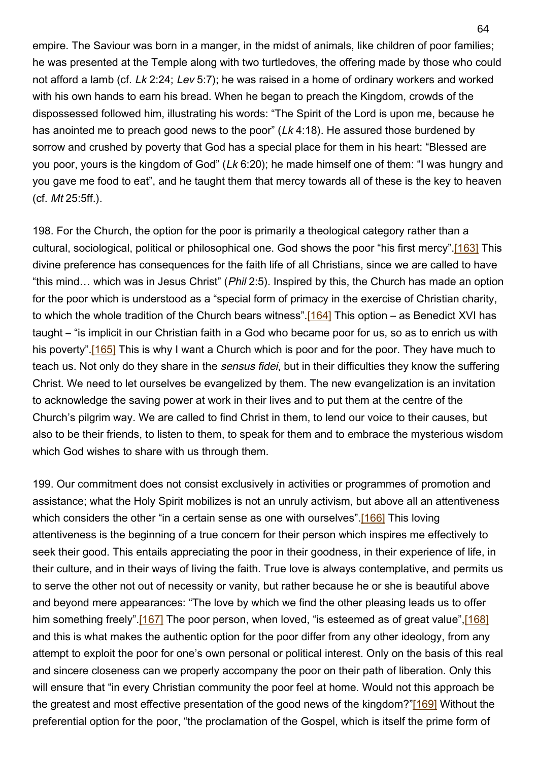empire. The Saviour was born in a manger, in the midst of animals, like children of poor families; he was presented at the Temple along with two turtledoves, the offering made by those who could not afford a lamb (cf. Lk 2:24; Lev 5:7); he was raised in a home of ordinary workers and worked with his own hands to earn his bread. When he began to preach the Kingdom, crowds of the dispossessed followed him, illustrating his words: "The Spirit of the Lord is upon me, because he has anointed me to preach good news to the poor" (Lk 4:18). He assured those burdened by sorrow and crushed by poverty that God has a special place for them in his heart: "Blessed are you poor, yours is the kingdom of God" (Lk 6:20); he made himself one of them: "I was hungry and you gave me food to eat", and he taught them that mercy towards all of these is the key to heaven (cf. Mt 25:5ff.).

198. For the Church, the option for the poor is primarily a theological category rather than a cultural, sociological, political or philosophical one. God shows the poor "his first mercy".[\[163\]](http://w2.vatican.va/content/francesco/en/apost_exhortations/documents/papa-francesco_esortazione-ap_20131124_evangelii-gaudium.html#_ftn163) This divine preference has consequences for the faith life of all Christians, since we are called to have "this mind… which was in Jesus Christ" (Phil 2:5). Inspired by this, the Church has made an option for the poor which is understood as a "special form of primacy in the exercise of Christian charity, to which the whole tradition of the Church bears witness".[\[164\]](http://w2.vatican.va/content/francesco/en/apost_exhortations/documents/papa-francesco_esortazione-ap_20131124_evangelii-gaudium.html#_ftn164) This option – as Benedict XVI has taught – "is implicit in our Christian faith in a God who became poor for us, so as to enrich us with his poverty".<sup>[165]</sup> This is why I want a Church which is poor and for the poor. They have much to teach us. Not only do they share in the *sensus fidei*, but in their difficulties they know the suffering Christ. We need to let ourselves be evangelized by them. The new evangelization is an invitation to acknowledge the saving power at work in their lives and to put them at the centre of the Church's pilgrim way. We are called to find Christ in them, to lend our voice to their causes, but also to be their friends, to listen to them, to speak for them and to embrace the mysterious wisdom which God wishes to share with us through them.

199. Our commitment does not consist exclusively in activities or programmes of promotion and assistance; what the Holy Spirit mobilizes is not an unruly activism, but above all an attentiveness which considers the other "in a certain sense as one with ourselves". [166] This loving attentiveness is the beginning of a true concern for their person which inspires me effectively to seek their good. This entails appreciating the poor in their goodness, in their experience of life, in their culture, and in their ways of living the faith. True love is always contemplative, and permits us to serve the other not out of necessity or vanity, but rather because he or she is beautiful above and beyond mere appearances: "The love by which we find the other pleasing leads us to offer him something freely".[\[167\]](http://w2.vatican.va/content/francesco/en/apost_exhortations/documents/papa-francesco_esortazione-ap_20131124_evangelii-gaudium.html#_ftn167) The poor person, when loved, "is esteemed as of great value",[\[168\]](http://w2.vatican.va/content/francesco/en/apost_exhortations/documents/papa-francesco_esortazione-ap_20131124_evangelii-gaudium.html#_ftn168) and this is what makes the authentic option for the poor differ from any other ideology, from any attempt to exploit the poor for one's own personal or political interest. Only on the basis of this real and sincere closeness can we properly accompany the poor on their path of liberation. Only this will ensure that "in every Christian community the poor feel at home. Would not this approach be the greatest and most effective presentation of the good news of the kingdom?"[\[169\]](http://w2.vatican.va/content/francesco/en/apost_exhortations/documents/papa-francesco_esortazione-ap_20131124_evangelii-gaudium.html#_ftn169) Without the preferential option for the poor, "the proclamation of the Gospel, which is itself the prime form of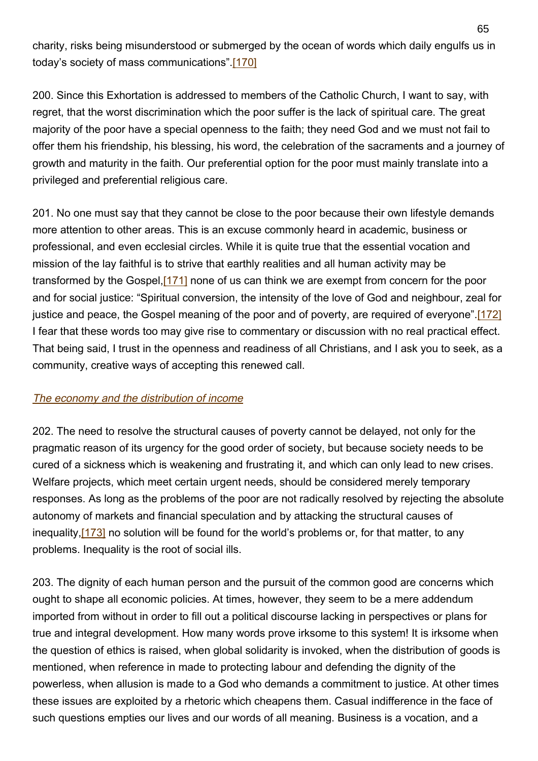charity, risks being misunderstood or submerged by the ocean of words which daily engulfs us in today's society of mass communications"[.\[170\]](http://w2.vatican.va/content/francesco/en/apost_exhortations/documents/papa-francesco_esortazione-ap_20131124_evangelii-gaudium.html#_ftn170)

200. Since this Exhortation is addressed to members of the Catholic Church, I want to say, with regret, that the worst discrimination which the poor suffer is the lack of spiritual care. The great majority of the poor have a special openness to the faith; they need God and we must not fail to offer them his friendship, his blessing, his word, the celebration of the sacraments and a journey of growth and maturity in the faith. Our preferential option for the poor must mainly translate into a privileged and preferential religious care.

201. No one must say that they cannot be close to the poor because their own lifestyle demands more attention to other areas. This is an excuse commonly heard in academic, business or professional, and even ecclesial circles. While it is quite true that the essential vocation and mission of the lay faithful is to strive that earthly realities and all human activity may be transformed by the Gospel,[\[171\]](http://w2.vatican.va/content/francesco/en/apost_exhortations/documents/papa-francesco_esortazione-ap_20131124_evangelii-gaudium.html#_ftn171) none of us can think we are exempt from concern for the poor and for social justice: "Spiritual conversion, the intensity of the love of God and neighbour, zeal for justice and peace, the Gospel meaning of the poor and of poverty, are required of everyone".<sup>[\[172\]](http://w2.vatican.va/content/francesco/en/apost_exhortations/documents/papa-francesco_esortazione-ap_20131124_evangelii-gaudium.html#_ftn172)</sup> I fear that these words too may give rise to commentary or discussion with no real practical effect. That being said, I trust in the openness and readiness of all Christians, and I ask you to seek, as a community, creative ways of accepting this renewed call.

## The economy and the distribution of income

202. The need to resolve the structural causes of poverty cannot be delayed, not only for the pragmatic reason of its urgency for the good order of society, but because society needs to be cured of a sickness which is weakening and frustrating it, and which can only lead to new crises. Welfare projects, which meet certain urgent needs, should be considered merely temporary responses. As long as the problems of the poor are not radically resolved by rejecting the absolute autonomy of markets and financial speculation and by attacking the structural causes of inequality[,\[173\]](http://w2.vatican.va/content/francesco/en/apost_exhortations/documents/papa-francesco_esortazione-ap_20131124_evangelii-gaudium.html#_ftn173) no solution will be found for the world's problems or, for that matter, to any problems. Inequality is the root of social ills.

203. The dignity of each human person and the pursuit of the common good are concerns which ought to shape all economic policies. At times, however, they seem to be a mere addendum imported from without in order to fill out a political discourse lacking in perspectives or plans for true and integral development. How many words prove irksome to this system! It is irksome when the question of ethics is raised, when global solidarity is invoked, when the distribution of goods is mentioned, when reference in made to protecting labour and defending the dignity of the powerless, when allusion is made to a God who demands a commitment to justice. At other times these issues are exploited by a rhetoric which cheapens them. Casual indifference in the face of such questions empties our lives and our words of all meaning. Business is a vocation, and a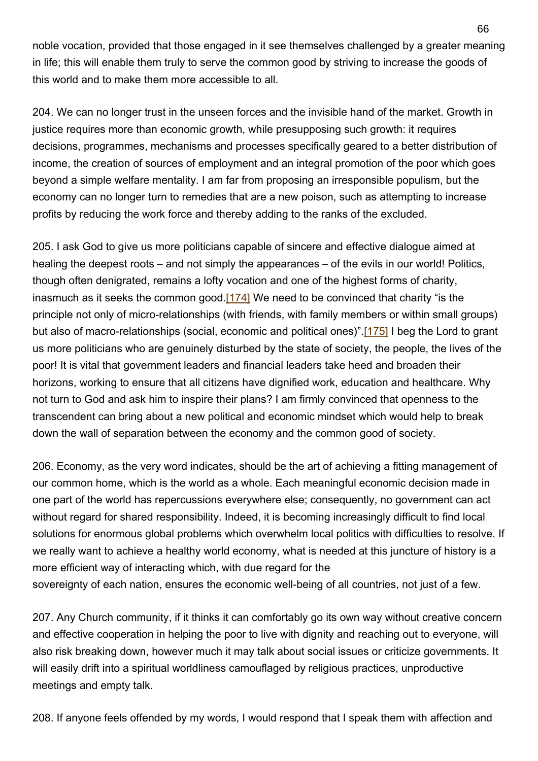noble vocation, provided that those engaged in it see themselves challenged by a greater meaning in life; this will enable them truly to serve the common good by striving to increase the goods of this world and to make them more accessible to all.

204. We can no longer trust in the unseen forces and the invisible hand of the market. Growth in justice requires more than economic growth, while presupposing such growth: it requires decisions, programmes, mechanisms and processes specifically geared to a better distribution of income, the creation of sources of employment and an integral promotion of the poor which goes beyond a simple welfare mentality. I am far from proposing an irresponsible populism, but the economy can no longer turn to remedies that are a new poison, such as attempting to increase profits by reducing the work force and thereby adding to the ranks of the excluded.

205. I ask God to give us more politicians capable of sincere and effective dialogue aimed at healing the deepest roots – and not simply the appearances – of the evils in our world! Politics, though often denigrated, remains a lofty vocation and one of the highest forms of charity, inasmuch as it seeks the common good.<sup>[\[174\]](http://w2.vatican.va/content/francesco/en/apost_exhortations/documents/papa-francesco_esortazione-ap_20131124_evangelii-gaudium.html#_ftn174)</sup> We need to be convinced that charity "is the principle not only of micro-relationships (with friends, with family members or within small groups) but also of macro-relationships (social, economic and political ones)".[\[175\]](http://w2.vatican.va/content/francesco/en/apost_exhortations/documents/papa-francesco_esortazione-ap_20131124_evangelii-gaudium.html#_ftn175) I beg the Lord to grant us more politicians who are genuinely disturbed by the state of society, the people, the lives of the poor! It is vital that government leaders and financial leaders take heed and broaden their horizons, working to ensure that all citizens have dignified work, education and healthcare. Why not turn to God and ask him to inspire their plans? I am firmly convinced that openness to the transcendent can bring about a new political and economic mindset which would help to break down the wall of separation between the economy and the common good of society.

206. Economy, as the very word indicates, should be the art of achieving a fitting management of our common home, which is the world as a whole. Each meaningful economic decision made in one part of the world has repercussions everywhere else; consequently, no government can act without regard for shared responsibility. Indeed, it is becoming increasingly difficult to find local solutions for enormous global problems which overwhelm local politics with difficulties to resolve. If we really want to achieve a healthy world economy, what is needed at this juncture of history is a more efficient way of interacting which, with due regard for the sovereignty of each nation, ensures the economic well-being of all countries, not just of a few.

207. Any Church community, if it thinks it can comfortably go its own way without creative concern and effective cooperation in helping the poor to live with dignity and reaching out to everyone, will also risk breaking down, however much it may talk about social issues or criticize governments. It will easily drift into a spiritual worldliness camouflaged by religious practices, unproductive meetings and empty talk.

208. If anyone feels offended by my words, I would respond that I speak them with affection and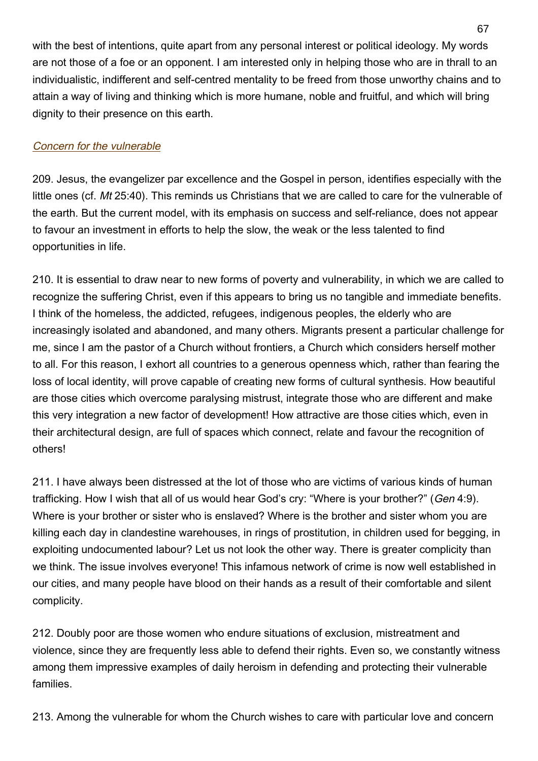with the best of intentions, quite apart from any personal interest or political ideology. My words are not those of a foe or an opponent. I am interested only in helping those who are in thrall to an individualistic, indifferent and self-centred mentality to be freed from those unworthy chains and to attain a way of living and thinking which is more humane, noble and fruitful, and which will bring dignity to their presence on this earth.

# Concern for the vulnerable

209. Jesus, the evangelizer par excellence and the Gospel in person, identifies especially with the little ones (cf. Mt 25:40). This reminds us Christians that we are called to care for the vulnerable of the earth. But the current model, with its emphasis on success and self-reliance, does not appear to favour an investment in efforts to help the slow, the weak or the less talented to find opportunities in life.

210. It is essential to draw near to new forms of poverty and vulnerability, in which we are called to recognize the suffering Christ, even if this appears to bring us no tangible and immediate benefits. I think of the homeless, the addicted, refugees, indigenous peoples, the elderly who are increasingly isolated and abandoned, and many others. Migrants present a particular challenge for me, since I am the pastor of a Church without frontiers, a Church which considers herself mother to all. For this reason, I exhort all countries to a generous openness which, rather than fearing the loss of local identity, will prove capable of creating new forms of cultural synthesis. How beautiful are those cities which overcome paralysing mistrust, integrate those who are different and make this very integration a new factor of development! How attractive are those cities which, even in their architectural design, are full of spaces which connect, relate and favour the recognition of others!

211. I have always been distressed at the lot of those who are victims of various kinds of human trafficking. How I wish that all of us would hear God's cry: "Where is your brother?" (Gen 4:9). Where is your brother or sister who is enslaved? Where is the brother and sister whom you are killing each day in clandestine warehouses, in rings of prostitution, in children used for begging, in exploiting undocumented labour? Let us not look the other way. There is greater complicity than we think. The issue involves everyone! This infamous network of crime is now well established in our cities, and many people have blood on their hands as a result of their comfortable and silent complicity.

212. Doubly poor are those women who endure situations of exclusion, mistreatment and violence, since they are frequently less able to defend their rights. Even so, we constantly witness among them impressive examples of daily heroism in defending and protecting their vulnerable families.

213. Among the vulnerable for whom the Church wishes to care with particular love and concern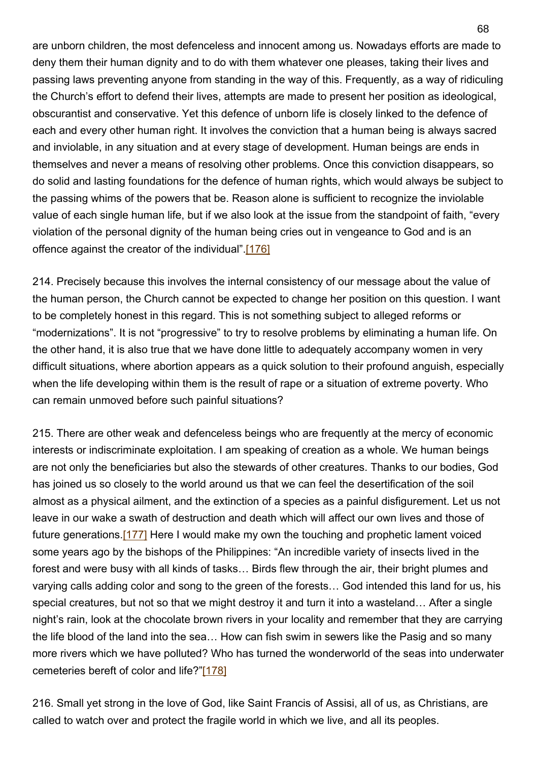are unborn children, the most defenceless and innocent among us. Nowadays efforts are made to deny them their human dignity and to do with them whatever one pleases, taking their lives and passing laws preventing anyone from standing in the way of this. Frequently, as a way of ridiculing the Church's effort to defend their lives, attempts are made to present her position as ideological, obscurantist and conservative. Yet this defence of unborn life is closely linked to the defence of each and every other human right. It involves the conviction that a human being is always sacred and inviolable, in any situation and at every stage of development. Human beings are ends in themselves and never a means of resolving other problems. Once this conviction disappears, so do solid and lasting foundations for the defence of human rights, which would always be subject to the passing whims of the powers that be. Reason alone is sufficient to recognize the inviolable value of each single human life, but if we also look at the issue from the standpoint of faith, "every violation of the personal dignity of the human being cries out in vengeance to God and is an offence against the creator of the individual".[\[176\]](http://w2.vatican.va/content/francesco/en/apost_exhortations/documents/papa-francesco_esortazione-ap_20131124_evangelii-gaudium.html#_ftn176)

214. Precisely because this involves the internal consistency of our message about the value of the human person, the Church cannot be expected to change her position on this question. I want to be completely honest in this regard. This is not something subject to alleged reforms or "modernizations". It is not "progressive" to try to resolve problems by eliminating a human life. On the other hand, it is also true that we have done little to adequately accompany women in very difficult situations, where abortion appears as a quick solution to their profound anguish, especially when the life developing within them is the result of rape or a situation of extreme poverty. Who can remain unmoved before such painful situations?

215. There are other weak and defenceless beings who are frequently at the mercy of economic interests or indiscriminate exploitation. I am speaking of creation as a whole. We human beings are not only the beneficiaries but also the stewards of other creatures. Thanks to our bodies, God has joined us so closely to the world around us that we can feel the desertification of the soil almost as a physical ailment, and the extinction of a species as a painful disfigurement. Let us not leave in our wake a swath of destruction and death which will affect our own lives and those of future generations.[\[177\]](http://w2.vatican.va/content/francesco/en/apost_exhortations/documents/papa-francesco_esortazione-ap_20131124_evangelii-gaudium.html#_ftn177) Here I would make my own the touching and prophetic lament voiced some years ago by the bishops of the Philippines: "An incredible variety of insects lived in the forest and were busy with all kinds of tasks… Birds flew through the air, their bright plumes and varying calls adding color and song to the green of the forests… God intended this land for us, his special creatures, but not so that we might destroy it and turn it into a wasteland… After a single night's rain, look at the chocolate brown rivers in your locality and remember that they are carrying the life blood of the land into the sea… How can fish swim in sewers like the Pasig and so many more rivers which we have polluted? Who has turned the wonderworld of the seas into underwater cemeteries bereft of color and life?"[\[178\]](http://w2.vatican.va/content/francesco/en/apost_exhortations/documents/papa-francesco_esortazione-ap_20131124_evangelii-gaudium.html#_ftn178)

216. Small yet strong in the love of God, like Saint Francis of Assisi, all of us, as Christians, are called to watch over and protect the fragile world in which we live, and all its peoples.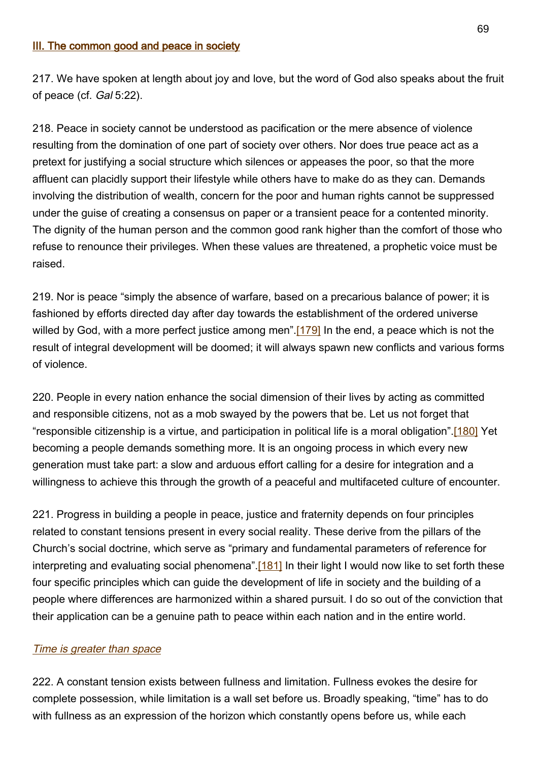## III. The common good and peace in society

217. We have spoken at length about joy and love, but the word of God also speaks about the fruit of peace (cf. Gal 5:22).

218. Peace in society cannot be understood as pacification or the mere absence of violence resulting from the domination of one part of society over others. Nor does true peace act as a pretext for justifying a social structure which silences or appeases the poor, so that the more affluent can placidly support their lifestyle while others have to make do as they can. Demands involving the distribution of wealth, concern for the poor and human rights cannot be suppressed under the guise of creating a consensus on paper or a transient peace for a contented minority. The dignity of the human person and the common good rank higher than the comfort of those who refuse to renounce their privileges. When these values are threatened, a prophetic voice must be raised.

219. Nor is peace "simply the absence of warfare, based on a precarious balance of power; it is fashioned by efforts directed day after day towards the establishment of the ordered universe willed by God, with a more perfect justice among men". [\[179\]](http://w2.vatican.va/content/francesco/en/apost_exhortations/documents/papa-francesco_esortazione-ap_20131124_evangelii-gaudium.html#_ftn179) In the end, a peace which is not the result of integral development will be doomed; it will always spawn new conflicts and various forms of violence.

220. People in every nation enhance the social dimension of their lives by acting as committed and responsible citizens, not as a mob swayed by the powers that be. Let us not forget that "responsible citizenship is a virtue, and participation in political life is a moral obligation".[\[180\]](http://w2.vatican.va/content/francesco/en/apost_exhortations/documents/papa-francesco_esortazione-ap_20131124_evangelii-gaudium.html#_ftn180) Yet becoming a people demands something more. It is an ongoing process in which every new generation must take part: a slow and arduous effort calling for a desire for integration and a willingness to achieve this through the growth of a peaceful and multifaceted culture of encounter.

221. Progress in building a people in peace, justice and fraternity depends on four principles related to constant tensions present in every social reality. These derive from the pillars of the Church's social doctrine, which serve as "primary and fundamental parameters of reference for interpreting and evaluating social phenomena"[.\[181\]](http://w2.vatican.va/content/francesco/en/apost_exhortations/documents/papa-francesco_esortazione-ap_20131124_evangelii-gaudium.html#_ftn181) In their light I would now like to set forth these four specific principles which can guide the development of life in society and the building of a people where differences are harmonized within a shared pursuit. I do so out of the conviction that their application can be a genuine path to peace within each nation and in the entire world.

### Time is greater than space

222. A constant tension exists between fullness and limitation. Fullness evokes the desire for complete possession, while limitation is a wall set before us. Broadly speaking, "time" has to do with fullness as an expression of the horizon which constantly opens before us, while each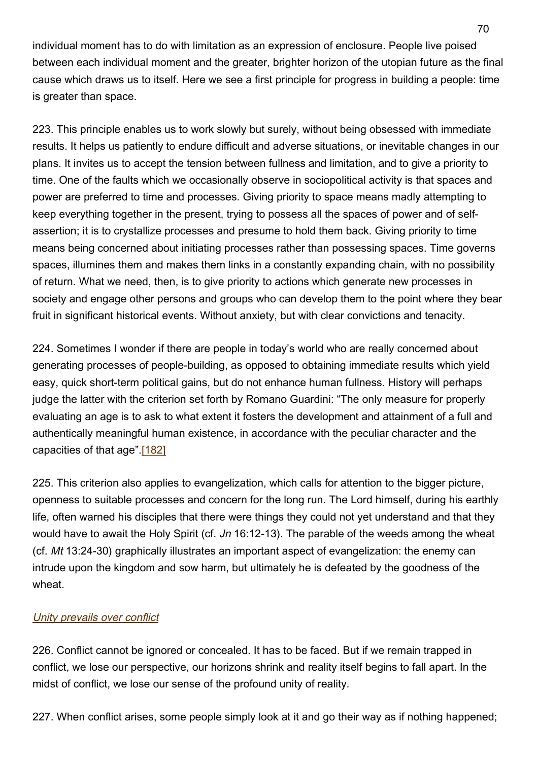individual moment has to do with limitation as an expression of enclosure. People live poised between each individual moment and the greater, brighter horizon of the utopian future as the final cause which draws us to itself. Here we see a first principle for progress in building a people: time is greater than space.

223. This principle enables us to work slowly but surely, without being obsessed with immediate results. It helps us patiently to endure difficult and adverse situations, or inevitable changes in our plans. It invites us to accept the tension between fullness and limitation, and to give a priority to time. One of the faults which we occasionally observe in sociopolitical activity is that spaces and power are preferred to time and processes. Giving priority to space means madly attempting to keep everything together in the present, trying to possess all the spaces of power and of selfassertion; it is to crystallize processes and presume to hold them back. Giving priority to time means being concerned about initiating processes rather than possessing spaces. Time governs spaces, illumines them and makes them links in a constantly expanding chain, with no possibility of return. What we need, then, is to give priority to actions which generate new processes in society and engage other persons and groups who can develop them to the point where they bear fruit in significant historical events. Without anxiety, but with clear convictions and tenacity.

224. Sometimes I wonder if there are people in today's world who are really concerned about generating processes of people-building, as opposed to obtaining immediate results which yield easy, quick short-term political gains, but do not enhance human fullness. History will perhaps judge the latter with the criterion set forth by Romano Guardini: "The only measure for properly evaluating an age is to ask to what extent it fosters the development and attainment of a full and authentically meaningful human existence, in accordance with the peculiar character and the capacities of that age".[\[182\]](http://w2.vatican.va/content/francesco/en/apost_exhortations/documents/papa-francesco_esortazione-ap_20131124_evangelii-gaudium.html#_ftn182)

225. This criterion also applies to evangelization, which calls for attention to the bigger picture, openness to suitable processes and concern for the long run. The Lord himself, during his earthly life, often warned his disciples that there were things they could not yet understand and that they would have to await the Holy Spirit (cf. Jn 16:12-13). The parable of the weeds among the wheat (cf. Mt 13:24-30) graphically illustrates an important aspect of evangelization: the enemy can intrude upon the kingdom and sow harm, but ultimately he is defeated by the goodness of the wheat.

## Unity prevails over conflict

226. Conflict cannot be ignored or concealed. It has to be faced. But if we remain trapped in conflict, we lose our perspective, our horizons shrink and reality itself begins to fall apart. In the midst of conflict, we lose our sense of the profound unity of reality.

227. When conflict arises, some people simply look at it and go their way as if nothing happened;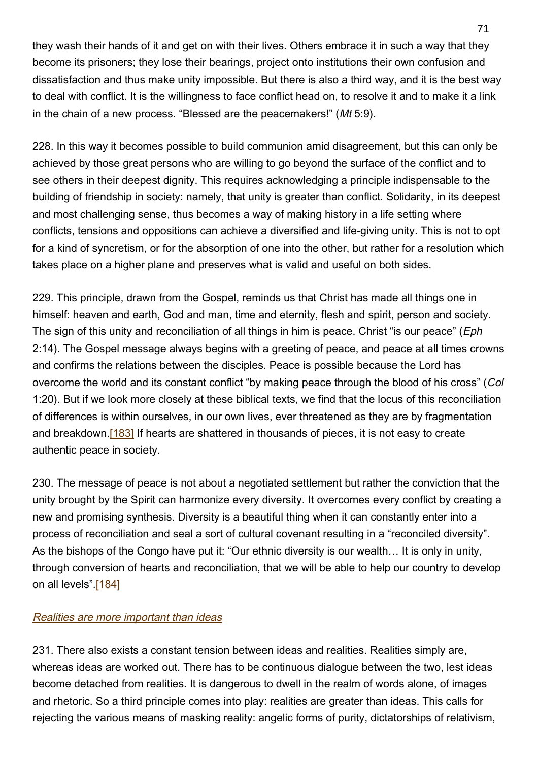they wash their hands of it and get on with their lives. Others embrace it in such a way that they become its prisoners; they lose their bearings, project onto institutions their own confusion and dissatisfaction and thus make unity impossible. But there is also a third way, and it is the best way to deal with conflict. It is the willingness to face conflict head on, to resolve it and to make it a link in the chain of a new process. "Blessed are the peacemakers!" (Mt 5:9).

228. In this way it becomes possible to build communion amid disagreement, but this can only be achieved by those great persons who are willing to go beyond the surface of the conflict and to see others in their deepest dignity. This requires acknowledging a principle indispensable to the building of friendship in society: namely, that unity is greater than conflict. Solidarity, in its deepest and most challenging sense, thus becomes a way of making history in a life setting where conflicts, tensions and oppositions can achieve a diversified and life-giving unity. This is not to opt for a kind of syncretism, or for the absorption of one into the other, but rather for a resolution which takes place on a higher plane and preserves what is valid and useful on both sides.

229. This principle, drawn from the Gospel, reminds us that Christ has made all things one in himself: heaven and earth, God and man, time and eternity, flesh and spirit, person and society. The sign of this unity and reconciliation of all things in him is peace. Christ "is our peace" (Eph 2:14). The Gospel message always begins with a greeting of peace, and peace at all times crowns and confirms the relations between the disciples. Peace is possible because the Lord has overcome the world and its constant conflict "by making peace through the blood of his cross" (Col 1:20). But if we look more closely at these biblical texts, we find that the locus of this reconciliation of differences is within ourselves, in our own lives, ever threatened as they are by fragmentation and breakdown[.\[183\]](http://w2.vatican.va/content/francesco/en/apost_exhortations/documents/papa-francesco_esortazione-ap_20131124_evangelii-gaudium.html#_ftn183) If hearts are shattered in thousands of pieces, it is not easy to create authentic peace in society.

230. The message of peace is not about a negotiated settlement but rather the conviction that the unity brought by the Spirit can harmonize every diversity. It overcomes every conflict by creating a new and promising synthesis. Diversity is a beautiful thing when it can constantly enter into a process of reconciliation and seal a sort of cultural covenant resulting in a "reconciled diversity". As the bishops of the Congo have put it: "Our ethnic diversity is our wealth… It is only in unity, through conversion of hearts and reconciliation, that we will be able to help our country to develop on all levels".[\[184\]](http://w2.vatican.va/content/francesco/en/apost_exhortations/documents/papa-francesco_esortazione-ap_20131124_evangelii-gaudium.html#_ftn184)

### Realities are more important than ideas

231. There also exists a constant tension between ideas and realities. Realities simply are, whereas ideas are worked out. There has to be continuous dialogue between the two, lest ideas become detached from realities. It is dangerous to dwell in the realm of words alone, of images and rhetoric. So a third principle comes into play: realities are greater than ideas. This calls for rejecting the various means of masking reality: angelic forms of purity, dictatorships of relativism,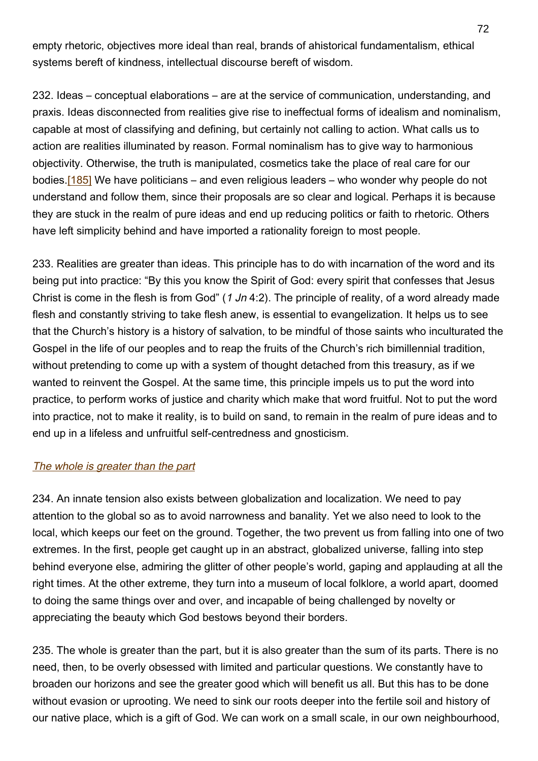empty rhetoric, objectives more ideal than real, brands of ahistorical fundamentalism, ethical systems bereft of kindness, intellectual discourse bereft of wisdom.

232. Ideas – conceptual elaborations – are at the service of communication, understanding, and praxis. Ideas disconnected from realities give rise to ineffectual forms of idealism and nominalism, capable at most of classifying and defining, but certainly not calling to action. What calls us to action are realities illuminated by reason. Formal nominalism has to give way to harmonious objectivity. Otherwise, the truth is manipulated, cosmetics take the place of real care for our bodies.[\[185\]](http://w2.vatican.va/content/francesco/en/apost_exhortations/documents/papa-francesco_esortazione-ap_20131124_evangelii-gaudium.html#_ftn185) We have politicians – and even religious leaders – who wonder why people do not understand and follow them, since their proposals are so clear and logical. Perhaps it is because they are stuck in the realm of pure ideas and end up reducing politics or faith to rhetoric. Others have left simplicity behind and have imported a rationality foreign to most people.

233. Realities are greater than ideas. This principle has to do with incarnation of the word and its being put into practice: "By this you know the Spirit of God: every spirit that confesses that Jesus Christ is come in the flesh is from God"  $(1 Jn 4:2)$ . The principle of reality, of a word already made flesh and constantly striving to take flesh anew, is essential to evangelization. It helps us to see that the Church's history is a history of salvation, to be mindful of those saints who inculturated the Gospel in the life of our peoples and to reap the fruits of the Church's rich bimillennial tradition, without pretending to come up with a system of thought detached from this treasury, as if we wanted to reinvent the Gospel. At the same time, this principle impels us to put the word into practice, to perform works of justice and charity which make that word fruitful. Not to put the word into practice, not to make it reality, is to build on sand, to remain in the realm of pure ideas and to end up in a lifeless and unfruitful self-centredness and gnosticism.

### The whole is greater than the part

234. An innate tension also exists between globalization and localization. We need to pay attention to the global so as to avoid narrowness and banality. Yet we also need to look to the local, which keeps our feet on the ground. Together, the two prevent us from falling into one of two extremes. In the first, people get caught up in an abstract, globalized universe, falling into step behind everyone else, admiring the glitter of other people's world, gaping and applauding at all the right times. At the other extreme, they turn into a museum of local folklore, a world apart, doomed to doing the same things over and over, and incapable of being challenged by novelty or appreciating the beauty which God bestows beyond their borders.

235. The whole is greater than the part, but it is also greater than the sum of its parts. There is no need, then, to be overly obsessed with limited and particular questions. We constantly have to broaden our horizons and see the greater good which will benefit us all. But this has to be done without evasion or uprooting. We need to sink our roots deeper into the fertile soil and history of our native place, which is a gift of God. We can work on a small scale, in our own neighbourhood,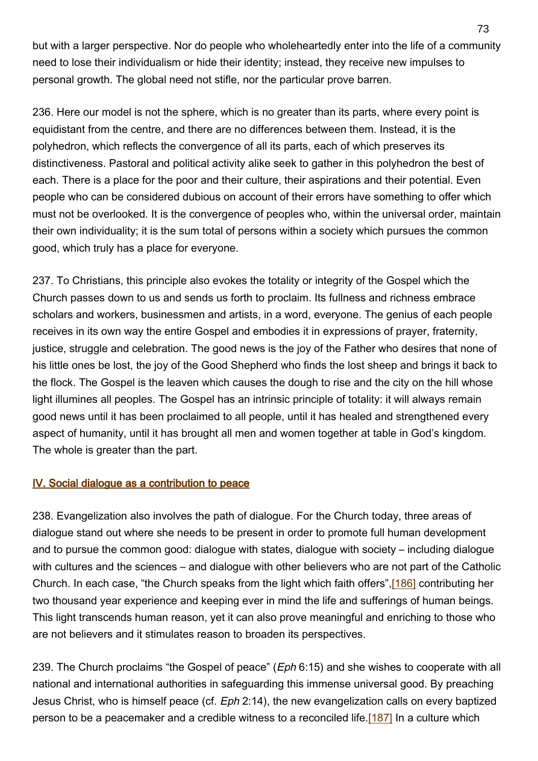but with a larger perspective. Nor do people who wholeheartedly enter into the life of a community need to lose their individualism or hide their identity; instead, they receive new impulses to personal growth. The global need not stifle, nor the particular prove barren.

236. Here our model is not the sphere, which is no greater than its parts, where every point is equidistant from the centre, and there are no differences between them. Instead, it is the polyhedron, which reflects the convergence of all its parts, each of which preserves its distinctiveness. Pastoral and political activity alike seek to gather in this polyhedron the best of each. There is a place for the poor and their culture, their aspirations and their potential. Even people who can be considered dubious on account of their errors have something to offer which must not be overlooked. It is the convergence of peoples who, within the universal order, maintain their own individuality; it is the sum total of persons within a society which pursues the common good, which truly has a place for everyone.

237. To Christians, this principle also evokes the totality or integrity of the Gospel which the Church passes down to us and sends us forth to proclaim. Its fullness and richness embrace scholars and workers, businessmen and artists, in a word, everyone. The genius of each people receives in its own way the entire Gospel and embodies it in expressions of prayer, fraternity, justice, struggle and celebration. The good news is the joy of the Father who desires that none of his little ones be lost, the joy of the Good Shepherd who finds the lost sheep and brings it back to the flock. The Gospel is the leaven which causes the dough to rise and the city on the hill whose light illumines all peoples. The Gospel has an intrinsic principle of totality: it will always remain good news until it has been proclaimed to all people, until it has healed and strengthened every aspect of humanity, until it has brought all men and women together at table in God's kingdom. The whole is greater than the part.

# IV. Social dialogue as a contribution to peace

238. Evangelization also involves the path of dialogue. For the Church today, three areas of dialogue stand out where she needs to be present in order to promote full human development and to pursue the common good: dialogue with states, dialogue with society – including dialogue with cultures and the sciences – and dialogue with other believers who are not part of the Catholic Church. In each case, "the Church speaks from the light which faith offers"[,\[186\]](http://w2.vatican.va/content/francesco/en/apost_exhortations/documents/papa-francesco_esortazione-ap_20131124_evangelii-gaudium.html#_ftn186) contributing her two thousand year experience and keeping ever in mind the life and sufferings of human beings. This light transcends human reason, yet it can also prove meaningful and enriching to those who are not believers and it stimulates reason to broaden its perspectives.

239. The Church proclaims "the Gospel of peace" (*Eph* 6:15) and she wishes to cooperate with all national and international authorities in safeguarding this immense universal good. By preaching Jesus Christ, who is himself peace (cf. Eph 2:14), the new evangelization calls on every baptized person to be a peacemaker and a credible witness to a reconciled life[.\[187\]](http://w2.vatican.va/content/francesco/en/apost_exhortations/documents/papa-francesco_esortazione-ap_20131124_evangelii-gaudium.html#_ftn187) In a culture which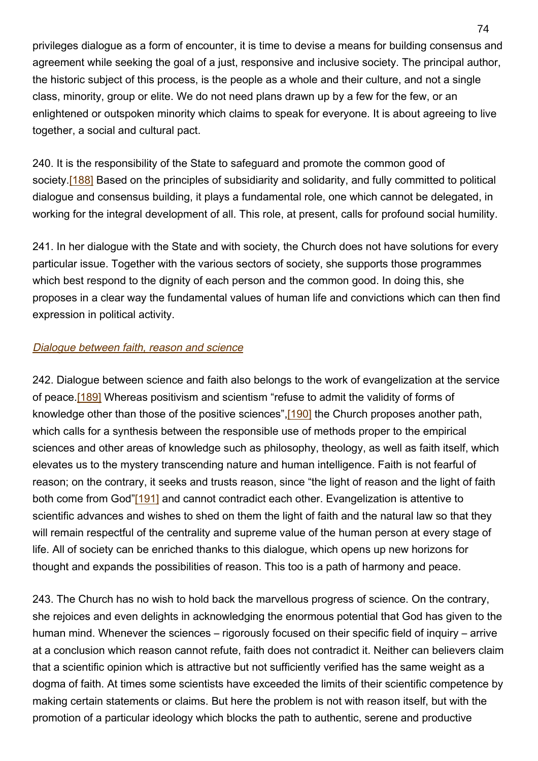privileges dialogue as a form of encounter, it is time to devise a means for building consensus and agreement while seeking the goal of a just, responsive and inclusive society. The principal author, the historic subject of this process, is the people as a whole and their culture, and not a single class, minority, group or elite. We do not need plans drawn up by a few for the few, or an enlightened or outspoken minority which claims to speak for everyone. It is about agreeing to live together, a social and cultural pact.

240. It is the responsibility of the State to safeguard and promote the common good of society.<sup>[\[188\]](http://w2.vatican.va/content/francesco/en/apost_exhortations/documents/papa-francesco_esortazione-ap_20131124_evangelii-gaudium.html#_ftn188)</sup> Based on the principles of subsidiarity and solidarity, and fully committed to political dialogue and consensus building, it plays a fundamental role, one which cannot be delegated, in working for the integral development of all. This role, at present, calls for profound social humility.

241. In her dialogue with the State and with society, the Church does not have solutions for every particular issue. Together with the various sectors of society, she supports those programmes which best respond to the dignity of each person and the common good. In doing this, she proposes in a clear way the fundamental values of human life and convictions which can then find expression in political activity.

### Dialogue between faith, reason and science

242. Dialogue between science and faith also belongs to the work of evangelization at the service of peace. [189] Whereas positivism and scientism "refuse to admit the validity of forms of knowledge other than those of the positive sciences", [\[190\]](http://w2.vatican.va/content/francesco/en/apost_exhortations/documents/papa-francesco_esortazione-ap_20131124_evangelii-gaudium.html#_ftn190) the Church proposes another path, which calls for a synthesis between the responsible use of methods proper to the empirical sciences and other areas of knowledge such as philosophy, theology, as well as faith itself, which elevates us to the mystery transcending nature and human intelligence. Faith is not fearful of reason; on the contrary, it seeks and trusts reason, since "the light of reason and the light of faith both come from God["\[191\]](http://w2.vatican.va/content/francesco/en/apost_exhortations/documents/papa-francesco_esortazione-ap_20131124_evangelii-gaudium.html#_ftn191) and cannot contradict each other. Evangelization is attentive to scientific advances and wishes to shed on them the light of faith and the natural law so that they will remain respectful of the centrality and supreme value of the human person at every stage of life. All of society can be enriched thanks to this dialogue, which opens up new horizons for thought and expands the possibilities of reason. This too is a path of harmony and peace.

243. The Church has no wish to hold back the marvellous progress of science. On the contrary, she rejoices and even delights in acknowledging the enormous potential that God has given to the human mind. Whenever the sciences – rigorously focused on their specific field of inquiry – arrive at a conclusion which reason cannot refute, faith does not contradict it. Neither can believers claim that a scientific opinion which is attractive but not sufficiently verified has the same weight as a dogma of faith. At times some scientists have exceeded the limits of their scientific competence by making certain statements or claims. But here the problem is not with reason itself, but with the promotion of a particular ideology which blocks the path to authentic, serene and productive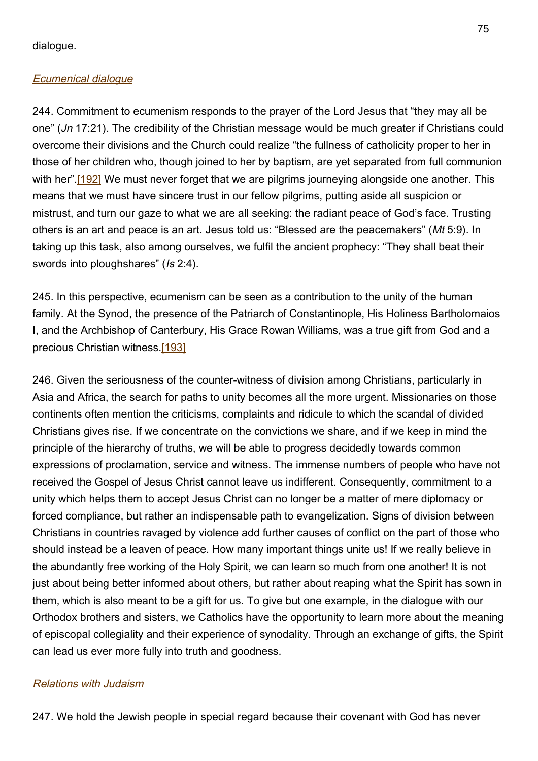dialogue.

# Ecumenical dialogue

244. Commitment to ecumenism responds to the prayer of the Lord Jesus that "they may all be one" (Jn 17:21). The credibility of the Christian message would be much greater if Christians could overcome their divisions and the Church could realize "the fullness of catholicity proper to her in those of her children who, though joined to her by baptism, are yet separated from full communion with her" [192] We must never forget that we are pilgrims journeying alongside one another. This means that we must have sincere trust in our fellow pilgrims, putting aside all suspicion or mistrust, and turn our gaze to what we are all seeking: the radiant peace of God's face. Trusting others is an art and peace is an art. Jesus told us: "Blessed are the peacemakers" (Mt 5:9). In taking up this task, also among ourselves, we fulfil the ancient prophecy: "They shall beat their swords into ploughshares" (*Is* 2:4).

245. In this perspective, ecumenism can be seen as a contribution to the unity of the human family. At the Synod, the presence of the Patriarch of Constantinople, His Holiness Bartholomaios I, and the Archbishop of Canterbury, His Grace Rowan Williams, was a true gift from God and a precious Christian witness.[\[193\]](http://w2.vatican.va/content/francesco/en/apost_exhortations/documents/papa-francesco_esortazione-ap_20131124_evangelii-gaudium.html#_ftn193)

246. Given the seriousness of the counter-witness of division among Christians, particularly in Asia and Africa, the search for paths to unity becomes all the more urgent. Missionaries on those continents often mention the criticisms, complaints and ridicule to which the scandal of divided Christians gives rise. If we concentrate on the convictions we share, and if we keep in mind the principle of the hierarchy of truths, we will be able to progress decidedly towards common expressions of proclamation, service and witness. The immense numbers of people who have not received the Gospel of Jesus Christ cannot leave us indifferent. Consequently, commitment to a unity which helps them to accept Jesus Christ can no longer be a matter of mere diplomacy or forced compliance, but rather an indispensable path to evangelization. Signs of division between Christians in countries ravaged by violence add further causes of conflict on the part of those who should instead be a leaven of peace. How many important things unite us! If we really believe in the abundantly free working of the Holy Spirit, we can learn so much from one another! It is not just about being better informed about others, but rather about reaping what the Spirit has sown in them, which is also meant to be a gift for us. To give but one example, in the dialogue with our Orthodox brothers and sisters, we Catholics have the opportunity to learn more about the meaning of episcopal collegiality and their experience of synodality. Through an exchange of gifts, the Spirit can lead us ever more fully into truth and goodness.

# Relations with Judaism

247. We hold the Jewish people in special regard because their covenant with God has never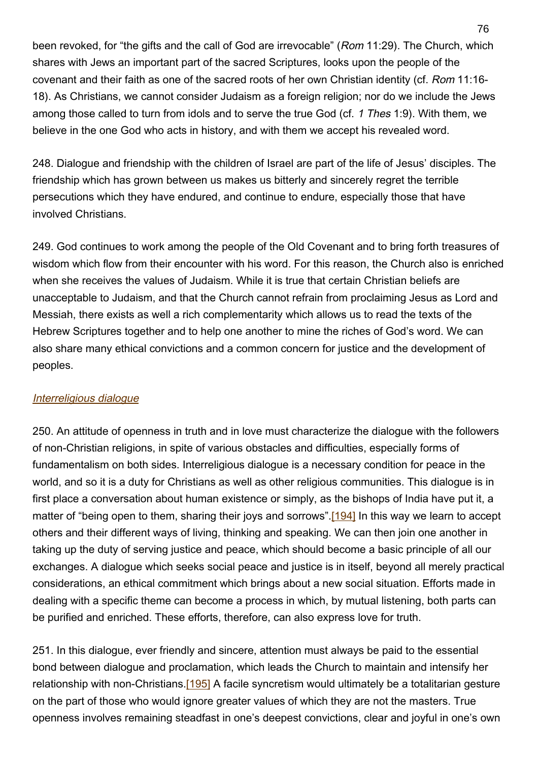been revoked, for "the gifts and the call of God are irrevocable" (Rom 11:29). The Church, which shares with Jews an important part of the sacred Scriptures, looks upon the people of the covenant and their faith as one of the sacred roots of her own Christian identity (cf. Rom 11:16- 18). As Christians, we cannot consider Judaism as a foreign religion; nor do we include the Jews among those called to turn from idols and to serve the true God (cf. 1 Thes 1:9). With them, we believe in the one God who acts in history, and with them we accept his revealed word.

248. Dialogue and friendship with the children of Israel are part of the life of Jesus' disciples. The friendship which has grown between us makes us bitterly and sincerely regret the terrible persecutions which they have endured, and continue to endure, especially those that have involved Christians.

249. God continues to work among the people of the Old Covenant and to bring forth treasures of wisdom which flow from their encounter with his word. For this reason, the Church also is enriched when she receives the values of Judaism. While it is true that certain Christian beliefs are unacceptable to Judaism, and that the Church cannot refrain from proclaiming Jesus as Lord and Messiah, there exists as well a rich complementarity which allows us to read the texts of the Hebrew Scriptures together and to help one another to mine the riches of God's word. We can also share many ethical convictions and a common concern for justice and the development of peoples.

#### Interreligious dialogue

250. An attitude of openness in truth and in love must characterize the dialogue with the followers of non-Christian religions, in spite of various obstacles and difficulties, especially forms of fundamentalism on both sides. Interreligious dialogue is a necessary condition for peace in the world, and so it is a duty for Christians as well as other religious communities. This dialogue is in first place a conversation about human existence or simply, as the bishops of India have put it, a matter of "being open to them, sharing their joys and sorrows". [\[194\]](http://w2.vatican.va/content/francesco/en/apost_exhortations/documents/papa-francesco_esortazione-ap_20131124_evangelii-gaudium.html#_ftn194) In this way we learn to accept others and their different ways of living, thinking and speaking. We can then join one another in taking up the duty of serving justice and peace, which should become a basic principle of all our exchanges. A dialogue which seeks social peace and justice is in itself, beyond all merely practical considerations, an ethical commitment which brings about a new social situation. Efforts made in dealing with a specific theme can become a process in which, by mutual listening, both parts can be purified and enriched. These efforts, therefore, can also express love for truth.

251. In this dialogue, ever friendly and sincere, attention must always be paid to the essential bond between dialogue and proclamation, which leads the Church to maintain and intensify her relationship with non-Christians. [\[195\]](http://w2.vatican.va/content/francesco/en/apost_exhortations/documents/papa-francesco_esortazione-ap_20131124_evangelii-gaudium.html#_ftn195) A facile syncretism would ultimately be a totalitarian gesture on the part of those who would ignore greater values of which they are not the masters. True openness involves remaining steadfast in one's deepest convictions, clear and joyful in one's own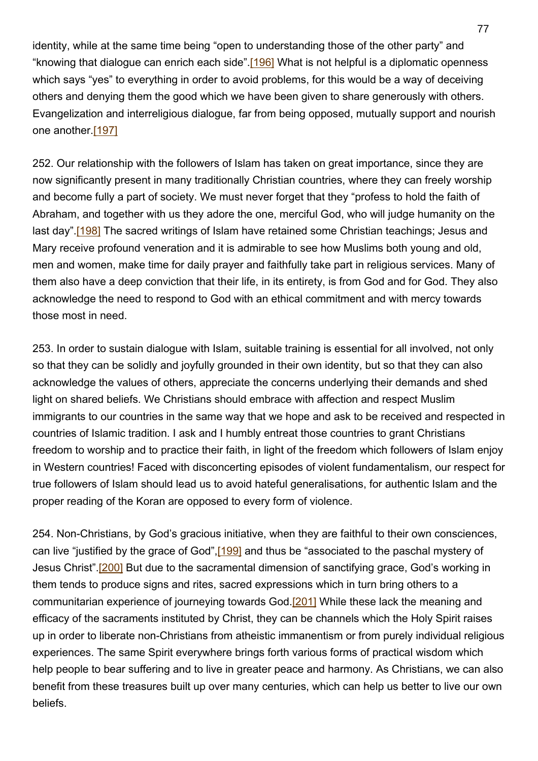identity, while at the same time being "open to understanding those of the other party" and "knowing that dialogue can enrich each side".[\[196\]](http://w2.vatican.va/content/francesco/en/apost_exhortations/documents/papa-francesco_esortazione-ap_20131124_evangelii-gaudium.html#_ftn196) What is not helpful is a diplomatic openness which says "yes" to everything in order to avoid problems, for this would be a way of deceiving others and denying them the good which we have been given to share generously with others. Evangelization and interreligious dialogue, far from being opposed, mutually support and nourish one another[.\[197\]](http://w2.vatican.va/content/francesco/en/apost_exhortations/documents/papa-francesco_esortazione-ap_20131124_evangelii-gaudium.html#_ftn197)

252. Our relationship with the followers of Islam has taken on great importance, since they are now significantly present in many traditionally Christian countries, where they can freely worship and become fully a part of society. We must never forget that they "profess to hold the faith of Abraham, and together with us they adore the one, merciful God, who will judge humanity on the last day".[\[198\]](http://w2.vatican.va/content/francesco/en/apost_exhortations/documents/papa-francesco_esortazione-ap_20131124_evangelii-gaudium.html#_ftn198) The sacred writings of Islam have retained some Christian teachings; Jesus and Mary receive profound veneration and it is admirable to see how Muslims both young and old, men and women, make time for daily prayer and faithfully take part in religious services. Many of them also have a deep conviction that their life, in its entirety, is from God and for God. They also acknowledge the need to respond to God with an ethical commitment and with mercy towards those most in need.

253. In order to sustain dialogue with Islam, suitable training is essential for all involved, not only so that they can be solidly and joyfully grounded in their own identity, but so that they can also acknowledge the values of others, appreciate the concerns underlying their demands and shed light on shared beliefs. We Christians should embrace with affection and respect Muslim immigrants to our countries in the same way that we hope and ask to be received and respected in countries of Islamic tradition. I ask and I humbly entreat those countries to grant Christians freedom to worship and to practice their faith, in light of the freedom which followers of Islam enjoy in Western countries! Faced with disconcerting episodes of violent fundamentalism, our respect for true followers of Islam should lead us to avoid hateful generalisations, for authentic Islam and the proper reading of the Koran are opposed to every form of violence.

254. Non-Christians, by God's gracious initiative, when they are faithful to their own consciences, can live "justified by the grace of God",[\[199\]](http://w2.vatican.va/content/francesco/en/apost_exhortations/documents/papa-francesco_esortazione-ap_20131124_evangelii-gaudium.html#_ftn199) and thus be "associated to the paschal mystery of Jesus Christ"[.\[200\]](http://w2.vatican.va/content/francesco/en/apost_exhortations/documents/papa-francesco_esortazione-ap_20131124_evangelii-gaudium.html#_ftn200) But due to the sacramental dimension of sanctifying grace, God's working in them tends to produce signs and rites, sacred expressions which in turn bring others to a communitarian experience of journeying towards God[.\[201\]](http://w2.vatican.va/content/francesco/en/apost_exhortations/documents/papa-francesco_esortazione-ap_20131124_evangelii-gaudium.html#_ftn201) While these lack the meaning and efficacy of the sacraments instituted by Christ, they can be channels which the Holy Spirit raises up in order to liberate non-Christians from atheistic immanentism or from purely individual religious experiences. The same Spirit everywhere brings forth various forms of practical wisdom which help people to bear suffering and to live in greater peace and harmony. As Christians, we can also benefit from these treasures built up over many centuries, which can help us better to live our own beliefs.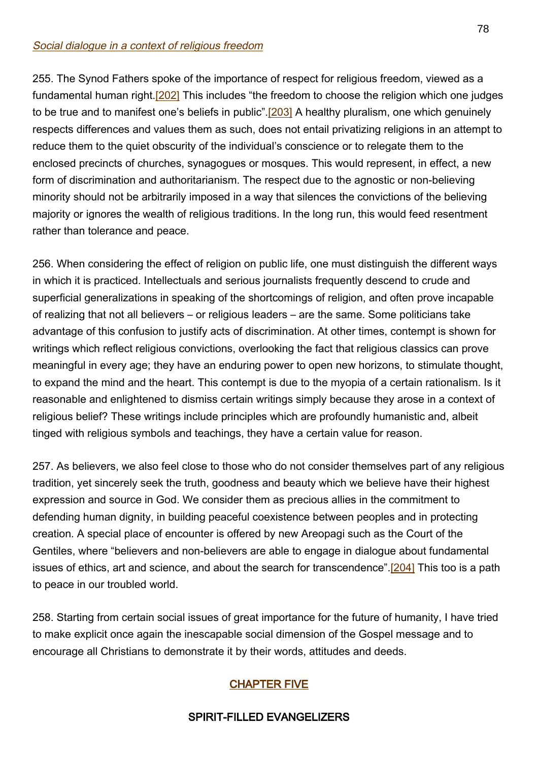### Social dialogue in a context of religious freedom

255. The Synod Fathers spoke of the importance of respect for religious freedom, viewed as a fundamental human right.<sup>[\[202\]](http://w2.vatican.va/content/francesco/en/apost_exhortations/documents/papa-francesco_esortazione-ap_20131124_evangelii-gaudium.html#_ftn202)</sup> This includes "the freedom to choose the religion which one judges to be true and to manifest one's beliefs in public". [\[203\]](http://w2.vatican.va/content/francesco/en/apost_exhortations/documents/papa-francesco_esortazione-ap_20131124_evangelii-gaudium.html#_ftn203) A healthy pluralism, one which genuinely respects differences and values them as such, does not entail privatizing religions in an attempt to reduce them to the quiet obscurity of the individual's conscience or to relegate them to the enclosed precincts of churches, synagogues or mosques. This would represent, in effect, a new form of discrimination and authoritarianism. The respect due to the agnostic or non-believing minority should not be arbitrarily imposed in a way that silences the convictions of the believing majority or ignores the wealth of religious traditions. In the long run, this would feed resentment rather than tolerance and peace.

256. When considering the effect of religion on public life, one must distinguish the different ways in which it is practiced. Intellectuals and serious journalists frequently descend to crude and superficial generalizations in speaking of the shortcomings of religion, and often prove incapable of realizing that not all believers – or religious leaders – are the same. Some politicians take advantage of this confusion to justify acts of discrimination. At other times, contempt is shown for writings which reflect religious convictions, overlooking the fact that religious classics can prove meaningful in every age; they have an enduring power to open new horizons, to stimulate thought, to expand the mind and the heart. This contempt is due to the myopia of a certain rationalism. Is it reasonable and enlightened to dismiss certain writings simply because they arose in a context of religious belief? These writings include principles which are profoundly humanistic and, albeit tinged with religious symbols and teachings, they have a certain value for reason.

257. As believers, we also feel close to those who do not consider themselves part of any religious tradition, yet sincerely seek the truth, goodness and beauty which we believe have their highest expression and source in God. We consider them as precious allies in the commitment to defending human dignity, in building peaceful coexistence between peoples and in protecting creation. A special place of encounter is offered by new Areopagi such as the Court of the Gentiles, where "believers and non-believers are able to engage in dialogue about fundamental issues of ethics, art and science, and about the search for transcendence".[\[204\]](http://w2.vatican.va/content/francesco/en/apost_exhortations/documents/papa-francesco_esortazione-ap_20131124_evangelii-gaudium.html#_ftn204) This too is a path to peace in our troubled world.

258. Starting from certain social issues of great importance for the future of humanity, I have tried to make explicit once again the inescapable social dimension of the Gospel message and to encourage all Christians to demonstrate it by their words, attitudes and deeds.

# CHAPTER FIVE

# SPIRIT-FILLED EVANGELIZERS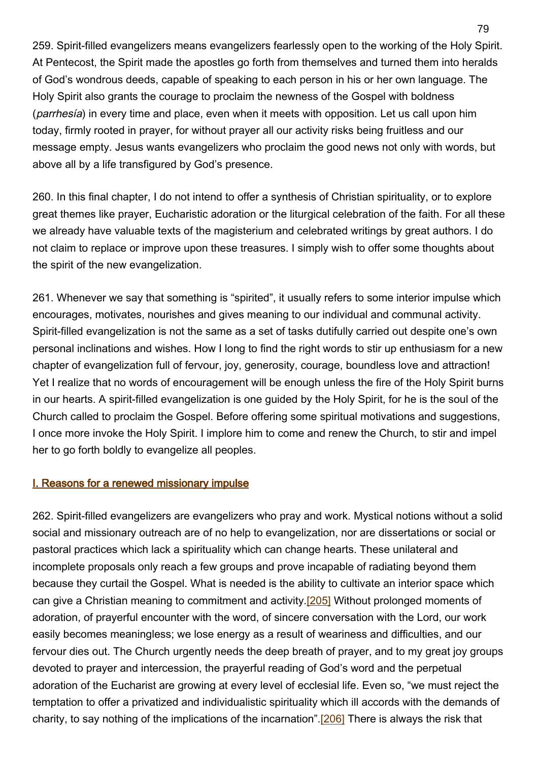259. Spirit-filled evangelizers means evangelizers fearlessly open to the working of the Holy Spirit. At Pentecost, the Spirit made the apostles go forth from themselves and turned them into heralds of God's wondrous deeds, capable of speaking to each person in his or her own language. The Holy Spirit also grants the courage to proclaim the newness of the Gospel with boldness (parrhesía) in every time and place, even when it meets with opposition. Let us call upon him today, firmly rooted in prayer, for without prayer all our activity risks being fruitless and our message empty. Jesus wants evangelizers who proclaim the good news not only with words, but above all by a life transfigured by God's presence.

260. In this final chapter, I do not intend to offer a synthesis of Christian spirituality, or to explore great themes like prayer, Eucharistic adoration or the liturgical celebration of the faith. For all these we already have valuable texts of the magisterium and celebrated writings by great authors. I do not claim to replace or improve upon these treasures. I simply wish to offer some thoughts about the spirit of the new evangelization.

261. Whenever we say that something is "spirited", it usually refers to some interior impulse which encourages, motivates, nourishes and gives meaning to our individual and communal activity. Spirit-filled evangelization is not the same as a set of tasks dutifully carried out despite one's own personal inclinations and wishes. How I long to find the right words to stir up enthusiasm for a new chapter of evangelization full of fervour, joy, generosity, courage, boundless love and attraction! Yet I realize that no words of encouragement will be enough unless the fire of the Holy Spirit burns in our hearts. A spirit-filled evangelization is one guided by the Holy Spirit, for he is the soul of the Church called to proclaim the Gospel. Before offering some spiritual motivations and suggestions, I once more invoke the Holy Spirit. I implore him to come and renew the Church, to stir and impel her to go forth boldly to evangelize all peoples.

# I. Reasons for a renewed missionary impulse

262. Spirit-filled evangelizers are evangelizers who pray and work. Mystical notions without a solid social and missionary outreach are of no help to evangelization, nor are dissertations or social or pastoral practices which lack a spirituality which can change hearts. These unilateral and incomplete proposals only reach a few groups and prove incapable of radiating beyond them because they curtail the Gospel. What is needed is the ability to cultivate an interior space which can give a Christian meaning to commitment and activity[.\[205\]](http://w2.vatican.va/content/francesco/en/apost_exhortations/documents/papa-francesco_esortazione-ap_20131124_evangelii-gaudium.html#_ftn205) Without prolonged moments of adoration, of prayerful encounter with the word, of sincere conversation with the Lord, our work easily becomes meaningless; we lose energy as a result of weariness and difficulties, and our fervour dies out. The Church urgently needs the deep breath of prayer, and to my great joy groups devoted to prayer and intercession, the prayerful reading of God's word and the perpetual adoration of the Eucharist are growing at every level of ecclesial life. Even so, "we must reject the temptation to offer a privatized and individualistic spirituality which ill accords with the demands of charity, to say nothing of the implications of the incarnation".[\[206\]](http://w2.vatican.va/content/francesco/en/apost_exhortations/documents/papa-francesco_esortazione-ap_20131124_evangelii-gaudium.html#_ftn206) There is always the risk that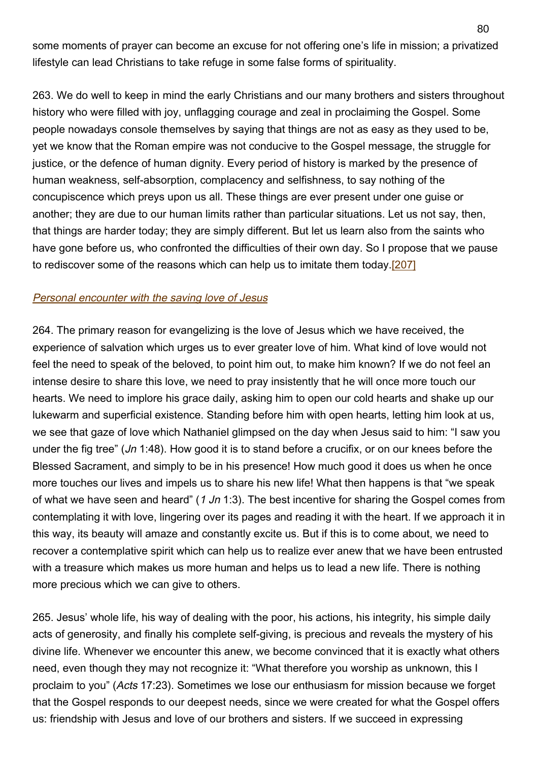some moments of prayer can become an excuse for not offering one's life in mission; a privatized lifestyle can lead Christians to take refuge in some false forms of spirituality.

263. We do well to keep in mind the early Christians and our many brothers and sisters throughout history who were filled with joy, unflagging courage and zeal in proclaiming the Gospel. Some people nowadays console themselves by saying that things are not as easy as they used to be, yet we know that the Roman empire was not conducive to the Gospel message, the struggle for justice, or the defence of human dignity. Every period of history is marked by the presence of human weakness, self-absorption, complacency and selfishness, to say nothing of the concupiscence which preys upon us all. These things are ever present under one guise or another; they are due to our human limits rather than particular situations. Let us not say, then, that things are harder today; they are simply different. But let us learn also from the saints who have gone before us, who confronted the difficulties of their own day. So I propose that we pause to rediscover some of the reasons which can help us to imitate them today[.\[207\]](http://w2.vatican.va/content/francesco/en/apost_exhortations/documents/papa-francesco_esortazione-ap_20131124_evangelii-gaudium.html#_ftn207)

### Personal encounter with the saving love of Jesus

264. The primary reason for evangelizing is the love of Jesus which we have received, the experience of salvation which urges us to ever greater love of him. What kind of love would not feel the need to speak of the beloved, to point him out, to make him known? If we do not feel an intense desire to share this love, we need to pray insistently that he will once more touch our hearts. We need to implore his grace daily, asking him to open our cold hearts and shake up our lukewarm and superficial existence. Standing before him with open hearts, letting him look at us, we see that gaze of love which Nathaniel glimpsed on the day when Jesus said to him: "I saw you under the fig tree" (Jn 1:48). How good it is to stand before a crucifix, or on our knees before the Blessed Sacrament, and simply to be in his presence! How much good it does us when he once more touches our lives and impels us to share his new life! What then happens is that "we speak of what we have seen and heard" (1 Jn 1:3). The best incentive for sharing the Gospel comes from contemplating it with love, lingering over its pages and reading it with the heart. If we approach it in this way, its beauty will amaze and constantly excite us. But if this is to come about, we need to recover a contemplative spirit which can help us to realize ever anew that we have been entrusted with a treasure which makes us more human and helps us to lead a new life. There is nothing more precious which we can give to others.

265. Jesus' whole life, his way of dealing with the poor, his actions, his integrity, his simple daily acts of generosity, and finally his complete self-giving, is precious and reveals the mystery of his divine life. Whenever we encounter this anew, we become convinced that it is exactly what others need, even though they may not recognize it: "What therefore you worship as unknown, this I proclaim to you" (Acts 17:23). Sometimes we lose our enthusiasm for mission because we forget that the Gospel responds to our deepest needs, since we were created for what the Gospel offers us: friendship with Jesus and love of our brothers and sisters. If we succeed in expressing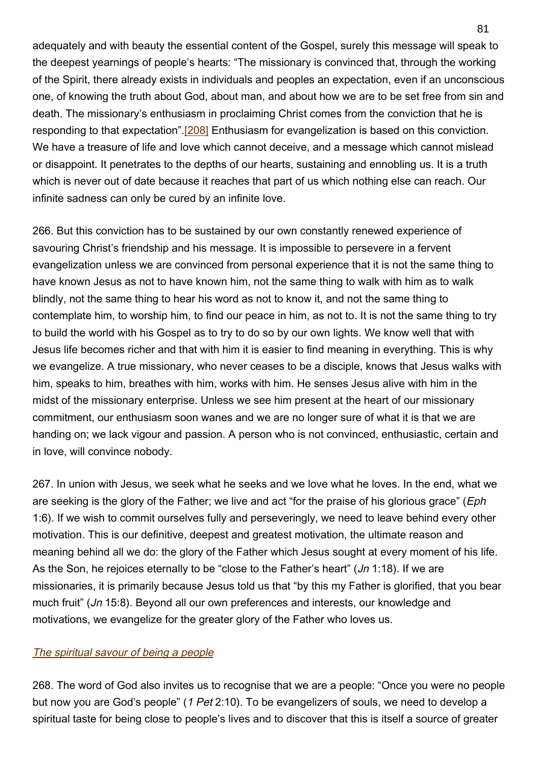adequately and with beauty the essential content of the Gospel, surely this message will speak to the deepest yearnings of people's hearts: "The missionary is convinced that, through the working of the Spirit, there already exists in individuals and peoples an expectation, even if an unconscious one, of knowing the truth about God, about man, and about how we are to be set free from sin and death. The missionary's enthusiasm in proclaiming Christ comes from the conviction that he is responding to that expectation". [\[208\]](http://w2.vatican.va/content/francesco/en/apost_exhortations/documents/papa-francesco_esortazione-ap_20131124_evangelii-gaudium.html#_ftn208) Enthusiasm for evangelization is based on this conviction. We have a treasure of life and love which cannot deceive, and a message which cannot mislead or disappoint. It penetrates to the depths of our hearts, sustaining and ennobling us. It is a truth which is never out of date because it reaches that part of us which nothing else can reach. Our infinite sadness can only be cured by an infinite love.

266. But this conviction has to be sustained by our own constantly renewed experience of savouring Christ's friendship and his message. It is impossible to persevere in a fervent evangelization unless we are convinced from personal experience that it is not the same thing to have known Jesus as not to have known him, not the same thing to walk with him as to walk blindly, not the same thing to hear his word as not to know it, and not the same thing to contemplate him, to worship him, to find our peace in him, as not to. It is not the same thing to try to build the world with his Gospel as to try to do so by our own lights. We know well that with Jesus life becomes richer and that with him it is easier to find meaning in everything. This is why we evangelize. A true missionary, who never ceases to be a disciple, knows that Jesus walks with him, speaks to him, breathes with him, works with him. He senses Jesus alive with him in the midst of the missionary enterprise. Unless we see him present at the heart of our missionary commitment, our enthusiasm soon wanes and we are no longer sure of what it is that we are handing on; we lack vigour and passion. A person who is not convinced, enthusiastic, certain and in love, will convince nobody.

267. In union with Jesus, we seek what he seeks and we love what he loves. In the end, what we are seeking is the glory of the Father; we live and act "for the praise of his glorious grace" (Eph 1:6). If we wish to commit ourselves fully and perseveringly, we need to leave behind every other motivation. This is our definitive, deepest and greatest motivation, the ultimate reason and meaning behind all we do: the glory of the Father which Jesus sought at every moment of his life. As the Son, he rejoices eternally to be "close to the Father's heart" (*Jn* 1:18). If we are missionaries, it is primarily because Jesus told us that "by this my Father is glorified, that you bear much fruit" (Jn 15:8). Beyond all our own preferences and interests, our knowledge and motivations, we evangelize for the greater glory of the Father who loves us.

# The spiritual savour of being a people

268. The word of God also invites us to recognise that we are a people: "Once you were no people but now you are God's people" (1 Pet 2:10). To be evangelizers of souls, we need to develop a spiritual taste for being close to people's lives and to discover that this is itself a source of greater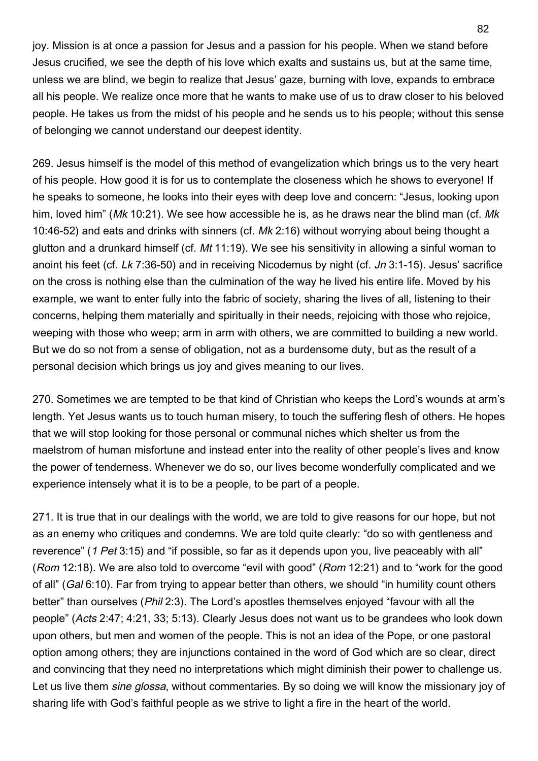joy. Mission is at once a passion for Jesus and a passion for his people. When we stand before Jesus crucified, we see the depth of his love which exalts and sustains us, but at the same time, unless we are blind, we begin to realize that Jesus' gaze, burning with love, expands to embrace all his people. We realize once more that he wants to make use of us to draw closer to his beloved people. He takes us from the midst of his people and he sends us to his people; without this sense of belonging we cannot understand our deepest identity.

269. Jesus himself is the model of this method of evangelization which brings us to the very heart of his people. How good it is for us to contemplate the closeness which he shows to everyone! If he speaks to someone, he looks into their eyes with deep love and concern: "Jesus, looking upon him, loved him" (Mk 10:21). We see how accessible he is, as he draws near the blind man (cf. Mk 10:46-52) and eats and drinks with sinners (cf. Mk 2:16) without worrying about being thought a glutton and a drunkard himself (cf. Mt 11:19). We see his sensitivity in allowing a sinful woman to anoint his feet (cf. Lk 7:36-50) and in receiving Nicodemus by night (cf. Jn 3:1-15). Jesus' sacrifice on the cross is nothing else than the culmination of the way he lived his entire life. Moved by his example, we want to enter fully into the fabric of society, sharing the lives of all, listening to their concerns, helping them materially and spiritually in their needs, rejoicing with those who rejoice, weeping with those who weep; arm in arm with others, we are committed to building a new world. But we do so not from a sense of obligation, not as a burdensome duty, but as the result of a personal decision which brings us joy and gives meaning to our lives.

270. Sometimes we are tempted to be that kind of Christian who keeps the Lord's wounds at arm's length. Yet Jesus wants us to touch human misery, to touch the suffering flesh of others. He hopes that we will stop looking for those personal or communal niches which shelter us from the maelstrom of human misfortune and instead enter into the reality of other people's lives and know the power of tenderness. Whenever we do so, our lives become wonderfully complicated and we experience intensely what it is to be a people, to be part of a people.

271. It is true that in our dealings with the world, we are told to give reasons for our hope, but not as an enemy who critiques and condemns. We are told quite clearly: "do so with gentleness and reverence" (1 Pet 3:15) and "if possible, so far as it depends upon you, live peaceably with all" (Rom 12:18). We are also told to overcome "evil with good" (Rom 12:21) and to "work for the good of all" (Gal 6:10). Far from trying to appear better than others, we should "in humility count others better" than ourselves (Phil 2:3). The Lord's apostles themselves enjoyed "favour with all the people" (Acts 2:47; 4:21, 33; 5:13). Clearly Jesus does not want us to be grandees who look down upon others, but men and women of the people. This is not an idea of the Pope, or one pastoral option among others; they are injunctions contained in the word of God which are so clear, direct and convincing that they need no interpretations which might diminish their power to challenge us. Let us live them sine glossa, without commentaries. By so doing we will know the missionary joy of sharing life with God's faithful people as we strive to light a fire in the heart of the world.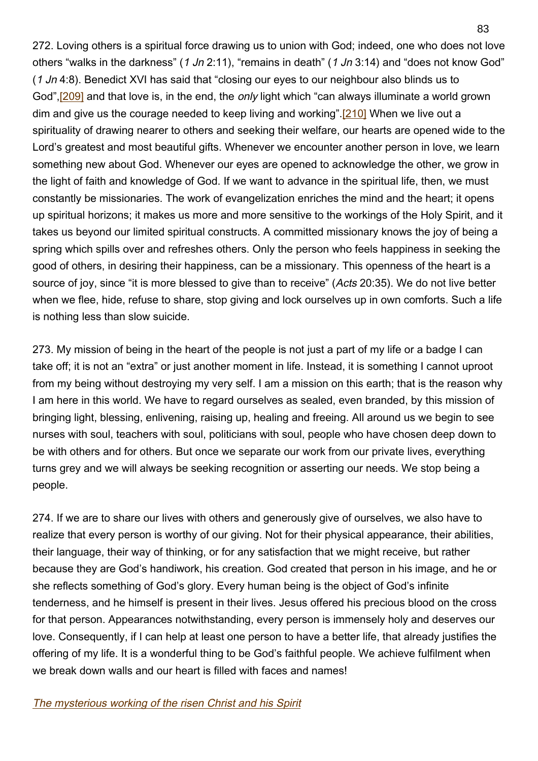272. Loving others is a spiritual force drawing us to union with God; indeed, one who does not love others "walks in the darkness" (1 Jn 2:11), "remains in death" (1 Jn 3:14) and "does not know God" (1 Jn 4:8). Benedict XVI has said that "closing our eyes to our neighbour also blinds us to God", [\[209\]](http://w2.vatican.va/content/francesco/en/apost_exhortations/documents/papa-francesco_esortazione-ap_20131124_evangelii-gaudium.html#_ftn209) and that love is, in the end, the *only* light which "can always illuminate a world grown dim and give us the courage needed to keep living and working".[\[210\]](http://w2.vatican.va/content/francesco/en/apost_exhortations/documents/papa-francesco_esortazione-ap_20131124_evangelii-gaudium.html#_ftn210) When we live out a spirituality of drawing nearer to others and seeking their welfare, our hearts are opened wide to the Lord's greatest and most beautiful gifts. Whenever we encounter another person in love, we learn something new about God. Whenever our eyes are opened to acknowledge the other, we grow in the light of faith and knowledge of God. If we want to advance in the spiritual life, then, we must constantly be missionaries. The work of evangelization enriches the mind and the heart; it opens up spiritual horizons; it makes us more and more sensitive to the workings of the Holy Spirit, and it takes us beyond our limited spiritual constructs. A committed missionary knows the joy of being a spring which spills over and refreshes others. Only the person who feels happiness in seeking the good of others, in desiring their happiness, can be a missionary. This openness of the heart is a source of joy, since "it is more blessed to give than to receive" (Acts 20:35). We do not live better when we flee, hide, refuse to share, stop giving and lock ourselves up in own comforts. Such a life is nothing less than slow suicide.

273. My mission of being in the heart of the people is not just a part of my life or a badge I can take off; it is not an "extra" or just another moment in life. Instead, it is something I cannot uproot from my being without destroying my very self. I am a mission on this earth; that is the reason why I am here in this world. We have to regard ourselves as sealed, even branded, by this mission of bringing light, blessing, enlivening, raising up, healing and freeing. All around us we begin to see nurses with soul, teachers with soul, politicians with soul, people who have chosen deep down to be with others and for others. But once we separate our work from our private lives, everything turns grey and we will always be seeking recognition or asserting our needs. We stop being a people.

274. If we are to share our lives with others and generously give of ourselves, we also have to realize that every person is worthy of our giving. Not for their physical appearance, their abilities, their language, their way of thinking, or for any satisfaction that we might receive, but rather because they are God's handiwork, his creation. God created that person in his image, and he or she reflects something of God's glory. Every human being is the object of God's infinite tenderness, and he himself is present in their lives. Jesus offered his precious blood on the cross for that person. Appearances notwithstanding, every person is immensely holy and deserves our love. Consequently, if I can help at least one person to have a better life, that already justifies the offering of my life. It is a wonderful thing to be God's faithful people. We achieve fulfilment when we break down walls and our heart is filled with faces and names!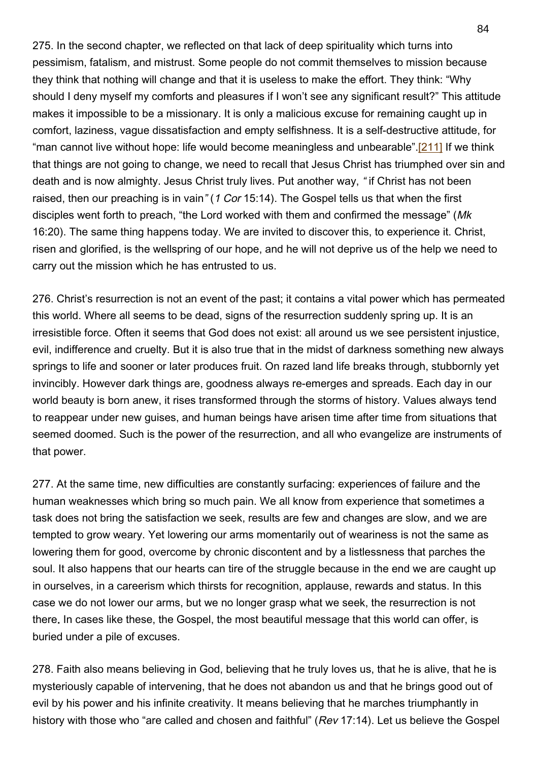275. In the second chapter, we reflected on that lack of deep spirituality which turns into pessimism, fatalism, and mistrust. Some people do not commit themselves to mission because they think that nothing will change and that it is useless to make the effort. They think: "Why should I deny myself my comforts and pleasures if I won't see any significant result?" This attitude makes it impossible to be a missionary. It is only a malicious excuse for remaining caught up in comfort, laziness, vague dissatisfaction and empty selfishness. It is a self-destructive attitude, for "man cannot live without hope: life would become meaningless and unbearable".[\[211\]](http://w2.vatican.va/content/francesco/en/apost_exhortations/documents/papa-francesco_esortazione-ap_20131124_evangelii-gaudium.html#_ftn211) If we think that things are not going to change, we need to recall that Jesus Christ has triumphed over sin and death and is now almighty. Jesus Christ truly lives. Put another way, " if Christ has not been raised, then our preaching is in vain" (1 Cor 15:14). The Gospel tells us that when the first disciples went forth to preach, "the Lord worked with them and confirmed the message" (Mk 16:20). The same thing happens today. We are invited to discover this, to experience it. Christ, risen and glorified, is the wellspring of our hope, and he will not deprive us of the help we need to carry out the mission which he has entrusted to us.

276. Christ's resurrection is not an event of the past; it contains a vital power which has permeated this world. Where all seems to be dead, signs of the resurrection suddenly spring up. It is an irresistible force. Often it seems that God does not exist: all around us we see persistent injustice, evil, indifference and cruelty. But it is also true that in the midst of darkness something new always springs to life and sooner or later produces fruit. On razed land life breaks through, stubbornly yet invincibly. However dark things are, goodness always re-emerges and spreads. Each day in our world beauty is born anew, it rises transformed through the storms of history. Values always tend to reappear under new guises, and human beings have arisen time after time from situations that seemed doomed. Such is the power of the resurrection, and all who evangelize are instruments of that power.

277. At the same time, new difficulties are constantly surfacing: experiences of failure and the human weaknesses which bring so much pain. We all know from experience that sometimes a task does not bring the satisfaction we seek, results are few and changes are slow, and we are tempted to grow weary. Yet lowering our arms momentarily out of weariness is not the same as lowering them for good, overcome by chronic discontent and by a listlessness that parches the soul. It also happens that our hearts can tire of the struggle because in the end we are caught up in ourselves, in a careerism which thirsts for recognition, applause, rewards and status. In this case we do not lower our arms, but we no longer grasp what we seek, the resurrection is not there. In cases like these, the Gospel, the most beautiful message that this world can offer, is buried under a pile of excuses.

278. Faith also means believing in God, believing that he truly loves us, that he is alive, that he is mysteriously capable of intervening, that he does not abandon us and that he brings good out of evil by his power and his infinite creativity. It means believing that he marches triumphantly in history with those who "are called and chosen and faithful" (Rev 17:14). Let us believe the Gospel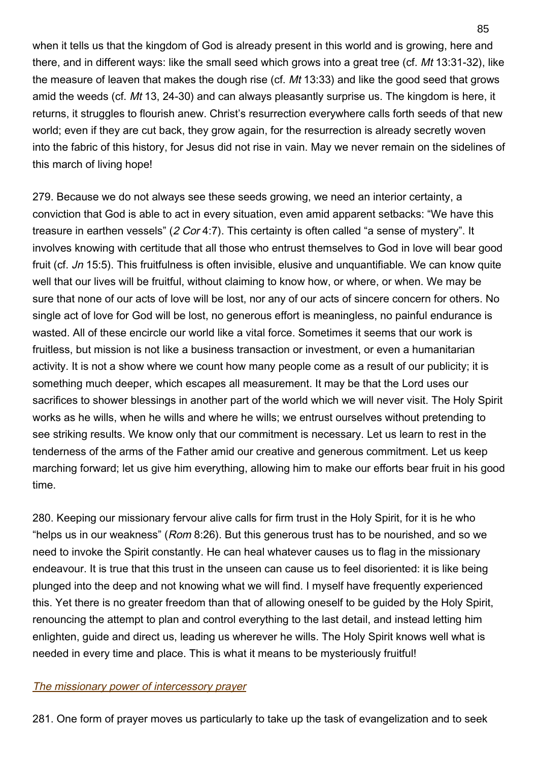when it tells us that the kingdom of God is already present in this world and is growing, here and there, and in different ways: like the small seed which grows into a great tree (cf. Mt 13:31-32), like the measure of leaven that makes the dough rise (cf. Mt 13:33) and like the good seed that grows amid the weeds (cf. Mt 13, 24-30) and can always pleasantly surprise us. The kingdom is here, it returns, it struggles to flourish anew. Christ's resurrection everywhere calls forth seeds of that new world; even if they are cut back, they grow again, for the resurrection is already secretly woven into the fabric of this history, for Jesus did not rise in vain. May we never remain on the sidelines of this march of living hope!

279. Because we do not always see these seeds growing, we need an interior certainty, a conviction that God is able to act in every situation, even amid apparent setbacks: "We have this treasure in earthen vessels" (2 Cor 4:7). This certainty is often called "a sense of mystery". It involves knowing with certitude that all those who entrust themselves to God in love will bear good fruit (cf. Jn 15:5). This fruitfulness is often invisible, elusive and unquantifiable. We can know quite well that our lives will be fruitful, without claiming to know how, or where, or when. We may be sure that none of our acts of love will be lost, nor any of our acts of sincere concern for others. No single act of love for God will be lost, no generous effort is meaningless, no painful endurance is wasted. All of these encircle our world like a vital force. Sometimes it seems that our work is fruitless, but mission is not like a business transaction or investment, or even a humanitarian activity. It is not a show where we count how many people come as a result of our publicity; it is something much deeper, which escapes all measurement. It may be that the Lord uses our sacrifices to shower blessings in another part of the world which we will never visit. The Holy Spirit works as he wills, when he wills and where he wills; we entrust ourselves without pretending to see striking results. We know only that our commitment is necessary. Let us learn to rest in the tenderness of the arms of the Father amid our creative and generous commitment. Let us keep marching forward; let us give him everything, allowing him to make our efforts bear fruit in his good time.

280. Keeping our missionary fervour alive calls for firm trust in the Holy Spirit, for it is he who "helps us in our weakness" (Rom 8:26). But this generous trust has to be nourished, and so we need to invoke the Spirit constantly. He can heal whatever causes us to flag in the missionary endeavour. It is true that this trust in the unseen can cause us to feel disoriented: it is like being plunged into the deep and not knowing what we will find. I myself have frequently experienced this. Yet there is no greater freedom than that of allowing oneself to be guided by the Holy Spirit, renouncing the attempt to plan and control everything to the last detail, and instead letting him enlighten, guide and direct us, leading us wherever he wills. The Holy Spirit knows well what is needed in every time and place. This is what it means to be mysteriously fruitful!

### The missionary power of intercessory prayer

281. One form of prayer moves us particularly to take up the task of evangelization and to seek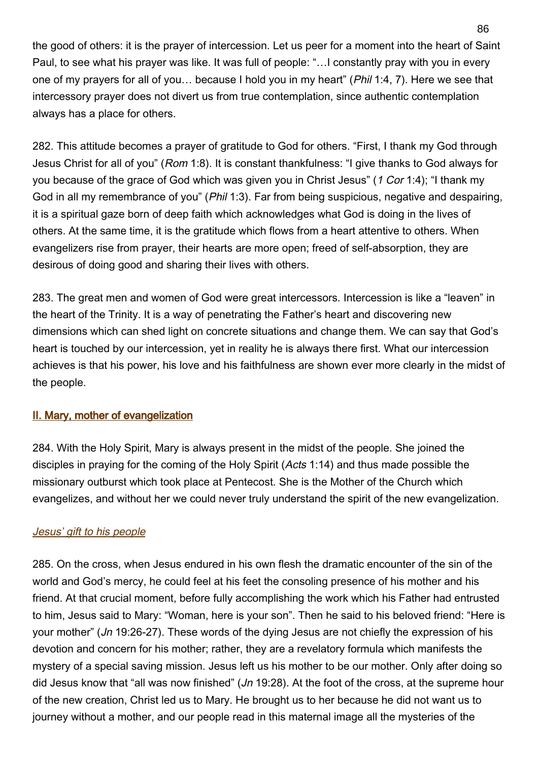the good of others: it is the prayer of intercession. Let us peer for a moment into the heart of Saint Paul, to see what his prayer was like. It was full of people: "…I constantly pray with you in every one of my prayers for all of you… because I hold you in my heart" (Phil 1:4, 7). Here we see that intercessory prayer does not divert us from true contemplation, since authentic contemplation always has a place for others.

282. This attitude becomes a prayer of gratitude to God for others. "First, I thank my God through Jesus Christ for all of you" (Rom 1:8). It is constant thankfulness: "I give thanks to God always for you because of the grace of God which was given you in Christ Jesus" (1 Cor 1:4); "I thank my God in all my remembrance of you" (*Phil* 1:3). Far from being suspicious, negative and despairing, it is a spiritual gaze born of deep faith which acknowledges what God is doing in the lives of others. At the same time, it is the gratitude which flows from a heart attentive to others. When evangelizers rise from prayer, their hearts are more open; freed of self-absorption, they are desirous of doing good and sharing their lives with others.

283. The great men and women of God were great intercessors. Intercession is like a "leaven" in the heart of the Trinity. It is a way of penetrating the Father's heart and discovering new dimensions which can shed light on concrete situations and change them. We can say that God's heart is touched by our intercession, yet in reality he is always there first. What our intercession achieves is that his power, his love and his faithfulness are shown ever more clearly in the midst of the people.

# II. Mary, mother of evangelization

284. With the Holy Spirit, Mary is always present in the midst of the people. She joined the disciples in praying for the coming of the Holy Spirit (Acts 1:14) and thus made possible the missionary outburst which took place at Pentecost. She is the Mother of the Church which evangelizes, and without her we could never truly understand the spirit of the new evangelization.

# Jesus' gift to his people

285. On the cross, when Jesus endured in his own flesh the dramatic encounter of the sin of the world and God's mercy, he could feel at his feet the consoling presence of his mother and his friend. At that crucial moment, before fully accomplishing the work which his Father had entrusted to him, Jesus said to Mary: "Woman, here is your son". Then he said to his beloved friend: "Here is your mother" (Jn 19:26-27). These words of the dying Jesus are not chiefly the expression of his devotion and concern for his mother; rather, they are a revelatory formula which manifests the mystery of a special saving mission. Jesus left us his mother to be our mother. Only after doing so did Jesus know that "all was now finished" (*Jn* 19:28). At the foot of the cross, at the supreme hour of the new creation, Christ led us to Mary. He brought us to her because he did not want us to journey without a mother, and our people read in this maternal image all the mysteries of the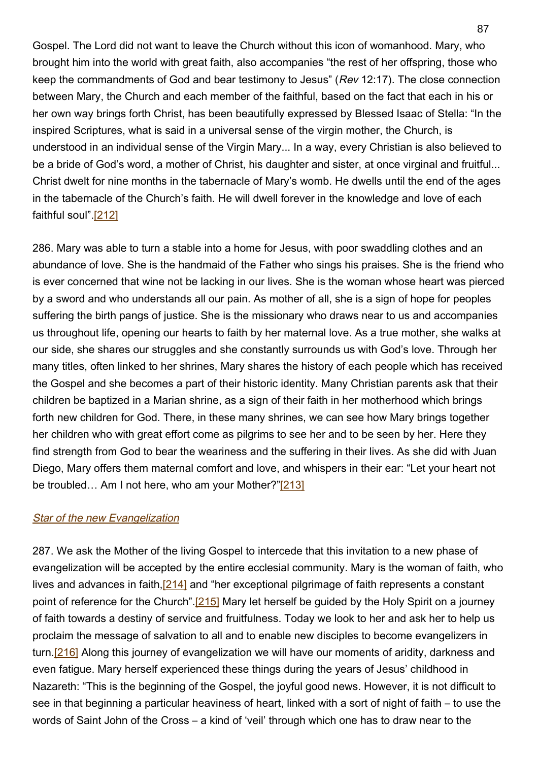Gospel. The Lord did not want to leave the Church without this icon of womanhood. Mary, who brought him into the world with great faith, also accompanies "the rest of her offspring, those who keep the commandments of God and bear testimony to Jesus" (Rev 12:17). The close connection between Mary, the Church and each member of the faithful, based on the fact that each in his or her own way brings forth Christ, has been beautifully expressed by Blessed Isaac of Stella: "In the inspired Scriptures, what is said in a universal sense of the virgin mother, the Church, is understood in an individual sense of the Virgin Mary... In a way, every Christian is also believed to be a bride of God's word, a mother of Christ, his daughter and sister, at once virginal and fruitful... Christ dwelt for nine months in the tabernacle of Mary's womb. He dwells until the end of the ages in the tabernacle of the Church's faith. He will dwell forever in the knowledge and love of each faithful soul".[\[212\]](http://w2.vatican.va/content/francesco/en/apost_exhortations/documents/papa-francesco_esortazione-ap_20131124_evangelii-gaudium.html#_ftn212)

286. Mary was able to turn a stable into a home for Jesus, with poor swaddling clothes and an abundance of love. She is the handmaid of the Father who sings his praises. She is the friend who is ever concerned that wine not be lacking in our lives. She is the woman whose heart was pierced by a sword and who understands all our pain. As mother of all, she is a sign of hope for peoples suffering the birth pangs of justice. She is the missionary who draws near to us and accompanies us throughout life, opening our hearts to faith by her maternal love. As a true mother, she walks at our side, she shares our struggles and she constantly surrounds us with God's love. Through her many titles, often linked to her shrines, Mary shares the history of each people which has received the Gospel and she becomes a part of their historic identity. Many Christian parents ask that their children be baptized in a Marian shrine, as a sign of their faith in her motherhood which brings forth new children for God. There, in these many shrines, we can see how Mary brings together her children who with great effort come as pilgrims to see her and to be seen by her. Here they find strength from God to bear the weariness and the suffering in their lives. As she did with Juan Diego, Mary offers them maternal comfort and love, and whispers in their ear: "Let your heart not be troubled... Am I not here, who am your Mother?"[\[213\]](http://w2.vatican.va/content/francesco/en/apost_exhortations/documents/papa-francesco_esortazione-ap_20131124_evangelii-gaudium.html#_ftn213)

### **Star of the new Evangelization**

287. We ask the Mother of the living Gospel to intercede that this invitation to a new phase of evangelization will be accepted by the entire ecclesial community. Mary is the woman of faith, who lives and advances in faith,[\[214\]](http://w2.vatican.va/content/francesco/en/apost_exhortations/documents/papa-francesco_esortazione-ap_20131124_evangelii-gaudium.html#_ftn214) and "her exceptional pilgrimage of faith represents a constant point of reference for the Church".[\[215\]](http://w2.vatican.va/content/francesco/en/apost_exhortations/documents/papa-francesco_esortazione-ap_20131124_evangelii-gaudium.html#_ftn215) Mary let herself be guided by the Holy Spirit on a journey of faith towards a destiny of service and fruitfulness. Today we look to her and ask her to help us proclaim the message of salvation to all and to enable new disciples to become evangelizers in turn.[\[216\]](http://w2.vatican.va/content/francesco/en/apost_exhortations/documents/papa-francesco_esortazione-ap_20131124_evangelii-gaudium.html#_ftn216) Along this journey of evangelization we will have our moments of aridity, darkness and even fatigue. Mary herself experienced these things during the years of Jesus' childhood in Nazareth: "This is the beginning of the Gospel, the joyful good news. However, it is not difficult to see in that beginning a particular heaviness of heart, linked with a sort of night of faith – to use the words of Saint John of the Cross – a kind of 'veil' through which one has to draw near to the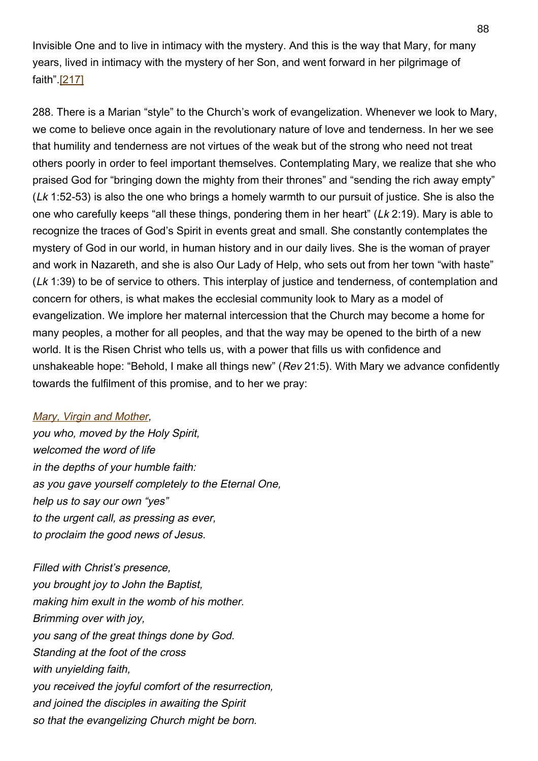Invisible One and to live in intimacy with the mystery. And this is the way that Mary, for many years, lived in intimacy with the mystery of her Son, and went forward in her pilgrimage of faith".[\[217\]](http://w2.vatican.va/content/francesco/en/apost_exhortations/documents/papa-francesco_esortazione-ap_20131124_evangelii-gaudium.html#_ftn217)

288. There is a Marian "style" to the Church's work of evangelization. Whenever we look to Mary, we come to believe once again in the revolutionary nature of love and tenderness. In her we see that humility and tenderness are not virtues of the weak but of the strong who need not treat others poorly in order to feel important themselves. Contemplating Mary, we realize that she who praised God for "bringing down the mighty from their thrones" and "sending the rich away empty" (Lk 1:52-53) is also the one who brings a homely warmth to our pursuit of justice. She is also the one who carefully keeps "all these things, pondering them in her heart" (Lk 2:19). Mary is able to recognize the traces of God's Spirit in events great and small. She constantly contemplates the mystery of God in our world, in human history and in our daily lives. She is the woman of prayer and work in Nazareth, and she is also Our Lady of Help, who sets out from her town "with haste" (Lk 1:39) to be of service to others. This interplay of justice and tenderness, of contemplation and concern for others, is what makes the ecclesial community look to Mary as a model of evangelization. We implore her maternal intercession that the Church may become a home for many peoples, a mother for all peoples, and that the way may be opened to the birth of a new world. It is the Risen Christ who tells us, with a power that fills us with confidence and unshakeable hope: "Behold, I make all things new" (Rev 21:5). With Mary we advance confidently towards the fulfilment of this promise, and to her we pray:

#### Mary, Virgin and Mother,

you who, moved by the Holy Spirit, welcomed the word of life in the depths of your humble faith: as you gave yourself completely to the Eternal One, help us to say our own "yes" to the urgent call, as pressing as ever, to proclaim the good news of Jesus.

Filled with Christ's presence, you brought joy to John the Baptist, making him exult in the womb of his mother. Brimming over with joy, you sang of the great things done by God. Standing at the foot of the cross with unvielding faith. you received the joyful comfort of the resurrection, and joined the disciples in awaiting the Spirit so that the evangelizing Church might be born.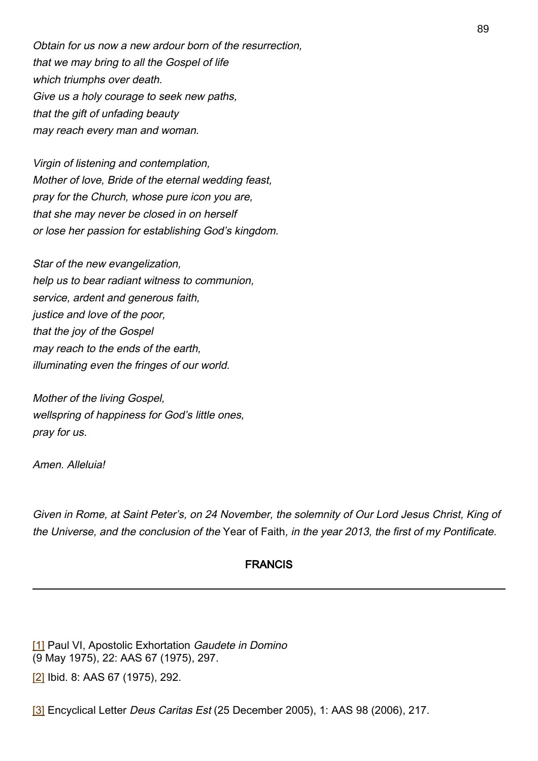Obtain for us now a new ardour born of the resurrection, that we may bring to all the Gospel of life which triumphs over death. Give us a holy courage to seek new paths, that the gift of unfading beauty may reach every man and woman.

Virgin of listening and contemplation, Mother of love, Bride of the eternal wedding feast, pray for the Church, whose pure icon you are, that she may never be closed in on herself or lose her passion for establishing God's kingdom.

Star of the new evangelization, help us to bear radiant witness to communion, service, ardent and generous faith, justice and love of the poor, that the joy of the Gospel may reach to the ends of the earth, illuminating even the fringes of our world.

Mother of the living Gospel, wellspring of happiness for God's little ones, pray for us.

Amen. Alleluia!

Given in Rome, at Saint Peter's, on 24 November, the solemnity of Our Lord Jesus Christ, King of the Universe, and the conclusion of the Year of Faith, in the year 2013, the first of my Pontificate.

### FRANCIS

[\[1\]](http://w2.vatican.va/content/francesco/en/apost_exhortations/documents/papa-francesco_esortazione-ap_20131124_evangelii-gaudium.html#_ftnref1) Paul VI, Apostolic Exhortation Gaudete in Domino (9 May 1975), 22: AAS 67 (1975), 297.

[\[2\]](http://w2.vatican.va/content/francesco/en/apost_exhortations/documents/papa-francesco_esortazione-ap_20131124_evangelii-gaudium.html#_ftnref2) Ibid. 8: AAS 67 (1975), 292.

[\[3\]](http://w2.vatican.va/content/francesco/en/apost_exhortations/documents/papa-francesco_esortazione-ap_20131124_evangelii-gaudium.html#_ftnref3) Encyclical Letter Deus Caritas Est (25 December 2005), 1: AAS 98 (2006), 217.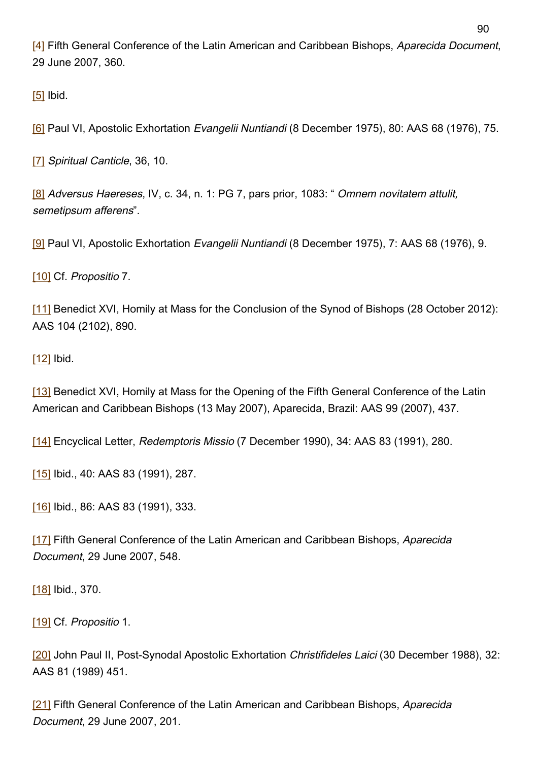[\[4\]](http://w2.vatican.va/content/francesco/en/apost_exhortations/documents/papa-francesco_esortazione-ap_20131124_evangelii-gaudium.html#_ftnref4) Fifth General Conference of the Latin American and Caribbean Bishops, Aparecida Document, 29 June 2007, 360.

[\[5\]](http://w2.vatican.va/content/francesco/en/apost_exhortations/documents/papa-francesco_esortazione-ap_20131124_evangelii-gaudium.html#_ftnref5) Ibid.

[\[6\]](http://w2.vatican.va/content/francesco/en/apost_exhortations/documents/papa-francesco_esortazione-ap_20131124_evangelii-gaudium.html#_ftnref6) Paul VI, Apostolic Exhortation Evangelii Nuntiandi (8 December 1975), 80: AAS 68 (1976), 75.

[\[7\]](http://w2.vatican.va/content/francesco/en/apost_exhortations/documents/papa-francesco_esortazione-ap_20131124_evangelii-gaudium.html#_ftnref7) Spiritual Canticle, 36, 10.

[\[8\]](http://w2.vatican.va/content/francesco/en/apost_exhortations/documents/papa-francesco_esortazione-ap_20131124_evangelii-gaudium.html#_ftnref8) Adversus Haereses, IV, c. 34, n. 1: PG 7, pars prior, 1083: " Omnem novitatem attulit, semetipsum afferens".

[\[9\]](http://w2.vatican.va/content/francesco/en/apost_exhortations/documents/papa-francesco_esortazione-ap_20131124_evangelii-gaudium.html#_ftnref9) Paul VI, Apostolic Exhortation Evangelii Nuntiandi (8 December 1975), 7: AAS 68 (1976), 9.

[\[10\]](http://w2.vatican.va/content/francesco/en/apost_exhortations/documents/papa-francesco_esortazione-ap_20131124_evangelii-gaudium.html#_ftnref10) Cf. Propositio 7.

[\[11\]](http://w2.vatican.va/content/francesco/en/apost_exhortations/documents/papa-francesco_esortazione-ap_20131124_evangelii-gaudium.html#_ftnref11) Benedict XVI, Homily at Mass for the Conclusion of the Synod of Bishops (28 October 2012): AAS 104 (2102), 890.

[\[12\]](http://w2.vatican.va/content/francesco/en/apost_exhortations/documents/papa-francesco_esortazione-ap_20131124_evangelii-gaudium.html#_ftnref12) **Ibid.** 

[\[13\]](http://w2.vatican.va/content/francesco/en/apost_exhortations/documents/papa-francesco_esortazione-ap_20131124_evangelii-gaudium.html#_ftnref13) Benedict XVI, Homily at Mass for the Opening of the Fifth General Conference of the Latin American and Caribbean Bishops (13 May 2007), Aparecida, Brazil: AAS 99 (2007), 437.

[\[14\]](http://w2.vatican.va/content/francesco/en/apost_exhortations/documents/papa-francesco_esortazione-ap_20131124_evangelii-gaudium.html#_ftnref14) Encyclical Letter, Redemptoris Missio (7 December 1990), 34: AAS 83 (1991), 280.

[\[15\]](http://w2.vatican.va/content/francesco/en/apost_exhortations/documents/papa-francesco_esortazione-ap_20131124_evangelii-gaudium.html#_ftnref15) Ibid., 40: AAS 83 (1991), 287.

[\[16\]](http://w2.vatican.va/content/francesco/en/apost_exhortations/documents/papa-francesco_esortazione-ap_20131124_evangelii-gaudium.html#_ftnref16) Ibid., 86: AAS 83 (1991), 333.

[\[17\]](http://w2.vatican.va/content/francesco/en/apost_exhortations/documents/papa-francesco_esortazione-ap_20131124_evangelii-gaudium.html#_ftnref17) Fifth General Conference of the Latin American and Caribbean Bishops, Aparecida Document, 29 June 2007, 548.

[\[18\]](http://w2.vatican.va/content/francesco/en/apost_exhortations/documents/papa-francesco_esortazione-ap_20131124_evangelii-gaudium.html#_ftnref18) Ibid., 370.

[\[19\]](http://w2.vatican.va/content/francesco/en/apost_exhortations/documents/papa-francesco_esortazione-ap_20131124_evangelii-gaudium.html#_ftnref19) Cf. Propositio 1.

[\[20\]](http://w2.vatican.va/content/francesco/en/apost_exhortations/documents/papa-francesco_esortazione-ap_20131124_evangelii-gaudium.html#_ftnref20) John Paul II, Post-Synodal Apostolic Exhortation Christifideles Laici (30 December 1988), 32: AAS 81 (1989) 451.

[\[21\]](http://w2.vatican.va/content/francesco/en/apost_exhortations/documents/papa-francesco_esortazione-ap_20131124_evangelii-gaudium.html#_ftnref21) Fifth General Conference of the Latin American and Caribbean Bishops, Aparecida Document, 29 June 2007, 201.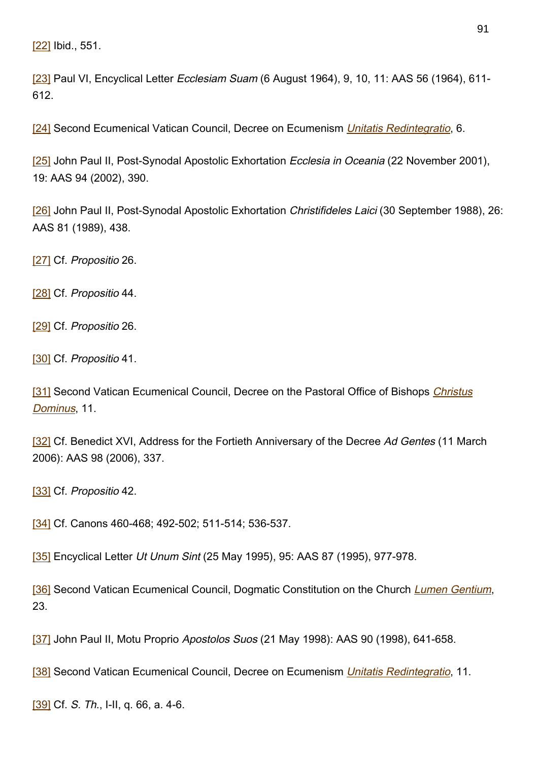[\[22\]](http://w2.vatican.va/content/francesco/en/apost_exhortations/documents/papa-francesco_esortazione-ap_20131124_evangelii-gaudium.html#_ftnref22) Ibid., 551.

[\[23\]](http://w2.vatican.va/content/francesco/en/apost_exhortations/documents/papa-francesco_esortazione-ap_20131124_evangelii-gaudium.html#_ftnref23) Paul VI, Encyclical Letter Ecclesiam Suam (6 August 1964), 9, 10, 11: AAS 56 (1964), 611-612.

[\[24\]](http://w2.vatican.va/content/francesco/en/apost_exhortations/documents/papa-francesco_esortazione-ap_20131124_evangelii-gaudium.html#_ftnref24) Second Ecumenical Vatican Council, Decree on Ecumenism *[Unitatis Redintegratio](http://www.vatican.va/archive/hist_councils/ii_vatican_council/documents/vat-ii_decree_19641121_unitatis-redintegratio_en.html)*, 6.

[\[25\]](http://w2.vatican.va/content/francesco/en/apost_exhortations/documents/papa-francesco_esortazione-ap_20131124_evangelii-gaudium.html#_ftnref25) John Paul II, Post-Synodal Apostolic Exhortation *Ecclesia in Oceania* (22 November 2001), 19: AAS 94 (2002), 390.

[\[26\]](http://w2.vatican.va/content/francesco/en/apost_exhortations/documents/papa-francesco_esortazione-ap_20131124_evangelii-gaudium.html#_ftnref26) John Paul II, Post-Synodal Apostolic Exhortation Christifideles Laici (30 September 1988), 26: AAS 81 (1989), 438.

[\[27\]](http://w2.vatican.va/content/francesco/en/apost_exhortations/documents/papa-francesco_esortazione-ap_20131124_evangelii-gaudium.html#_ftnref27) Cf. Propositio 26.

[\[28\]](http://w2.vatican.va/content/francesco/en/apost_exhortations/documents/papa-francesco_esortazione-ap_20131124_evangelii-gaudium.html#_ftnref28) Cf. Propositio 44.

[\[29\]](http://w2.vatican.va/content/francesco/en/apost_exhortations/documents/papa-francesco_esortazione-ap_20131124_evangelii-gaudium.html#_ftnref29) Cf. Propositio 26.

[\[30\]](http://w2.vatican.va/content/francesco/en/apost_exhortations/documents/papa-francesco_esortazione-ap_20131124_evangelii-gaudium.html#_ftnref30) Cf. Propositio 41.

[\[31\]](http://w2.vatican.va/content/francesco/en/apost_exhortations/documents/papa-francesco_esortazione-ap_20131124_evangelii-gaudium.html#_ftnref31) Second Vatican Ecumenical Council, Decree on the Pastoral Office of Bishops [Christus](http://www.vatican.va/archive/hist_councils/ii_vatican_council/documents/vat-ii_decree_19651028_christus-dominus_en.html) [Dominus](http://www.vatican.va/archive/hist_councils/ii_vatican_council/documents/vat-ii_decree_19651028_christus-dominus_en.html), 11.

[\[32\]](http://w2.vatican.va/content/francesco/en/apost_exhortations/documents/papa-francesco_esortazione-ap_20131124_evangelii-gaudium.html#_ftnref32) Cf. Benedict XVI, Address for the Fortieth Anniversary of the Decree Ad Gentes (11 March 2006): AAS 98 (2006), 337.

[\[33\]](http://w2.vatican.va/content/francesco/en/apost_exhortations/documents/papa-francesco_esortazione-ap_20131124_evangelii-gaudium.html#_ftnref33) Cf. Propositio 42.

[\[34\]](http://w2.vatican.va/content/francesco/en/apost_exhortations/documents/papa-francesco_esortazione-ap_20131124_evangelii-gaudium.html#_ftnref34) Cf. Canons 460-468; 492-502; 511-514; 536-537.

[\[35\]](http://w2.vatican.va/content/francesco/en/apost_exhortations/documents/papa-francesco_esortazione-ap_20131124_evangelii-gaudium.html#_ftnref35) Encyclical Letter Ut Unum Sint (25 May 1995), 95: AAS 87 (1995), 977-978.

[\[36\]](http://w2.vatican.va/content/francesco/en/apost_exhortations/documents/papa-francesco_esortazione-ap_20131124_evangelii-gaudium.html#_ftnref36) Second Vatican Ecumenical Council, Dogmatic Constitution on the Church [Lumen Gentium](http://www.vatican.va/archive/hist_councils/ii_vatican_council/documents/vat-ii_const_19641121_lumen-gentium_en.html), 23.

[\[37\]](http://w2.vatican.va/content/francesco/en/apost_exhortations/documents/papa-francesco_esortazione-ap_20131124_evangelii-gaudium.html#_ftnref37) John Paul II, Motu Proprio Apostolos Suos (21 May 1998): AAS 90 (1998), 641-658.

[\[38\]](http://w2.vatican.va/content/francesco/en/apost_exhortations/documents/papa-francesco_esortazione-ap_20131124_evangelii-gaudium.html#_ftnref38) Second Vatican Ecumenical Council, Decree on Ecumenism [Unitatis Redintegratio](http://www.vatican.va/archive/hist_councils/ii_vatican_council/documents/vat-ii_decree_19641121_unitatis-redintegratio_en.html), 11.

 $[39]$  Cf. *S. Th.*, I-II, q. 66, a. 4-6.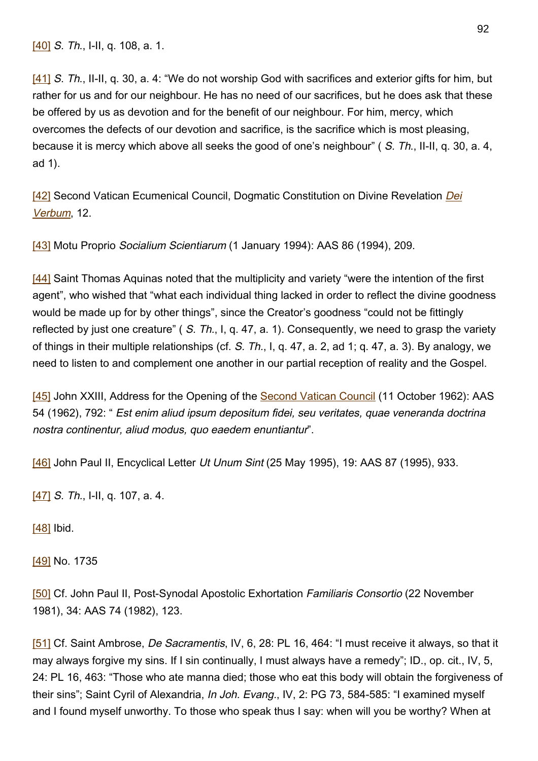[\[40\]](http://w2.vatican.va/content/francesco/en/apost_exhortations/documents/papa-francesco_esortazione-ap_20131124_evangelii-gaudium.html#_ftnref40) S. Th., I-II, q. 108, a. 1.

[\[41\]](http://w2.vatican.va/content/francesco/en/apost_exhortations/documents/papa-francesco_esortazione-ap_20131124_evangelii-gaudium.html#_ftnref41) S. Th., II-II, g. 30, a. 4: "We do not worship God with sacrifices and exterior gifts for him, but rather for us and for our neighbour. He has no need of our sacrifices, but he does ask that these be offered by us as devotion and for the benefit of our neighbour. For him, mercy, which overcomes the defects of our devotion and sacrifice, is the sacrifice which is most pleasing, because it is mercy which above all seeks the good of one's neighbour" ( S. Th., II-II, q. 30, a. 4, ad 1).

[\[42\]](http://w2.vatican.va/content/francesco/en/apost_exhortations/documents/papa-francesco_esortazione-ap_20131124_evangelii-gaudium.html#_ftnref42) Second Vatican Ecumenical Council, Dogmatic Constitution on Divine Revelation [Dei](http://www.vatican.va/archive/hist_councils/ii_vatican_council/documents/vat-ii_const_19651118_dei-verbum_en.html) [Verbum](http://www.vatican.va/archive/hist_councils/ii_vatican_council/documents/vat-ii_const_19651118_dei-verbum_en.html), 12.

[\[43\]](http://w2.vatican.va/content/francesco/en/apost_exhortations/documents/papa-francesco_esortazione-ap_20131124_evangelii-gaudium.html#_ftnref43) Motu Proprio Socialium Scientiarum (1 January 1994): AAS 86 (1994), 209.

[\[44\]](http://w2.vatican.va/content/francesco/en/apost_exhortations/documents/papa-francesco_esortazione-ap_20131124_evangelii-gaudium.html#_ftnref44) Saint Thomas Aquinas noted that the multiplicity and variety "were the intention of the first agent", who wished that "what each individual thing lacked in order to reflect the divine goodness would be made up for by other things", since the Creator's goodness "could not be fittingly reflected by just one creature" (S. Th., I, q. 47, a. 1). Consequently, we need to grasp the variety of things in their multiple relationships (cf. S. Th., I, q. 47, a. 2, ad 1; q. 47, a. 3). By analogy, we need to listen to and complement one another in our partial reception of reality and the Gospel.

[\[45\]](http://w2.vatican.va/content/francesco/en/apost_exhortations/documents/papa-francesco_esortazione-ap_20131124_evangelii-gaudium.html#_ftnref45) John XXIII, Address for the Opening of the [Second Vatican Council](http://www.vatican.va/archive/hist_councils/ii_vatican_council/) (11 October 1962): AAS 54 (1962), 792: " Est enim aliud ipsum depositum fidei, seu veritates, quae veneranda doctrina nostra continentur, aliud modus, quo eaedem enuntiantur".

[\[46\]](http://w2.vatican.va/content/francesco/en/apost_exhortations/documents/papa-francesco_esortazione-ap_20131124_evangelii-gaudium.html#_ftnref46) John Paul II, Encyclical Letter Ut Unum Sint (25 May 1995), 19: AAS 87 (1995), 933.

 $[47]$  *S. Th.*, I-II, q. 107, a. 4.

[\[48\]](http://w2.vatican.va/content/francesco/en/apost_exhortations/documents/papa-francesco_esortazione-ap_20131124_evangelii-gaudium.html#_ftnref48) Ibid.

[\[49\]](http://w2.vatican.va/content/francesco/en/apost_exhortations/documents/papa-francesco_esortazione-ap_20131124_evangelii-gaudium.html#_ftnref49) No. 1735

[\[50\]](http://w2.vatican.va/content/francesco/en/apost_exhortations/documents/papa-francesco_esortazione-ap_20131124_evangelii-gaudium.html#_ftnref50) Cf. John Paul II, Post-Synodal Apostolic Exhortation Familiaris Consortio (22 November 1981), 34: AAS 74 (1982), 123.

[\[51\]](http://w2.vatican.va/content/francesco/en/apost_exhortations/documents/papa-francesco_esortazione-ap_20131124_evangelii-gaudium.html#_ftnref51) Cf. Saint Ambrose, *De Sacramentis*, IV, 6, 28: PL 16, 464: "I must receive it always, so that it may always forgive my sins. If I sin continually, I must always have a remedy"; ID., op. cit., IV, 5, 24: PL 16, 463: "Those who ate manna died; those who eat this body will obtain the forgiveness of their sins"; Saint Cyril of Alexandria, In Joh. Evang., IV, 2: PG 73, 584-585: "I examined myself and I found myself unworthy. To those who speak thus I say: when will you be worthy? When at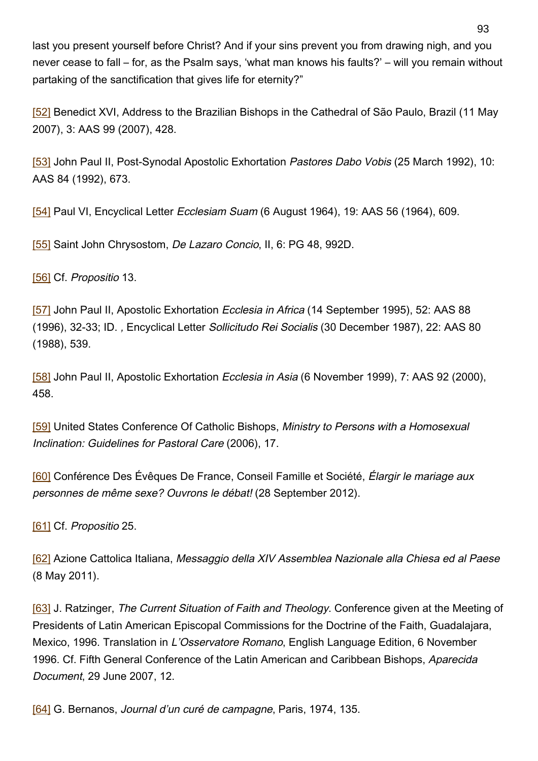last you present yourself before Christ? And if your sins prevent you from drawing nigh, and you never cease to fall – for, as the Psalm says, 'what man knows his faults?' – will you remain without partaking of the sanctification that gives life for eternity?"

[\[52\]](http://w2.vatican.va/content/francesco/en/apost_exhortations/documents/papa-francesco_esortazione-ap_20131124_evangelii-gaudium.html#_ftnref52) Benedict XVI, Address to the Brazilian Bishops in the Cathedral of São Paulo, Brazil (11 May 2007), 3: AAS 99 (2007), 428.

[\[53\]](http://w2.vatican.va/content/francesco/en/apost_exhortations/documents/papa-francesco_esortazione-ap_20131124_evangelii-gaudium.html#_ftnref53) John Paul II, Post-Synodal Apostolic Exhortation Pastores Dabo Vobis (25 March 1992), 10: AAS 84 (1992), 673.

[\[54\]](http://w2.vatican.va/content/francesco/en/apost_exhortations/documents/papa-francesco_esortazione-ap_20131124_evangelii-gaudium.html#_ftnref54) Paul VI, Encyclical Letter Ecclesiam Suam (6 August 1964), 19: AAS 56 (1964), 609.

[\[55\]](http://w2.vatican.va/content/francesco/en/apost_exhortations/documents/papa-francesco_esortazione-ap_20131124_evangelii-gaudium.html#_ftnref55) Saint John Chrysostom, De Lazaro Concio, II, 6: PG 48, 992D.

[\[56\]](http://w2.vatican.va/content/francesco/en/apost_exhortations/documents/papa-francesco_esortazione-ap_20131124_evangelii-gaudium.html#_ftnref56) Cf. Propositio 13.

[\[57\]](http://w2.vatican.va/content/francesco/en/apost_exhortations/documents/papa-francesco_esortazione-ap_20131124_evangelii-gaudium.html#_ftnref57) John Paul II, Apostolic Exhortation Ecclesia in Africa (14 September 1995), 52: AAS 88 (1996), 32-33; ID. , Encyclical Letter Sollicitudo Rei Socialis (30 December 1987), 22: AAS 80 (1988), 539.

[\[58\]](http://w2.vatican.va/content/francesco/en/apost_exhortations/documents/papa-francesco_esortazione-ap_20131124_evangelii-gaudium.html#_ftnref58) John Paul II, Apostolic Exhortation Ecclesia in Asia (6 November 1999), 7: AAS 92 (2000), 458.

[\[59\]](http://w2.vatican.va/content/francesco/en/apost_exhortations/documents/papa-francesco_esortazione-ap_20131124_evangelii-gaudium.html#_ftnref59) United States Conference Of Catholic Bishops, Ministry to Persons with a Homosexual Inclination: Guidelines for Pastoral Care (2006), 17.

[\[60\]](http://w2.vatican.va/content/francesco/en/apost_exhortations/documents/papa-francesco_esortazione-ap_20131124_evangelii-gaudium.html#_ftnref60) Conférence Des Évêques De France, Conseil Famille et Société, Élargir le mariage aux personnes de même sexe? Ouvrons le débat! (28 September 2012).

[\[61\]](http://w2.vatican.va/content/francesco/en/apost_exhortations/documents/papa-francesco_esortazione-ap_20131124_evangelii-gaudium.html#_ftnref61) Cf. Propositio 25.

[\[62\]](http://w2.vatican.va/content/francesco/en/apost_exhortations/documents/papa-francesco_esortazione-ap_20131124_evangelii-gaudium.html#_ftnref62) Azione Cattolica Italiana, Messaggio della XIV Assemblea Nazionale alla Chiesa ed al Paese (8 May 2011).

[\[63\]](http://w2.vatican.va/content/francesco/en/apost_exhortations/documents/papa-francesco_esortazione-ap_20131124_evangelii-gaudium.html#_ftnref63) J. Ratzinger, The Current Situation of Faith and Theology. Conference given at the Meeting of Presidents of Latin American Episcopal Commissions for the Doctrine of the Faith, Guadalajara, Mexico, 1996. Translation in L'Osservatore Romano, English Language Edition, 6 November 1996. Cf. Fifth General Conference of the Latin American and Caribbean Bishops, Aparecida Document, 29 June 2007, 12.

[\[64\]](http://w2.vatican.va/content/francesco/en/apost_exhortations/documents/papa-francesco_esortazione-ap_20131124_evangelii-gaudium.html#_ftnref64) G. Bernanos, Journal d'un curé de campagne, Paris, 1974, 135.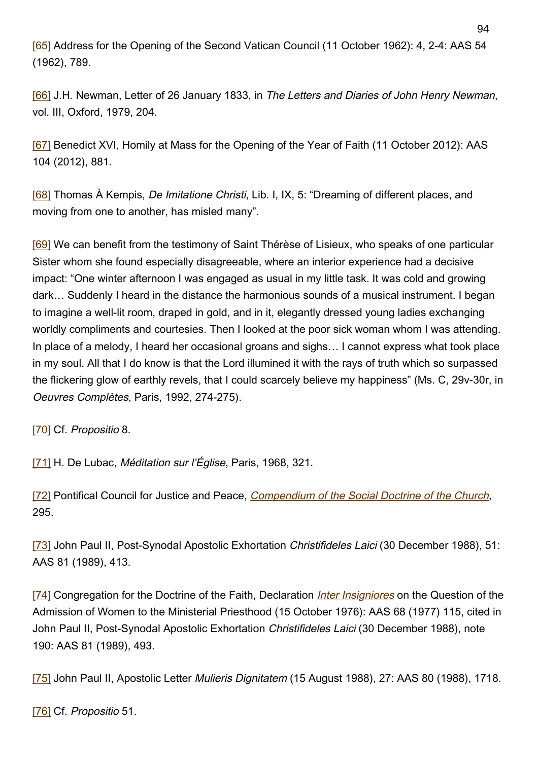[\[65\]](http://w2.vatican.va/content/francesco/en/apost_exhortations/documents/papa-francesco_esortazione-ap_20131124_evangelii-gaudium.html#_ftnref65) Address for the Opening of the Second Vatican Council (11 October 1962): 4, 2-4: AAS 54 (1962), 789.

[\[66\]](http://w2.vatican.va/content/francesco/en/apost_exhortations/documents/papa-francesco_esortazione-ap_20131124_evangelii-gaudium.html#_ftnref66) J.H. Newman, Letter of 26 January 1833, in The Letters and Diaries of John Henry Newman, vol. III, Oxford, 1979, 204.

[\[67\]](http://w2.vatican.va/content/francesco/en/apost_exhortations/documents/papa-francesco_esortazione-ap_20131124_evangelii-gaudium.html#_ftnref67) Benedict XVI, Homily at Mass for the Opening of the Year of Faith (11 October 2012): AAS 104 (2012), 881.

[\[68\]](http://w2.vatican.va/content/francesco/en/apost_exhortations/documents/papa-francesco_esortazione-ap_20131124_evangelii-gaudium.html#_ftnref68) Thomas À Kempis, De Imitatione Christi, Lib. I, IX, 5: "Dreaming of different places, and moving from one to another, has misled many".

[\[69\]](http://w2.vatican.va/content/francesco/en/apost_exhortations/documents/papa-francesco_esortazione-ap_20131124_evangelii-gaudium.html#_ftnref69) We can benefit from the testimony of Saint Thérèse of Lisieux, who speaks of one particular Sister whom she found especially disagreeable, where an interior experience had a decisive impact: "One winter afternoon I was engaged as usual in my little task. It was cold and growing dark… Suddenly I heard in the distance the harmonious sounds of a musical instrument. I began to imagine a well-lit room, draped in gold, and in it, elegantly dressed young ladies exchanging worldly compliments and courtesies. Then I looked at the poor sick woman whom I was attending. In place of a melody, I heard her occasional groans and sighs… I cannot express what took place in my soul. All that I do know is that the Lord illumined it with the rays of truth which so surpassed the flickering glow of earthly revels, that I could scarcely believe my happiness" (Ms. C, 29v-30r, in Oeuvres Complètes, Paris, 1992, 274-275).

[\[70\]](http://w2.vatican.va/content/francesco/en/apost_exhortations/documents/papa-francesco_esortazione-ap_20131124_evangelii-gaudium.html#_ftnref70) Cf. Propositio 8.

[\[71\]](http://w2.vatican.va/content/francesco/en/apost_exhortations/documents/papa-francesco_esortazione-ap_20131124_evangelii-gaudium.html#_ftnref71) H. De Lubac, Méditation sur l'Église, Paris, 1968, 321.

[\[72\]](http://w2.vatican.va/content/francesco/en/apost_exhortations/documents/papa-francesco_esortazione-ap_20131124_evangelii-gaudium.html#_ftnref72) Pontifical Council for Justice and Peace, *[Compendium of the Social Doctrine of the Church](http://www.vatican.va/roman_curia/pontifical_councils/justpeace/documents/rc_pc_justpeace_doc_20060526_compendio-dott-soc_en.html)*, 295.

[\[73\]](http://w2.vatican.va/content/francesco/en/apost_exhortations/documents/papa-francesco_esortazione-ap_20131124_evangelii-gaudium.html#_ftnref73) John Paul II, Post-Synodal Apostolic Exhortation Christifideles Laici (30 December 1988), 51: AAS 81 (1989), 413.

[\[74\]](http://w2.vatican.va/content/francesco/en/apost_exhortations/documents/papa-francesco_esortazione-ap_20131124_evangelii-gaudium.html#_ftnref74) Congregation for the Doctrine of the Faith, Declaration *[Inter Insigniores](http://www.vatican.va/roman_curia/congregations/cfaith/documents/rc_con_cfaith_doc_19761015_inter-insigniores_en.html)* on the Question of the Admission of Women to the Ministerial Priesthood (15 October 1976): AAS 68 (1977) 115, cited in John Paul II, Post-Synodal Apostolic Exhortation Christifideles Laici (30 December 1988), note 190: AAS 81 (1989), 493.

[\[75\]](http://w2.vatican.va/content/francesco/en/apost_exhortations/documents/papa-francesco_esortazione-ap_20131124_evangelii-gaudium.html#_ftnref75) John Paul II, Apostolic Letter Mulieris Dignitatem (15 August 1988), 27: AAS 80 (1988), 1718.

[\[76\]](http://w2.vatican.va/content/francesco/en/apost_exhortations/documents/papa-francesco_esortazione-ap_20131124_evangelii-gaudium.html#_ftnref76) Cf. Propositio 51.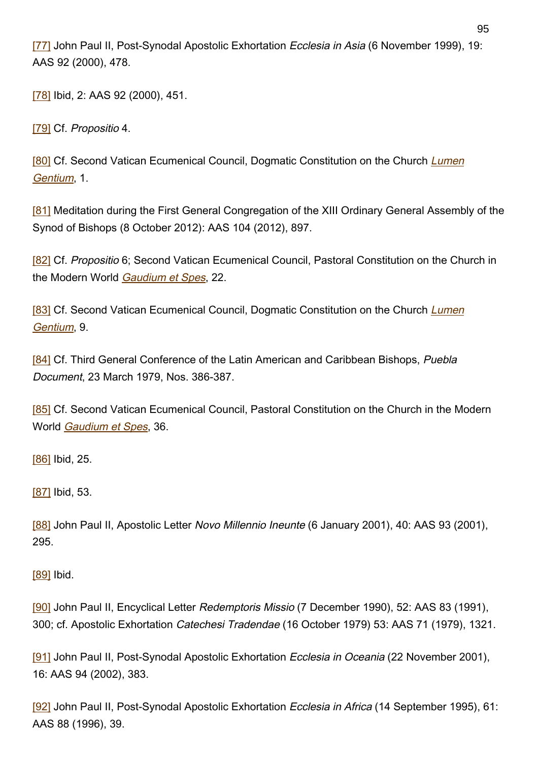[\[77\]](http://w2.vatican.va/content/francesco/en/apost_exhortations/documents/papa-francesco_esortazione-ap_20131124_evangelii-gaudium.html#_ftnref77) John Paul II, Post-Synodal Apostolic Exhortation Ecclesia in Asia (6 November 1999), 19: AAS 92 (2000), 478.

[\[78\]](http://w2.vatican.va/content/francesco/en/apost_exhortations/documents/papa-francesco_esortazione-ap_20131124_evangelii-gaudium.html#_ftnref78) Ibid, 2: AAS 92 (2000), 451.

[\[79\]](http://w2.vatican.va/content/francesco/en/apost_exhortations/documents/papa-francesco_esortazione-ap_20131124_evangelii-gaudium.html#_ftnref79) Cf. Propositio 4.

[\[80\]](http://w2.vatican.va/content/francesco/en/apost_exhortations/documents/papa-francesco_esortazione-ap_20131124_evangelii-gaudium.html#_ftnref80) Cf. Second Vatican Ecumenical Council, Dogmatic Constitution on the Church [Lumen](http://www.vatican.va/archive/hist_councils/ii_vatican_council/documents/vat-ii_const_19641121_lumen-gentium_en.html) [Gentium](http://www.vatican.va/archive/hist_councils/ii_vatican_council/documents/vat-ii_const_19641121_lumen-gentium_en.html), 1.

[\[81\]](http://w2.vatican.va/content/francesco/en/apost_exhortations/documents/papa-francesco_esortazione-ap_20131124_evangelii-gaudium.html#_ftnref81) Meditation during the First General Congregation of the XIII Ordinary General Assembly of the Synod of Bishops (8 October 2012): AAS 104 (2012), 897.

[\[82\]](http://w2.vatican.va/content/francesco/en/apost_exhortations/documents/papa-francesco_esortazione-ap_20131124_evangelii-gaudium.html#_ftnref82) Cf. Propositio 6; Second Vatican Ecumenical Council, Pastoral Constitution on the Church in the Modern World [Gaudium et Spes](http://www.vatican.va/archive/hist_councils/ii_vatican_council/documents/vat-ii_const_19651207_gaudium-et-spes_en.html), 22.

[\[83\]](http://w2.vatican.va/content/francesco/en/apost_exhortations/documents/papa-francesco_esortazione-ap_20131124_evangelii-gaudium.html#_ftnref83) Cf. Second Vatican Ecumenical Council, Dogmatic Constitution on the Church [Lumen](http://www.vatican.va/archive/hist_councils/ii_vatican_council/documents/vat-ii_const_19641121_lumen-gentium_en.html) [Gentium](http://www.vatican.va/archive/hist_councils/ii_vatican_council/documents/vat-ii_const_19641121_lumen-gentium_en.html), 9.

[\[84\]](http://w2.vatican.va/content/francesco/en/apost_exhortations/documents/papa-francesco_esortazione-ap_20131124_evangelii-gaudium.html#_ftnref84) Cf. Third General Conference of the Latin American and Caribbean Bishops, Puebla Document, 23 March 1979, Nos. 386-387.

[\[85\]](http://w2.vatican.va/content/francesco/en/apost_exhortations/documents/papa-francesco_esortazione-ap_20131124_evangelii-gaudium.html#_ftnref85) Cf. Second Vatican Ecumenical Council, Pastoral Constitution on the Church in the Modern World [Gaudium et Spes](http://www.vatican.va/archive/hist_councils/ii_vatican_council/documents/vat-ii_const_19651207_gaudium-et-spes_en.html), 36.

[\[86\]](http://w2.vatican.va/content/francesco/en/apost_exhortations/documents/papa-francesco_esortazione-ap_20131124_evangelii-gaudium.html#_ftnref86) Ibid, 25.

[\[87\]](http://w2.vatican.va/content/francesco/en/apost_exhortations/documents/papa-francesco_esortazione-ap_20131124_evangelii-gaudium.html#_ftnref87) Ibid, 53.

[\[88\]](http://w2.vatican.va/content/francesco/en/apost_exhortations/documents/papa-francesco_esortazione-ap_20131124_evangelii-gaudium.html#_ftnref88) John Paul II, Apostolic Letter Novo Millennio Ineunte (6 January 2001), 40: AAS 93 (2001), 295.

[\[89\]](http://w2.vatican.va/content/francesco/en/apost_exhortations/documents/papa-francesco_esortazione-ap_20131124_evangelii-gaudium.html#_ftnref89) Ibid.

[\[90\]](http://w2.vatican.va/content/francesco/en/apost_exhortations/documents/papa-francesco_esortazione-ap_20131124_evangelii-gaudium.html#_ftnref90) John Paul II, Encyclical Letter Redemptoris Missio (7 December 1990), 52: AAS 83 (1991), 300; cf. Apostolic Exhortation Catechesi Tradendae (16 October 1979) 53: AAS 71 (1979), 1321.

[\[91\]](http://w2.vatican.va/content/francesco/en/apost_exhortations/documents/papa-francesco_esortazione-ap_20131124_evangelii-gaudium.html#_ftnref91) John Paul II, Post-Synodal Apostolic Exhortation Ecclesia in Oceania (22 November 2001), 16: AAS 94 (2002), 383.

[\[92\]](http://w2.vatican.va/content/francesco/en/apost_exhortations/documents/papa-francesco_esortazione-ap_20131124_evangelii-gaudium.html#_ftnref92) John Paul II, Post-Synodal Apostolic Exhortation Ecclesia in Africa (14 September 1995), 61: AAS 88 (1996), 39.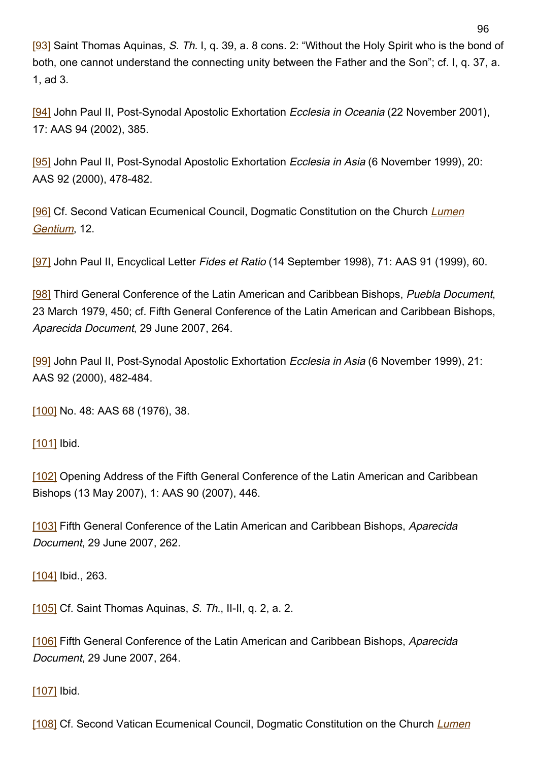[\[93\]](http://w2.vatican.va/content/francesco/en/apost_exhortations/documents/papa-francesco_esortazione-ap_20131124_evangelii-gaudium.html#_ftnref93) Saint Thomas Aquinas, S. Th. I, q. 39, a. 8 cons. 2: "Without the Holy Spirit who is the bond of both, one cannot understand the connecting unity between the Father and the Son"; cf. I, q. 37, a. 1, ad 3.

[\[94\]](http://w2.vatican.va/content/francesco/en/apost_exhortations/documents/papa-francesco_esortazione-ap_20131124_evangelii-gaudium.html#_ftnref94) John Paul II, Post-Synodal Apostolic Exhortation *Ecclesia in Oceania* (22 November 2001), 17: AAS 94 (2002), 385.

[\[95\]](http://w2.vatican.va/content/francesco/en/apost_exhortations/documents/papa-francesco_esortazione-ap_20131124_evangelii-gaudium.html#_ftnref95) John Paul II, Post-Synodal Apostolic Exhortation Ecclesia in Asia (6 November 1999), 20: AAS 92 (2000), 478-482.

[\[96\]](http://w2.vatican.va/content/francesco/en/apost_exhortations/documents/papa-francesco_esortazione-ap_20131124_evangelii-gaudium.html#_ftnref96) Cf. Second Vatican Ecumenical Council, Dogmatic Constitution on the Church [Lumen](http://www.vatican.va/archive/hist_councils/ii_vatican_council/documents/vat-ii_const_19641121_lumen-gentium_en.html) [Gentium](http://www.vatican.va/archive/hist_councils/ii_vatican_council/documents/vat-ii_const_19641121_lumen-gentium_en.html), 12.

[\[97\]](http://w2.vatican.va/content/francesco/en/apost_exhortations/documents/papa-francesco_esortazione-ap_20131124_evangelii-gaudium.html#_ftnref97) John Paul II, Encyclical Letter Fides et Ratio (14 September 1998), 71: AAS 91 (1999), 60.

[\[98\]](http://w2.vatican.va/content/francesco/en/apost_exhortations/documents/papa-francesco_esortazione-ap_20131124_evangelii-gaudium.html#_ftnref98) Third General Conference of the Latin American and Caribbean Bishops, Puebla Document, 23 March 1979, 450; cf. Fifth General Conference of the Latin American and Caribbean Bishops, Aparecida Document, 29 June 2007, 264.

[\[99\]](http://w2.vatican.va/content/francesco/en/apost_exhortations/documents/papa-francesco_esortazione-ap_20131124_evangelii-gaudium.html#_ftnref99) John Paul II, Post-Synodal Apostolic Exhortation Ecclesia in Asia (6 November 1999), 21: AAS 92 (2000), 482-484.

[\[100\]](http://w2.vatican.va/content/francesco/en/apost_exhortations/documents/papa-francesco_esortazione-ap_20131124_evangelii-gaudium.html#_ftnref100) No. 48: AAS 68 (1976), 38.

[\[101\]](http://w2.vatican.va/content/francesco/en/apost_exhortations/documents/papa-francesco_esortazione-ap_20131124_evangelii-gaudium.html#_ftnref101) Ibid.

[\[102\]](http://w2.vatican.va/content/francesco/en/apost_exhortations/documents/papa-francesco_esortazione-ap_20131124_evangelii-gaudium.html#_ftnref102) Opening Address of the Fifth General Conference of the Latin American and Caribbean Bishops (13 May 2007), 1: AAS 90 (2007), 446.

[\[103\]](http://w2.vatican.va/content/francesco/en/apost_exhortations/documents/papa-francesco_esortazione-ap_20131124_evangelii-gaudium.html#_ftnref103) Fifth General Conference of the Latin American and Caribbean Bishops, Aparecida Document, 29 June 2007, 262.

[\[104\]](http://w2.vatican.va/content/francesco/en/apost_exhortations/documents/papa-francesco_esortazione-ap_20131124_evangelii-gaudium.html#_ftnref104) Ibid., 263.

[\[105\]](http://w2.vatican.va/content/francesco/en/apost_exhortations/documents/papa-francesco_esortazione-ap_20131124_evangelii-gaudium.html#_ftnref105) Cf. Saint Thomas Aquinas, S. Th., II-II, q. 2, a. 2.

[\[106\]](http://w2.vatican.va/content/francesco/en/apost_exhortations/documents/papa-francesco_esortazione-ap_20131124_evangelii-gaudium.html#_ftnref106) Fifth General Conference of the Latin American and Caribbean Bishops, Aparecida Document, 29 June 2007, 264.

[\[107\]](http://w2.vatican.va/content/francesco/en/apost_exhortations/documents/papa-francesco_esortazione-ap_20131124_evangelii-gaudium.html#_ftnref107) Ibid.

[\[108\]](http://w2.vatican.va/content/francesco/en/apost_exhortations/documents/papa-francesco_esortazione-ap_20131124_evangelii-gaudium.html#_ftnref108) Cf. Second Vatican Ecumenical Council, Dogmatic Constitution on the Church [Lumen](http://www.vatican.va/archive/hist_councils/ii_vatican_council/documents/vat-ii_const_19641121_lumen-gentium_en.html)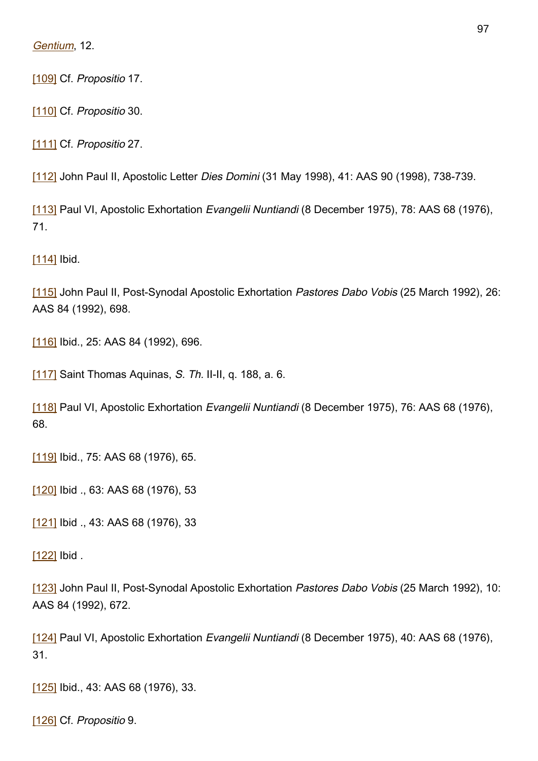[\[109\]](http://w2.vatican.va/content/francesco/en/apost_exhortations/documents/papa-francesco_esortazione-ap_20131124_evangelii-gaudium.html#_ftnref109) Cf. Propositio 17.

[\[110\]](http://w2.vatican.va/content/francesco/en/apost_exhortations/documents/papa-francesco_esortazione-ap_20131124_evangelii-gaudium.html#_ftnref110) Cf. Propositio 30.

[\[111\]](http://w2.vatican.va/content/francesco/en/apost_exhortations/documents/papa-francesco_esortazione-ap_20131124_evangelii-gaudium.html#_ftnref111) Cf. Propositio 27.

[\[112\]](http://w2.vatican.va/content/francesco/en/apost_exhortations/documents/papa-francesco_esortazione-ap_20131124_evangelii-gaudium.html#_ftnref112) John Paul II, Apostolic Letter Dies Domini (31 May 1998), 41: AAS 90 (1998), 738-739.

[\[113\]](http://w2.vatican.va/content/francesco/en/apost_exhortations/documents/papa-francesco_esortazione-ap_20131124_evangelii-gaudium.html#_ftnref113) Paul VI, Apostolic Exhortation Evangelii Nuntiandi (8 December 1975), 78: AAS 68 (1976), 71.

[\[114\]](http://w2.vatican.va/content/francesco/en/apost_exhortations/documents/papa-francesco_esortazione-ap_20131124_evangelii-gaudium.html#_ftnref114) Ibid.

[\[115\]](http://w2.vatican.va/content/francesco/en/apost_exhortations/documents/papa-francesco_esortazione-ap_20131124_evangelii-gaudium.html#_ftnref115) John Paul II, Post-Synodal Apostolic Exhortation Pastores Dabo Vobis (25 March 1992), 26: AAS 84 (1992), 698.

[\[116\]](http://w2.vatican.va/content/francesco/en/apost_exhortations/documents/papa-francesco_esortazione-ap_20131124_evangelii-gaudium.html#_ftnref116) Ibid., 25: AAS 84 (1992), 696.

[\[117\]](http://w2.vatican.va/content/francesco/en/apost_exhortations/documents/papa-francesco_esortazione-ap_20131124_evangelii-gaudium.html#_ftnref117) Saint Thomas Aquinas, S. Th. II-II, q. 188, a. 6.

[\[118\]](http://w2.vatican.va/content/francesco/en/apost_exhortations/documents/papa-francesco_esortazione-ap_20131124_evangelii-gaudium.html#_ftnref118) Paul VI, Apostolic Exhortation *Evangelii Nuntiandi* (8 December 1975), 76: AAS 68 (1976), 68.

[\[119\]](http://w2.vatican.va/content/francesco/en/apost_exhortations/documents/papa-francesco_esortazione-ap_20131124_evangelii-gaudium.html#_ftnref119) Ibid., 75: AAS 68 (1976), 65.

[\[120\]](http://w2.vatican.va/content/francesco/en/apost_exhortations/documents/papa-francesco_esortazione-ap_20131124_evangelii-gaudium.html#_ftnref120) Ibid ., 63: AAS 68 (1976), 53

[\[121\]](http://w2.vatican.va/content/francesco/en/apost_exhortations/documents/papa-francesco_esortazione-ap_20131124_evangelii-gaudium.html#_ftnref121) Ibid ., 43: AAS 68 (1976), 33

[\[122\]](http://w2.vatican.va/content/francesco/en/apost_exhortations/documents/papa-francesco_esortazione-ap_20131124_evangelii-gaudium.html#_ftnref122) Ibid .

[\[123\]](http://w2.vatican.va/content/francesco/en/apost_exhortations/documents/papa-francesco_esortazione-ap_20131124_evangelii-gaudium.html#_ftnref123) John Paul II, Post-Synodal Apostolic Exhortation Pastores Dabo Vobis (25 March 1992), 10: AAS 84 (1992), 672.

[\[124\]](http://w2.vatican.va/content/francesco/en/apost_exhortations/documents/papa-francesco_esortazione-ap_20131124_evangelii-gaudium.html#_ftnref124) Paul VI, Apostolic Exhortation Evangelii Nuntiandi (8 December 1975), 40: AAS 68 (1976), 31.

[\[125\]](http://w2.vatican.va/content/francesco/en/apost_exhortations/documents/papa-francesco_esortazione-ap_20131124_evangelii-gaudium.html#_ftnref125) Ibid., 43: AAS 68 (1976), 33.

[\[126\]](http://w2.vatican.va/content/francesco/en/apost_exhortations/documents/papa-francesco_esortazione-ap_20131124_evangelii-gaudium.html#_ftnref126) Cf. Propositio 9.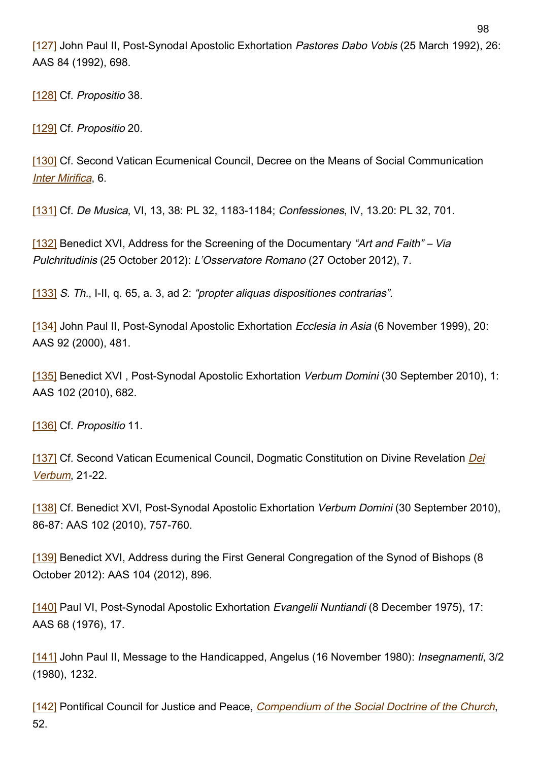[\[127\]](http://w2.vatican.va/content/francesco/en/apost_exhortations/documents/papa-francesco_esortazione-ap_20131124_evangelii-gaudium.html#_ftnref127) John Paul II, Post-Synodal Apostolic Exhortation Pastores Dabo Vobis (25 March 1992), 26: AAS 84 (1992), 698.

[\[128\]](http://w2.vatican.va/content/francesco/en/apost_exhortations/documents/papa-francesco_esortazione-ap_20131124_evangelii-gaudium.html#_ftnref128) Cf. Propositio 38.

[\[129\]](http://w2.vatican.va/content/francesco/en/apost_exhortations/documents/papa-francesco_esortazione-ap_20131124_evangelii-gaudium.html#_ftnref129) Cf. Propositio 20.

[\[130\]](http://w2.vatican.va/content/francesco/en/apost_exhortations/documents/papa-francesco_esortazione-ap_20131124_evangelii-gaudium.html#_ftnref130) Cf. Second Vatican Ecumenical Council, Decree on the Means of Social Communication [Inter Mirifica](http://www.vatican.va/archive/hist_councils/ii_vatican_council/documents/vat-ii_decree_19631204_inter-mirifica_en.html), 6.

[\[131\]](http://w2.vatican.va/content/francesco/en/apost_exhortations/documents/papa-francesco_esortazione-ap_20131124_evangelii-gaudium.html#_ftnref131) Cf. De Musica, VI, 13, 38: PL 32, 1183-1184; Confessiones, IV, 13.20: PL 32, 701.

[\[132\]](http://w2.vatican.va/content/francesco/en/apost_exhortations/documents/papa-francesco_esortazione-ap_20131124_evangelii-gaudium.html#_ftnref132) Benedict XVI, Address for the Screening of the Documentary "Art and Faith" – Via Pulchritudinis (25 October 2012): L'Osservatore Romano (27 October 2012), 7.

[\[133\]](http://w2.vatican.va/content/francesco/en/apost_exhortations/documents/papa-francesco_esortazione-ap_20131124_evangelii-gaudium.html#_ftnref133) S. Th., I-II, q. 65, a. 3, ad 2: "propter aliquas dispositiones contrarias".

[\[134\]](http://w2.vatican.va/content/francesco/en/apost_exhortations/documents/papa-francesco_esortazione-ap_20131124_evangelii-gaudium.html#_ftnref134) John Paul II, Post-Synodal Apostolic Exhortation Ecclesia in Asia (6 November 1999), 20: AAS 92 (2000), 481.

[\[135\]](http://w2.vatican.va/content/francesco/en/apost_exhortations/documents/papa-francesco_esortazione-ap_20131124_evangelii-gaudium.html#_ftnref135) Benedict XVI , Post-Synodal Apostolic Exhortation Verbum Domini (30 September 2010), 1: AAS 102 (2010), 682.

[\[136\]](http://w2.vatican.va/content/francesco/en/apost_exhortations/documents/papa-francesco_esortazione-ap_20131124_evangelii-gaudium.html#_ftnref136) Cf. Propositio 11.

[\[137\]](http://w2.vatican.va/content/francesco/en/apost_exhortations/documents/papa-francesco_esortazione-ap_20131124_evangelii-gaudium.html#_ftnref137) Cf. Second Vatican Ecumenical Council, Dogmatic Constitution on Divine Revelation [Dei](http://www.vatican.va/archive/hist_councils/ii_vatican_council/documents/vat-ii_const_19651118_dei-verbum_en.html) [Verbum](http://www.vatican.va/archive/hist_councils/ii_vatican_council/documents/vat-ii_const_19651118_dei-verbum_en.html), 21-22.

[\[138\]](http://w2.vatican.va/content/francesco/en/apost_exhortations/documents/papa-francesco_esortazione-ap_20131124_evangelii-gaudium.html#_ftnref138) Cf. Benedict XVI, Post-Synodal Apostolic Exhortation Verbum Domini (30 September 2010), 86-87: AAS 102 (2010), 757-760.

[\[139\]](http://w2.vatican.va/content/francesco/en/apost_exhortations/documents/papa-francesco_esortazione-ap_20131124_evangelii-gaudium.html#_ftnref139) Benedict XVI, Address during the First General Congregation of the Synod of Bishops (8) October 2012): AAS 104 (2012), 896.

[\[140\]](http://w2.vatican.va/content/francesco/en/apost_exhortations/documents/papa-francesco_esortazione-ap_20131124_evangelii-gaudium.html#_ftnref140) Paul VI, Post-Synodal Apostolic Exhortation Evangelii Nuntiandi (8 December 1975), 17: AAS 68 (1976), 17.

[\[141\]](http://w2.vatican.va/content/francesco/en/apost_exhortations/documents/papa-francesco_esortazione-ap_20131124_evangelii-gaudium.html#_ftnref141) John Paul II, Message to the Handicapped, Angelus (16 November 1980): Insegnamenti, 3/2 (1980), 1232.

[\[142\]](http://w2.vatican.va/content/francesco/en/apost_exhortations/documents/papa-francesco_esortazione-ap_20131124_evangelii-gaudium.html#_ftnref142) Pontifical Council for Justice and Peace, [Compendium of the Social Doctrine of the Church](http://www.vatican.va/roman_curia/pontifical_councils/justpeace/documents/rc_pc_justpeace_doc_20060526_compendio-dott-soc_en.html), 52.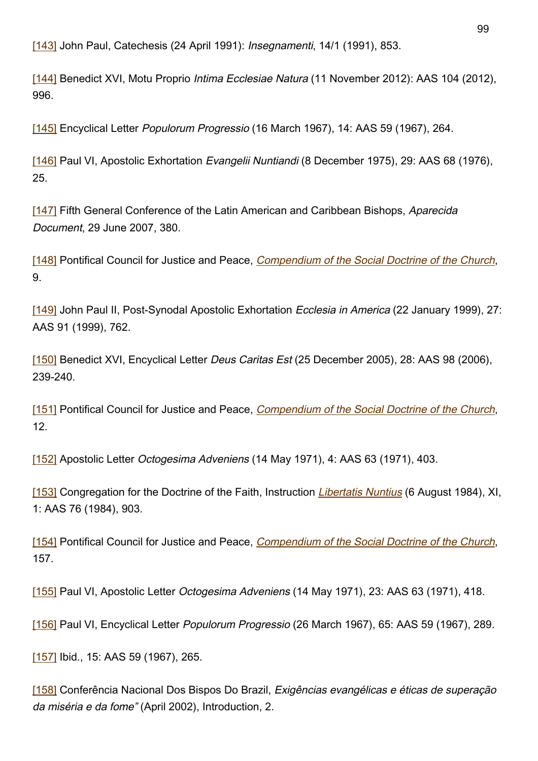[\[143\]](http://w2.vatican.va/content/francesco/en/apost_exhortations/documents/papa-francesco_esortazione-ap_20131124_evangelii-gaudium.html#_ftnref143) John Paul, Catechesis (24 April 1991): Insegnamenti, 14/1 (1991), 853.

[\[144\]](http://w2.vatican.va/content/francesco/en/apost_exhortations/documents/papa-francesco_esortazione-ap_20131124_evangelii-gaudium.html#_ftnref144) Benedict XVI, Motu Proprio Intima Ecclesiae Natura (11 November 2012): AAS 104 (2012), 996.

[\[145\]](http://w2.vatican.va/content/francesco/en/apost_exhortations/documents/papa-francesco_esortazione-ap_20131124_evangelii-gaudium.html#_ftnref145) Encyclical Letter Populorum Progressio (16 March 1967), 14: AAS 59 (1967), 264.

[\[146\]](http://w2.vatican.va/content/francesco/en/apost_exhortations/documents/papa-francesco_esortazione-ap_20131124_evangelii-gaudium.html#_ftnref146) Paul VI, Apostolic Exhortation Evangelii Nuntiandi (8 December 1975), 29: AAS 68 (1976), 25.

[\[147\]](http://w2.vatican.va/content/francesco/en/apost_exhortations/documents/papa-francesco_esortazione-ap_20131124_evangelii-gaudium.html#_ftnref147) Fifth General Conference of the Latin American and Caribbean Bishops, Aparecida Document, 29 June 2007, 380.

[\[148\]](http://w2.vatican.va/content/francesco/en/apost_exhortations/documents/papa-francesco_esortazione-ap_20131124_evangelii-gaudium.html#_ftnref148) Pontifical Council for Justice and Peace, [Compendium of the Social Doctrine of the Church](http://www.vatican.va/roman_curia/pontifical_councils/justpeace/documents/rc_pc_justpeace_doc_20060526_compendio-dott-soc_en.html), 9.

[\[149\]](http://w2.vatican.va/content/francesco/en/apost_exhortations/documents/papa-francesco_esortazione-ap_20131124_evangelii-gaudium.html#_ftnref149) John Paul II, Post-Synodal Apostolic Exhortation Ecclesia in America (22 January 1999), 27: AAS 91 (1999), 762.

[\[150\]](http://w2.vatican.va/content/francesco/en/apost_exhortations/documents/papa-francesco_esortazione-ap_20131124_evangelii-gaudium.html#_ftnref150) Benedict XVI, Encyclical Letter Deus Caritas Est (25 December 2005), 28: AAS 98 (2006), 239-240.

[\[151\]](http://w2.vatican.va/content/francesco/en/apost_exhortations/documents/papa-francesco_esortazione-ap_20131124_evangelii-gaudium.html#_ftnref151) Pontifical Council for Justice and Peace, [Compendium of the Social Doctrine of the Church](http://www.vatican.va/roman_curia/pontifical_councils/justpeace/documents/rc_pc_justpeace_doc_20060526_compendio-dott-soc_en.html), 12.

[\[152\]](http://w2.vatican.va/content/francesco/en/apost_exhortations/documents/papa-francesco_esortazione-ap_20131124_evangelii-gaudium.html#_ftnref152) Apostolic Letter Octogesima Adveniens (14 May 1971), 4: AAS 63 (1971), 403.

[\[153\]](http://w2.vatican.va/content/francesco/en/apost_exhortations/documents/papa-francesco_esortazione-ap_20131124_evangelii-gaudium.html#_ftnref153) Congregation for the Doctrine of the Faith, Instruction *[Libertatis Nuntius](http://www.vatican.va/roman_curia/congregations/cfaith/documents/rc_con_cfaith_doc_19840806_theology-liberation_en.html)* (6 August 1984), XI, 1: AAS 76 (1984), 903.

[\[154\]](http://w2.vatican.va/content/francesco/en/apost_exhortations/documents/papa-francesco_esortazione-ap_20131124_evangelii-gaudium.html#_ftnref154) Pontifical Council for Justice and Peace, [Compendium of the Social Doctrine of the Church](http://www.vatican.va/roman_curia/pontifical_councils/justpeace/documents/rc_pc_justpeace_doc_20060526_compendio-dott-soc_en.html), 157.

[\[155\]](http://w2.vatican.va/content/francesco/en/apost_exhortations/documents/papa-francesco_esortazione-ap_20131124_evangelii-gaudium.html#_ftnref155) Paul VI, Apostolic Letter *Octogesima Adveniens* (14 May 1971), 23: AAS 63 (1971), 418.

[\[156\]](http://w2.vatican.va/content/francesco/en/apost_exhortations/documents/papa-francesco_esortazione-ap_20131124_evangelii-gaudium.html#_ftnref156) Paul VI, Encyclical Letter Populorum Progressio (26 March 1967), 65: AAS 59 (1967), 289.

[\[157\]](http://w2.vatican.va/content/francesco/en/apost_exhortations/documents/papa-francesco_esortazione-ap_20131124_evangelii-gaudium.html#_ftnref157) Ibid., 15: AAS 59 (1967), 265.

[\[158\]](http://w2.vatican.va/content/francesco/en/apost_exhortations/documents/papa-francesco_esortazione-ap_20131124_evangelii-gaudium.html#_ftnref158) Conferência Nacional Dos Bispos Do Brazil, Exigências evangélicas e éticas de superação da miséria e da fome" (April 2002), Introduction, 2.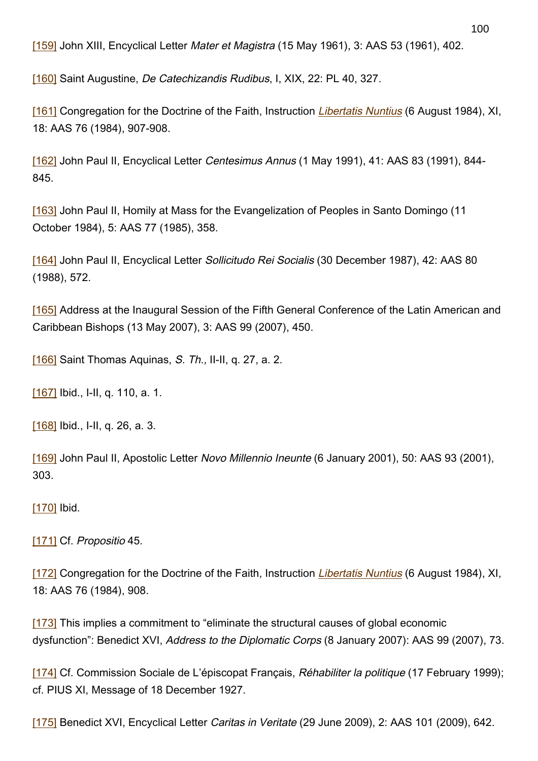[\[159\]](http://w2.vatican.va/content/francesco/en/apost_exhortations/documents/papa-francesco_esortazione-ap_20131124_evangelii-gaudium.html#_ftnref159) John XIII, Encyclical Letter Mater et Magistra (15 May 1961), 3: AAS 53 (1961), 402.

[\[160\]](http://w2.vatican.va/content/francesco/en/apost_exhortations/documents/papa-francesco_esortazione-ap_20131124_evangelii-gaudium.html#_ftnref160) Saint Augustine, *De Catechizandis Rudibus*, I, XIX, 22: PL 40, 327.

[\[161\]](http://w2.vatican.va/content/francesco/en/apost_exhortations/documents/papa-francesco_esortazione-ap_20131124_evangelii-gaudium.html#_ftnref161) Congregation for the Doctrine of the Faith, Instruction *[Libertatis Nuntius](http://www.vatican.va/roman_curia/congregations/cfaith/documents/rc_con_cfaith_doc_19840806_theology-liberation_en.html)* (6 August 1984), XI, 18: AAS 76 (1984), 907-908.

[\[162\]](http://w2.vatican.va/content/francesco/en/apost_exhortations/documents/papa-francesco_esortazione-ap_20131124_evangelii-gaudium.html#_ftnref162) John Paul II, Encyclical Letter Centesimus Annus (1 May 1991), 41: AAS 83 (1991), 844-845.

[\[163\]](http://w2.vatican.va/content/francesco/en/apost_exhortations/documents/papa-francesco_esortazione-ap_20131124_evangelii-gaudium.html#_ftnref163) John Paul II, Homily at Mass for the Evangelization of Peoples in Santo Domingo (11 October 1984), 5: AAS 77 (1985), 358.

[\[164\]](http://w2.vatican.va/content/francesco/en/apost_exhortations/documents/papa-francesco_esortazione-ap_20131124_evangelii-gaudium.html#_ftnref164) John Paul II, Encyclical Letter Sollicitudo Rei Socialis (30 December 1987), 42: AAS 80 (1988), 572.

[\[165\]](http://w2.vatican.va/content/francesco/en/apost_exhortations/documents/papa-francesco_esortazione-ap_20131124_evangelii-gaudium.html#_ftnref165) Address at the Inaugural Session of the Fifth General Conference of the Latin American and Caribbean Bishops (13 May 2007), 3: AAS 99 (2007), 450.

[\[166\]](http://w2.vatican.va/content/francesco/en/apost_exhortations/documents/papa-francesco_esortazione-ap_20131124_evangelii-gaudium.html#_ftnref166) Saint Thomas Aquinas, S. Th., II-II, q. 27, a. 2.

[\[167\]](http://w2.vatican.va/content/francesco/en/apost_exhortations/documents/papa-francesco_esortazione-ap_20131124_evangelii-gaudium.html#_ftnref167) Ibid., I-II, q. 110, a. 1.

[\[168\]](http://w2.vatican.va/content/francesco/en/apost_exhortations/documents/papa-francesco_esortazione-ap_20131124_evangelii-gaudium.html#_ftnref168) Ibid., I-II, q. 26, a. 3.

[\[169\]](http://w2.vatican.va/content/francesco/en/apost_exhortations/documents/papa-francesco_esortazione-ap_20131124_evangelii-gaudium.html#_ftnref169) John Paul II, Apostolic Letter Novo Millennio Ineunte (6 January 2001), 50: AAS 93 (2001), 303.

[\[170\]](http://w2.vatican.va/content/francesco/en/apost_exhortations/documents/papa-francesco_esortazione-ap_20131124_evangelii-gaudium.html#_ftnref170) Ibid.

[\[171\]](http://w2.vatican.va/content/francesco/en/apost_exhortations/documents/papa-francesco_esortazione-ap_20131124_evangelii-gaudium.html#_ftnref171) Cf. Propositio 45.

[\[172\]](http://w2.vatican.va/content/francesco/en/apost_exhortations/documents/papa-francesco_esortazione-ap_20131124_evangelii-gaudium.html#_ftnref172) Congregation for the Doctrine of the Faith, Instruction *[Libertatis Nuntius](http://www.vatican.va/roman_curia/congregations/cfaith/documents/rc_con_cfaith_doc_19840806_theology-liberation_en.html)* (6 August 1984), XI, 18: AAS 76 (1984), 908.

[\[173\]](http://w2.vatican.va/content/francesco/en/apost_exhortations/documents/papa-francesco_esortazione-ap_20131124_evangelii-gaudium.html#_ftnref173) This implies a commitment to "eliminate the structural causes of global economic dysfunction": Benedict XVI, Address to the Diplomatic Corps (8 January 2007): AAS 99 (2007), 73.

[\[174\]](http://w2.vatican.va/content/francesco/en/apost_exhortations/documents/papa-francesco_esortazione-ap_20131124_evangelii-gaudium.html#_ftnref174) Cf. Commission Sociale de L'épiscopat Français, Réhabiliter la politique (17 February 1999); cf. PIUS XI, Message of 18 December 1927.

[\[175\]](http://w2.vatican.va/content/francesco/en/apost_exhortations/documents/papa-francesco_esortazione-ap_20131124_evangelii-gaudium.html#_ftnref175) Benedict XVI, Encyclical Letter Caritas in Veritate (29 June 2009), 2: AAS 101 (2009), 642.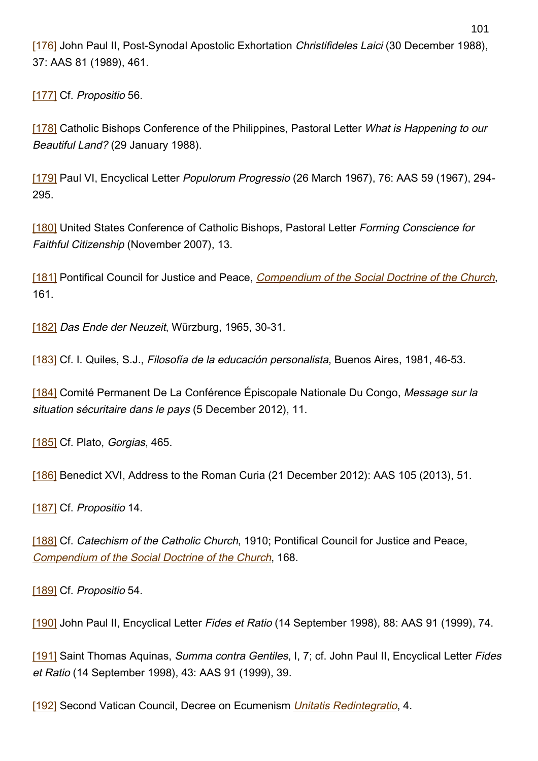[\[176\]](http://w2.vatican.va/content/francesco/en/apost_exhortations/documents/papa-francesco_esortazione-ap_20131124_evangelii-gaudium.html#_ftnref176) John Paul II, Post-Synodal Apostolic Exhortation Christifideles Laici (30 December 1988), 37: AAS 81 (1989), 461.

[\[177\]](http://w2.vatican.va/content/francesco/en/apost_exhortations/documents/papa-francesco_esortazione-ap_20131124_evangelii-gaudium.html#_ftnref177) Cf. Propositio 56.

[\[178\]](http://w2.vatican.va/content/francesco/en/apost_exhortations/documents/papa-francesco_esortazione-ap_20131124_evangelii-gaudium.html#_ftnref178) Catholic Bishops Conference of the Philippines, Pastoral Letter What is Happening to our Beautiful Land? (29 January 1988).

[\[179\]](http://w2.vatican.va/content/francesco/en/apost_exhortations/documents/papa-francesco_esortazione-ap_20131124_evangelii-gaudium.html#_ftnref179) Paul VI, Encyclical Letter Populorum Progressio (26 March 1967), 76: AAS 59 (1967), 294-295.

[\[180\]](http://w2.vatican.va/content/francesco/en/apost_exhortations/documents/papa-francesco_esortazione-ap_20131124_evangelii-gaudium.html#_ftnref180) United States Conference of Catholic Bishops, Pastoral Letter Forming Conscience for Faithful Citizenship (November 2007), 13.

[\[181\]](http://w2.vatican.va/content/francesco/en/apost_exhortations/documents/papa-francesco_esortazione-ap_20131124_evangelii-gaudium.html#_ftnref181) Pontifical Council for Justice and Peace, [Compendium of the Social Doctrine of the Church](http://www.vatican.va/roman_curia/pontifical_councils/justpeace/documents/rc_pc_justpeace_doc_20060526_compendio-dott-soc_en.html), 161.

[\[182\]](http://w2.vatican.va/content/francesco/en/apost_exhortations/documents/papa-francesco_esortazione-ap_20131124_evangelii-gaudium.html#_ftnref182) Das Ende der Neuzeit, Würzburg, 1965, 30-31.

[\[183\]](http://w2.vatican.va/content/francesco/en/apost_exhortations/documents/papa-francesco_esortazione-ap_20131124_evangelii-gaudium.html#_ftnref183) Cf. I. Quiles, S.J., Filosofía de la educación personalista, Buenos Aires, 1981, 46-53.

[\[184\]](http://w2.vatican.va/content/francesco/en/apost_exhortations/documents/papa-francesco_esortazione-ap_20131124_evangelii-gaudium.html#_ftnref184) Comité Permanent De La Conférence Épiscopale Nationale Du Congo, Message sur la situation sécuritaire dans le pays (5 December 2012), 11.

[\[185\]](http://w2.vatican.va/content/francesco/en/apost_exhortations/documents/papa-francesco_esortazione-ap_20131124_evangelii-gaudium.html#_ftnref185) Cf. Plato, Gorgias, 465.

[\[186\]](http://w2.vatican.va/content/francesco/en/apost_exhortations/documents/papa-francesco_esortazione-ap_20131124_evangelii-gaudium.html#_ftnref186) Benedict XVI, Address to the Roman Curia (21 December 2012): AAS 105 (2013), 51.

[\[187\]](http://w2.vatican.va/content/francesco/en/apost_exhortations/documents/papa-francesco_esortazione-ap_20131124_evangelii-gaudium.html#_ftnref187) Cf. Propositio 14.

[\[188\]](http://w2.vatican.va/content/francesco/en/apost_exhortations/documents/papa-francesco_esortazione-ap_20131124_evangelii-gaudium.html#_ftnref188) Cf. Catechism of the Catholic Church, 1910; Pontifical Council for Justice and Peace, [Compendium of the Social Doctrine of the Church](http://www.vatican.va/roman_curia/pontifical_councils/justpeace/documents/rc_pc_justpeace_doc_20060526_compendio-dott-soc_en.html), 168.

[\[189\]](http://w2.vatican.va/content/francesco/en/apost_exhortations/documents/papa-francesco_esortazione-ap_20131124_evangelii-gaudium.html#_ftnref189) Cf. Propositio 54.

[\[190\]](http://w2.vatican.va/content/francesco/en/apost_exhortations/documents/papa-francesco_esortazione-ap_20131124_evangelii-gaudium.html#_ftnref190) John Paul II, Encyclical Letter Fides et Ratio (14 September 1998), 88: AAS 91 (1999), 74.

[\[191\]](http://w2.vatican.va/content/francesco/en/apost_exhortations/documents/papa-francesco_esortazione-ap_20131124_evangelii-gaudium.html#_ftnref191) Saint Thomas Aquinas, Summa contra Gentiles, I, 7; cf. John Paul II, Encyclical Letter Fides et Ratio (14 September 1998), 43: AAS 91 (1999), 39.

[\[192\]](http://w2.vatican.va/content/francesco/en/apost_exhortations/documents/papa-francesco_esortazione-ap_20131124_evangelii-gaudium.html#_ftnref192) Second Vatican Council, Decree on Ecumenism [Unitatis Redintegratio](http://www.vatican.va/archive/hist_councils/ii_vatican_council/documents/vat-ii_decree_19641121_unitatis-redintegratio_en.html), 4.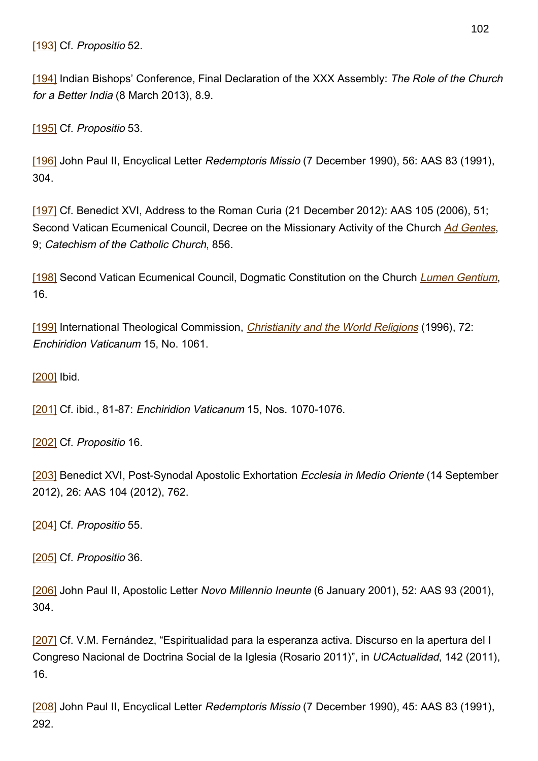[\[193\]](http://w2.vatican.va/content/francesco/en/apost_exhortations/documents/papa-francesco_esortazione-ap_20131124_evangelii-gaudium.html#_ftnref193) Cf. Propositio 52.

[\[194\]](http://w2.vatican.va/content/francesco/en/apost_exhortations/documents/papa-francesco_esortazione-ap_20131124_evangelii-gaudium.html#_ftnref194) Indian Bishops' Conference, Final Declaration of the XXX Assembly: The Role of the Church for a Better India (8 March 2013), 8.9.

[\[195\]](http://w2.vatican.va/content/francesco/en/apost_exhortations/documents/papa-francesco_esortazione-ap_20131124_evangelii-gaudium.html#_ftnref195) Cf. Propositio 53.

[\[196\]](http://w2.vatican.va/content/francesco/en/apost_exhortations/documents/papa-francesco_esortazione-ap_20131124_evangelii-gaudium.html#_ftnref196) John Paul II, Encyclical Letter Redemptoris Missio (7 December 1990), 56: AAS 83 (1991), 304.

[\[197\]](http://w2.vatican.va/content/francesco/en/apost_exhortations/documents/papa-francesco_esortazione-ap_20131124_evangelii-gaudium.html#_ftnref197) Cf. Benedict XVI, Address to the Roman Curia (21 December 2012): AAS 105 (2006), 51; Second Vatican Ecumenical Council, Decree on the Missionary Activity of the Church [Ad Gentes](http://www.vatican.va/archive/hist_councils/ii_vatican_council/documents/vat-ii_decree_19651207_ad-gentes_en.html), 9; Catechism of the Catholic Church, 856.

[\[198\]](http://w2.vatican.va/content/francesco/en/apost_exhortations/documents/papa-francesco_esortazione-ap_20131124_evangelii-gaudium.html#_ftnref198) Second Vatican Ecumenical Council, Dogmatic Constitution on the Church *[Lumen Gentium](http://www.vatican.va/archive/hist_councils/ii_vatican_council/documents/vat-ii_const_19641121_lumen-gentium_en.html)*, 16.

[\[199\]](http://w2.vatican.va/content/francesco/en/apost_exhortations/documents/papa-francesco_esortazione-ap_20131124_evangelii-gaudium.html#_ftnref199) International Theological Commission, *[Christianity and the World Religions](http://www.vatican.va/roman_curia/congregations/cfaith/cti_documents/rc_cti_1997_cristianesimo-religioni_en.html)* (1996), 72: Enchiridion Vaticanum 15, No. 1061.

[\[200\]](http://w2.vatican.va/content/francesco/en/apost_exhortations/documents/papa-francesco_esortazione-ap_20131124_evangelii-gaudium.html#_ftnref200) Ibid.

[\[201\]](http://w2.vatican.va/content/francesco/en/apost_exhortations/documents/papa-francesco_esortazione-ap_20131124_evangelii-gaudium.html#_ftnref201) Cf. ibid., 81-87: Enchiridion Vaticanum 15, Nos. 1070-1076.

[\[202\]](http://w2.vatican.va/content/francesco/en/apost_exhortations/documents/papa-francesco_esortazione-ap_20131124_evangelii-gaudium.html#_ftnref202) Cf. Propositio 16.

[\[203\]](http://w2.vatican.va/content/francesco/en/apost_exhortations/documents/papa-francesco_esortazione-ap_20131124_evangelii-gaudium.html#_ftnref203) Benedict XVI, Post-Synodal Apostolic Exhortation Ecclesia in Medio Oriente (14 September 2012), 26: AAS 104 (2012), 762.

[\[204\]](http://w2.vatican.va/content/francesco/en/apost_exhortations/documents/papa-francesco_esortazione-ap_20131124_evangelii-gaudium.html#_ftnref204) Cf. Propositio 55.

[\[205\]](http://w2.vatican.va/content/francesco/en/apost_exhortations/documents/papa-francesco_esortazione-ap_20131124_evangelii-gaudium.html#_ftnref205) Cf. Propositio 36.

[\[206\]](http://w2.vatican.va/content/francesco/en/apost_exhortations/documents/papa-francesco_esortazione-ap_20131124_evangelii-gaudium.html#_ftnref206) John Paul II, Apostolic Letter Novo Millennio Ineunte (6 January 2001), 52: AAS 93 (2001), 304.

[\[207\]](http://w2.vatican.va/content/francesco/en/apost_exhortations/documents/papa-francesco_esortazione-ap_20131124_evangelii-gaudium.html#_ftnref207) Cf. V.M. Fernández, "Espiritualidad para la esperanza activa. Discurso en la apertura del I Congreso Nacional de Doctrina Social de la Iglesia (Rosario 2011)", in UCActualidad, 142 (2011), 16.

[\[208\]](http://w2.vatican.va/content/francesco/en/apost_exhortations/documents/papa-francesco_esortazione-ap_20131124_evangelii-gaudium.html#_ftnref208) John Paul II, Encyclical Letter Redemptoris Missio (7 December 1990), 45: AAS 83 (1991), 292.